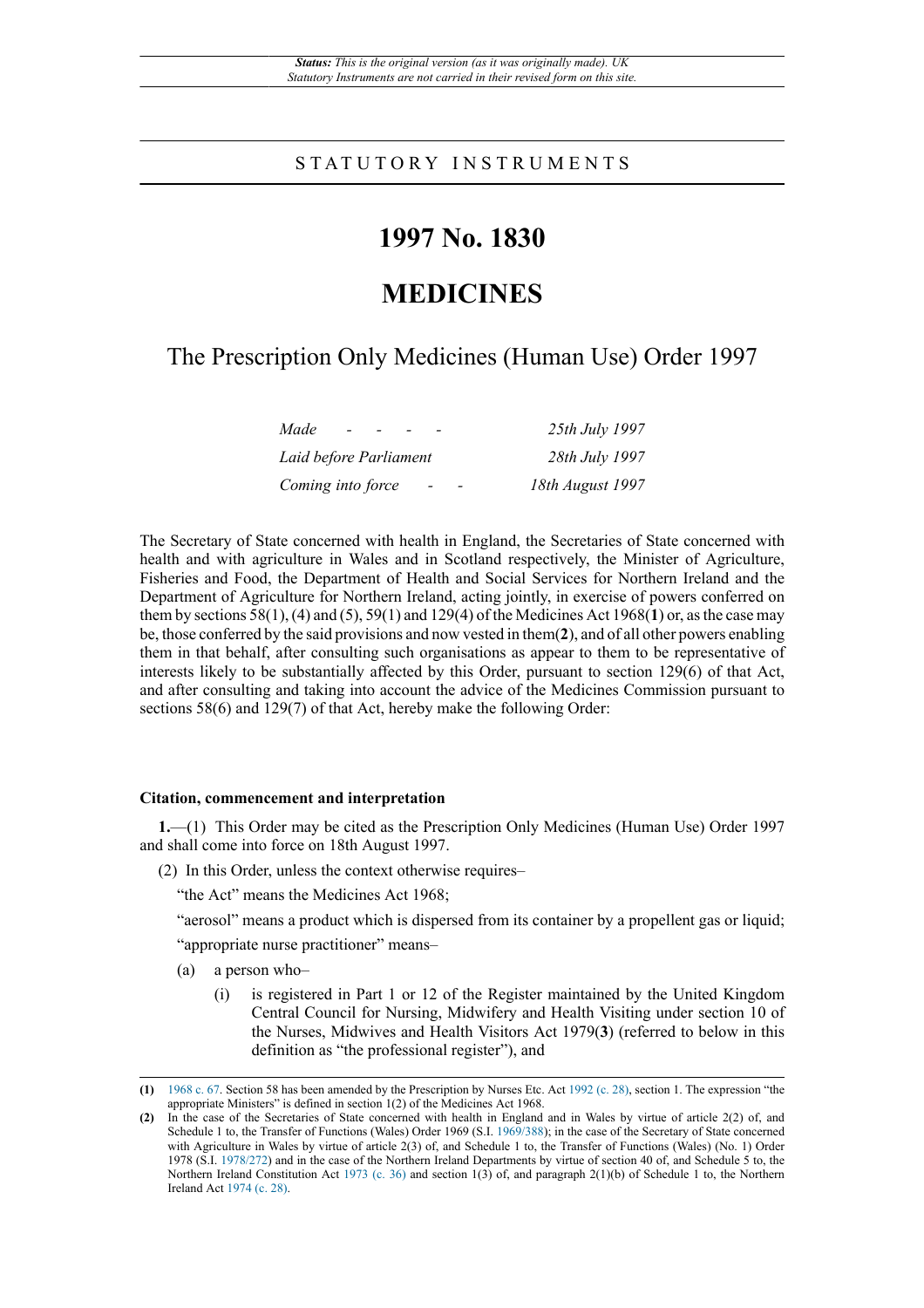# S T A T U T O R Y I N S T R U M E N T S

# **1997 No. 1830**

# **MEDICINES**

# The Prescription Only Medicines (Human Use) Order 1997

| Made<br>$\sim$                                | 25th July 1997   |
|-----------------------------------------------|------------------|
| Laid before Parliament                        | 28th July 1997   |
| Coming into force<br>$\overline{\phantom{a}}$ | 18th August 1997 |

The Secretary of State concerned with health in England, the Secretaries of State concerned with health and with agriculture in Wales and in Scotland respectively, the Minister of Agriculture, Fisheries and Food, the Department of Health and Social Services for Northern Ireland and the Department of Agriculture for Northern Ireland, acting jointly, in exercise of powers conferred on them by sections 58(1), (4) and (5), 59(1) and 129(4) of the Medicines Act 1968(**1**) or, as the case may be, those conferred by the said provisions and now vested in them(**2**), and of all other powers enabling them in that behalf, after consulting such organisations as appear to them to be representative of interests likely to be substantially affected by this Order, pursuant to section 129(6) of that Act, and after consulting and taking into account the advice of the Medicines Commission pursuant to sections 58(6) and 129(7) of that Act, hereby make the following Order:

#### **Citation, commencement and interpretation**

**1.**—(1) This Order may be cited as the Prescription Only Medicines (Human Use) Order 1997 and shall come into force on 18th August 1997.

(2) In this Order, unless the context otherwise requires–

"the Act" means the Medicines Act 1968;

"aerosol" means a product which is dispersed from its container by a propellent gas or liquid;

"appropriate nurse practitioner" means–

- (a) a person who–
	- (i) is registered in Part 1 or 12 of the Register maintained by the United Kingdom Central Council for Nursing, Midwifery and Health Visiting under section 10 of the Nurses, Midwives and Health Visitors Act 1979(**3**) (referred to below in this definition as "the professional register"), and

**<sup>(1)</sup>** [1968 c. 67](http://www.legislation.gov.uk/id/ukpga/1968/67). Section 58 has been amended by the Prescription by Nurses Etc. Act [1992 \(c. 28\),](http://www.legislation.gov.uk/id/ukpga/1992/28) section 1. The expression "the appropriate Ministers" is defined in section 1(2) of the Medicines Act 1968.

**<sup>(2)</sup>** In the case of the Secretaries of State concerned with health in England and in Wales by virtue of article 2(2) of, and Schedule 1 to, the Transfer of Functions (Wales) Order 1969 (S.I. [1969/388](http://www.legislation.gov.uk/id/uksi/1969/388)); in the case of the Secretary of State concerned with Agriculture in Wales by virtue of article 2(3) of, and Schedule 1 to, the Transfer of Functions (Wales) (No. 1) Order 1978 (S.I. [1978/272](http://www.legislation.gov.uk/id/uksi/1978/272)) and in the case of the Northern Ireland Departments by virtue of section 40 of, and Schedule 5 to, the Northern Ireland Constitution Act [1973 \(c. 36\)](http://www.legislation.gov.uk/id/ukpga/1973/36) and section 1(3) of, and paragraph 2(1)(b) of Schedule 1 to, the Northern Ireland Act [1974 \(c. 28\)](http://www.legislation.gov.uk/id/ukpga/1974/28).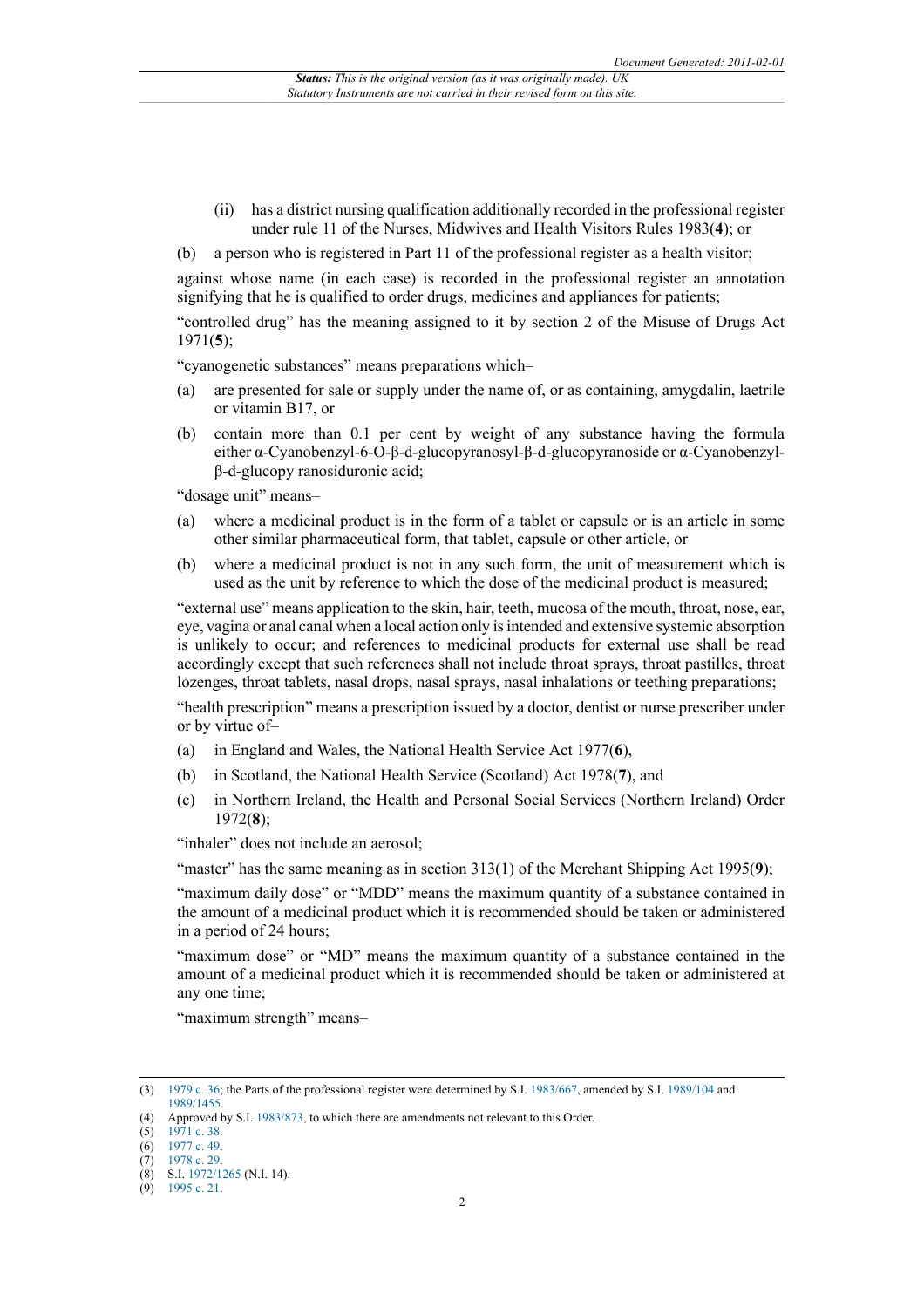(ii) has a district nursing qualification additionally recorded in the professional register under rule 11 of the Nurses, Midwives and Health Visitors Rules 1983(**4**); or

(b) a person who is registered in Part 11 of the professional register as a health visitor;

against whose name (in each case) is recorded in the professional register an annotation signifying that he is qualified to order drugs, medicines and appliances for patients;

"controlled drug" has the meaning assigned to it by section 2 of the Misuse of Drugs Act 1971(**5**);

"cyanogenetic substances" means preparations which–

- (a) are presented for sale or supply under the name of, or as containing, amygdalin, laetrile or vitamin B17, or
- (b) contain more than 0.1 per cent by weight of any substance having the formula either α-Cyanobenzyl-6-O-β-d-glucopyranosyl-β-d-glucopyranoside or α-Cyanobenzylβ-d-glucopy ranosiduronic acid;

"dosage unit" means–

- (a) where a medicinal product is in the form of a tablet or capsule or is an article in some other similar pharmaceutical form, that tablet, capsule or other article, or
- (b) where a medicinal product is not in any such form, the unit of measurement which is used as the unit by reference to which the dose of the medicinal product is measured;

"external use" means application to the skin, hair, teeth, mucosa of the mouth, throat, nose, ear, eye, vagina or anal canal when a local action only is intended and extensive systemic absorption is unlikely to occur; and references to medicinal products for external use shall be read accordingly except that such references shall not include throat sprays, throat pastilles, throat lozenges, throat tablets, nasal drops, nasal sprays, nasal inhalations or teething preparations;

"health prescription" means a prescription issued by a doctor, dentist or nurse prescriber under or by virtue of–

- (a) in England and Wales, the National Health Service Act 1977(**6**),
- (b) in Scotland, the National Health Service (Scotland) Act 1978(**7**), and
- (c) in Northern Ireland, the Health and Personal Social Services (Northern Ireland) Order 1972(**8**);

"inhaler" does not include an aerosol:

"master" has the same meaning as in section 313(1) of the Merchant Shipping Act 1995(**9**);

"maximum daily dose" or "MDD" means the maximum quantity of a substance contained in the amount of a medicinal product which it is recommended should be taken or administered in a period of 24 hours;

"maximum dose" or "MD" means the maximum quantity of a substance contained in the amount of a medicinal product which it is recommended should be taken or administered at any one time;

"maximum strength" means–

<sup>(3)</sup> [1979 c. 36;](http://www.legislation.gov.uk/id/ukpga/1979/36) the Parts of the professional register were determined by S.I. [1983/667,](http://www.legislation.gov.uk/id/uksi/1983/667) amended by S.I. [1989/104](http://www.legislation.gov.uk/id/uksi/1989/104) and [1989/1455](http://www.legislation.gov.uk/id/uksi/1989/1455).

<sup>(4)</sup> Approved by S.I. [1983/873](http://www.legislation.gov.uk/id/uksi/1983/873), to which there are amendments not relevant to this Order.

<sup>(5)</sup> [1971 c. 38.](http://www.legislation.gov.uk/id/ukpga/1971/38)

 $(6)$  [1977 c. 49.](http://www.legislation.gov.uk/id/ukpga/1977/49)

<sup>(7)</sup> [1978 c. 29.](http://www.legislation.gov.uk/id/ukpga/1978/29)

<sup>(8)</sup> S.I. [1972/1265](http://www.legislation.gov.uk/id/uksi/1972/1265) (N.I. 14).

<sup>(9)</sup> [1995 c. 21.](http://www.legislation.gov.uk/id/ukpga/1995/21)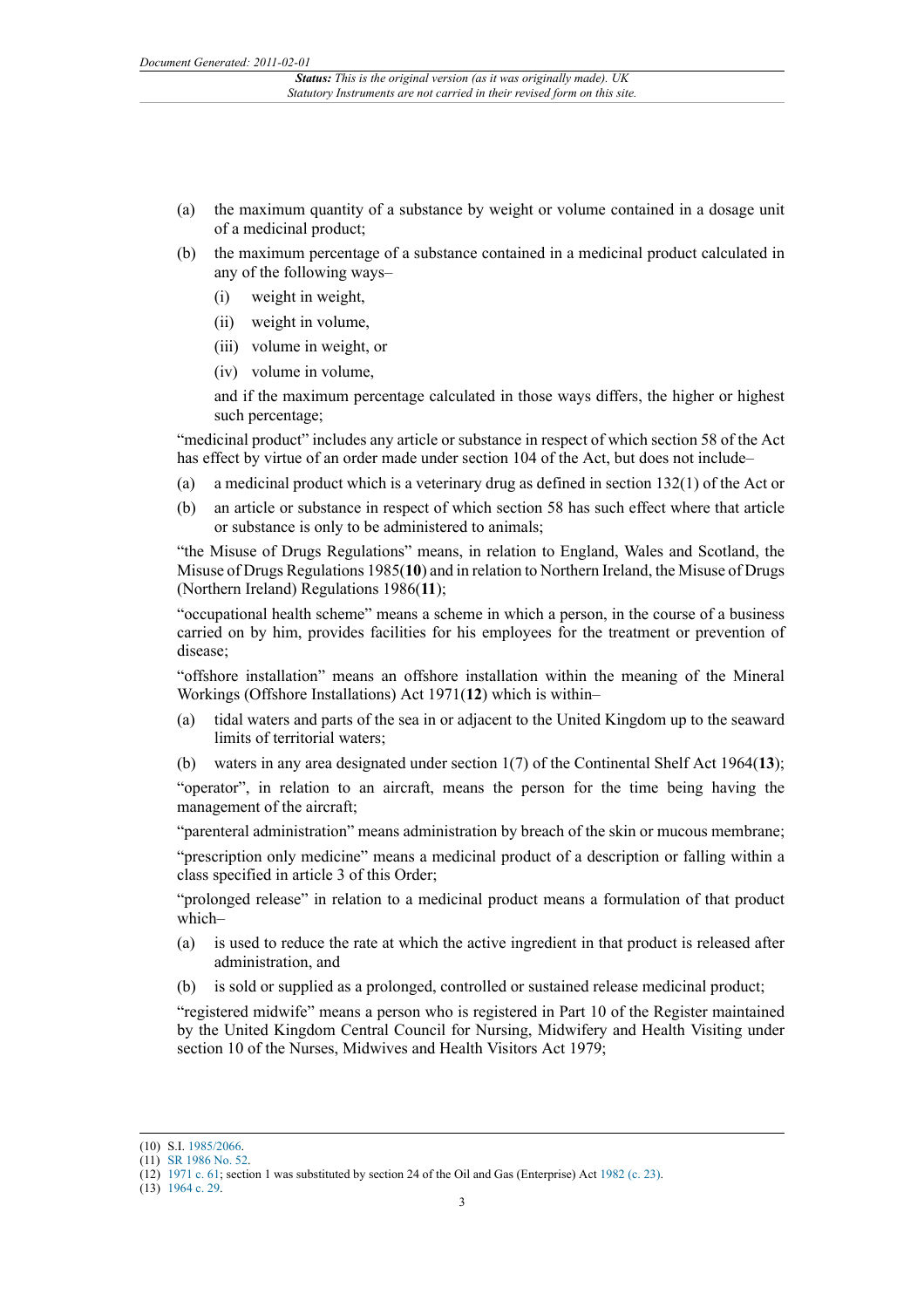- (a) the maximum quantity of a substance by weight or volume contained in a dosage unit of a medicinal product;
- (b) the maximum percentage of a substance contained in a medicinal product calculated in any of the following ways–
	- (i) weight in weight,
	- (ii) weight in volume,
	- (iii) volume in weight, or
	- (iv) volume in volume,

and if the maximum percentage calculated in those ways differs, the higher or highest such percentage;

"medicinal product" includes any article or substance in respect of which section 58 of the Act has effect by virtue of an order made under section 104 of the Act, but does not include–

- (a) a medicinal product which is a veterinary drug as defined in section 132(1) of the Act or
- (b) an article or substance in respect of which section 58 has such effect where that article or substance is only to be administered to animals;

"the Misuse of Drugs Regulations" means, in relation to England, Wales and Scotland, the Misuse of Drugs Regulations 1985(**10**) and in relation to Northern Ireland, the Misuse of Drugs (Northern Ireland) Regulations 1986(**11**);

"occupational health scheme" means a scheme in which a person, in the course of a business carried on by him, provides facilities for his employees for the treatment or prevention of disease;

"offshore installation" means an offshore installation within the meaning of the Mineral Workings (Offshore Installations) Act 1971(**12**) which is within–

- tidal waters and parts of the sea in or adjacent to the United Kingdom up to the seaward limits of territorial waters;
- (b) waters in any area designated under section 1(7) of the Continental Shelf Act 1964(**13**);

"operator", in relation to an aircraft, means the person for the time being having the management of the aircraft;

"parenteral administration" means administration by breach of the skin or mucous membrane;

"prescription only medicine" means a medicinal product of a description or falling within a class specified in article 3 of this Order;

"prolonged release" in relation to a medicinal product means a formulation of that product which–

- (a) is used to reduce the rate at which the active ingredient in that product is released after administration, and
- (b) is sold or supplied as a prolonged, controlled or sustained release medicinal product;

"registered midwife" means a person who is registered in Part 10 of the Register maintained by the United Kingdom Central Council for Nursing, Midwifery and Health Visiting under section 10 of the Nurses, Midwives and Health Visitors Act 1979;

<sup>(10)</sup> S.I. [1985/2066](http://www.legislation.gov.uk/id/uksi/1985/2066).

<sup>(11)</sup> [SR 1986 No. 52.](http://www.legislation.gov.uk/id/nisr/1986/52)

<sup>(12)</sup> [1971 c. 61;](http://www.legislation.gov.uk/id/ukpga/1971/61) section 1 was substituted by section 24 of the Oil and Gas (Enterprise) Act [1982 \(c. 23\)](http://www.legislation.gov.uk/id/ukpga/1982/23).

<sup>(13)</sup> [1964 c. 29.](http://www.legislation.gov.uk/id/ukpga/1964/29)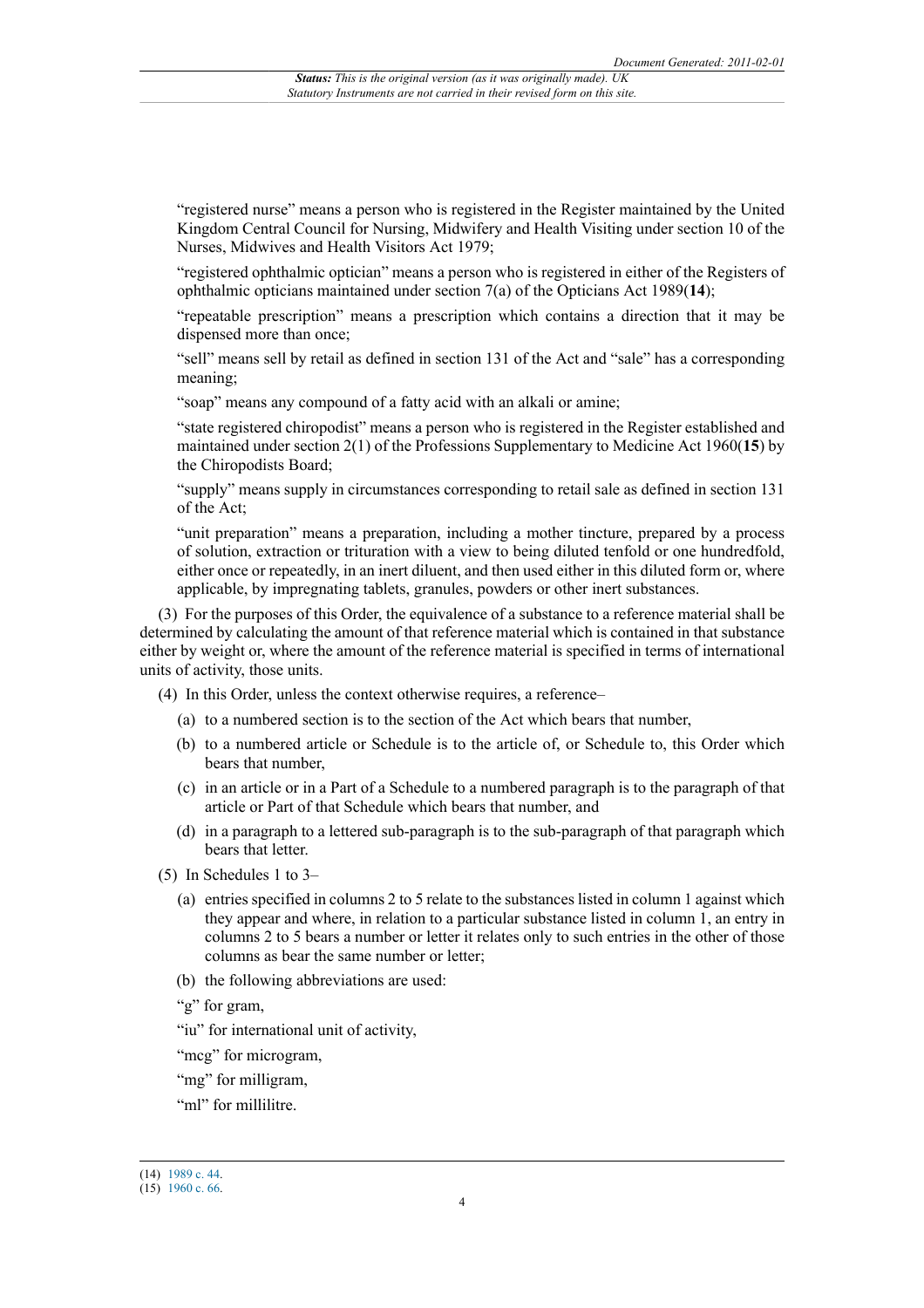"registered nurse" means a person who is registered in the Register maintained by the United Kingdom Central Council for Nursing, Midwifery and Health Visiting under section 10 of the Nurses, Midwives and Health Visitors Act 1979;

"registered ophthalmic optician" means a person who is registered in either of the Registers of ophthalmic opticians maintained under section 7(a) of the Opticians Act 1989(**14**);

"repeatable prescription" means a prescription which contains a direction that it may be dispensed more than once;

"sell" means sell by retail as defined in section 131 of the Act and "sale" has a corresponding meaning;

"soap" means any compound of a fatty acid with an alkali or amine;

"state registered chiropodist" means a person who is registered in the Register established and maintained under section 2(1) of the Professions Supplementary to Medicine Act 1960(**15**) by the Chiropodists Board;

"supply" means supply in circumstances corresponding to retail sale as defined in section 131 of the Act;

"unit preparation" means a preparation, including a mother tincture, prepared by a process of solution, extraction or trituration with a view to being diluted tenfold or one hundredfold, either once or repeatedly, in an inert diluent, and then used either in this diluted form or, where applicable, by impregnating tablets, granules, powders or other inert substances.

(3) For the purposes of this Order, the equivalence of a substance to a reference material shall be determined by calculating the amount of that reference material which is contained in that substance either by weight or, where the amount of the reference material is specified in terms of international units of activity, those units.

- (4) In this Order, unless the context otherwise requires, a reference–
	- (a) to a numbered section is to the section of the Act which bears that number,
	- (b) to a numbered article or Schedule is to the article of, or Schedule to, this Order which bears that number,
	- (c) in an article or in a Part of a Schedule to a numbered paragraph is to the paragraph of that article or Part of that Schedule which bears that number, and
	- (d) in a paragraph to a lettered sub-paragraph is to the sub-paragraph of that paragraph which bears that letter.
- (5) In Schedules 1 to 3–
	- (a) entries specified in columns 2 to 5 relate to the substances listed in column 1 against which they appear and where, in relation to a particular substance listed in column 1, an entry in columns 2 to 5 bears a number or letter it relates only to such entries in the other of those columns as bear the same number or letter;
	- (b) the following abbreviations are used:

"g" for gram,

"iu" for international unit of activity,

"mcg" for microgram.

"mg" for milligram,

"ml" for millilitre.

<sup>(14)</sup> [1989 c. 44.](http://www.legislation.gov.uk/id/ukpga/1989/44)

<sup>(15)</sup> [1960 c. 66.](http://www.legislation.gov.uk/id/ukpga/1960/66)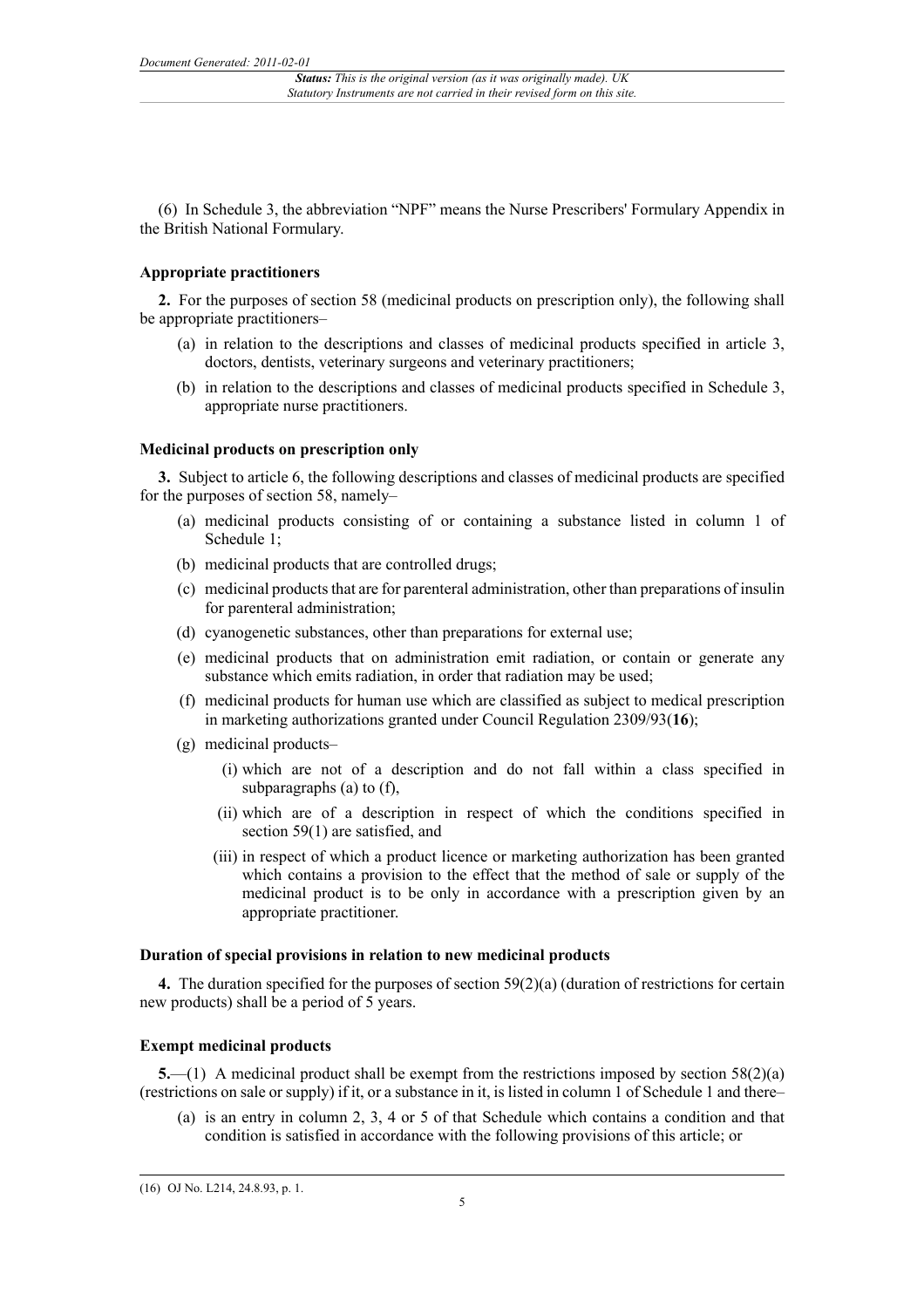(6) In Schedule 3, the abbreviation "NPF" means the Nurse Prescribers' Formulary Appendix in the British National Formulary.

### **Appropriate practitioners**

**2.** For the purposes of section 58 (medicinal products on prescription only), the following shall be appropriate practitioners–

- (a) in relation to the descriptions and classes of medicinal products specified in article 3, doctors, dentists, veterinary surgeons and veterinary practitioners;
- (b) in relation to the descriptions and classes of medicinal products specified in Schedule 3, appropriate nurse practitioners.

#### **Medicinal products on prescription only**

**3.** Subject to article 6, the following descriptions and classes of medicinal products are specified for the purposes of section 58, namely–

- (a) medicinal products consisting of or containing a substance listed in column 1 of Schedule 1;
- (b) medicinal products that are controlled drugs;
- (c) medicinal products that are for parenteral administration, other than preparations of insulin for parenteral administration;
- (d) cyanogenetic substances, other than preparations for external use;
- (e) medicinal products that on administration emit radiation, or contain or generate any substance which emits radiation, in order that radiation may be used;
- (f) medicinal products for human use which are classified as subject to medical prescription in marketing authorizations granted under Council Regulation 2309/93(**16**);
- (g) medicinal products–
	- (i) which are not of a description and do not fall within a class specified in subparagraphs (a) to (f),
	- (ii) which are of a description in respect of which the conditions specified in section 59(1) are satisfied, and
	- (iii) in respect of which a product licence or marketing authorization has been granted which contains a provision to the effect that the method of sale or supply of the medicinal product is to be only in accordance with a prescription given by an appropriate practitioner.

#### **Duration of special provisions in relation to new medicinal products**

**4.** The duration specified for the purposes of section 59(2)(a) (duration of restrictions for certain new products) shall be a period of 5 years.

### **Exempt medicinal products**

**5.**—(1) A medicinal product shall be exempt from the restrictions imposed by section 58(2)(a) (restrictions on sale or supply) if it, or a substance in it, is listed in column 1 of Schedule 1 and there–

(a) is an entry in column 2, 3, 4 or 5 of that Schedule which contains a condition and that condition is satisfied in accordance with the following provisions of this article; or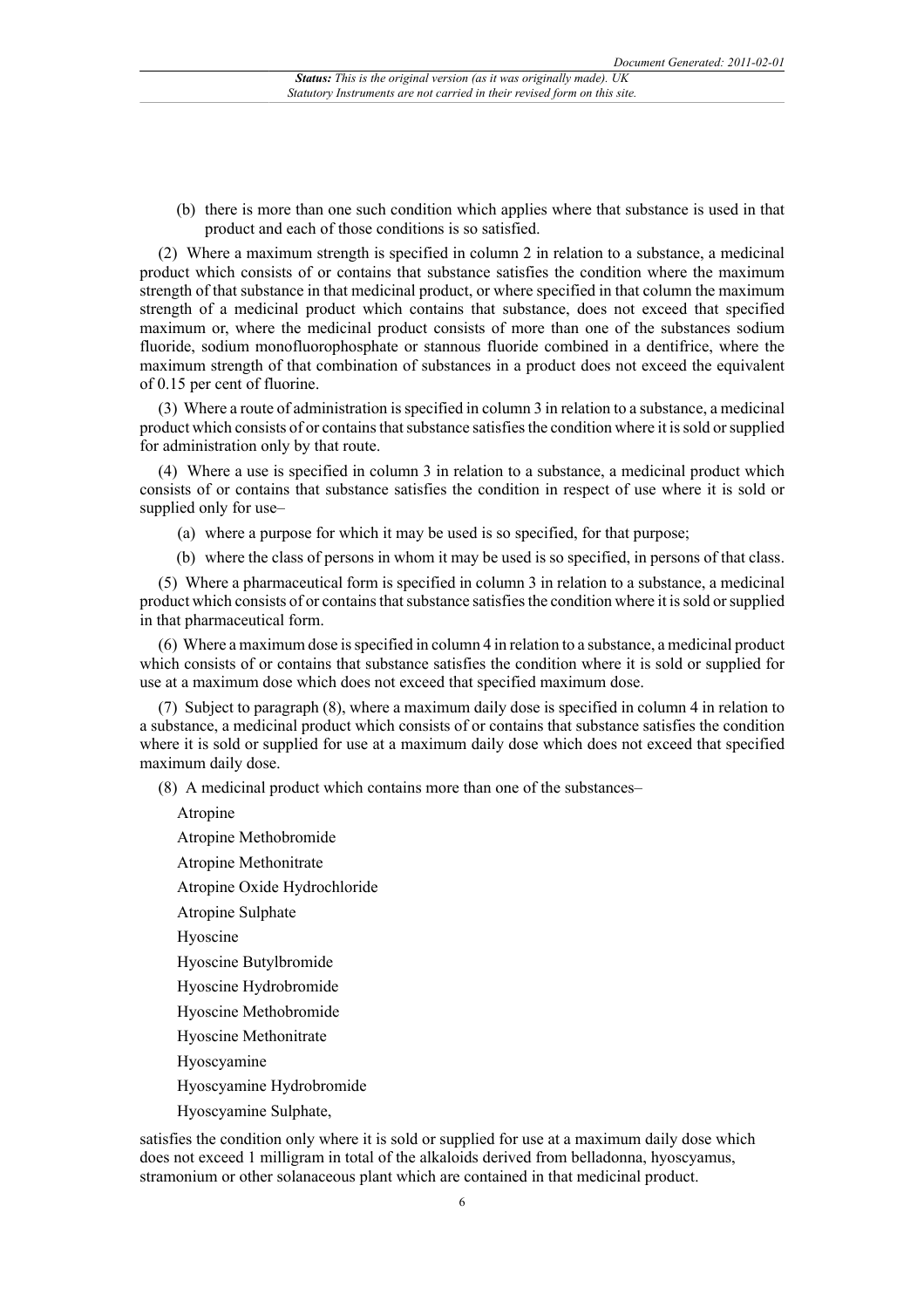(b) there is more than one such condition which applies where that substance is used in that product and each of those conditions is so satisfied.

(2) Where a maximum strength is specified in column 2 in relation to a substance, a medicinal product which consists of or contains that substance satisfies the condition where the maximum strength of that substance in that medicinal product, or where specified in that column the maximum strength of a medicinal product which contains that substance, does not exceed that specified maximum or, where the medicinal product consists of more than one of the substances sodium fluoride, sodium monofluorophosphate or stannous fluoride combined in a dentifrice, where the maximum strength of that combination of substances in a product does not exceed the equivalent of 0.15 per cent of fluorine.

(3) Where a route of administration is specified in column 3 in relation to a substance, a medicinal product which consists of or contains that substance satisfies the condition where it is sold or supplied for administration only by that route.

(4) Where a use is specified in column 3 in relation to a substance, a medicinal product which consists of or contains that substance satisfies the condition in respect of use where it is sold or supplied only for use–

(a) where a purpose for which it may be used is so specified, for that purpose;

(b) where the class of persons in whom it may be used is so specified, in persons of that class.

(5) Where a pharmaceutical form is specified in column 3 in relation to a substance, a medicinal product which consists of or contains that substance satisfies the condition where it is sold or supplied in that pharmaceutical form.

(6) Where a maximum dose is specified in column 4 in relation to a substance, a medicinal product which consists of or contains that substance satisfies the condition where it is sold or supplied for use at a maximum dose which does not exceed that specified maximum dose.

(7) Subject to paragraph (8), where a maximum daily dose is specified in column 4 in relation to a substance, a medicinal product which consists of or contains that substance satisfies the condition where it is sold or supplied for use at a maximum daily dose which does not exceed that specified maximum daily dose.

(8) A medicinal product which contains more than one of the substances–

Atropine

Atropine Methobromide

Atropine Methonitrate

Atropine Oxide Hydrochloride

Atropine Sulphate

Hyoscine

Hyoscine Butylbromide

Hyoscine Hydrobromide

Hyoscine Methobromide

Hyoscine Methonitrate

Hyoscyamine

Hyoscyamine Hydrobromide

Hyoscyamine Sulphate,

satisfies the condition only where it is sold or supplied for use at a maximum daily dose which does not exceed 1 milligram in total of the alkaloids derived from belladonna, hyoscyamus, stramonium or other solanaceous plant which are contained in that medicinal product.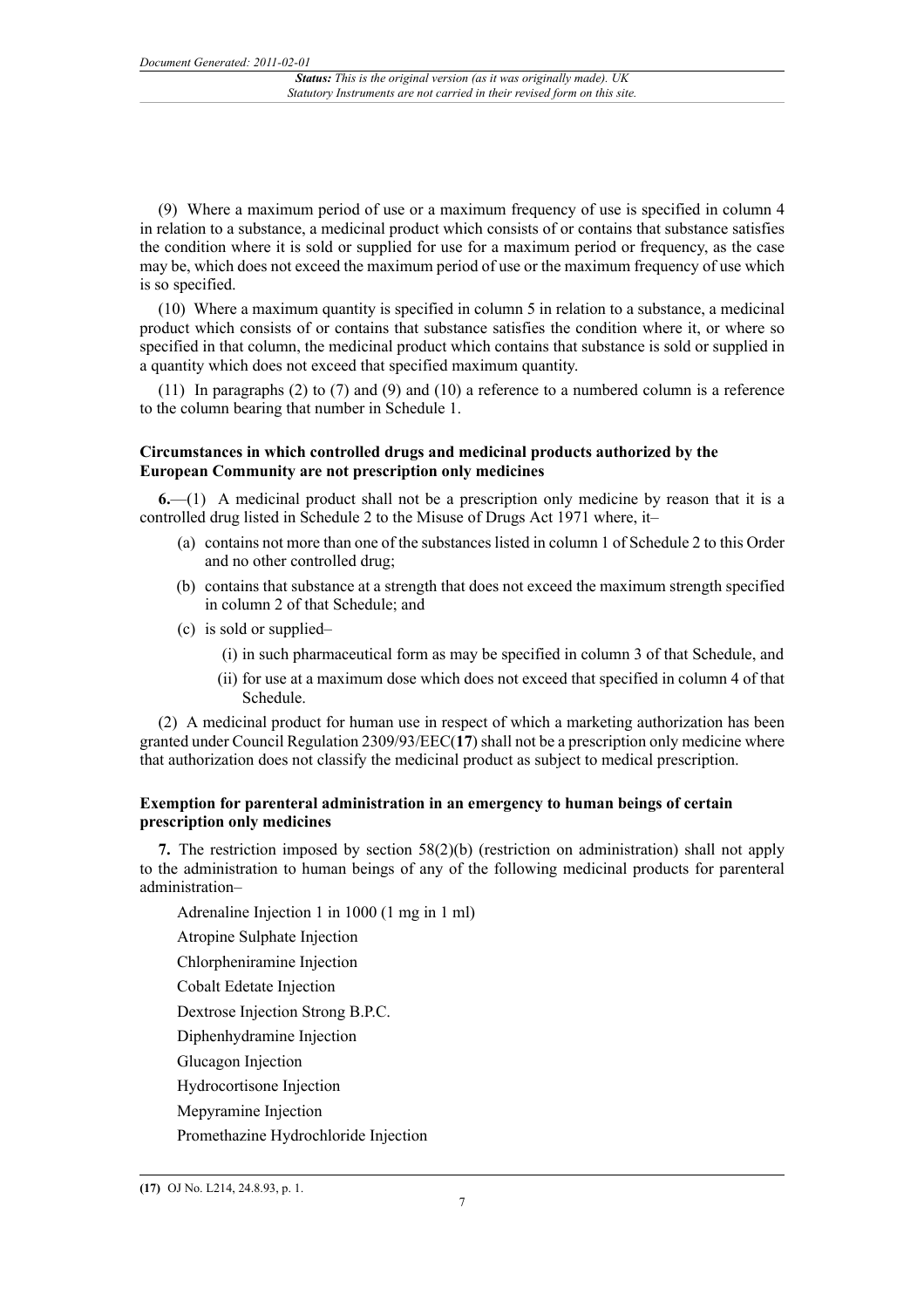(9) Where a maximum period of use or a maximum frequency of use is specified in column 4 in relation to a substance, a medicinal product which consists of or contains that substance satisfies the condition where it is sold or supplied for use for a maximum period or frequency, as the case may be, which does not exceed the maximum period of use or the maximum frequency of use which is so specified.

(10) Where a maximum quantity is specified in column 5 in relation to a substance, a medicinal product which consists of or contains that substance satisfies the condition where it, or where so specified in that column, the medicinal product which contains that substance is sold or supplied in a quantity which does not exceed that specified maximum quantity.

(11) In paragraphs (2) to (7) and (9) and (10) a reference to a numbered column is a reference to the column bearing that number in Schedule 1.

### **Circumstances in which controlled drugs and medicinal products authorized by the European Community are not prescription only medicines**

**6.**—(1) A medicinal product shall not be a prescription only medicine by reason that it is a controlled drug listed in Schedule 2 to the Misuse of Drugs Act 1971 where, it–

- (a) contains not more than one of the substances listed in column 1 of Schedule 2 to this Order and no other controlled drug;
- (b) contains that substance at a strength that does not exceed the maximum strength specified in column 2 of that Schedule; and
- (c) is sold or supplied–
	- (i) in such pharmaceutical form as may be specified in column 3 of that Schedule, and
	- (ii) for use at a maximum dose which does not exceed that specified in column 4 of that Schedule.

(2) A medicinal product for human use in respect of which a marketing authorization has been granted under Council Regulation 2309/93/EEC(**17**) shall not be a prescription only medicine where that authorization does not classify the medicinal product as subject to medical prescription.

## **Exemption for parenteral administration in an emergency to human beings of certain prescription only medicines**

**7.** The restriction imposed by section 58(2)(b) (restriction on administration) shall not apply to the administration to human beings of any of the following medicinal products for parenteral administration–

Adrenaline Injection 1 in 1000 (1 mg in 1 ml)

- Atropine Sulphate Injection
- Chlorpheniramine Injection

Cobalt Edetate Injection

Dextrose Injection Strong B.P.C.

Diphenhydramine Injection

Glucagon Injection

Hydrocortisone Injection

Mepyramine Injection

Promethazine Hydrochloride Injection

**<sup>(17)</sup>** OJ No. L214, 24.8.93, p. 1.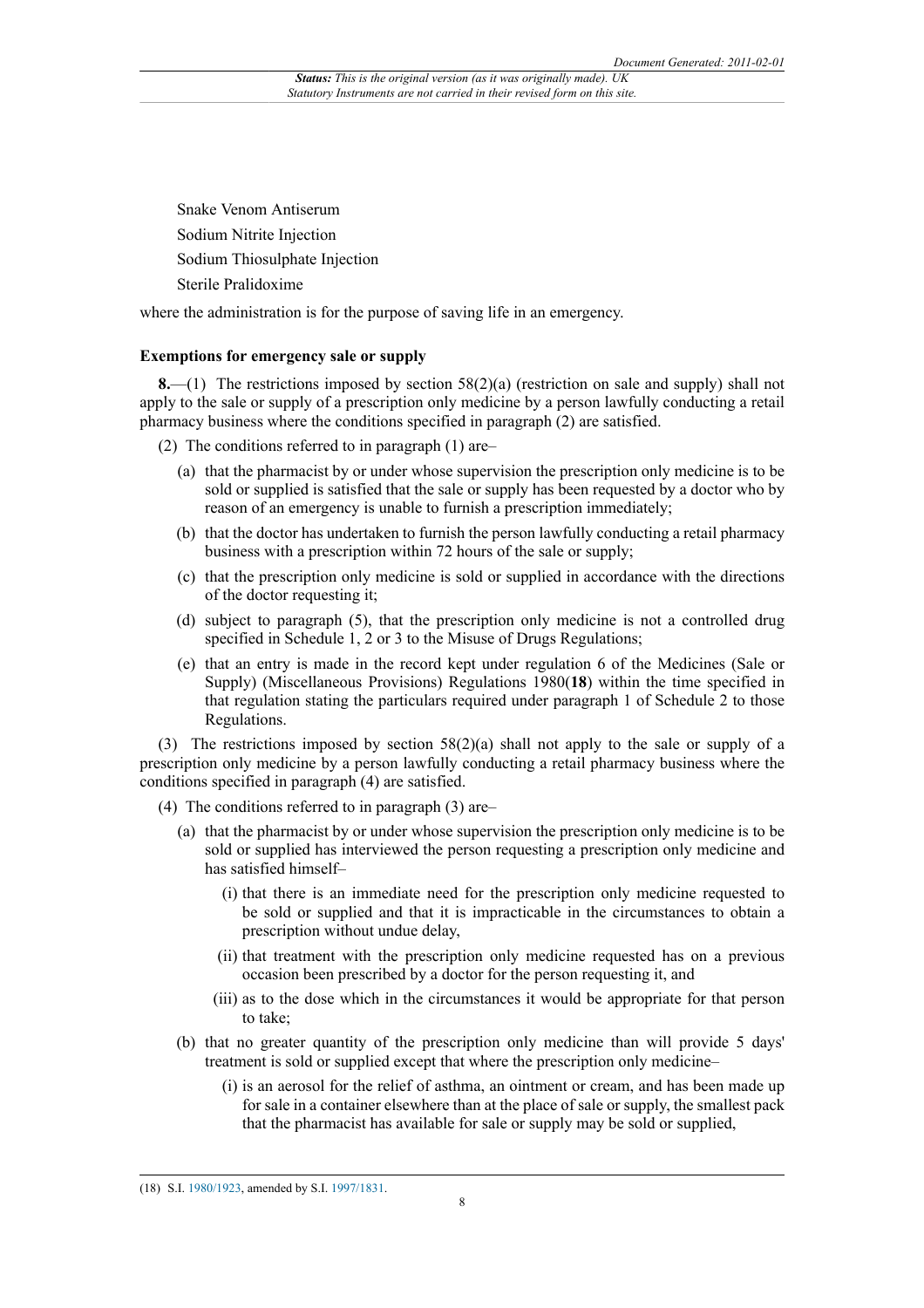Snake Venom Antiserum Sodium Nitrite Injection Sodium Thiosulphate Injection Sterile Pralidoxime

where the administration is for the purpose of saving life in an emergency.

#### **Exemptions for emergency sale or supply**

**8.**—(1) The restrictions imposed by section 58(2)(a) (restriction on sale and supply) shall not apply to the sale or supply of a prescription only medicine by a person lawfully conducting a retail pharmacy business where the conditions specified in paragraph (2) are satisfied.

(2) The conditions referred to in paragraph (1) are–

- (a) that the pharmacist by or under whose supervision the prescription only medicine is to be sold or supplied is satisfied that the sale or supply has been requested by a doctor who by reason of an emergency is unable to furnish a prescription immediately;
- (b) that the doctor has undertaken to furnish the person lawfully conducting a retail pharmacy business with a prescription within 72 hours of the sale or supply;
- (c) that the prescription only medicine is sold or supplied in accordance with the directions of the doctor requesting it;
- (d) subject to paragraph (5), that the prescription only medicine is not a controlled drug specified in Schedule 1, 2 or 3 to the Misuse of Drugs Regulations;
- (e) that an entry is made in the record kept under regulation 6 of the Medicines (Sale or Supply) (Miscellaneous Provisions) Regulations 1980(**18**) within the time specified in that regulation stating the particulars required under paragraph 1 of Schedule 2 to those Regulations.

(3) The restrictions imposed by section 58(2)(a) shall not apply to the sale or supply of a prescription only medicine by a person lawfully conducting a retail pharmacy business where the conditions specified in paragraph (4) are satisfied.

- (4) The conditions referred to in paragraph (3) are–
	- (a) that the pharmacist by or under whose supervision the prescription only medicine is to be sold or supplied has interviewed the person requesting a prescription only medicine and has satisfied himself–
		- (i) that there is an immediate need for the prescription only medicine requested to be sold or supplied and that it is impracticable in the circumstances to obtain a prescription without undue delay,
		- (ii) that treatment with the prescription only medicine requested has on a previous occasion been prescribed by a doctor for the person requesting it, and
		- (iii) as to the dose which in the circumstances it would be appropriate for that person to take;
	- (b) that no greater quantity of the prescription only medicine than will provide 5 days' treatment is sold or supplied except that where the prescription only medicine–
		- (i) is an aerosol for the relief of asthma, an ointment or cream, and has been made up for sale in a container elsewhere than at the place of sale or supply, the smallest pack that the pharmacist has available for sale or supply may be sold or supplied,

<sup>(18)</sup> S.I. [1980/1923](http://www.legislation.gov.uk/id/uksi/1980/1923), amended by S.I. [1997/1831.](http://www.legislation.gov.uk/id/uksi/1997/1831)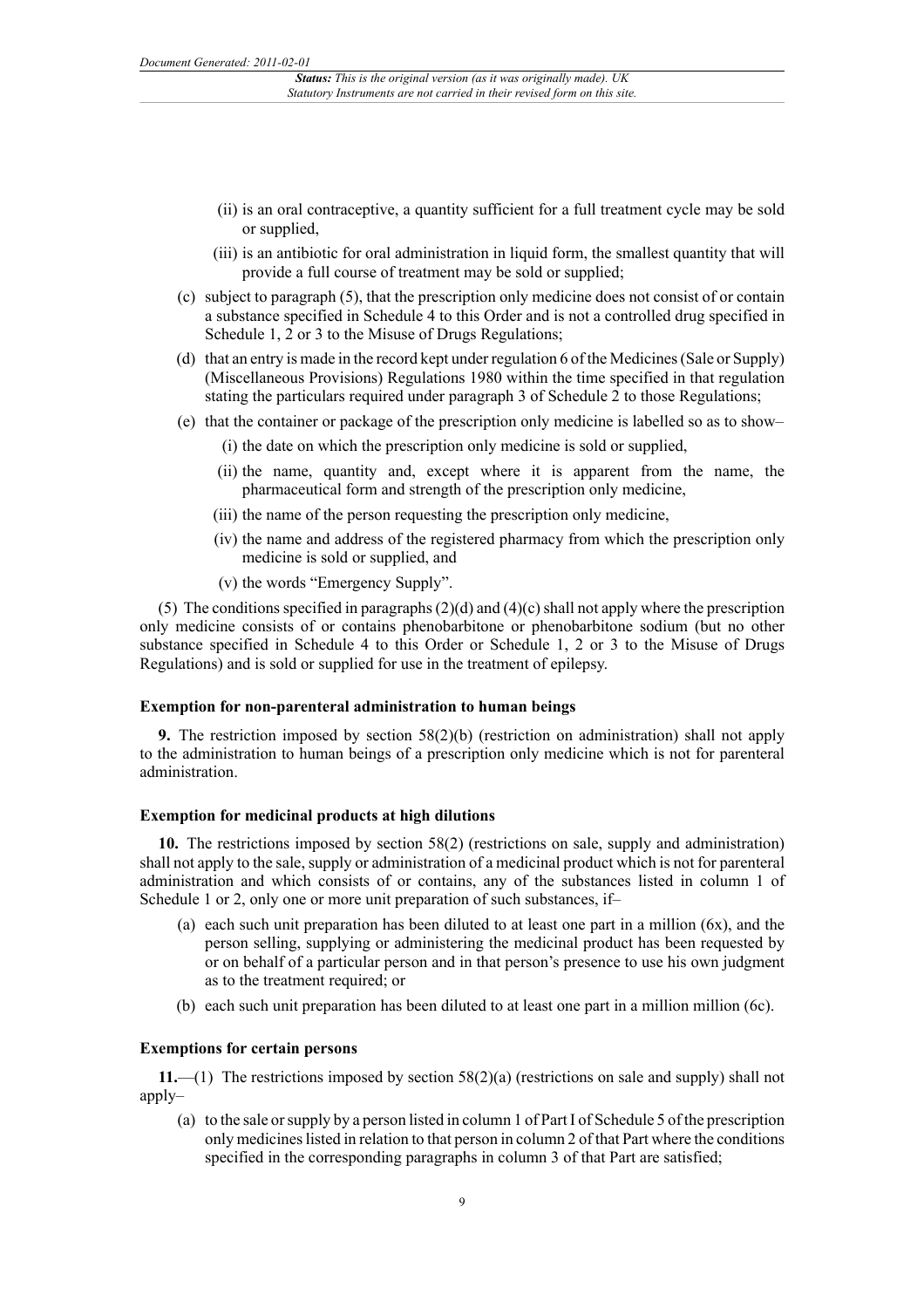- (ii) is an oral contraceptive, a quantity sufficient for a full treatment cycle may be sold or supplied,
- (iii) is an antibiotic for oral administration in liquid form, the smallest quantity that will provide a full course of treatment may be sold or supplied;
- (c) subject to paragraph (5), that the prescription only medicine does not consist of or contain a substance specified in Schedule 4 to this Order and is not a controlled drug specified in Schedule 1, 2 or 3 to the Misuse of Drugs Regulations;
- (d) that an entry is made in the record kept under regulation 6 of the Medicines (Sale or Supply) (Miscellaneous Provisions) Regulations 1980 within the time specified in that regulation stating the particulars required under paragraph 3 of Schedule 2 to those Regulations;
- (e) that the container or package of the prescription only medicine is labelled so as to show–
	- (i) the date on which the prescription only medicine is sold or supplied,
	- (ii) the name, quantity and, except where it is apparent from the name, the pharmaceutical form and strength of the prescription only medicine,
	- (iii) the name of the person requesting the prescription only medicine,
	- (iv) the name and address of the registered pharmacy from which the prescription only medicine is sold or supplied, and
	- (v) the words "Emergency Supply".

(5) The conditions specified in paragraphs (2)(d) and (4)(c) shall not apply where the prescription only medicine consists of or contains phenobarbitone or phenobarbitone sodium (but no other substance specified in Schedule 4 to this Order or Schedule 1, 2 or 3 to the Misuse of Drugs Regulations) and is sold or supplied for use in the treatment of epilepsy.

#### **Exemption for non-parenteral administration to human beings**

**9.** The restriction imposed by section 58(2)(b) (restriction on administration) shall not apply to the administration to human beings of a prescription only medicine which is not for parenteral administration.

#### **Exemption for medicinal products at high dilutions**

**10.** The restrictions imposed by section 58(2) (restrictions on sale, supply and administration) shall not apply to the sale, supply or administration of a medicinal product which is not for parenteral administration and which consists of or contains, any of the substances listed in column 1 of Schedule 1 or 2, only one or more unit preparation of such substances, if–

- (a) each such unit preparation has been diluted to at least one part in a million (6x), and the person selling, supplying or administering the medicinal product has been requested by or on behalf of a particular person and in that person's presence to use his own judgment as to the treatment required; or
- (b) each such unit preparation has been diluted to at least one part in a million million (6c).

#### **Exemptions for certain persons**

**11.**—(1) The restrictions imposed by section 58(2)(a) (restrictions on sale and supply) shall not apply–

(a) to the sale or supply by a person listed in column 1 of Part I of Schedule 5 of the prescription only medicines listed in relation to that person in column 2 of that Part where the conditions specified in the corresponding paragraphs in column 3 of that Part are satisfied;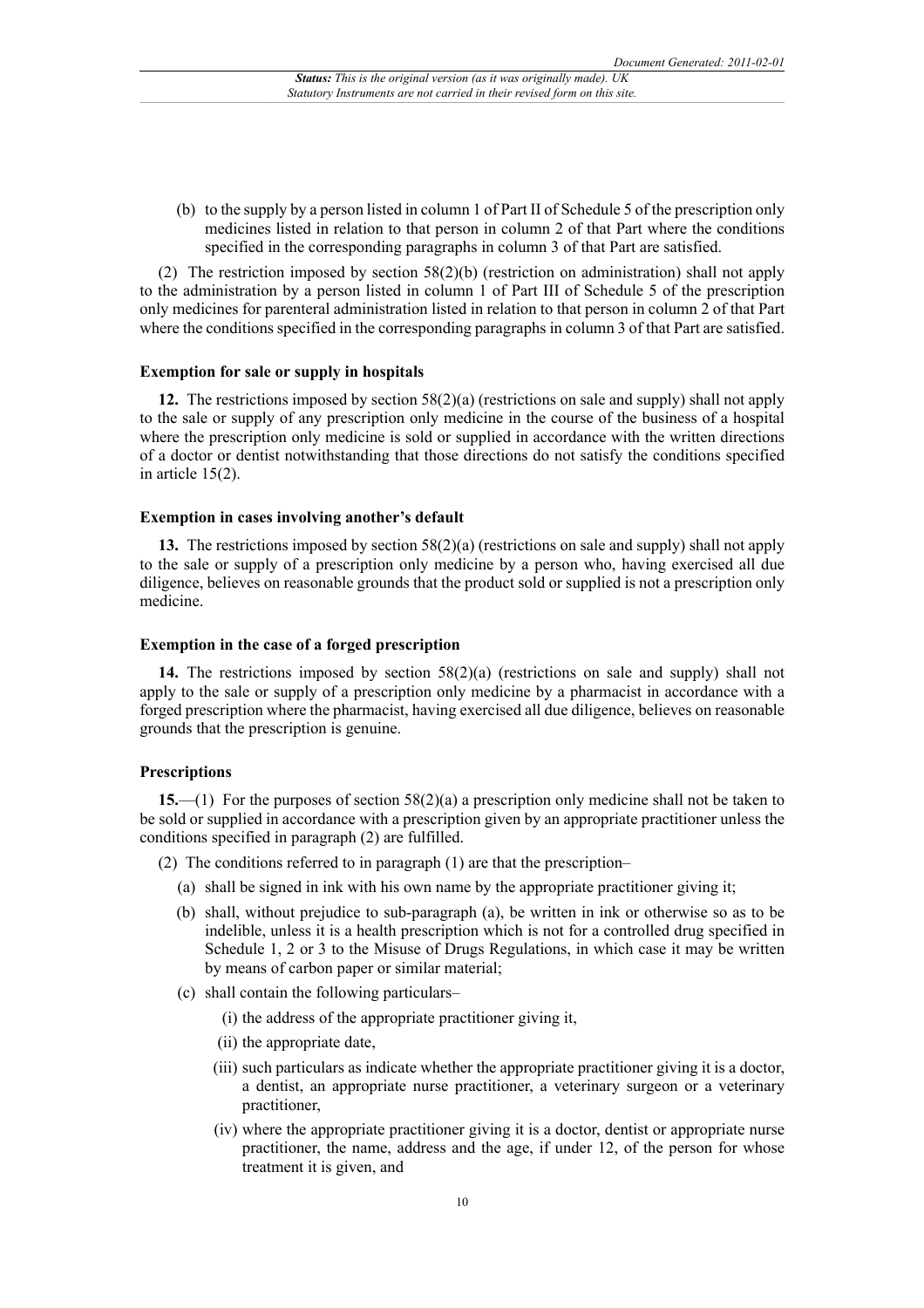(b) to the supply by a person listed in column 1 of Part II of Schedule 5 of the prescription only medicines listed in relation to that person in column 2 of that Part where the conditions specified in the corresponding paragraphs in column 3 of that Part are satisfied.

(2) The restriction imposed by section 58(2)(b) (restriction on administration) shall not apply to the administration by a person listed in column 1 of Part III of Schedule 5 of the prescription only medicines for parenteral administration listed in relation to that person in column 2 of that Part where the conditions specified in the corresponding paragraphs in column 3 of that Part are satisfied.

#### **Exemption for sale or supply in hospitals**

**12.** The restrictions imposed by section 58(2)(a) (restrictions on sale and supply) shall not apply to the sale or supply of any prescription only medicine in the course of the business of a hospital where the prescription only medicine is sold or supplied in accordance with the written directions of a doctor or dentist notwithstanding that those directions do not satisfy the conditions specified in article 15(2).

#### **Exemption in cases involving another's default**

**13.** The restrictions imposed by section 58(2)(a) (restrictions on sale and supply) shall not apply to the sale or supply of a prescription only medicine by a person who, having exercised all due diligence, believes on reasonable grounds that the product sold or supplied is not a prescription only medicine.

#### **Exemption in the case of a forged prescription**

**14.** The restrictions imposed by section 58(2)(a) (restrictions on sale and supply) shall not apply to the sale or supply of a prescription only medicine by a pharmacist in accordance with a forged prescription where the pharmacist, having exercised all due diligence, believes on reasonable grounds that the prescription is genuine.

#### **Prescriptions**

**15.**—(1) For the purposes of section 58(2)(a) a prescription only medicine shall not be taken to be sold or supplied in accordance with a prescription given by an appropriate practitioner unless the conditions specified in paragraph (2) are fulfilled.

- (2) The conditions referred to in paragraph (1) are that the prescription–
	- (a) shall be signed in ink with his own name by the appropriate practitioner giving it;
	- (b) shall, without prejudice to sub-paragraph (a), be written in ink or otherwise so as to be indelible, unless it is a health prescription which is not for a controlled drug specified in Schedule 1, 2 or 3 to the Misuse of Drugs Regulations, in which case it may be written by means of carbon paper or similar material;
	- (c) shall contain the following particulars–
		- (i) the address of the appropriate practitioner giving it,
		- (ii) the appropriate date,
		- (iii) such particulars as indicate whether the appropriate practitioner giving it is a doctor, a dentist, an appropriate nurse practitioner, a veterinary surgeon or a veterinary practitioner,
		- (iv) where the appropriate practitioner giving it is a doctor, dentist or appropriate nurse practitioner, the name, address and the age, if under 12, of the person for whose treatment it is given, and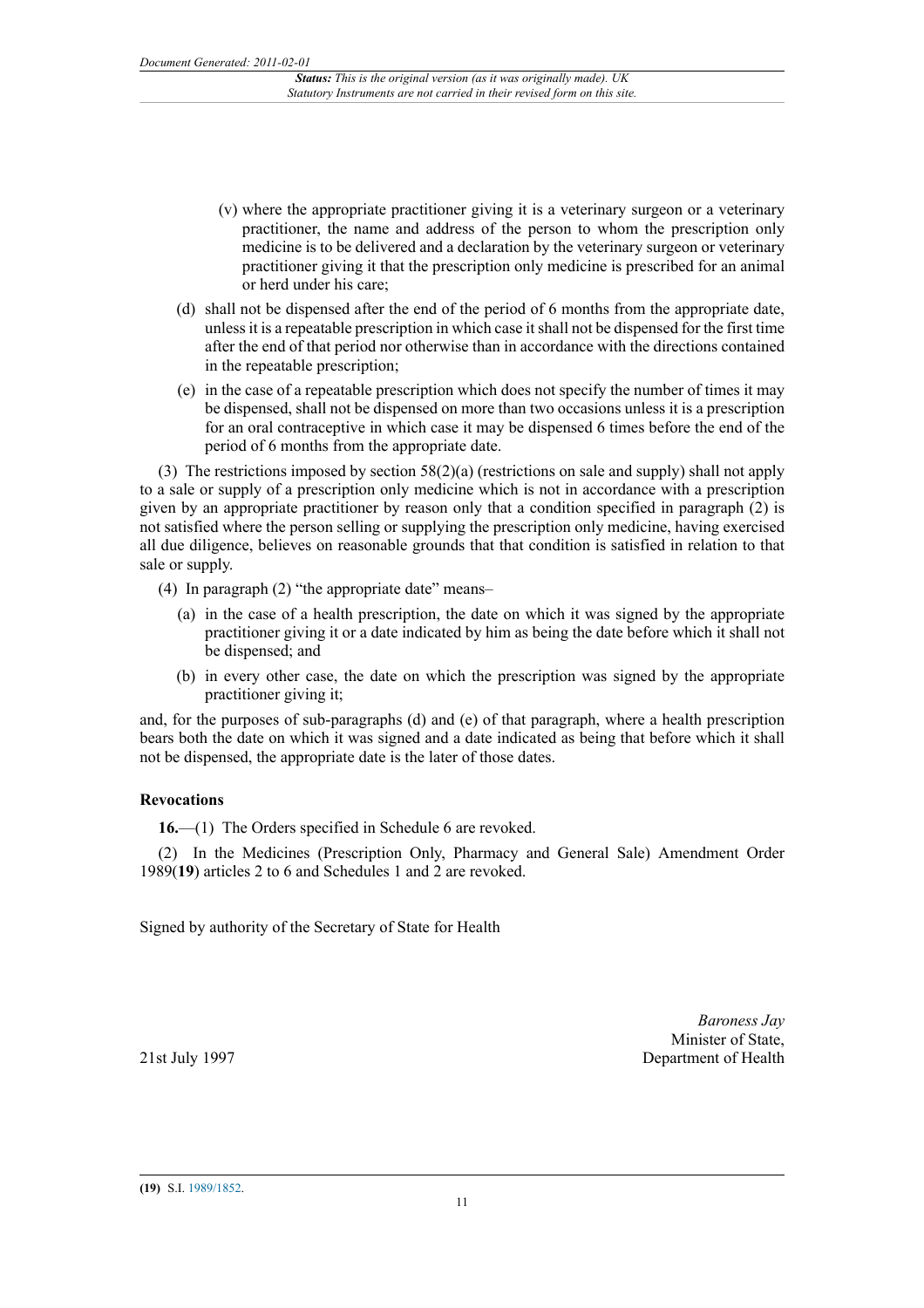- (v) where the appropriate practitioner giving it is a veterinary surgeon or a veterinary practitioner, the name and address of the person to whom the prescription only medicine is to be delivered and a declaration by the veterinary surgeon or veterinary practitioner giving it that the prescription only medicine is prescribed for an animal or herd under his care;
- (d) shall not be dispensed after the end of the period of 6 months from the appropriate date, unless it is a repeatable prescription in which case it shall not be dispensed for the first time after the end of that period nor otherwise than in accordance with the directions contained in the repeatable prescription;
- (e) in the case of a repeatable prescription which does not specify the number of times it may be dispensed, shall not be dispensed on more than two occasions unless it is a prescription for an oral contraceptive in which case it may be dispensed 6 times before the end of the period of 6 months from the appropriate date.

(3) The restrictions imposed by section 58(2)(a) (restrictions on sale and supply) shall not apply to a sale or supply of a prescription only medicine which is not in accordance with a prescription given by an appropriate practitioner by reason only that a condition specified in paragraph (2) is not satisfied where the person selling or supplying the prescription only medicine, having exercised all due diligence, believes on reasonable grounds that that condition is satisfied in relation to that sale or supply.

- (4) In paragraph (2) "the appropriate date" means–
	- (a) in the case of a health prescription, the date on which it was signed by the appropriate practitioner giving it or a date indicated by him as being the date before which it shall not be dispensed; and
	- (b) in every other case, the date on which the prescription was signed by the appropriate practitioner giving it;

and, for the purposes of sub-paragraphs (d) and (e) of that paragraph, where a health prescription bears both the date on which it was signed and a date indicated as being that before which it shall not be dispensed, the appropriate date is the later of those dates.

## **Revocations**

**16.**—(1) The Orders specified in Schedule 6 are revoked.

(2) In the Medicines (Prescription Only, Pharmacy and General Sale) Amendment Order 1989(**19**) articles 2 to 6 and Schedules 1 and 2 are revoked.

Signed by authority of the Secretary of State for Health

*Baroness Jay* Minister of State, Department of Health

21st July 1997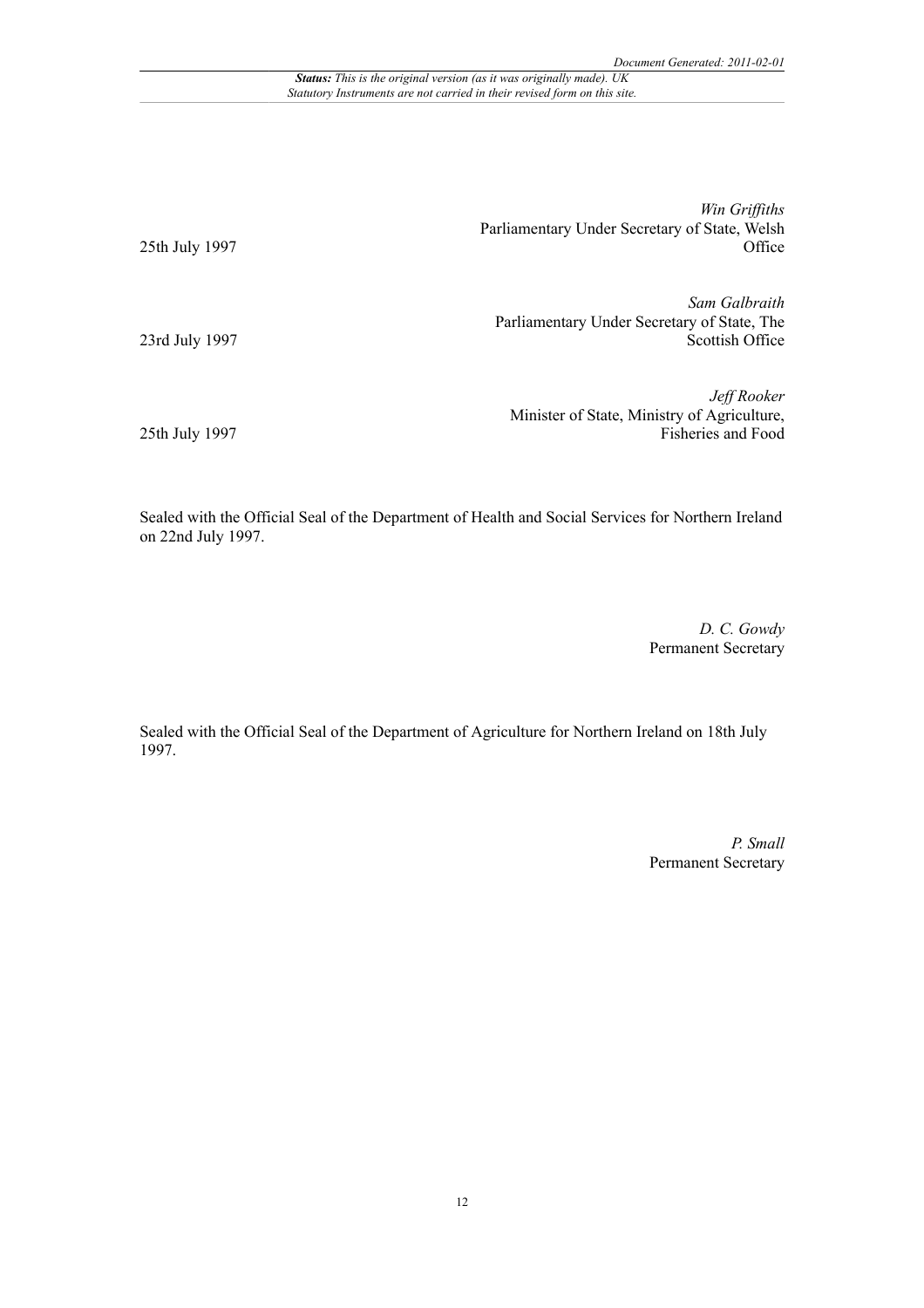*Status: This is the original version (as it was originally made). UK Statutory Instruments are not carried in their revised form on this site.*

> *Win Griffiths* Parliamentary Under Secretary of State, Welsh **Office**

*Sam Galbraith* Parliamentary Under Secretary of State, The Scottish Office

*Jeff Rooker* Minister of State, Ministry of Agriculture, Fisheries and Food

25th July 1997

23rd July 1997

25th July 1997

Sealed with the Official Seal of the Department of Health and Social Services for Northern Ireland on 22nd July 1997.

> *D. C. Gowdy* Permanent Secretary

Sealed with the Official Seal of the Department of Agriculture for Northern Ireland on 18th July 1997.

> *P. Small* Permanent Secretary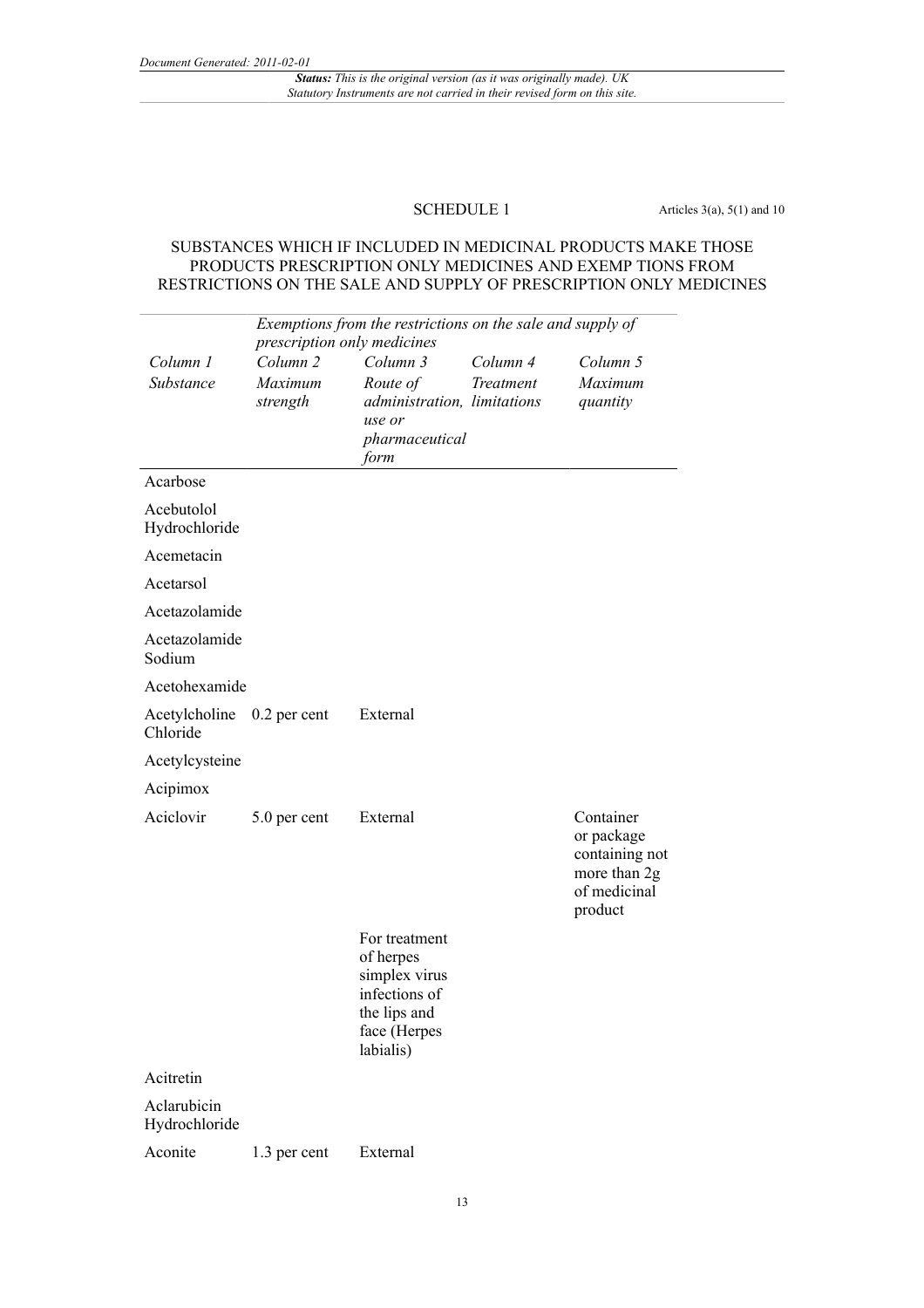*Status: This is the original version (as it was originally made). UK Statutory Instruments are not carried in their revised form on this site.*

**SCHEDULE 1** Articles  $3(a)$ ,  $5(1)$  and  $10$ 

## SUBSTANCES WHICH IF INCLUDED IN MEDICINAL PRODUCTS MAKE THOSE PRODUCTS PRESCRIPTION ONLY MEDICINES AND EXEMP TIONS FROM RESTRICTIONS ON THE SALE AND SUPPLY OF PRESCRIPTION ONLY MEDICINES

| Exemptions from the restrictions on the sale and supply of<br>prescription only medicines |                                            |                                                                                                           |                       |                                                                                      |
|-------------------------------------------------------------------------------------------|--------------------------------------------|-----------------------------------------------------------------------------------------------------------|-----------------------|--------------------------------------------------------------------------------------|
| Column 1<br>Substance                                                                     | Column <sub>2</sub><br>Maximum<br>strength | Column 3<br>Route of<br>administration, limitations<br>use or<br>pharmaceutical<br>form                   | Column 4<br>Treatment | Column 5<br>Maximum<br>quantity                                                      |
| Acarbose                                                                                  |                                            |                                                                                                           |                       |                                                                                      |
| Acebutolol<br>Hydrochloride                                                               |                                            |                                                                                                           |                       |                                                                                      |
| Acemetacin                                                                                |                                            |                                                                                                           |                       |                                                                                      |
| Acetarsol                                                                                 |                                            |                                                                                                           |                       |                                                                                      |
| Acetazolamide                                                                             |                                            |                                                                                                           |                       |                                                                                      |
| Acetazolamide<br>Sodium                                                                   |                                            |                                                                                                           |                       |                                                                                      |
| Acetohexamide                                                                             |                                            |                                                                                                           |                       |                                                                                      |
| Acetylcholine<br>Chloride                                                                 | $0.2$ per cent                             | External                                                                                                  |                       |                                                                                      |
| Acetylcysteine                                                                            |                                            |                                                                                                           |                       |                                                                                      |
| Acipimox                                                                                  |                                            |                                                                                                           |                       |                                                                                      |
| Aciclovir                                                                                 | 5.0 per cent                               | External                                                                                                  |                       | Container<br>or package<br>containing not<br>more than 2g<br>of medicinal<br>product |
|                                                                                           |                                            | For treatment<br>of herpes<br>simplex virus<br>infections of<br>the lips and<br>face (Herpes<br>labialis) |                       |                                                                                      |
| Acitretin                                                                                 |                                            |                                                                                                           |                       |                                                                                      |
| Aclarubicin<br>Hydrochloride                                                              |                                            |                                                                                                           |                       |                                                                                      |
| Aconite                                                                                   | 1.3 per cent                               | External                                                                                                  |                       |                                                                                      |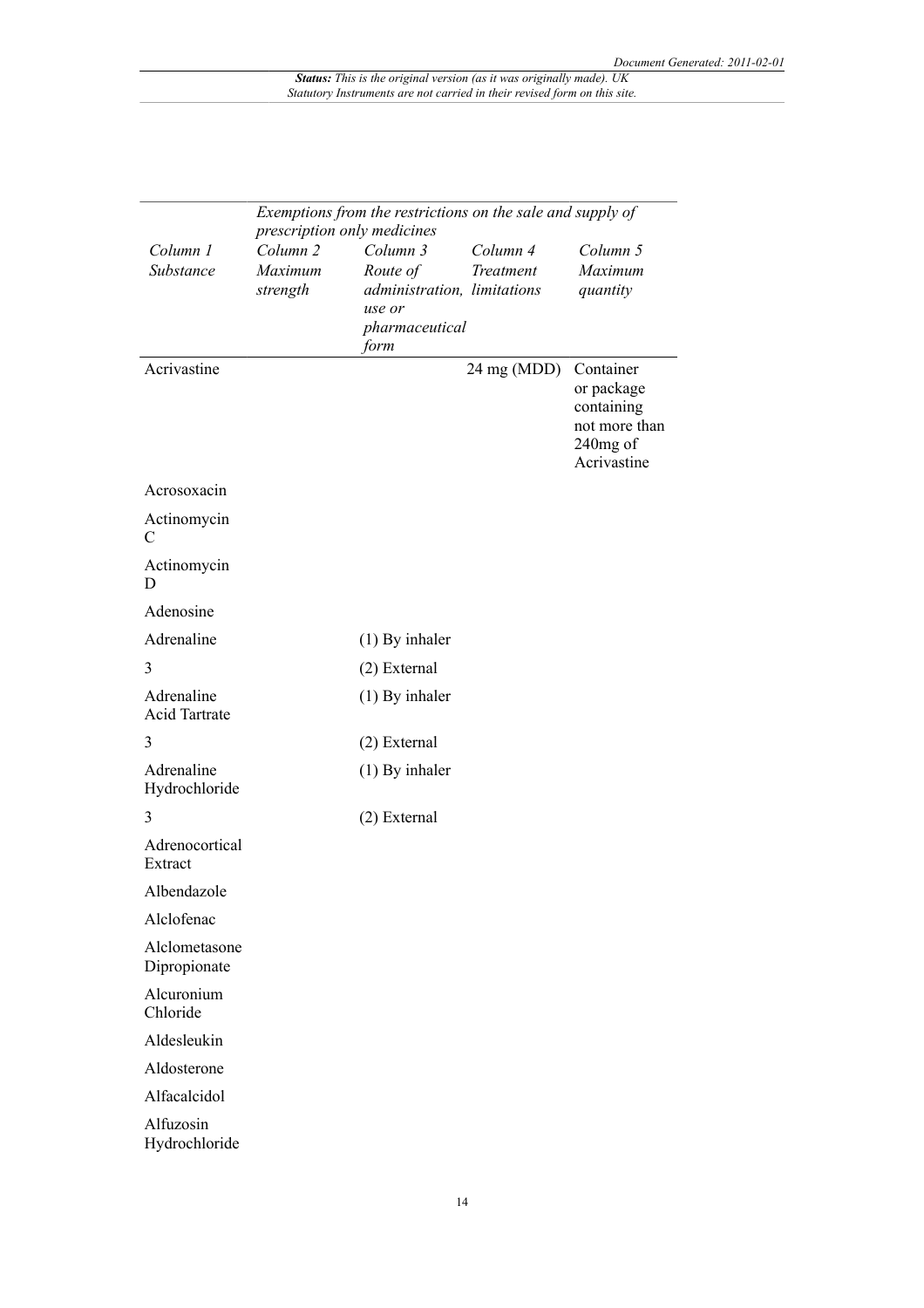|                                    | Exemptions from the restrictions on the sale and supply of<br>prescription only medicines |                                                                                         |                       |                                                                                      |  |
|------------------------------------|-------------------------------------------------------------------------------------------|-----------------------------------------------------------------------------------------|-----------------------|--------------------------------------------------------------------------------------|--|
| Column 1<br>Substance              | Column <sub>2</sub><br>Maximum<br>strength                                                | Column 3<br>Route of<br>administration, limitations<br>use or<br>pharmaceutical<br>form | Column 4<br>Treatment | Column 5<br>Maximum<br>quantity                                                      |  |
| Acrivastine                        |                                                                                           |                                                                                         | $24$ mg (MDD)         | Container<br>or package<br>containing<br>not more than<br>$240$ mg of<br>Acrivastine |  |
| Acrosoxacin                        |                                                                                           |                                                                                         |                       |                                                                                      |  |
| Actinomycin<br>C                   |                                                                                           |                                                                                         |                       |                                                                                      |  |
| Actinomycin<br>D                   |                                                                                           |                                                                                         |                       |                                                                                      |  |
| Adenosine                          |                                                                                           |                                                                                         |                       |                                                                                      |  |
| Adrenaline                         |                                                                                           | $(1)$ By inhaler                                                                        |                       |                                                                                      |  |
| 3                                  |                                                                                           | (2) External                                                                            |                       |                                                                                      |  |
| Adrenaline<br><b>Acid Tartrate</b> |                                                                                           | $(1)$ By inhaler                                                                        |                       |                                                                                      |  |
| 3                                  |                                                                                           | (2) External                                                                            |                       |                                                                                      |  |
| Adrenaline<br>Hydrochloride        |                                                                                           | $(1)$ By inhaler                                                                        |                       |                                                                                      |  |
| 3                                  |                                                                                           | (2) External                                                                            |                       |                                                                                      |  |
| Adrenocortical<br>Extract          |                                                                                           |                                                                                         |                       |                                                                                      |  |
| Albendazole                        |                                                                                           |                                                                                         |                       |                                                                                      |  |
| Alclofenac                         |                                                                                           |                                                                                         |                       |                                                                                      |  |
| Alclometasone<br>Dipropionate      |                                                                                           |                                                                                         |                       |                                                                                      |  |
| Alcuronium<br>Chloride             |                                                                                           |                                                                                         |                       |                                                                                      |  |
| Aldesleukin                        |                                                                                           |                                                                                         |                       |                                                                                      |  |
| Aldosterone                        |                                                                                           |                                                                                         |                       |                                                                                      |  |
| Alfacalcidol                       |                                                                                           |                                                                                         |                       |                                                                                      |  |
| Alfuzosin<br>Hydrochloride         |                                                                                           |                                                                                         |                       |                                                                                      |  |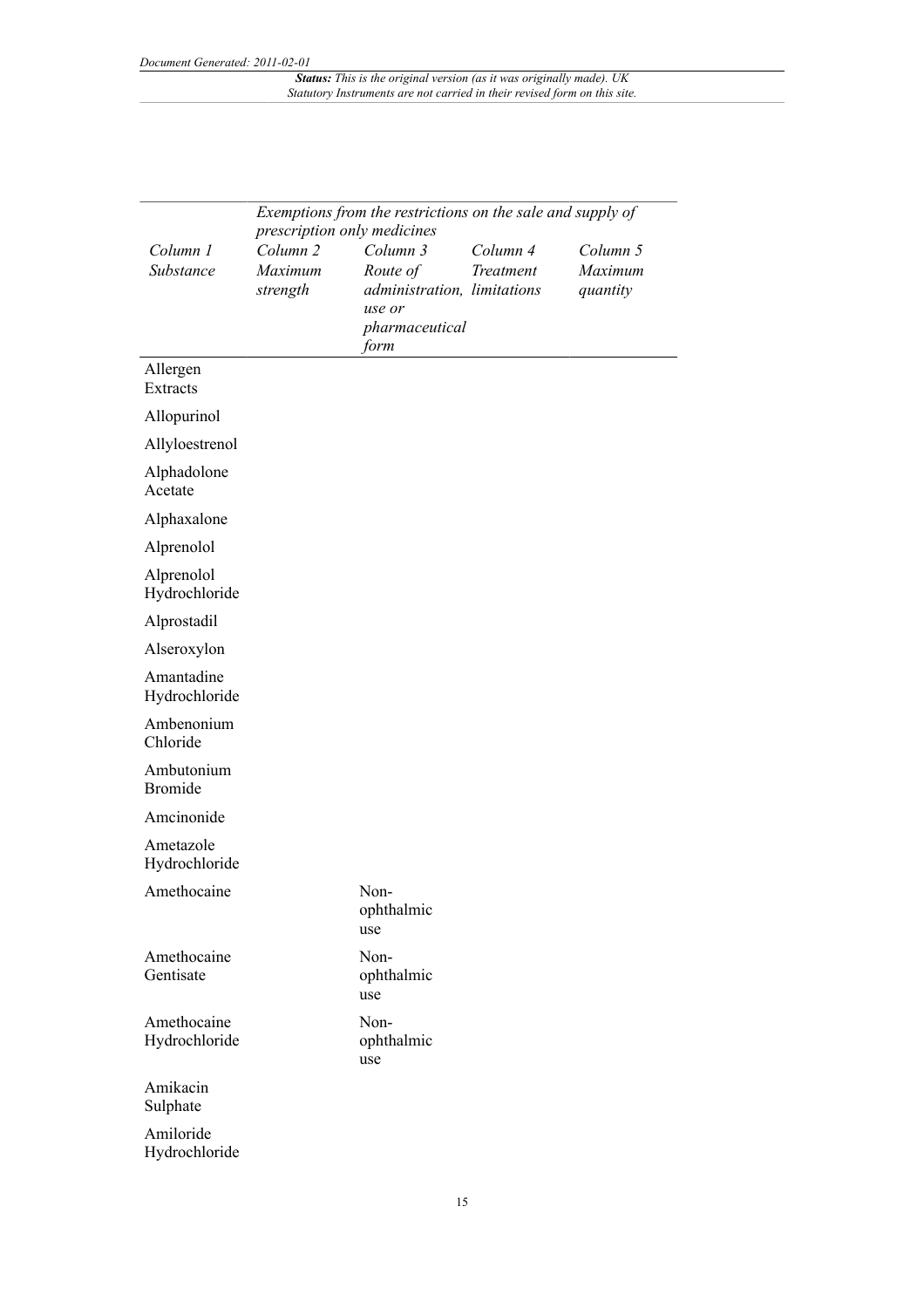|                              | Exemptions from the restrictions on the sale and supply of |                                       |           |          |
|------------------------------|------------------------------------------------------------|---------------------------------------|-----------|----------|
|                              | prescription only medicines                                |                                       |           |          |
| Column 1                     | Column <sub>2</sub>                                        | Column 3                              | Column 4  | Column 5 |
| Substance                    | Maximum                                                    | Route of                              | Treatment | Maximum  |
|                              | strength                                                   | administration, limitations<br>use or |           | quantity |
|                              |                                                            | pharmaceutical                        |           |          |
|                              |                                                            | form                                  |           |          |
| Allergen<br>Extracts         |                                                            |                                       |           |          |
| Allopurinol                  |                                                            |                                       |           |          |
| Allyloestrenol               |                                                            |                                       |           |          |
| Alphadolone<br>Acetate       |                                                            |                                       |           |          |
| Alphaxalone                  |                                                            |                                       |           |          |
| Alprenolol                   |                                                            |                                       |           |          |
| Alprenolol<br>Hydrochloride  |                                                            |                                       |           |          |
| Alprostadil                  |                                                            |                                       |           |          |
| Alseroxylon                  |                                                            |                                       |           |          |
| Amantadine<br>Hydrochloride  |                                                            |                                       |           |          |
| Ambenonium<br>Chloride       |                                                            |                                       |           |          |
| Ambutonium<br><b>Bromide</b> |                                                            |                                       |           |          |
| Amcinonide                   |                                                            |                                       |           |          |
| Ametazole<br>Hydrochloride   |                                                            |                                       |           |          |
| Amethocaine                  |                                                            | Non-<br>ophthalmic<br>use             |           |          |
| Amethocaine<br>Gentisate     |                                                            | Non-<br>ophthalmic<br>use             |           |          |
| Amethocaine<br>Hydrochloride |                                                            | Non-<br>ophthalmic<br>use             |           |          |
| Amikacin<br>Sulphate         |                                                            |                                       |           |          |
| Amiloride<br>Hydrochloride   |                                                            |                                       |           |          |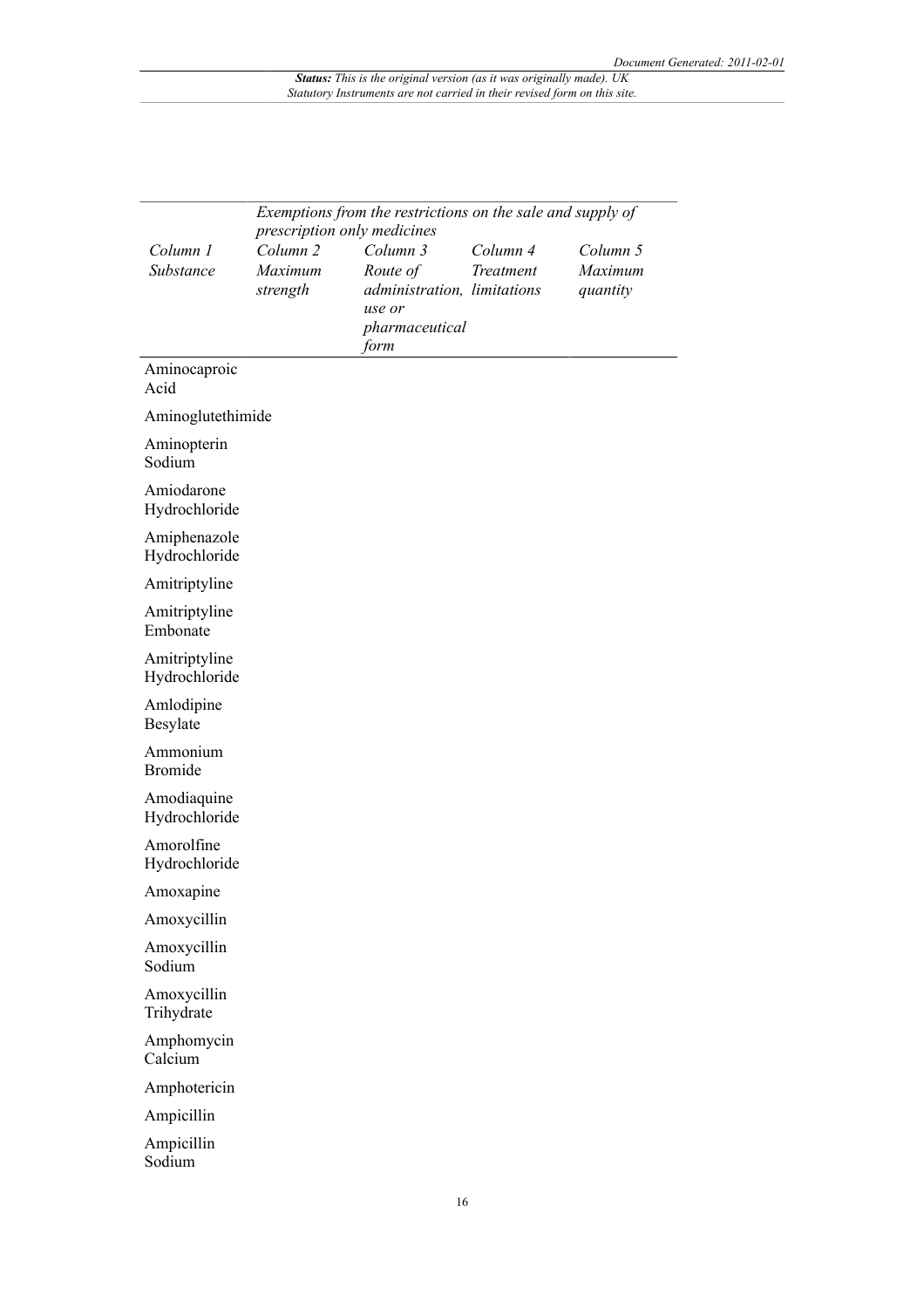|                                | Exemptions from the restrictions on the sale and supply of<br>prescription only medicines |                                                                                         |                       |                                 |  |  |
|--------------------------------|-------------------------------------------------------------------------------------------|-----------------------------------------------------------------------------------------|-----------------------|---------------------------------|--|--|
| Column 1<br>Substance          | Column <sub>2</sub><br>Maximum<br>strength                                                | Column 3<br>Route of<br>administration, limitations<br>use or<br>pharmaceutical<br>form | Column 4<br>Treatment | Column 5<br>Maximum<br>quantity |  |  |
| Aminocaproic<br>Acid           |                                                                                           |                                                                                         |                       |                                 |  |  |
| Aminoglutethimide              |                                                                                           |                                                                                         |                       |                                 |  |  |
| Aminopterin<br>Sodium          |                                                                                           |                                                                                         |                       |                                 |  |  |
| Amiodarone<br>Hydrochloride    |                                                                                           |                                                                                         |                       |                                 |  |  |
| Amiphenazole<br>Hydrochloride  |                                                                                           |                                                                                         |                       |                                 |  |  |
| Amitriptyline                  |                                                                                           |                                                                                         |                       |                                 |  |  |
| Amitriptyline<br>Embonate      |                                                                                           |                                                                                         |                       |                                 |  |  |
| Amitriptyline<br>Hydrochloride |                                                                                           |                                                                                         |                       |                                 |  |  |
| Amlodipine<br>Besylate         |                                                                                           |                                                                                         |                       |                                 |  |  |
| Ammonium<br><b>Bromide</b>     |                                                                                           |                                                                                         |                       |                                 |  |  |
| Amodiaquine<br>Hydrochloride   |                                                                                           |                                                                                         |                       |                                 |  |  |
| Amorolfine<br>Hydrochloride    |                                                                                           |                                                                                         |                       |                                 |  |  |
| Amoxapine                      |                                                                                           |                                                                                         |                       |                                 |  |  |
| Amoxycillin                    |                                                                                           |                                                                                         |                       |                                 |  |  |
| Amoxycillin<br>Sodium          |                                                                                           |                                                                                         |                       |                                 |  |  |
| Amoxycillin<br>Trihydrate      |                                                                                           |                                                                                         |                       |                                 |  |  |
| Amphomycin<br>Calcium          |                                                                                           |                                                                                         |                       |                                 |  |  |
| Amphotericin                   |                                                                                           |                                                                                         |                       |                                 |  |  |
| Ampicillin                     |                                                                                           |                                                                                         |                       |                                 |  |  |
| Ampicillin<br>Sodium           |                                                                                           |                                                                                         |                       |                                 |  |  |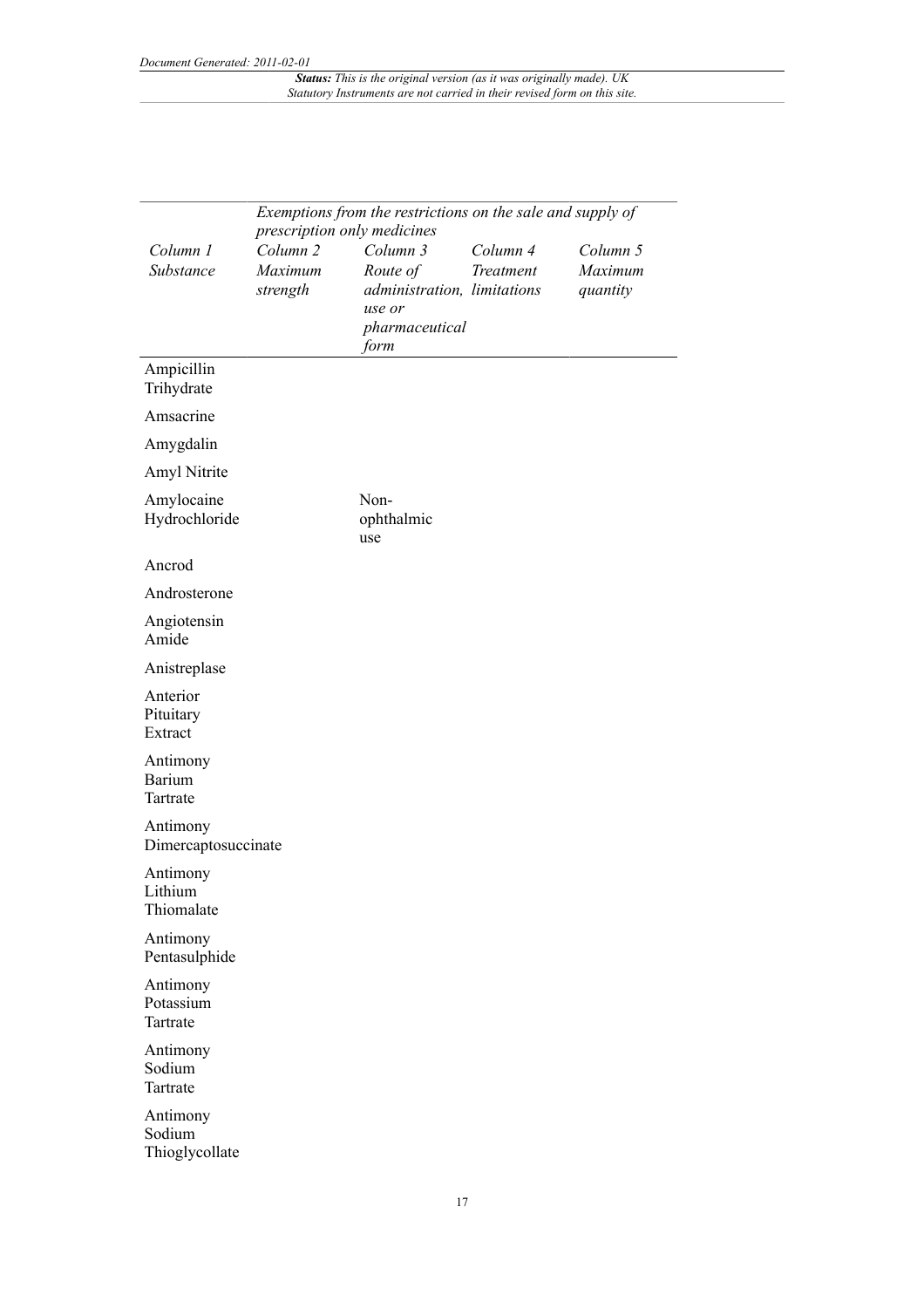|                                       | Exemptions from the restrictions on the sale and supply of                |                                                                                         |                       |                                 |
|---------------------------------------|---------------------------------------------------------------------------|-----------------------------------------------------------------------------------------|-----------------------|---------------------------------|
| Column 1<br>Substance                 | prescription only medicines<br>Column <sub>2</sub><br>Maximum<br>strength | Column 3<br>Route of<br>administration, limitations<br>use or<br>pharmaceutical<br>form | Column 4<br>Treatment | Column 5<br>Maximum<br>quantity |
| Ampicillin<br>Trihydrate              |                                                                           |                                                                                         |                       |                                 |
| Amsacrine                             |                                                                           |                                                                                         |                       |                                 |
| Amygdalin                             |                                                                           |                                                                                         |                       |                                 |
| Amyl Nitrite                          |                                                                           |                                                                                         |                       |                                 |
| Amylocaine<br>Hydrochloride           |                                                                           | Non-<br>ophthalmic<br>use                                                               |                       |                                 |
| Ancrod                                |                                                                           |                                                                                         |                       |                                 |
| Androsterone                          |                                                                           |                                                                                         |                       |                                 |
| Angiotensin<br>Amide                  |                                                                           |                                                                                         |                       |                                 |
| Anistreplase                          |                                                                           |                                                                                         |                       |                                 |
| Anterior<br>Pituitary<br>Extract      |                                                                           |                                                                                         |                       |                                 |
| Antimony<br><b>Barium</b><br>Tartrate |                                                                           |                                                                                         |                       |                                 |
| Antimony<br>Dimercaptosuccinate       |                                                                           |                                                                                         |                       |                                 |
| Antimony<br>Lithium<br>Thiomalate     |                                                                           |                                                                                         |                       |                                 |
| Antimony<br>Pentasulphide             |                                                                           |                                                                                         |                       |                                 |
| Antimony<br>Potassium<br>Tartrate     |                                                                           |                                                                                         |                       |                                 |
| Antimony<br>Sodium<br>Tartrate        |                                                                           |                                                                                         |                       |                                 |
| Antimony<br>Sodium<br>Thioglycollate  |                                                                           |                                                                                         |                       |                                 |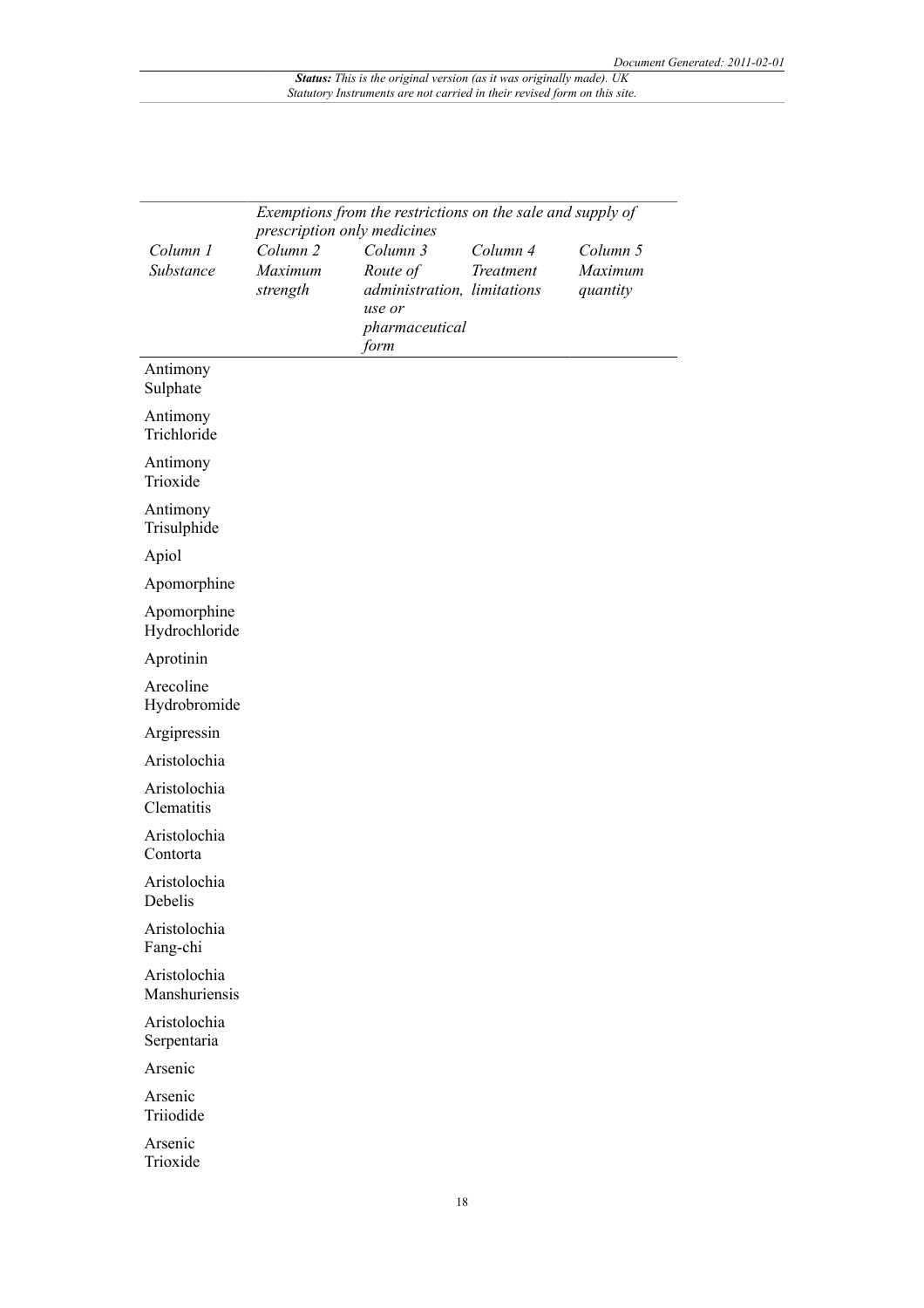|                               | Exemptions from the restrictions on the sale and supply of<br>prescription only medicines |                                                                                         |                       |                                 |  |  |
|-------------------------------|-------------------------------------------------------------------------------------------|-----------------------------------------------------------------------------------------|-----------------------|---------------------------------|--|--|
| Column 1<br>Substance         | Column <sub>2</sub><br>Maximum<br>strength                                                | Column 3<br>Route of<br>administration, limitations<br>use or<br>pharmaceutical<br>form | Column 4<br>Treatment | Column 5<br>Maximum<br>quantity |  |  |
| Antimony<br>Sulphate          |                                                                                           |                                                                                         |                       |                                 |  |  |
| Antimony<br>Trichloride       |                                                                                           |                                                                                         |                       |                                 |  |  |
| Antimony<br>Trioxide          |                                                                                           |                                                                                         |                       |                                 |  |  |
| Antimony<br>Trisulphide       |                                                                                           |                                                                                         |                       |                                 |  |  |
| Apiol                         |                                                                                           |                                                                                         |                       |                                 |  |  |
| Apomorphine                   |                                                                                           |                                                                                         |                       |                                 |  |  |
| Apomorphine<br>Hydrochloride  |                                                                                           |                                                                                         |                       |                                 |  |  |
| Aprotinin                     |                                                                                           |                                                                                         |                       |                                 |  |  |
| Arecoline<br>Hydrobromide     |                                                                                           |                                                                                         |                       |                                 |  |  |
| Argipressin                   |                                                                                           |                                                                                         |                       |                                 |  |  |
| Aristolochia                  |                                                                                           |                                                                                         |                       |                                 |  |  |
| Aristolochia<br>Clematitis    |                                                                                           |                                                                                         |                       |                                 |  |  |
| Aristolochia<br>Contorta      |                                                                                           |                                                                                         |                       |                                 |  |  |
| Aristolochia<br>Debelis       |                                                                                           |                                                                                         |                       |                                 |  |  |
| Aristolochia<br>Fang-chi      |                                                                                           |                                                                                         |                       |                                 |  |  |
| Aristolochia<br>Manshuriensis |                                                                                           |                                                                                         |                       |                                 |  |  |
| Aristolochia<br>Serpentaria   |                                                                                           |                                                                                         |                       |                                 |  |  |
| Arsenic                       |                                                                                           |                                                                                         |                       |                                 |  |  |
| Arsenic<br>Triiodide          |                                                                                           |                                                                                         |                       |                                 |  |  |
| Arsenic<br>Trioxide           |                                                                                           |                                                                                         |                       |                                 |  |  |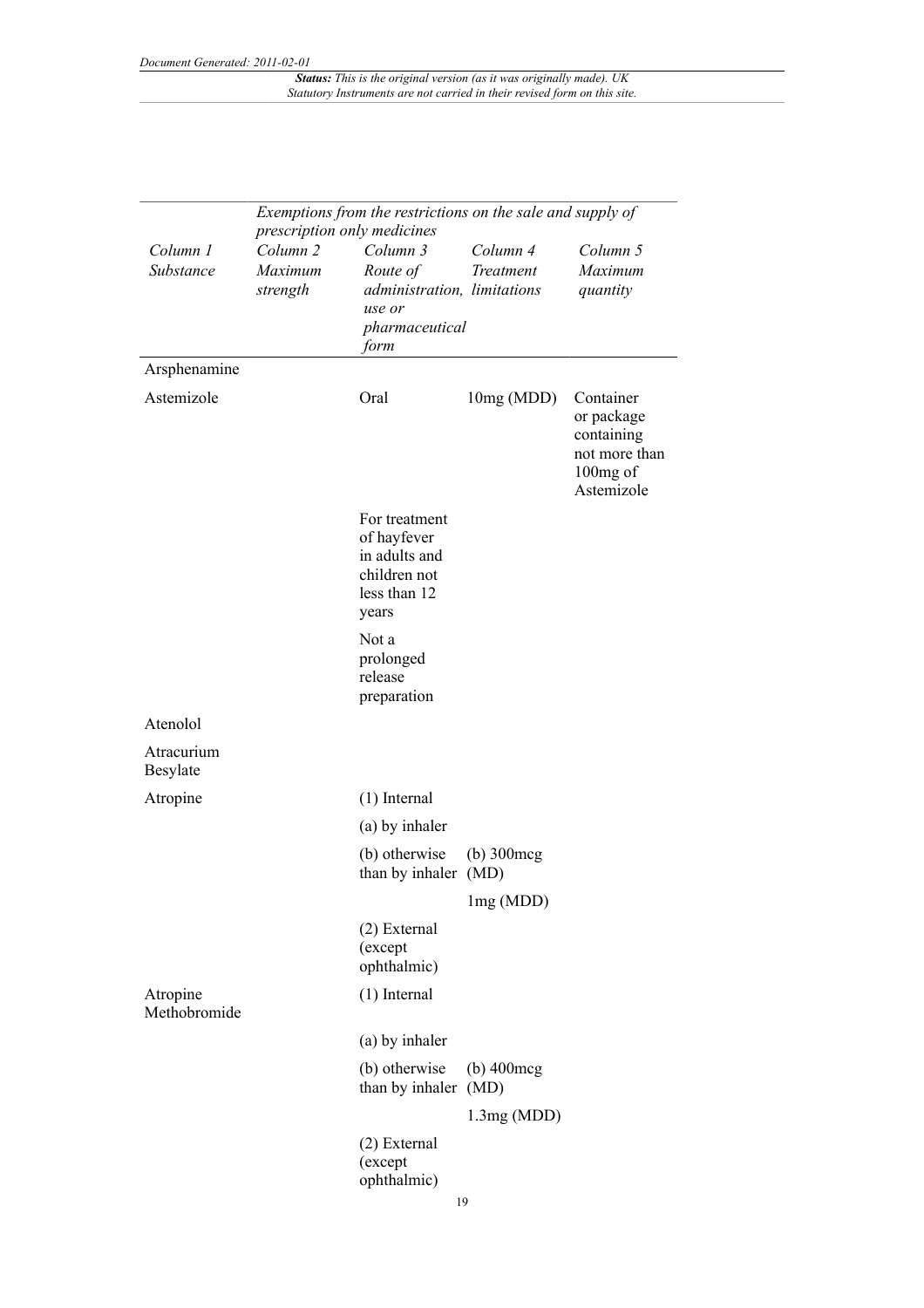|                          | Exemptions from the restrictions on the sale and supply of<br>prescription only medicines |                                                                                         |                        |                                                                                  |
|--------------------------|-------------------------------------------------------------------------------------------|-----------------------------------------------------------------------------------------|------------------------|----------------------------------------------------------------------------------|
| Column 1<br>Substance    | Column <sub>2</sub><br>Maximum<br>strength                                                | Column 3<br>Route of<br>administration, limitations<br>use or<br>pharmaceutical<br>form | Column 4<br>Treatment  | Column 5<br>Maximum<br>quantity                                                  |
| Arsphenamine             |                                                                                           |                                                                                         |                        |                                                                                  |
| Astemizole               |                                                                                           | Oral                                                                                    | 10mg (MDD)             | Container<br>or package<br>containing<br>not more than<br>100mg of<br>Astemizole |
|                          |                                                                                           | For treatment<br>of hayfever<br>in adults and<br>children not<br>less than 12<br>years  |                        |                                                                                  |
|                          |                                                                                           | Not a<br>prolonged<br>release<br>preparation                                            |                        |                                                                                  |
| Atenolol                 |                                                                                           |                                                                                         |                        |                                                                                  |
| Atracurium<br>Besylate   |                                                                                           |                                                                                         |                        |                                                                                  |
| Atropine                 |                                                                                           | $(1)$ Internal                                                                          |                        |                                                                                  |
|                          |                                                                                           | (a) by inhaler                                                                          |                        |                                                                                  |
|                          |                                                                                           | (b) otherwise<br>than by inhaler (MD)                                                   | $(b)$ 300 $\text{mcg}$ |                                                                                  |
|                          |                                                                                           |                                                                                         | lmg (MDD)              |                                                                                  |
|                          |                                                                                           | (2) External<br>(except<br>ophthalmic)                                                  |                        |                                                                                  |
| Atropine<br>Methobromide |                                                                                           | $(1)$ Internal                                                                          |                        |                                                                                  |
|                          |                                                                                           | (a) by inhaler                                                                          |                        |                                                                                  |
|                          |                                                                                           | (b) otherwise<br>than by inhaler (MD)                                                   | $(b)$ 400 $\text{mcg}$ |                                                                                  |
|                          |                                                                                           |                                                                                         | 1.3mg(MDD)             |                                                                                  |
|                          |                                                                                           | (2) External<br>(except<br>ophthalmic)                                                  |                        |                                                                                  |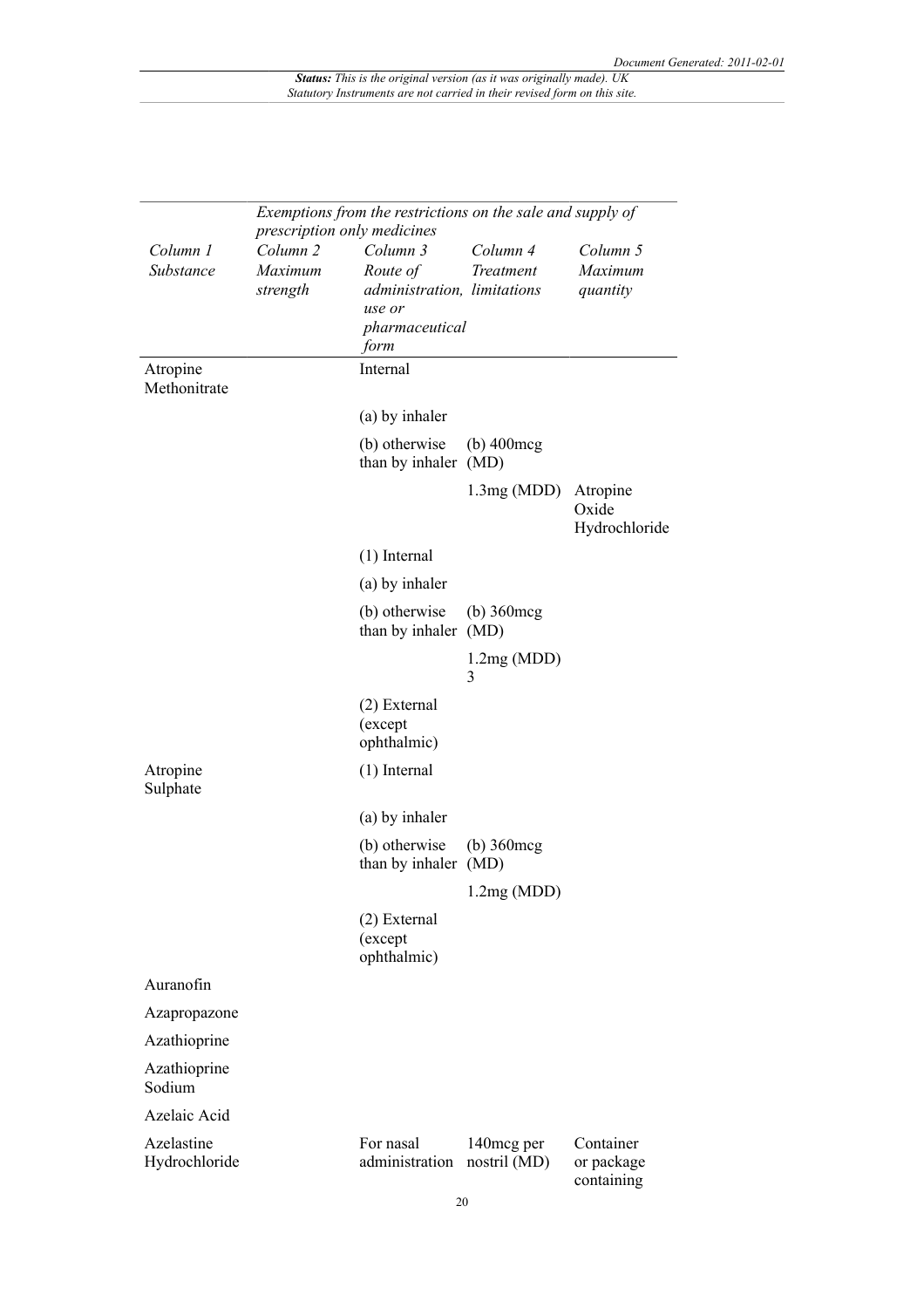|                             | Exemptions from the restrictions on the sale and supply of<br>prescription only medicines |                                                                                         |                             |                                       |
|-----------------------------|-------------------------------------------------------------------------------------------|-----------------------------------------------------------------------------------------|-----------------------------|---------------------------------------|
| Column 1<br>Substance       | Column <sub>2</sub><br>Maximum<br>strength                                                | Column 3<br>Route of<br>administration, limitations<br>use or<br>pharmaceutical<br>form | Column 4<br>Treatment       | Column 5<br>Maximum<br>quantity       |
| Atropine<br>Methonitrate    |                                                                                           | Internal                                                                                |                             |                                       |
|                             |                                                                                           | (a) by inhaler                                                                          |                             |                                       |
|                             |                                                                                           | (b) otherwise<br>than by inhaler (MD)                                                   | $(b)$ 400 $\text{mcg}$      |                                       |
|                             |                                                                                           |                                                                                         | 1.3mg(MDD)                  | Atropine<br>Oxide<br>Hydrochloride    |
|                             |                                                                                           | $(1)$ Internal                                                                          |                             |                                       |
|                             |                                                                                           | (a) by inhaler                                                                          |                             |                                       |
|                             |                                                                                           | (b) otherwise<br>than by inhaler (MD)                                                   | $(b)$ 360 $\text{mcg}$      |                                       |
|                             |                                                                                           |                                                                                         | 1.2mg(MDD)<br>3             |                                       |
|                             |                                                                                           | $(2)$ External<br>(except<br>ophthalmic)                                                |                             |                                       |
| Atropine<br>Sulphate        |                                                                                           | $(1)$ Internal                                                                          |                             |                                       |
|                             |                                                                                           | (a) by inhaler                                                                          |                             |                                       |
|                             |                                                                                           | (b) otherwise<br>than by inhaler (MD)                                                   | $(b)$ 360 $\text{mcg}$      |                                       |
|                             |                                                                                           |                                                                                         | 1.2mg(MDD)                  |                                       |
|                             |                                                                                           | (2) External<br>(except<br>ophthalmic)                                                  |                             |                                       |
| Auranofin                   |                                                                                           |                                                                                         |                             |                                       |
| Azapropazone                |                                                                                           |                                                                                         |                             |                                       |
| Azathioprine                |                                                                                           |                                                                                         |                             |                                       |
| Azathioprine<br>Sodium      |                                                                                           |                                                                                         |                             |                                       |
| Azelaic Acid                |                                                                                           |                                                                                         |                             |                                       |
| Azelastine<br>Hydrochloride |                                                                                           | For nasal<br>administration                                                             | 140 mcg per<br>nostril (MD) | Container<br>or package<br>containing |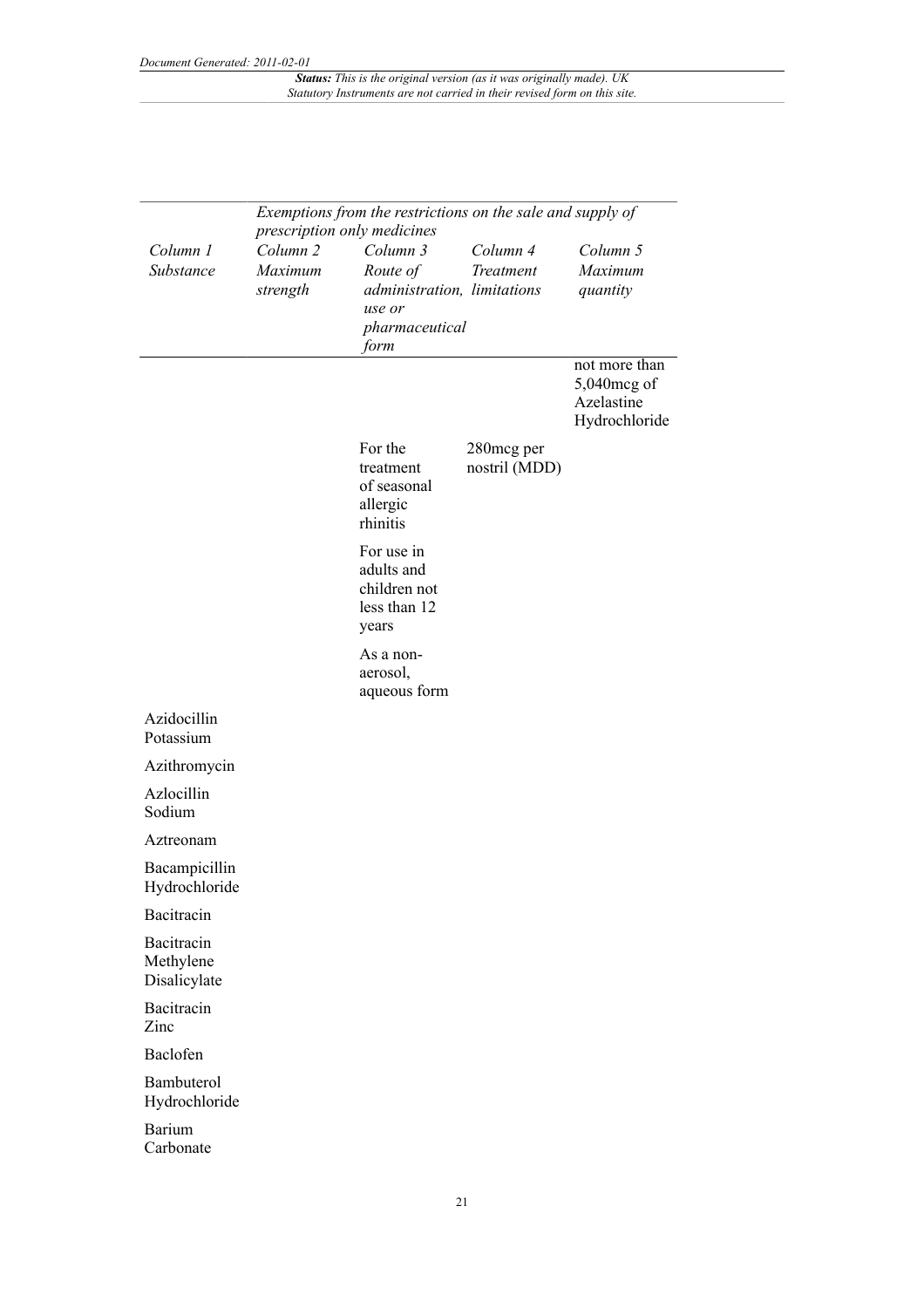|                                         | Exemptions from the restrictions on the sale and supply of<br>prescription only medicines |                                                                                         |                             |                                                             |
|-----------------------------------------|-------------------------------------------------------------------------------------------|-----------------------------------------------------------------------------------------|-----------------------------|-------------------------------------------------------------|
| Column 1<br>Substance                   | Column <sub>2</sub><br>Maximum<br>strength                                                | Column 3<br>Route of<br>administration, limitations<br>use or<br>pharmaceutical<br>form | Column 4<br>Treatment       | Column 5<br>Maximum<br>quantity                             |
|                                         |                                                                                           |                                                                                         |                             | not more than<br>5,040mcg of<br>Azelastine<br>Hydrochloride |
|                                         |                                                                                           | For the<br>treatment<br>of seasonal<br>allergic<br>rhinitis                             | 280mcg per<br>nostril (MDD) |                                                             |
|                                         |                                                                                           | For use in<br>adults and<br>children not<br>less than 12<br>years                       |                             |                                                             |
|                                         |                                                                                           | As a non-<br>aerosol,<br>aqueous form                                                   |                             |                                                             |
| Azidocillin<br>Potassium                |                                                                                           |                                                                                         |                             |                                                             |
| Azithromycin                            |                                                                                           |                                                                                         |                             |                                                             |
| Azlocillin<br>Sodium                    |                                                                                           |                                                                                         |                             |                                                             |
| Aztreonam                               |                                                                                           |                                                                                         |                             |                                                             |
| Bacampicillin<br>Hydrochloride          |                                                                                           |                                                                                         |                             |                                                             |
| Bacitracin                              |                                                                                           |                                                                                         |                             |                                                             |
| Bacitracin<br>Methylene<br>Disalicylate |                                                                                           |                                                                                         |                             |                                                             |
| Bacitracin<br>Zinc                      |                                                                                           |                                                                                         |                             |                                                             |
| Baclofen                                |                                                                                           |                                                                                         |                             |                                                             |
| Bambuterol<br>Hydrochloride             |                                                                                           |                                                                                         |                             |                                                             |
| Barium<br>Carbonate                     |                                                                                           |                                                                                         |                             |                                                             |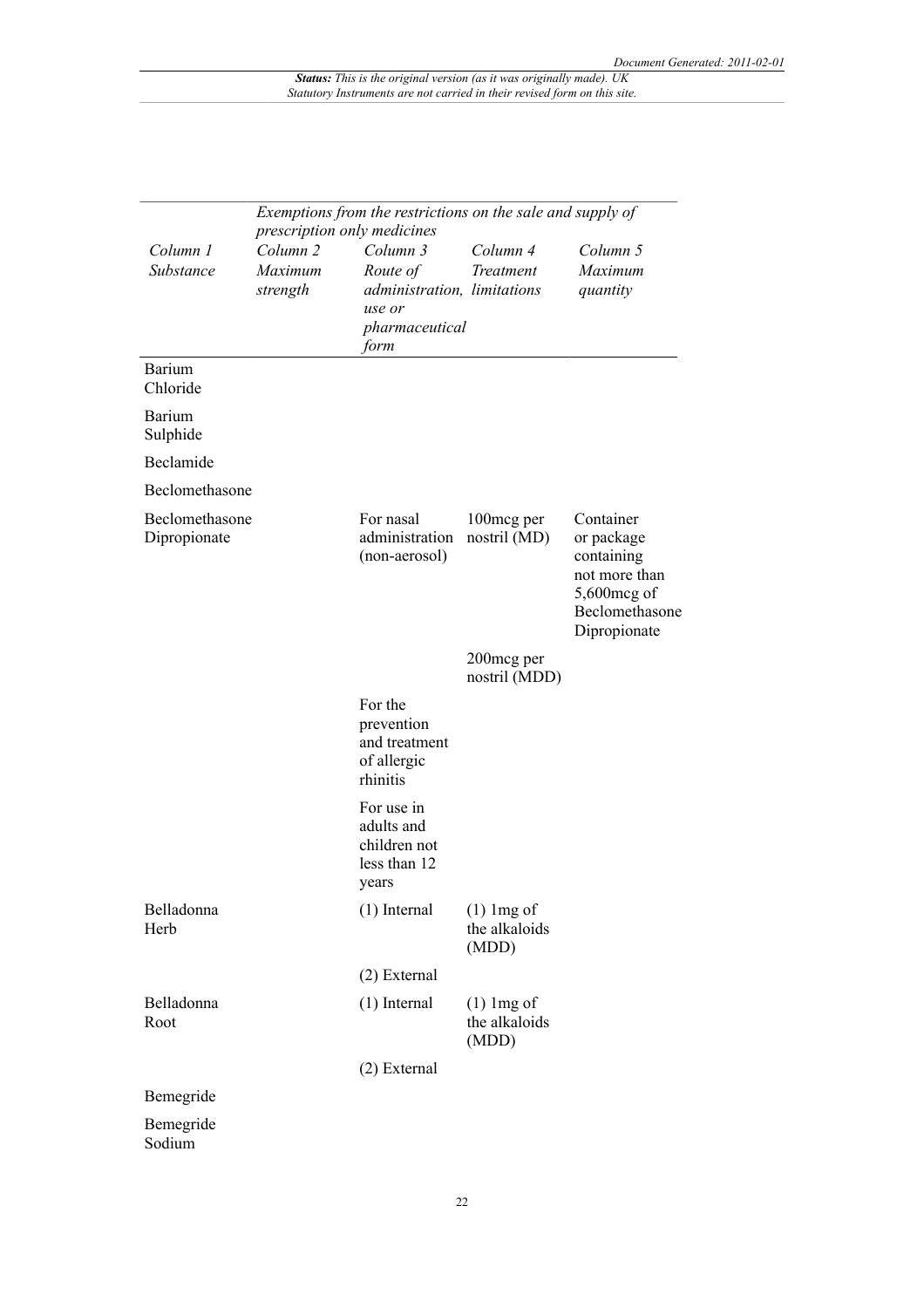|                                | Exemptions from the restrictions on the sale and supply of |                                                                   |                                        |                                                                                                         |  |
|--------------------------------|------------------------------------------------------------|-------------------------------------------------------------------|----------------------------------------|---------------------------------------------------------------------------------------------------------|--|
|                                |                                                            | prescription only medicines                                       |                                        |                                                                                                         |  |
| Column 1                       | Column <sub>2</sub>                                        | Column 3                                                          | Column 4                               | Column 5                                                                                                |  |
| Substance                      | Maximum                                                    | Route of<br>administration, limitations                           | Treatment                              | Maximum                                                                                                 |  |
|                                | strength                                                   | use or                                                            |                                        | quantity                                                                                                |  |
|                                |                                                            | pharmaceutical                                                    |                                        |                                                                                                         |  |
|                                |                                                            | form                                                              |                                        |                                                                                                         |  |
| <b>Barium</b><br>Chloride      |                                                            |                                                                   |                                        |                                                                                                         |  |
| Barium<br>Sulphide             |                                                            |                                                                   |                                        |                                                                                                         |  |
| Beclamide                      |                                                            |                                                                   |                                        |                                                                                                         |  |
| Beclomethasone                 |                                                            |                                                                   |                                        |                                                                                                         |  |
| Beclomethasone<br>Dipropionate |                                                            | For nasal<br>administration<br>(non-aerosol)                      | 100mcg per<br>nostril (MD)             | Container<br>or package<br>containing<br>not more than<br>5,600mcg of<br>Beclomethasone<br>Dipropionate |  |
|                                |                                                            |                                                                   | 200mcg per<br>nostril (MDD)            |                                                                                                         |  |
|                                |                                                            | For the<br>prevention<br>and treatment<br>of allergic<br>rhinitis |                                        |                                                                                                         |  |
|                                |                                                            | For use in<br>adults and<br>children not<br>less than 12<br>years |                                        |                                                                                                         |  |
| Belladonna<br>Herb             |                                                            | $(1)$ Internal                                                    | $(1)$ lmg of<br>the alkaloids<br>(MDD) |                                                                                                         |  |
|                                |                                                            | (2) External                                                      |                                        |                                                                                                         |  |
| Belladonna<br>Root             |                                                            | $(1)$ Internal                                                    | $(1)$ lmg of<br>the alkaloids<br>(MDD) |                                                                                                         |  |
|                                |                                                            | (2) External                                                      |                                        |                                                                                                         |  |
| Bemegride                      |                                                            |                                                                   |                                        |                                                                                                         |  |
| Bemegride                      |                                                            |                                                                   |                                        |                                                                                                         |  |
| Sodium                         |                                                            |                                                                   |                                        |                                                                                                         |  |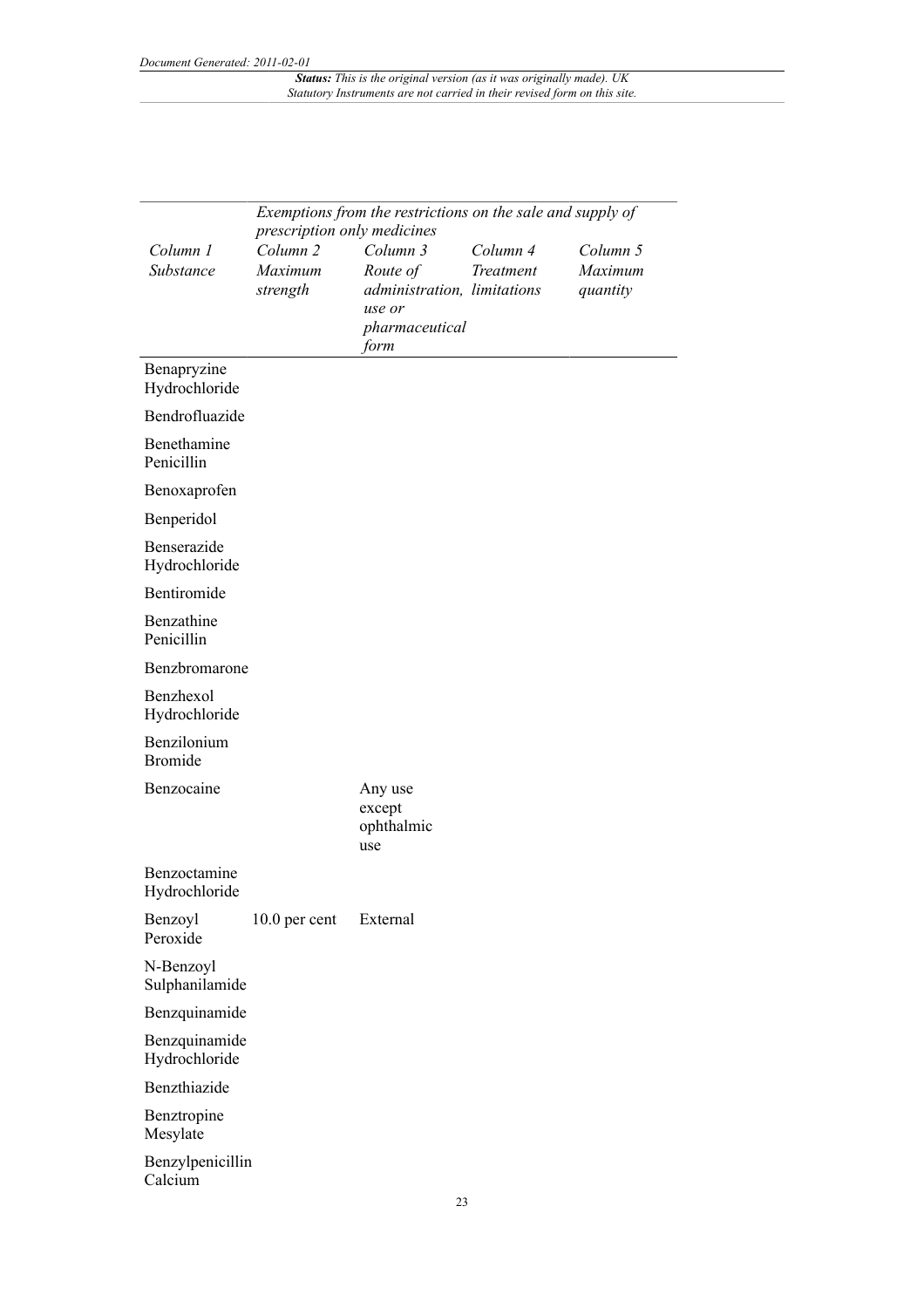|                                | Exemptions from the restrictions on the sale and supply of |                                                   |           |                     |
|--------------------------------|------------------------------------------------------------|---------------------------------------------------|-----------|---------------------|
|                                | prescription only medicines                                |                                                   |           |                     |
| Column 1                       | Column <sub>2</sub>                                        | Column 3                                          | Column 4  | Column 5            |
| Substance                      | Maximum<br>strength                                        | Route of<br>administration, limitations<br>use or | Treatment | Maximum<br>quantity |
|                                |                                                            | pharmaceutical<br>form                            |           |                     |
| Benapryzine<br>Hydrochloride   |                                                            |                                                   |           |                     |
| Bendrofluazide                 |                                                            |                                                   |           |                     |
| Benethamine<br>Penicillin      |                                                            |                                                   |           |                     |
| Benoxaprofen                   |                                                            |                                                   |           |                     |
| Benperidol                     |                                                            |                                                   |           |                     |
| Benserazide<br>Hydrochloride   |                                                            |                                                   |           |                     |
| Bentiromide                    |                                                            |                                                   |           |                     |
| Benzathine<br>Penicillin       |                                                            |                                                   |           |                     |
| Benzbromarone                  |                                                            |                                                   |           |                     |
| Benzhexol<br>Hydrochloride     |                                                            |                                                   |           |                     |
| Benzilonium<br><b>Bromide</b>  |                                                            |                                                   |           |                     |
| Benzocaine                     |                                                            | Any use<br>except<br>ophthalmic<br>use            |           |                     |
| Benzoctamine<br>Hydrochloride  |                                                            |                                                   |           |                     |
| Benzoyl<br>Peroxide            | $10.0$ per cent                                            | External                                          |           |                     |
| N-Benzoyl<br>Sulphanilamide    |                                                            |                                                   |           |                     |
| Benzquinamide                  |                                                            |                                                   |           |                     |
| Benzquinamide<br>Hydrochloride |                                                            |                                                   |           |                     |
| Benzthiazide                   |                                                            |                                                   |           |                     |
| Benztropine<br>Mesylate        |                                                            |                                                   |           |                     |
| Benzylpenicillin<br>Calcium    |                                                            |                                                   |           |                     |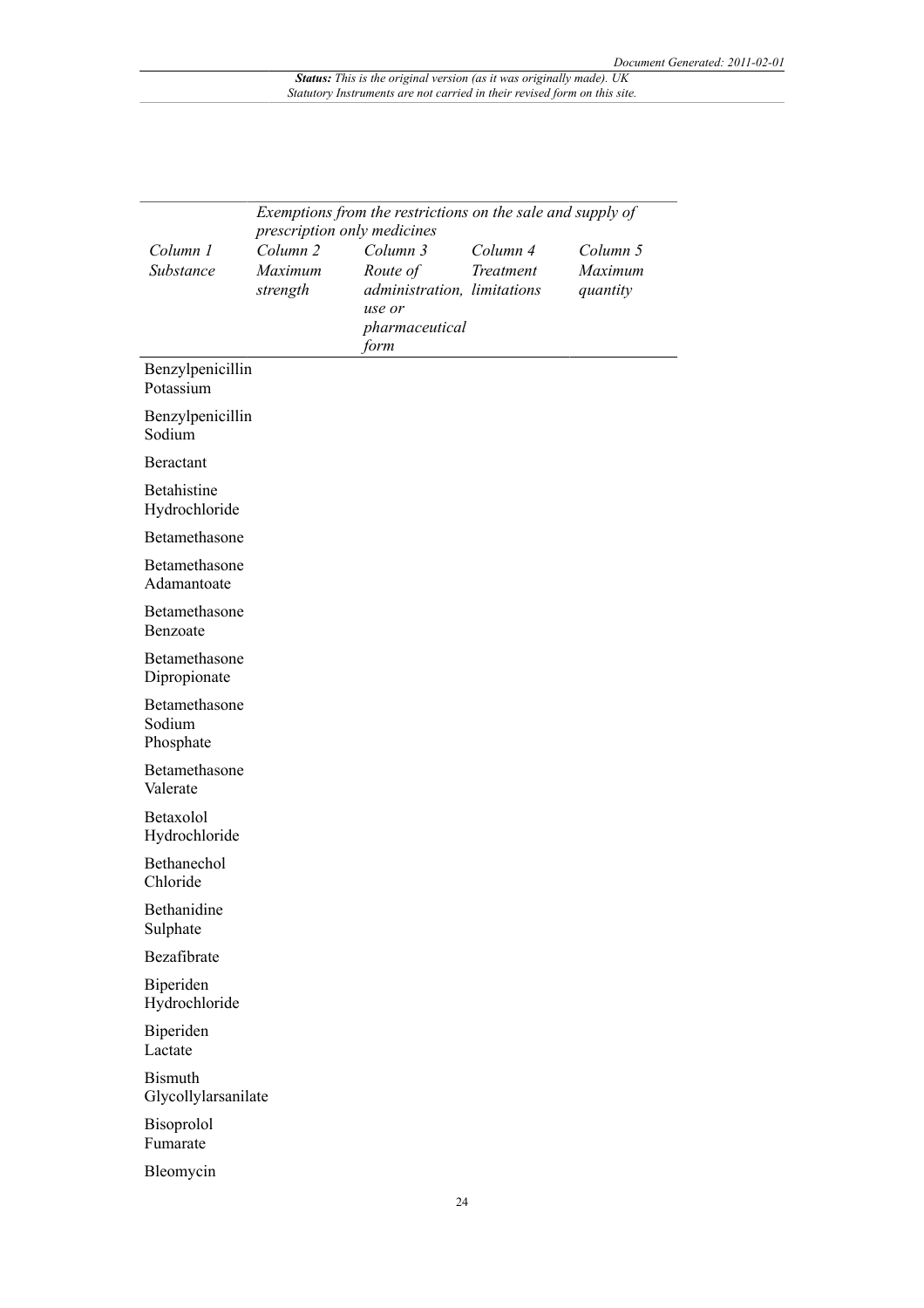|                                       | Exemptions from the restrictions on the sale and supply of<br>prescription only medicines |                             |           |          |  |
|---------------------------------------|-------------------------------------------------------------------------------------------|-----------------------------|-----------|----------|--|
| Column 1                              | Column <sub>2</sub>                                                                       | Column 3                    | Column 4  | Column 5 |  |
| Substance                             | Maximum                                                                                   | Route of                    | Treatment | Maximum  |  |
|                                       | strength                                                                                  | administration, limitations |           | quantity |  |
|                                       |                                                                                           | use or                      |           |          |  |
|                                       |                                                                                           | pharmaceutical<br>form      |           |          |  |
| Benzylpenicillin<br>Potassium         |                                                                                           |                             |           |          |  |
| Benzylpenicillin<br>Sodium            |                                                                                           |                             |           |          |  |
| Beractant                             |                                                                                           |                             |           |          |  |
| Betahistine<br>Hydrochloride          |                                                                                           |                             |           |          |  |
| Betamethasone                         |                                                                                           |                             |           |          |  |
| Betamethasone<br>Adamantoate          |                                                                                           |                             |           |          |  |
| Betamethasone<br>Benzoate             |                                                                                           |                             |           |          |  |
| Betamethasone<br>Dipropionate         |                                                                                           |                             |           |          |  |
| Betamethasone<br>Sodium<br>Phosphate  |                                                                                           |                             |           |          |  |
| Betamethasone<br>Valerate             |                                                                                           |                             |           |          |  |
| Betaxolol<br>Hydrochloride            |                                                                                           |                             |           |          |  |
| Bethanechol<br>Chloride               |                                                                                           |                             |           |          |  |
| Bethanidine<br>Sulphate               |                                                                                           |                             |           |          |  |
| Bezafibrate                           |                                                                                           |                             |           |          |  |
| Biperiden<br>Hydrochloride            |                                                                                           |                             |           |          |  |
| Biperiden<br>Lactate                  |                                                                                           |                             |           |          |  |
| <b>Bismuth</b><br>Glycollylarsanilate |                                                                                           |                             |           |          |  |
| Bisoprolol<br>Fumarate                |                                                                                           |                             |           |          |  |
| Bleomycin                             |                                                                                           |                             |           |          |  |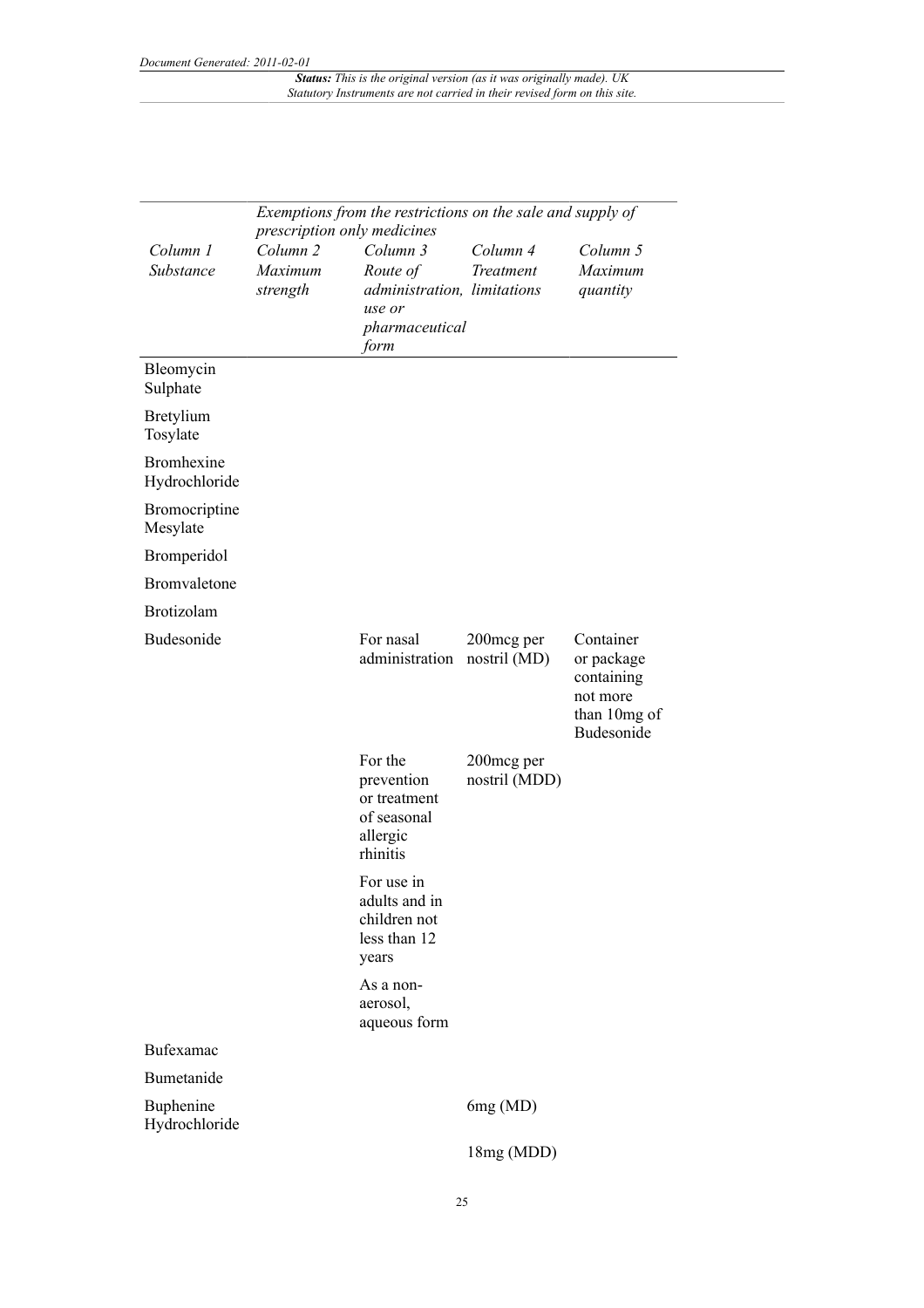|                                  | Exemptions from the restrictions on the sale and supply of |                                                                              |                             |                                                                                 |  |
|----------------------------------|------------------------------------------------------------|------------------------------------------------------------------------------|-----------------------------|---------------------------------------------------------------------------------|--|
| Column 1                         | prescription only medicines<br>Column <sub>2</sub>         | Column 3                                                                     | Column 4                    | Column 5                                                                        |  |
| Substance                        | Maximum                                                    | Route of                                                                     | Treatment                   | Maximum                                                                         |  |
|                                  | strength                                                   | administration, limitations<br>use or                                        |                             | quantity                                                                        |  |
|                                  |                                                            | pharmaceutical<br>form                                                       |                             |                                                                                 |  |
| Bleomycin<br>Sulphate            |                                                            |                                                                              |                             |                                                                                 |  |
| Bretylium<br>Tosylate            |                                                            |                                                                              |                             |                                                                                 |  |
| Bromhexine<br>Hydrochloride      |                                                            |                                                                              |                             |                                                                                 |  |
| <b>Bromocriptine</b><br>Mesylate |                                                            |                                                                              |                             |                                                                                 |  |
| Bromperidol                      |                                                            |                                                                              |                             |                                                                                 |  |
| Bromvaletone                     |                                                            |                                                                              |                             |                                                                                 |  |
| Brotizolam                       |                                                            |                                                                              |                             |                                                                                 |  |
| Budesonide                       |                                                            | For nasal<br>administration                                                  | 200mcg per<br>nostril (MD)  | Container<br>or package<br>containing<br>not more<br>than 10mg of<br>Budesonide |  |
|                                  |                                                            | For the<br>prevention<br>or treatment<br>of seasonal<br>allergic<br>rhinitis | 200mcg per<br>nostril (MDD) |                                                                                 |  |
|                                  |                                                            | For use in<br>adults and in<br>children not<br>less than 12<br>years         |                             |                                                                                 |  |
|                                  |                                                            | As a non-<br>aerosol,<br>aqueous form                                        |                             |                                                                                 |  |
| Bufexamac                        |                                                            |                                                                              |                             |                                                                                 |  |
| Bumetanide                       |                                                            |                                                                              |                             |                                                                                 |  |
| Buphenine<br>Hydrochloride       |                                                            |                                                                              | 6mg(MD)                     |                                                                                 |  |
|                                  |                                                            |                                                                              | 18mg (MDD)                  |                                                                                 |  |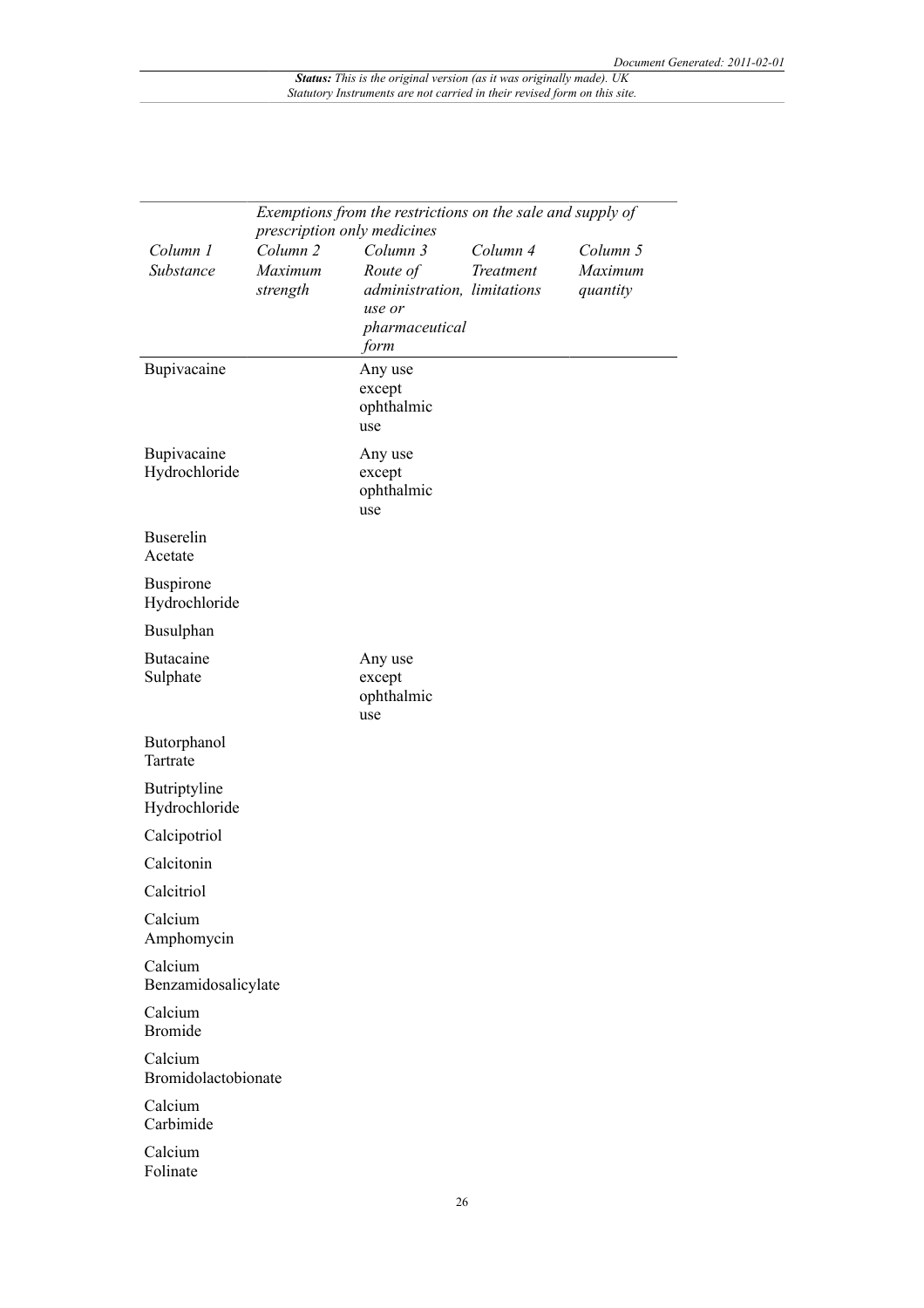|                                |                                | Exemptions from the restrictions on the sale and supply of |                       |                     |
|--------------------------------|--------------------------------|------------------------------------------------------------|-----------------------|---------------------|
|                                | prescription only medicines    |                                                            |                       |                     |
| Column 1<br>Substance          | Column <sub>2</sub><br>Maximum | Column 3<br>Route of                                       | Column 4<br>Treatment | Column 5<br>Maximum |
|                                | strength                       | administration, limitations                                |                       | quantity            |
|                                |                                | use or                                                     |                       |                     |
|                                |                                | pharmaceutical<br>form                                     |                       |                     |
| Bupivacaine                    |                                | Any use                                                    |                       |                     |
|                                |                                | except                                                     |                       |                     |
|                                |                                | ophthalmic<br>use                                          |                       |                     |
| Bupivacaine                    |                                | Any use                                                    |                       |                     |
| Hydrochloride                  |                                | except                                                     |                       |                     |
|                                |                                | ophthalmic<br>use                                          |                       |                     |
| Buserelin                      |                                |                                                            |                       |                     |
| Acetate                        |                                |                                                            |                       |                     |
| Buspirone                      |                                |                                                            |                       |                     |
| Hydrochloride<br>Busulphan     |                                |                                                            |                       |                     |
|                                |                                |                                                            |                       |                     |
| <b>Butacaine</b><br>Sulphate   |                                | Any use<br>except                                          |                       |                     |
|                                |                                | ophthalmic                                                 |                       |                     |
|                                |                                | use                                                        |                       |                     |
| Butorphanol<br>Tartrate        |                                |                                                            |                       |                     |
| Butriptyline<br>Hydrochloride  |                                |                                                            |                       |                     |
| Calcipotriol                   |                                |                                                            |                       |                     |
| Calcitonin                     |                                |                                                            |                       |                     |
| Calcitriol                     |                                |                                                            |                       |                     |
| Calcium<br>Amphomycin          |                                |                                                            |                       |                     |
| Calcium                        |                                |                                                            |                       |                     |
| Benzamidosalicylate            |                                |                                                            |                       |                     |
| Calcium<br><b>Bromide</b>      |                                |                                                            |                       |                     |
| Calcium<br>Bromidolactobionate |                                |                                                            |                       |                     |
| Calcium<br>Carbimide           |                                |                                                            |                       |                     |
| Calcium<br>Folinate            |                                |                                                            |                       |                     |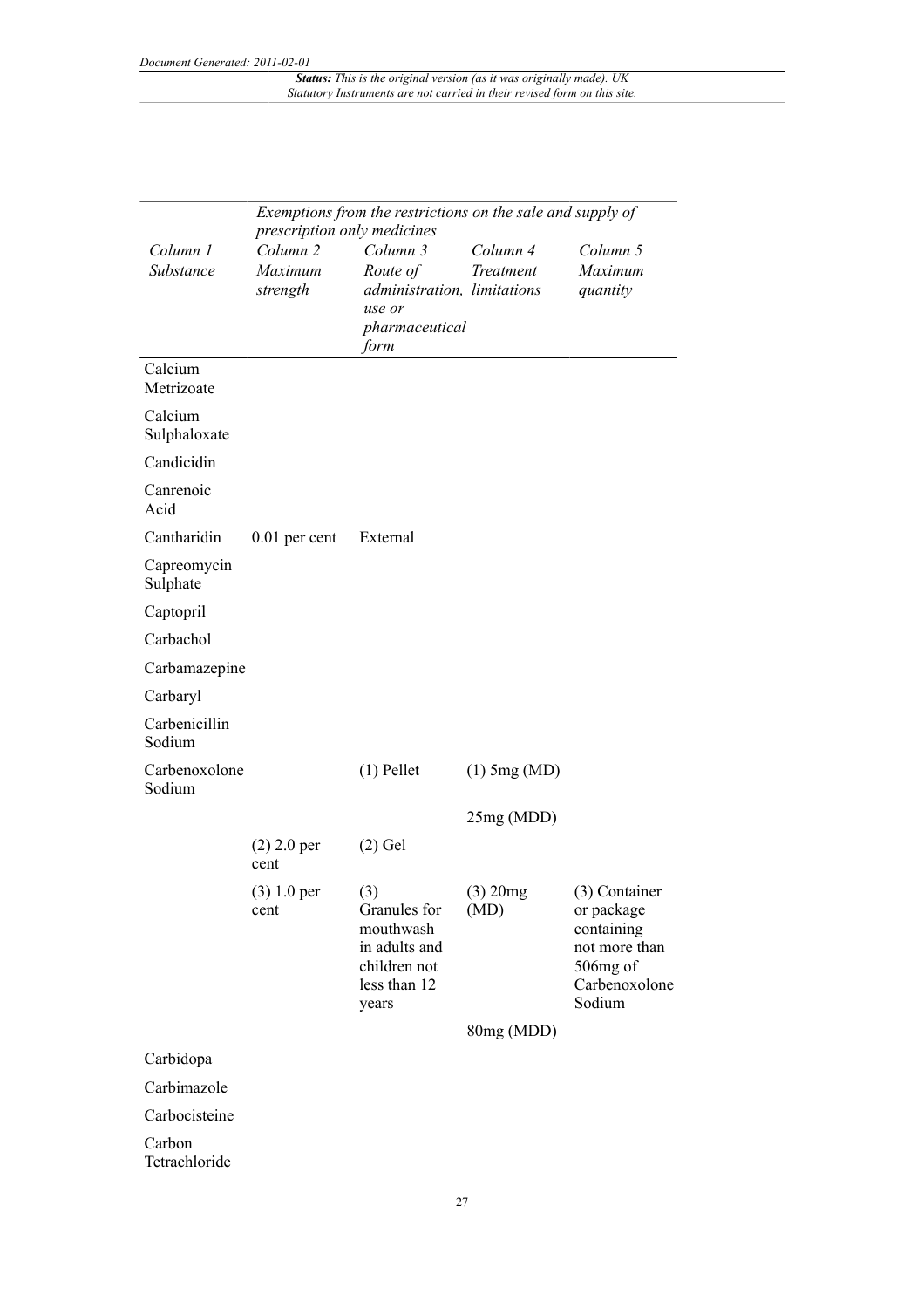|                         | Exemptions from the restrictions on the sale and supply of<br>prescription only medicines |                                                                                            |                       |                                                                                                   |
|-------------------------|-------------------------------------------------------------------------------------------|--------------------------------------------------------------------------------------------|-----------------------|---------------------------------------------------------------------------------------------------|
| Column 1<br>Substance   | Column <sub>2</sub><br>Maximum<br>strength                                                | Column 3<br>Route of<br>administration, limitations<br>use or<br>pharmaceutical<br>form    | Column 4<br>Treatment | Column 5<br>Maximum<br>quantity                                                                   |
| Calcium<br>Metrizoate   |                                                                                           |                                                                                            |                       |                                                                                                   |
| Calcium<br>Sulphaloxate |                                                                                           |                                                                                            |                       |                                                                                                   |
| Candicidin              |                                                                                           |                                                                                            |                       |                                                                                                   |
| Canrenoic<br>Acid       |                                                                                           |                                                                                            |                       |                                                                                                   |
| Cantharidin             | $0.01$ per cent                                                                           | External                                                                                   |                       |                                                                                                   |
| Capreomycin<br>Sulphate |                                                                                           |                                                                                            |                       |                                                                                                   |
| Captopril               |                                                                                           |                                                                                            |                       |                                                                                                   |
| Carbachol               |                                                                                           |                                                                                            |                       |                                                                                                   |
| Carbamazepine           |                                                                                           |                                                                                            |                       |                                                                                                   |
| Carbaryl                |                                                                                           |                                                                                            |                       |                                                                                                   |
| Carbenicillin<br>Sodium |                                                                                           |                                                                                            |                       |                                                                                                   |
| Carbenoxolone<br>Sodium |                                                                                           | $(1)$ Pellet                                                                               | $(1)$ 5mg (MD)        |                                                                                                   |
|                         |                                                                                           |                                                                                            | 25mg (MDD)            |                                                                                                   |
|                         | $(2)$ 2.0 per<br>cent                                                                     | $(2)$ Gel                                                                                  |                       |                                                                                                   |
|                         | $(3) 1.0$ per<br>cent                                                                     | (3)<br>Granules for<br>mouthwash<br>in adults and<br>children not<br>less than 12<br>years | $(3)$ 20mg<br>(MD)    | (3) Container<br>or package<br>containing<br>not more than<br>506mg of<br>Carbenoxolone<br>Sodium |
|                         |                                                                                           |                                                                                            | 80mg (MDD)            |                                                                                                   |
| Carbidopa               |                                                                                           |                                                                                            |                       |                                                                                                   |
| Carbimazole             |                                                                                           |                                                                                            |                       |                                                                                                   |
| Carbocisteine           |                                                                                           |                                                                                            |                       |                                                                                                   |
| Carbon<br>Tetrachloride |                                                                                           |                                                                                            |                       |                                                                                                   |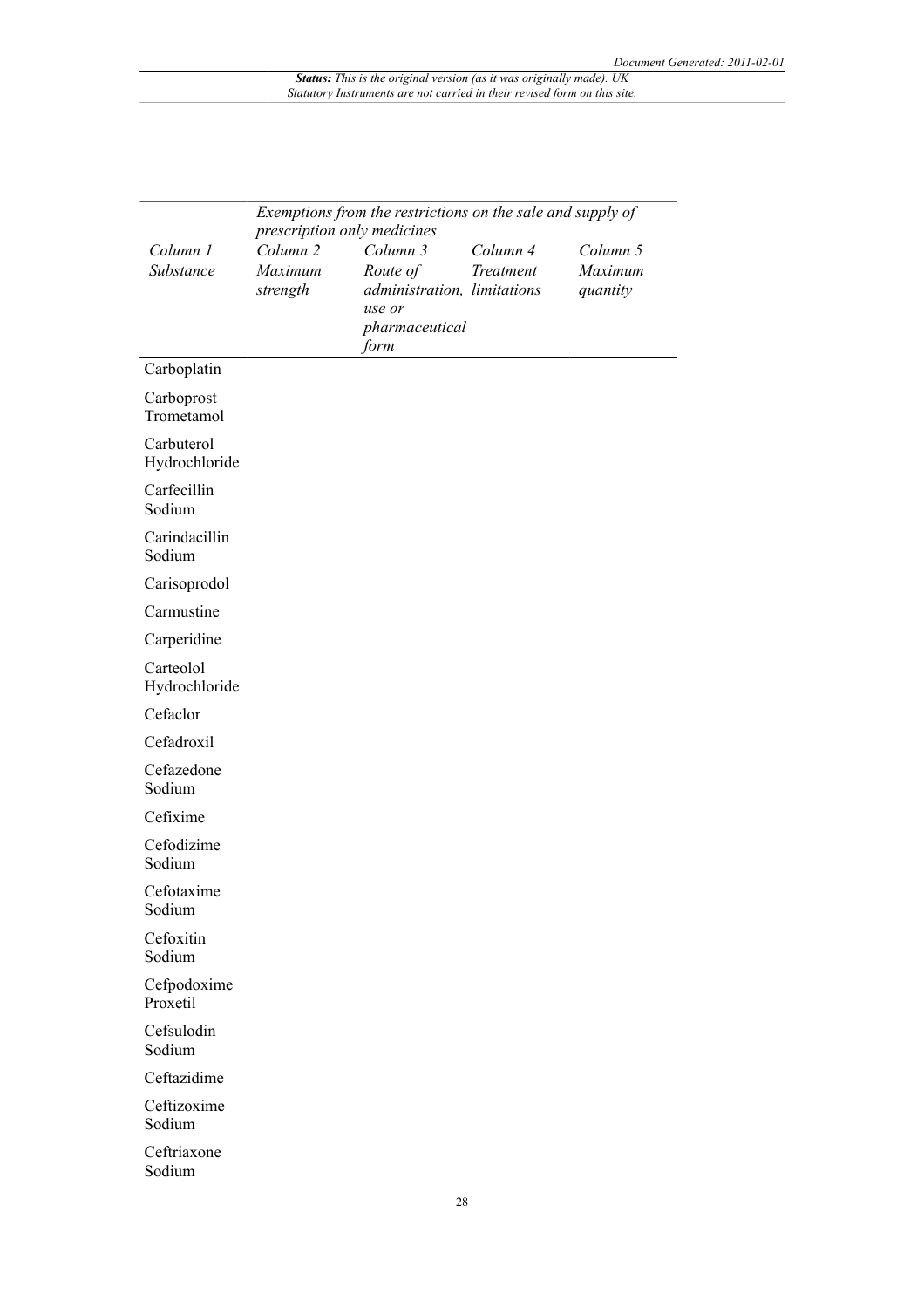|                             | Exemptions from the restrictions on the sale and supply of |                                       |                       |                     |
|-----------------------------|------------------------------------------------------------|---------------------------------------|-----------------------|---------------------|
|                             |                                                            | prescription only medicines           |                       |                     |
| Column 1<br>Substance       | Column <sub>2</sub><br>Maximum                             | Column 3<br>Route of                  | Column 4<br>Treatment | Column 5<br>Maximum |
|                             | strength                                                   | administration, limitations<br>use or |                       | quantity            |
|                             |                                                            | pharmaceutical<br>form                |                       |                     |
| Carboplatin                 |                                                            |                                       |                       |                     |
| Carboprost<br>Trometamol    |                                                            |                                       |                       |                     |
| Carbuterol<br>Hydrochloride |                                                            |                                       |                       |                     |
| Carfecillin<br>Sodium       |                                                            |                                       |                       |                     |
| Carindacillin<br>Sodium     |                                                            |                                       |                       |                     |
| Carisoprodol                |                                                            |                                       |                       |                     |
| Carmustine                  |                                                            |                                       |                       |                     |
| Carperidine                 |                                                            |                                       |                       |                     |
| Carteolol<br>Hydrochloride  |                                                            |                                       |                       |                     |
| Cefaclor                    |                                                            |                                       |                       |                     |
| Cefadroxil                  |                                                            |                                       |                       |                     |
| Cefazedone<br>Sodium        |                                                            |                                       |                       |                     |
| Cefixime                    |                                                            |                                       |                       |                     |
| Cefodizime<br>Sodium        |                                                            |                                       |                       |                     |
| Cefotaxime<br>Sodium        |                                                            |                                       |                       |                     |
| Cefoxitin<br>Sodium         |                                                            |                                       |                       |                     |
| Cefpodoxime<br>Proxetil     |                                                            |                                       |                       |                     |
| Cefsulodin<br>Sodium        |                                                            |                                       |                       |                     |
| Ceftazidime                 |                                                            |                                       |                       |                     |
| Ceftizoxime<br>Sodium       |                                                            |                                       |                       |                     |
| Ceftriaxone<br>Sodium       |                                                            |                                       |                       |                     |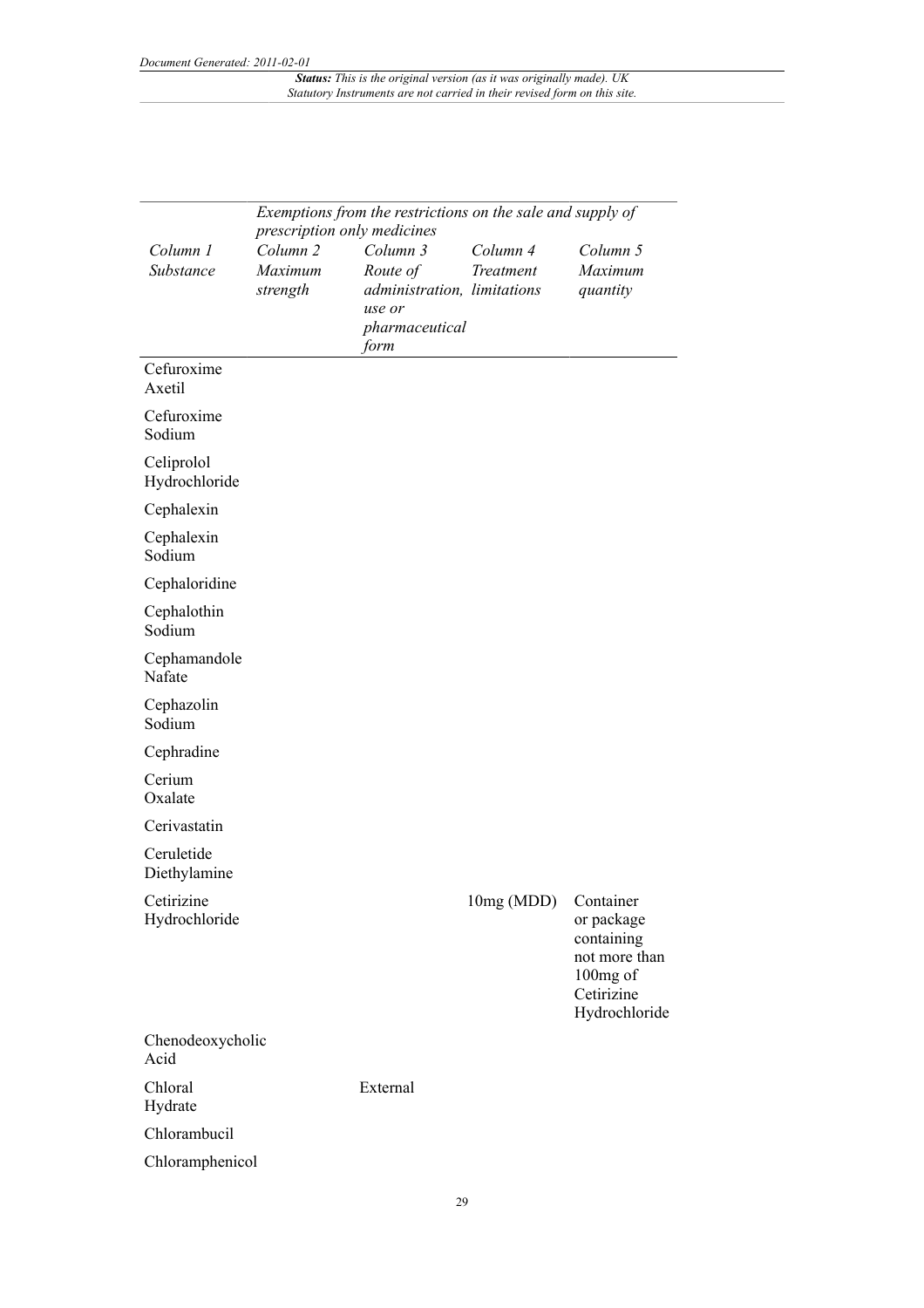|                             | Exemptions from the restrictions on the sale and supply of<br>prescription only medicines |                                                                                         |                       |                                                                                                   |  |
|-----------------------------|-------------------------------------------------------------------------------------------|-----------------------------------------------------------------------------------------|-----------------------|---------------------------------------------------------------------------------------------------|--|
| Column 1<br>Substance       | Column <sub>2</sub><br>Maximum<br>strength                                                | Column 3<br>Route of<br>administration, limitations<br>use or<br>pharmaceutical<br>form | Column 4<br>Treatment | Column 5<br>Maximum<br>quantity                                                                   |  |
| Cefuroxime<br>Axetil        |                                                                                           |                                                                                         |                       |                                                                                                   |  |
| Cefuroxime<br>Sodium        |                                                                                           |                                                                                         |                       |                                                                                                   |  |
| Celiprolol<br>Hydrochloride |                                                                                           |                                                                                         |                       |                                                                                                   |  |
| Cephalexin                  |                                                                                           |                                                                                         |                       |                                                                                                   |  |
| Cephalexin<br>Sodium        |                                                                                           |                                                                                         |                       |                                                                                                   |  |
| Cephaloridine               |                                                                                           |                                                                                         |                       |                                                                                                   |  |
| Cephalothin<br>Sodium       |                                                                                           |                                                                                         |                       |                                                                                                   |  |
| Cephamandole<br>Nafate      |                                                                                           |                                                                                         |                       |                                                                                                   |  |
| Cephazolin<br>Sodium        |                                                                                           |                                                                                         |                       |                                                                                                   |  |
| Cephradine                  |                                                                                           |                                                                                         |                       |                                                                                                   |  |
| Cerium<br>Oxalate           |                                                                                           |                                                                                         |                       |                                                                                                   |  |
| Cerivastatin                |                                                                                           |                                                                                         |                       |                                                                                                   |  |
| Ceruletide<br>Diethylamine  |                                                                                           |                                                                                         |                       |                                                                                                   |  |
| Cetirizine<br>Hydrochloride |                                                                                           |                                                                                         | 10mg (MDD)            | Container<br>or package<br>containing<br>not more than<br>100mg of<br>Cetirizine<br>Hydrochloride |  |
| Chenodeoxycholic<br>Acid    |                                                                                           |                                                                                         |                       |                                                                                                   |  |
| Chloral<br>Hydrate          |                                                                                           | External                                                                                |                       |                                                                                                   |  |
| Chlorambucil                |                                                                                           |                                                                                         |                       |                                                                                                   |  |
| Chloramphenicol             |                                                                                           |                                                                                         |                       |                                                                                                   |  |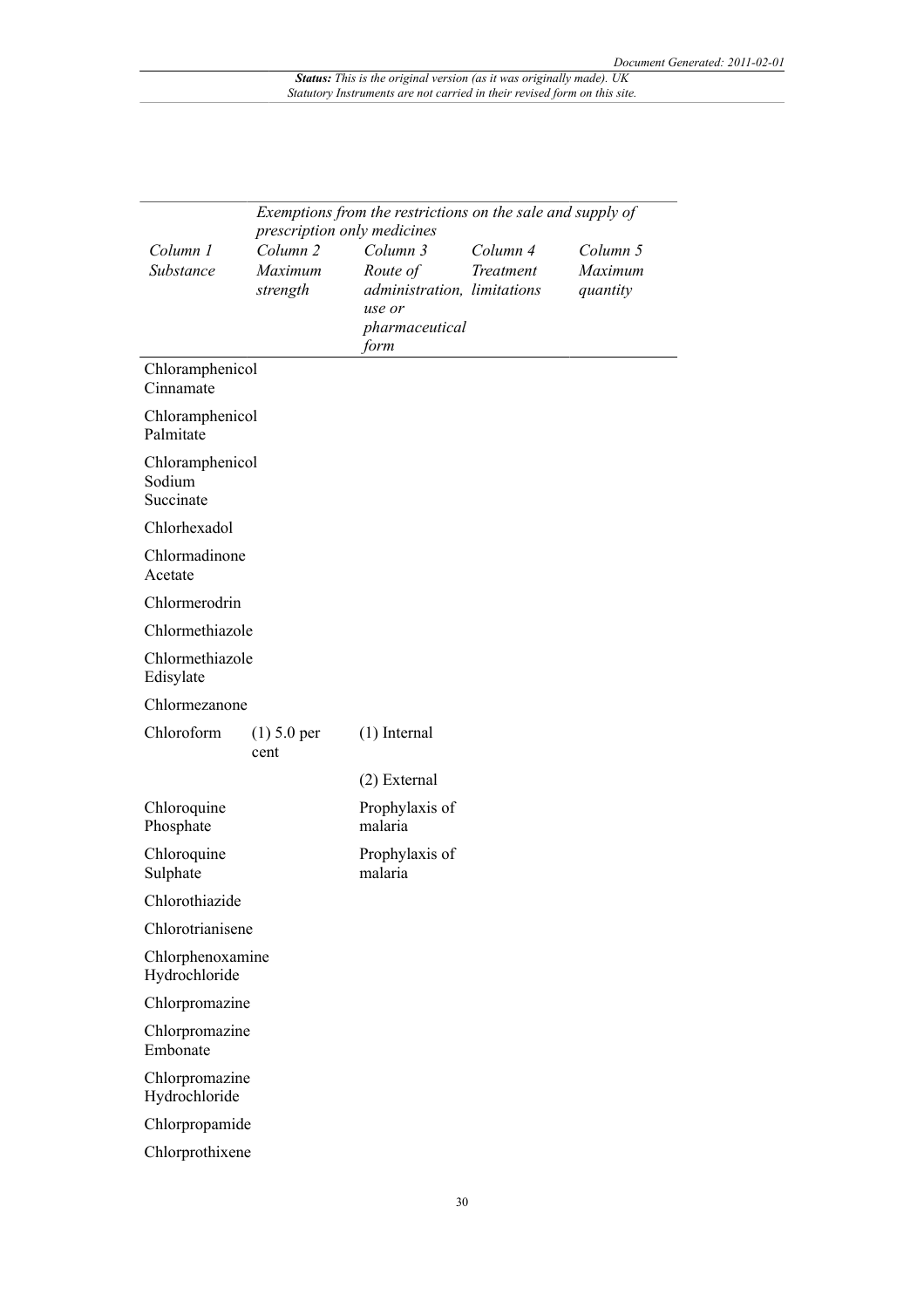|                                        |                                            | Exemptions from the restrictions on the sale and supply of<br>prescription only medicines |                       |                                 |  |
|----------------------------------------|--------------------------------------------|-------------------------------------------------------------------------------------------|-----------------------|---------------------------------|--|
| Column 1<br>Substance                  | Column <sub>2</sub><br>Maximum<br>strength | Column 3<br>Route of<br>administration, limitations<br>use or<br>pharmaceutical<br>form   | Column 4<br>Treatment | Column 5<br>Maximum<br>quantity |  |
| Chloramphenicol<br>Cinnamate           |                                            |                                                                                           |                       |                                 |  |
| Chloramphenicol<br>Palmitate           |                                            |                                                                                           |                       |                                 |  |
| Chloramphenicol<br>Sodium<br>Succinate |                                            |                                                                                           |                       |                                 |  |
| Chlorhexadol                           |                                            |                                                                                           |                       |                                 |  |
| Chlormadinone<br>Acetate               |                                            |                                                                                           |                       |                                 |  |
| Chlormerodrin                          |                                            |                                                                                           |                       |                                 |  |
| Chlormethiazole                        |                                            |                                                                                           |                       |                                 |  |
| Chlormethiazole<br>Edisylate           |                                            |                                                                                           |                       |                                 |  |
| Chlormezanone                          |                                            |                                                                                           |                       |                                 |  |
| Chloroform                             | $(1)$ 5.0 per<br>cent                      | $(1)$ Internal                                                                            |                       |                                 |  |
|                                        |                                            | (2) External                                                                              |                       |                                 |  |
| Chloroquine<br>Phosphate               |                                            | Prophylaxis of<br>malaria                                                                 |                       |                                 |  |
| Chloroquine<br>Sulphate                |                                            | Prophylaxis of<br>malaria                                                                 |                       |                                 |  |
| Chlorothiazide                         |                                            |                                                                                           |                       |                                 |  |
| Chlorotrianisene                       |                                            |                                                                                           |                       |                                 |  |
| Chlorphenoxamine<br>Hydrochloride      |                                            |                                                                                           |                       |                                 |  |
| Chlorpromazine                         |                                            |                                                                                           |                       |                                 |  |
| Chlorpromazine<br>Embonate             |                                            |                                                                                           |                       |                                 |  |
| Chlorpromazine<br>Hydrochloride        |                                            |                                                                                           |                       |                                 |  |
| Chlorpropamide                         |                                            |                                                                                           |                       |                                 |  |
| Chlorprothixene                        |                                            |                                                                                           |                       |                                 |  |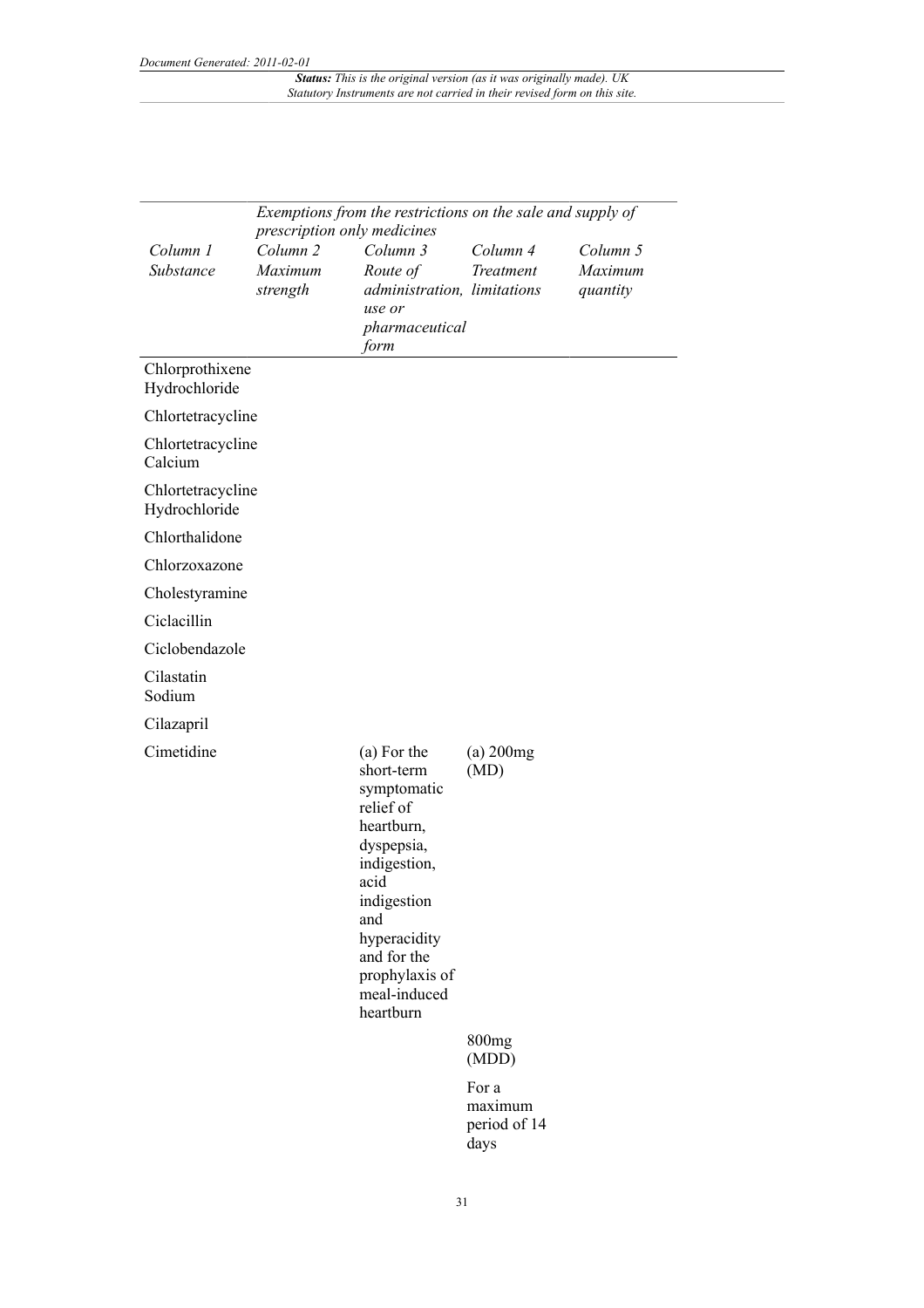| Exemptions from the restrictions on the sale and supply of<br>prescription only medicines |                                            |                                                                                                                                                                                                               |                                          |                                 |  |
|-------------------------------------------------------------------------------------------|--------------------------------------------|---------------------------------------------------------------------------------------------------------------------------------------------------------------------------------------------------------------|------------------------------------------|---------------------------------|--|
| Column 1<br>Substance                                                                     | Column <sub>2</sub><br>Maximum<br>strength | Column 3<br>Route of<br>administration, limitations<br>use or<br>pharmaceutical<br>form                                                                                                                       | Column 4<br>Treatment                    | Column 5<br>Maximum<br>quantity |  |
| Chlorprothixene<br>Hydrochloride                                                          |                                            |                                                                                                                                                                                                               |                                          |                                 |  |
| Chlortetracycline                                                                         |                                            |                                                                                                                                                                                                               |                                          |                                 |  |
| Chlortetracycline<br>Calcium                                                              |                                            |                                                                                                                                                                                                               |                                          |                                 |  |
| Chlortetracycline<br>Hydrochloride                                                        |                                            |                                                                                                                                                                                                               |                                          |                                 |  |
| Chlorthalidone                                                                            |                                            |                                                                                                                                                                                                               |                                          |                                 |  |
| Chlorzoxazone                                                                             |                                            |                                                                                                                                                                                                               |                                          |                                 |  |
| Cholestyramine                                                                            |                                            |                                                                                                                                                                                                               |                                          |                                 |  |
| Ciclacillin                                                                               |                                            |                                                                                                                                                                                                               |                                          |                                 |  |
| Ciclobendazole                                                                            |                                            |                                                                                                                                                                                                               |                                          |                                 |  |
| Cilastatin<br>Sodium                                                                      |                                            |                                                                                                                                                                                                               |                                          |                                 |  |
| Cilazapril                                                                                |                                            |                                                                                                                                                                                                               |                                          |                                 |  |
| Cimetidine                                                                                |                                            | (a) For the<br>short-term<br>symptomatic<br>relief of<br>heartburn,<br>dyspepsia,<br>indigestion,<br>acid<br>indigestion<br>and<br>hyperacidity<br>and for the<br>prophylaxis of<br>meal-induced<br>heartburn | $(a)$ 200 $mg$<br>(MD)                   |                                 |  |
|                                                                                           |                                            |                                                                                                                                                                                                               | 800 <sub>mg</sub><br>(MDD)               |                                 |  |
|                                                                                           |                                            |                                                                                                                                                                                                               | For a<br>maximum<br>period of 14<br>days |                                 |  |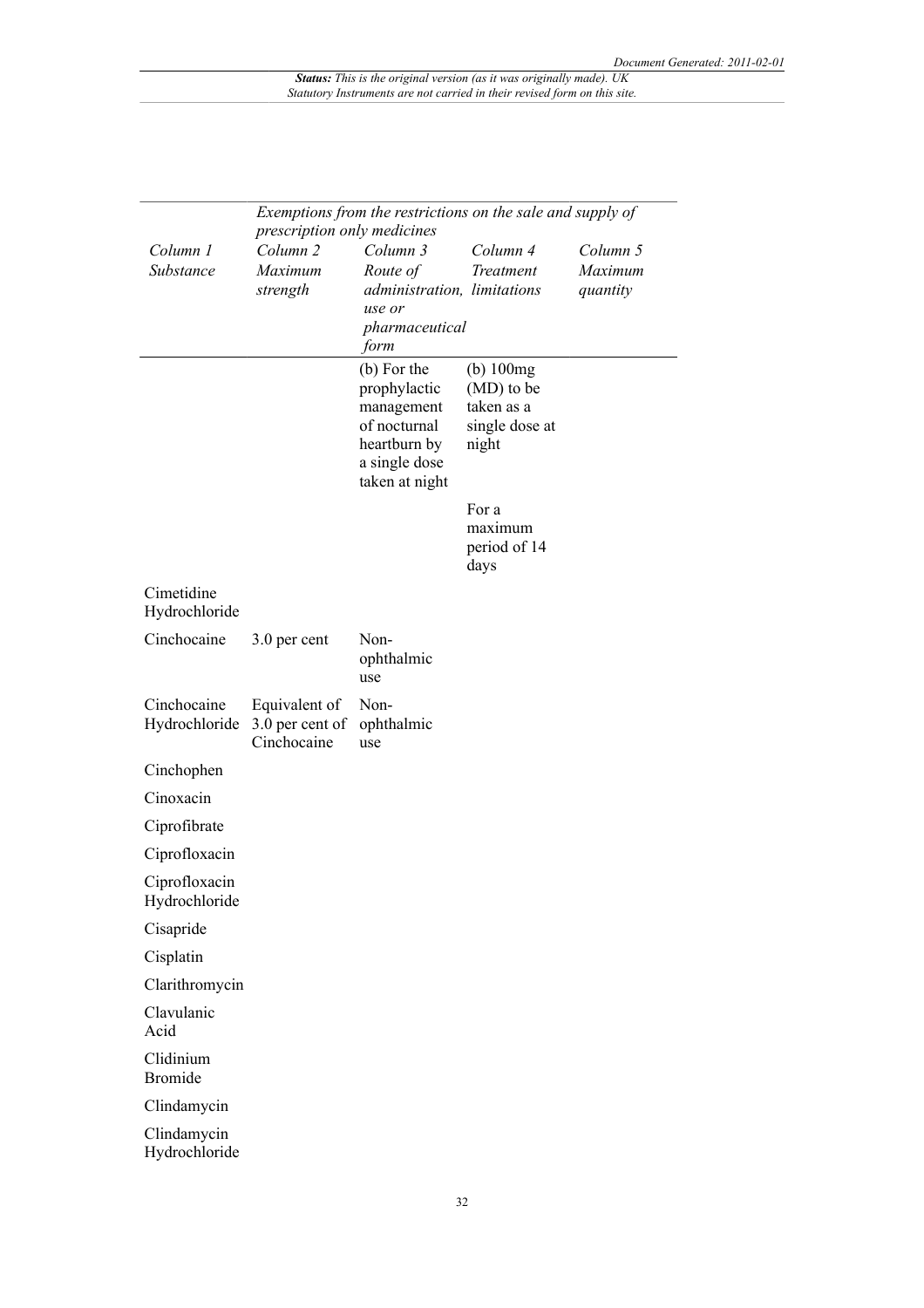|                                |                                                                           | Exemptions from the restrictions on the sale and supply of                                                   |                                                                       |                                 |
|--------------------------------|---------------------------------------------------------------------------|--------------------------------------------------------------------------------------------------------------|-----------------------------------------------------------------------|---------------------------------|
| Column 1<br>Substance          | prescription only medicines<br>Column <sub>2</sub><br>Maximum<br>strength | Column 3<br>Route of<br>administration, limitations<br>use or<br>pharmaceutical                              | Column 4<br>Treatment                                                 | Column 5<br>Maximum<br>quantity |
|                                |                                                                           | form                                                                                                         |                                                                       |                                 |
|                                |                                                                           | (b) For the<br>prophylactic<br>management<br>of nocturnal<br>heartburn by<br>a single dose<br>taken at night | $(b)$ 100 $mg$<br>(MD) to be<br>taken as a<br>single dose at<br>night |                                 |
|                                |                                                                           |                                                                                                              | For a<br>maximum<br>period of 14<br>days                              |                                 |
| Cimetidine                     |                                                                           |                                                                                                              |                                                                       |                                 |
| Hydrochloride                  |                                                                           |                                                                                                              |                                                                       |                                 |
| Cinchocaine                    | 3.0 per cent                                                              | Non-<br>ophthalmic<br>use                                                                                    |                                                                       |                                 |
| Cinchocaine<br>Hydrochloride   | Equivalent of<br>3.0 per cent of<br>Cinchocaine                           | Non-<br>ophthalmic<br>use                                                                                    |                                                                       |                                 |
| Cinchophen                     |                                                                           |                                                                                                              |                                                                       |                                 |
| Cinoxacin                      |                                                                           |                                                                                                              |                                                                       |                                 |
| Ciprofibrate                   |                                                                           |                                                                                                              |                                                                       |                                 |
| Ciprofloxacin                  |                                                                           |                                                                                                              |                                                                       |                                 |
| Ciprofloxacin<br>Hydrochloride |                                                                           |                                                                                                              |                                                                       |                                 |
| Cisapride                      |                                                                           |                                                                                                              |                                                                       |                                 |
| Cisplatin                      |                                                                           |                                                                                                              |                                                                       |                                 |
| Clarithromycin                 |                                                                           |                                                                                                              |                                                                       |                                 |
| Clavulanic<br>Acid             |                                                                           |                                                                                                              |                                                                       |                                 |
| Clidinium<br><b>Bromide</b>    |                                                                           |                                                                                                              |                                                                       |                                 |
| Clindamycin                    |                                                                           |                                                                                                              |                                                                       |                                 |
| Clindamycin<br>Hydrochloride   |                                                                           |                                                                                                              |                                                                       |                                 |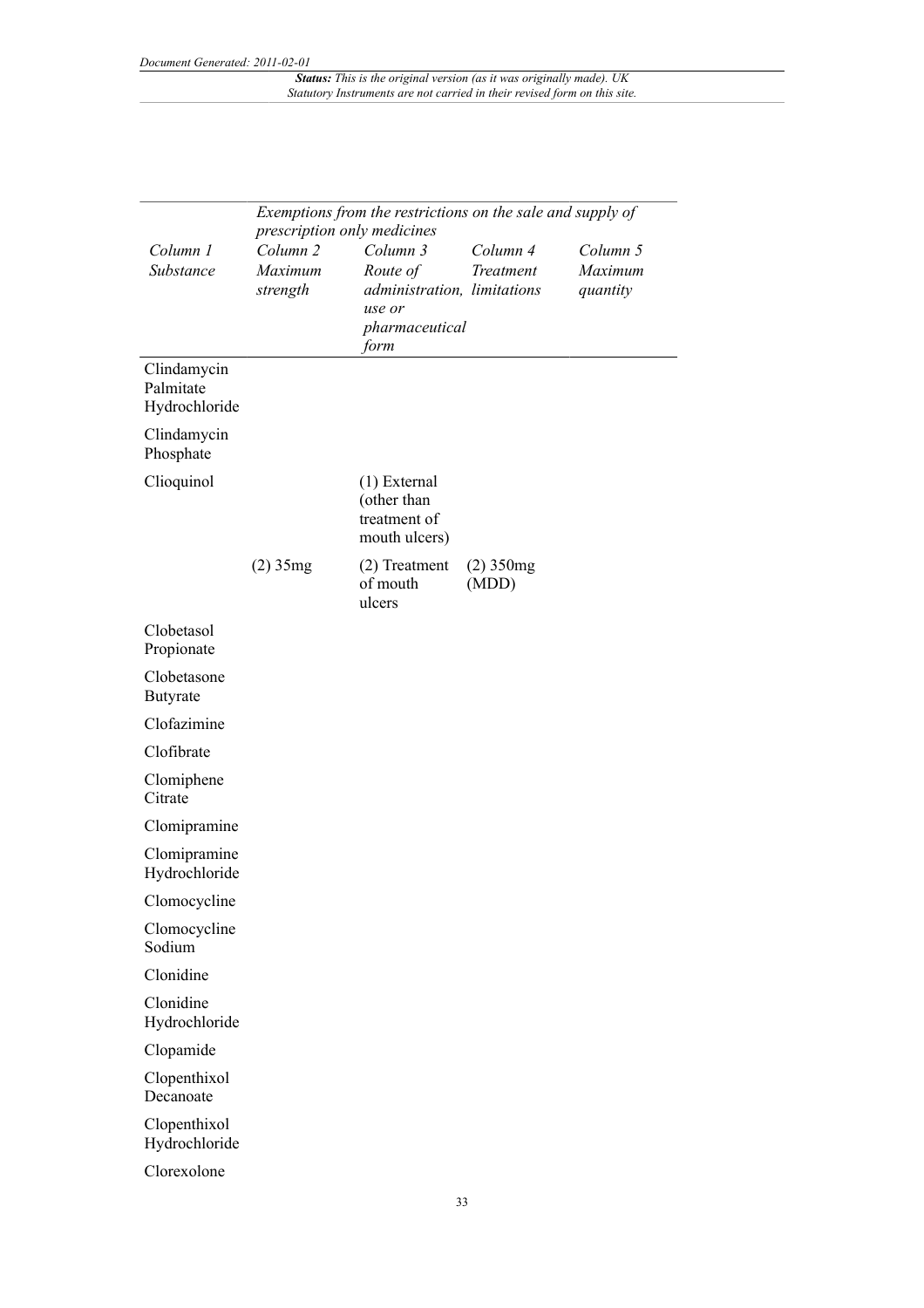| Exemptions from the restrictions on the sale and supply of<br>prescription only medicines |                                            |                                                                                         |                         |                                 |
|-------------------------------------------------------------------------------------------|--------------------------------------------|-----------------------------------------------------------------------------------------|-------------------------|---------------------------------|
| Column 1<br>Substance                                                                     | Column <sub>2</sub><br>Maximum<br>strength | Column 3<br>Route of<br>administration, limitations<br>use or<br>pharmaceutical<br>form | Column 4<br>Treatment   | Column 5<br>Maximum<br>quantity |
| Clindamycin<br>Palmitate<br>Hydrochloride                                                 |                                            |                                                                                         |                         |                                 |
| Clindamycin<br>Phosphate                                                                  |                                            |                                                                                         |                         |                                 |
| Clioquinol                                                                                |                                            | $(1)$ External<br>(other than<br>treatment of<br>mouth ulcers)                          |                         |                                 |
|                                                                                           | $(2)$ 35mg                                 | (2) Treatment<br>of mouth<br>ulcers                                                     | $(2)$ 350 $mg$<br>(MDD) |                                 |
| Clobetasol<br>Propionate                                                                  |                                            |                                                                                         |                         |                                 |
| Clobetasone<br><b>Butyrate</b>                                                            |                                            |                                                                                         |                         |                                 |
| Clofazimine                                                                               |                                            |                                                                                         |                         |                                 |
| Clofibrate                                                                                |                                            |                                                                                         |                         |                                 |
| Clomiphene<br>Citrate                                                                     |                                            |                                                                                         |                         |                                 |
| Clomipramine                                                                              |                                            |                                                                                         |                         |                                 |
| Clomipramine<br>Hydrochloride                                                             |                                            |                                                                                         |                         |                                 |
| Clomocycline                                                                              |                                            |                                                                                         |                         |                                 |
| Clomocycline<br>Sodium                                                                    |                                            |                                                                                         |                         |                                 |
| Clonidine                                                                                 |                                            |                                                                                         |                         |                                 |
| Clonidine<br>Hydrochloride                                                                |                                            |                                                                                         |                         |                                 |
| Clopamide                                                                                 |                                            |                                                                                         |                         |                                 |
| Clopenthixol<br>Decanoate                                                                 |                                            |                                                                                         |                         |                                 |
| Clopenthixol<br>Hydrochloride                                                             |                                            |                                                                                         |                         |                                 |
| Clorexolone                                                                               |                                            |                                                                                         |                         |                                 |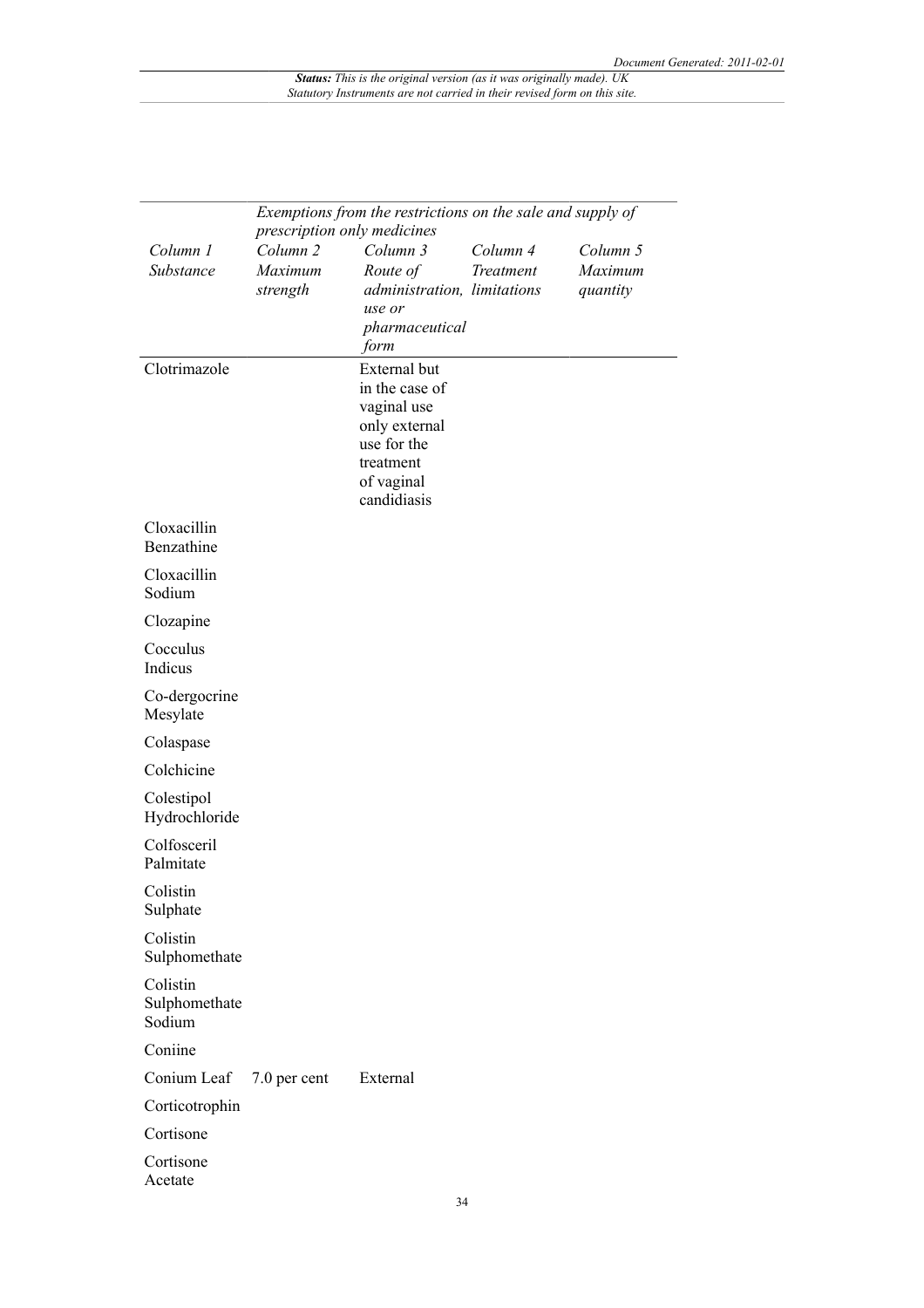| Exemptions from the restrictions on the sale and supply of<br>prescription only medicines |                                            |                                                                                                                         |                       |                                 |
|-------------------------------------------------------------------------------------------|--------------------------------------------|-------------------------------------------------------------------------------------------------------------------------|-----------------------|---------------------------------|
| Column 1<br>Substance                                                                     | Column <sub>2</sub><br>Maximum<br>strength | Column 3<br>Route of<br>administration, limitations<br>use or<br>pharmaceutical<br>form                                 | Column 4<br>Treatment | Column 5<br>Maximum<br>quantity |
| Clotrimazole                                                                              |                                            | External but<br>in the case of<br>vaginal use<br>only external<br>use for the<br>treatment<br>of vaginal<br>candidiasis |                       |                                 |
| Cloxacillin<br>Benzathine                                                                 |                                            |                                                                                                                         |                       |                                 |
| Cloxacillin<br>Sodium                                                                     |                                            |                                                                                                                         |                       |                                 |
| Clozapine                                                                                 |                                            |                                                                                                                         |                       |                                 |
| Cocculus<br>Indicus                                                                       |                                            |                                                                                                                         |                       |                                 |
| Co-dergocrine<br>Mesylate                                                                 |                                            |                                                                                                                         |                       |                                 |
| Colaspase                                                                                 |                                            |                                                                                                                         |                       |                                 |
| Colchicine                                                                                |                                            |                                                                                                                         |                       |                                 |
| Colestipol<br>Hydrochloride                                                               |                                            |                                                                                                                         |                       |                                 |
| Colfosceril<br>Palmitate                                                                  |                                            |                                                                                                                         |                       |                                 |
| Colistin<br>Sulphate                                                                      |                                            |                                                                                                                         |                       |                                 |
| Colistin<br>Sulphomethate                                                                 |                                            |                                                                                                                         |                       |                                 |
| Colistin<br>Sulphomethate<br>Sodium                                                       |                                            |                                                                                                                         |                       |                                 |
| Coniine                                                                                   |                                            |                                                                                                                         |                       |                                 |
| Conium Leaf                                                                               | 7.0 per cent                               | External                                                                                                                |                       |                                 |
| Corticotrophin                                                                            |                                            |                                                                                                                         |                       |                                 |
| Cortisone                                                                                 |                                            |                                                                                                                         |                       |                                 |
| Cortisone<br>Acetate                                                                      |                                            |                                                                                                                         |                       |                                 |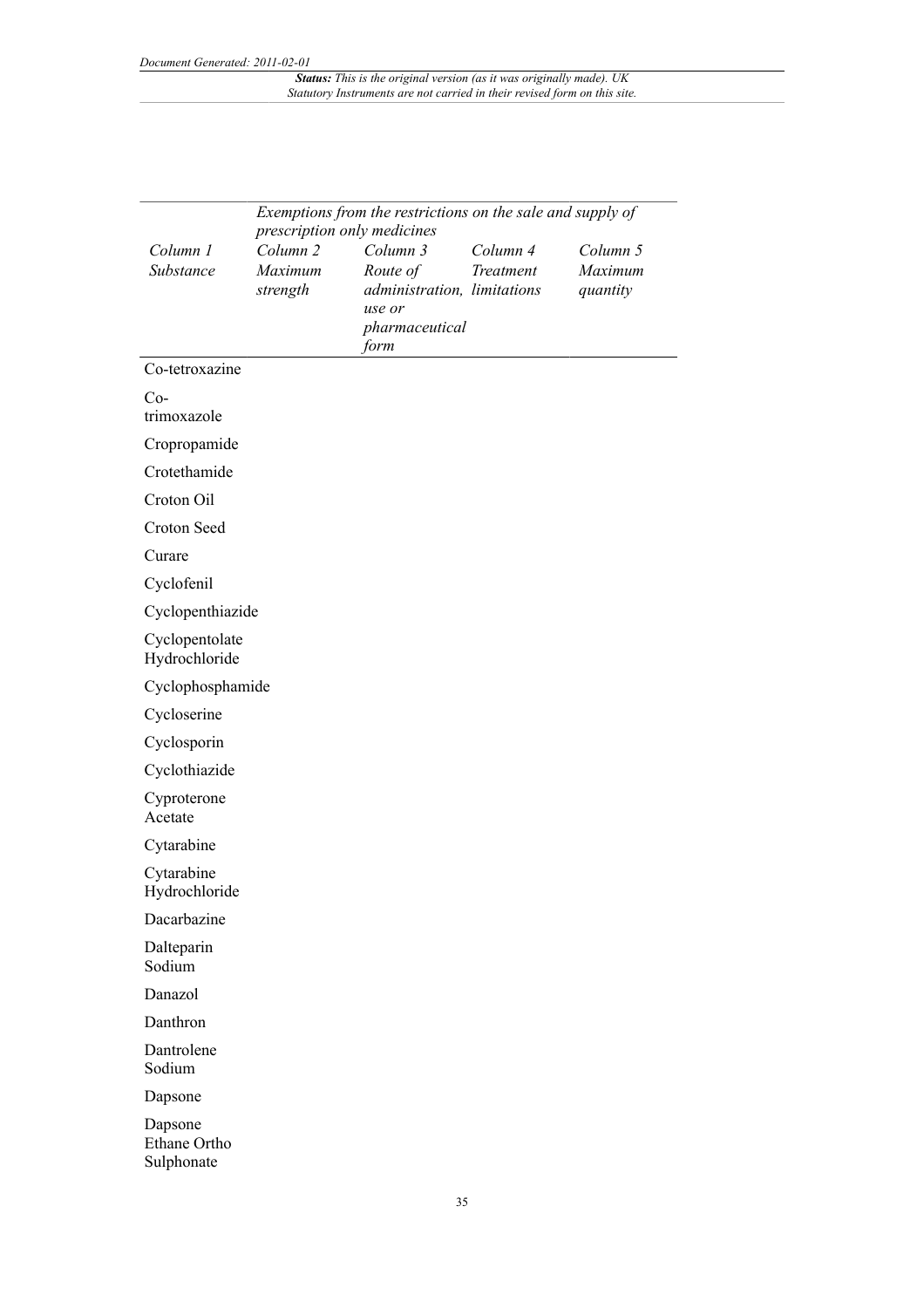|                                                                                        | Exemptions from the restrictions on the sale and supply of |                             |           |                     |  |
|----------------------------------------------------------------------------------------|------------------------------------------------------------|-----------------------------|-----------|---------------------|--|
| prescription only medicines<br>Column <sub>2</sub><br>Column 1<br>Column 3<br>Column 4 |                                                            |                             |           |                     |  |
| Substance                                                                              | Maximum                                                    | Route of                    | Treatment | Column 5<br>Maximum |  |
|                                                                                        | strength                                                   | administration, limitations |           | quantity            |  |
|                                                                                        |                                                            | use or                      |           |                     |  |
|                                                                                        |                                                            | pharmaceutical              |           |                     |  |
|                                                                                        |                                                            | form                        |           |                     |  |
| Co-tetroxazine                                                                         |                                                            |                             |           |                     |  |
| $Co-$                                                                                  |                                                            |                             |           |                     |  |
| trimoxazole                                                                            |                                                            |                             |           |                     |  |
| Cropropamide                                                                           |                                                            |                             |           |                     |  |
| Crotethamide                                                                           |                                                            |                             |           |                     |  |
| Croton Oil                                                                             |                                                            |                             |           |                     |  |
| Croton Seed                                                                            |                                                            |                             |           |                     |  |
| Curare                                                                                 |                                                            |                             |           |                     |  |
| Cyclofenil                                                                             |                                                            |                             |           |                     |  |
| Cyclopenthiazide                                                                       |                                                            |                             |           |                     |  |
| Cyclopentolate<br>Hydrochloride                                                        |                                                            |                             |           |                     |  |
| Cyclophosphamide                                                                       |                                                            |                             |           |                     |  |
| Cycloserine                                                                            |                                                            |                             |           |                     |  |
| Cyclosporin                                                                            |                                                            |                             |           |                     |  |
| Cyclothiazide                                                                          |                                                            |                             |           |                     |  |
| Cyproterone                                                                            |                                                            |                             |           |                     |  |
| Acetate                                                                                |                                                            |                             |           |                     |  |
| Cytarabine                                                                             |                                                            |                             |           |                     |  |
| Cytarabine<br>Hydrochloride                                                            |                                                            |                             |           |                     |  |
| Dacarbazine                                                                            |                                                            |                             |           |                     |  |
| Dalteparin<br>Sodium                                                                   |                                                            |                             |           |                     |  |
| Danazol                                                                                |                                                            |                             |           |                     |  |
| Danthron                                                                               |                                                            |                             |           |                     |  |
| Dantrolene                                                                             |                                                            |                             |           |                     |  |
| Sodium                                                                                 |                                                            |                             |           |                     |  |
| Dapsone                                                                                |                                                            |                             |           |                     |  |
| Dapsone                                                                                |                                                            |                             |           |                     |  |
| Ethane Ortho<br>Sulphonate                                                             |                                                            |                             |           |                     |  |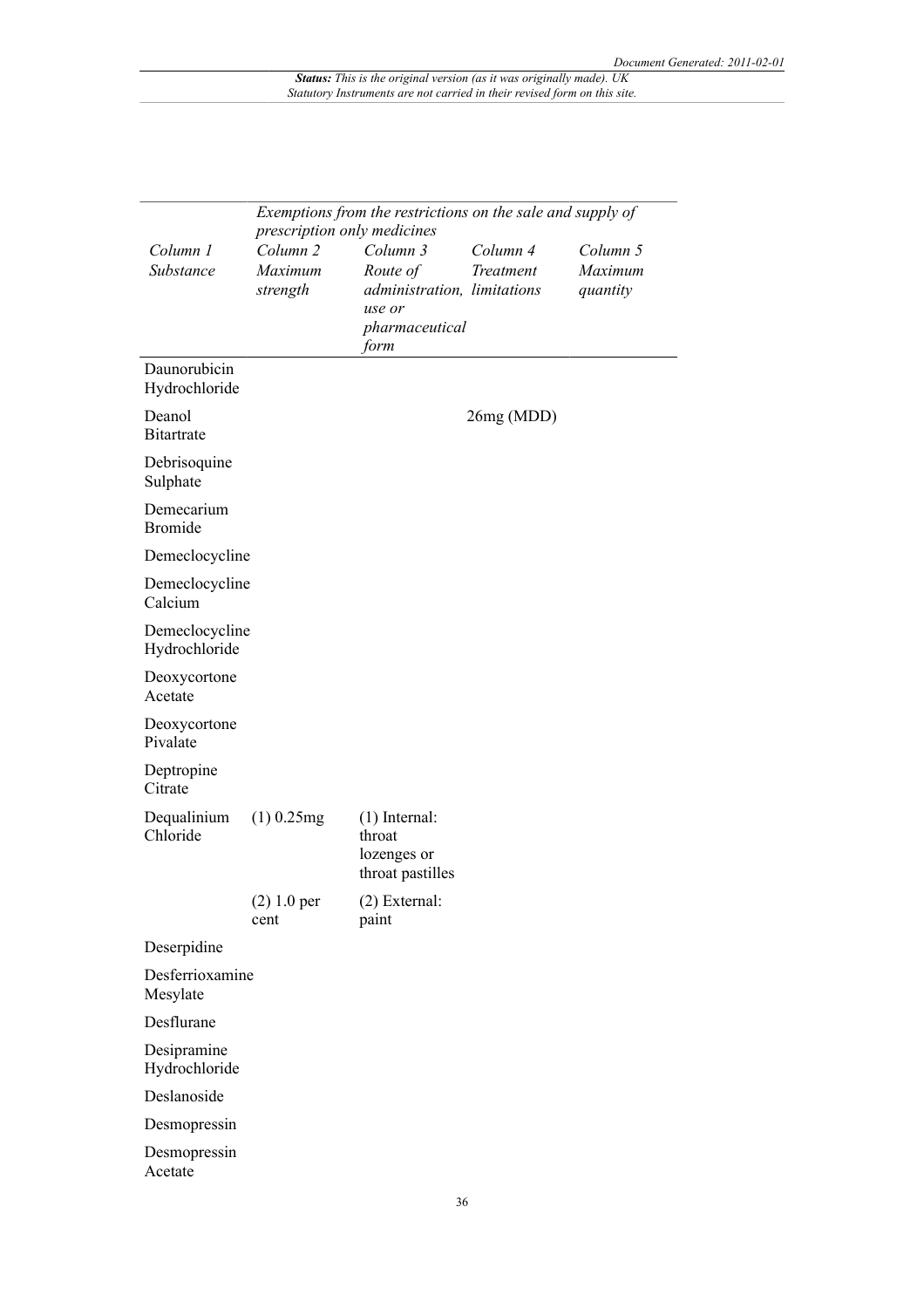|                                 | Exemptions from the restrictions on the sale and supply of<br>prescription only medicines |                                                                                         |                       |                                 |
|---------------------------------|-------------------------------------------------------------------------------------------|-----------------------------------------------------------------------------------------|-----------------------|---------------------------------|
| Column 1<br>Substance           | Column <sub>2</sub><br>Maximum<br>strength                                                | Column 3<br>Route of<br>administration, limitations<br>use or<br>pharmaceutical<br>form | Column 4<br>Treatment | Column 5<br>Maximum<br>quantity |
| Daunorubicin<br>Hydrochloride   |                                                                                           |                                                                                         |                       |                                 |
| Deanol<br><b>Bitartrate</b>     |                                                                                           |                                                                                         | 26mg (MDD)            |                                 |
| Debrisoquine<br>Sulphate        |                                                                                           |                                                                                         |                       |                                 |
| Demecarium<br><b>Bromide</b>    |                                                                                           |                                                                                         |                       |                                 |
| Demeclocycline                  |                                                                                           |                                                                                         |                       |                                 |
| Demeclocycline<br>Calcium       |                                                                                           |                                                                                         |                       |                                 |
| Demeclocycline<br>Hydrochloride |                                                                                           |                                                                                         |                       |                                 |
| Deoxycortone<br>Acetate         |                                                                                           |                                                                                         |                       |                                 |
| Deoxycortone<br>Pivalate        |                                                                                           |                                                                                         |                       |                                 |
| Deptropine<br>Citrate           |                                                                                           |                                                                                         |                       |                                 |
| Dequalinium<br>Chloride         | $(1)$ 0.25mg                                                                              | $(1)$ Internal:<br>throat<br>lozenges or<br>throat pastilles                            |                       |                                 |
|                                 | $(2) 1.0$ per<br>cent                                                                     | $(2)$ External:<br>paint                                                                |                       |                                 |
| Deserpidine                     |                                                                                           |                                                                                         |                       |                                 |
| Desferrioxamine<br>Mesylate     |                                                                                           |                                                                                         |                       |                                 |
| Desflurane                      |                                                                                           |                                                                                         |                       |                                 |
| Desipramine<br>Hydrochloride    |                                                                                           |                                                                                         |                       |                                 |
| Deslanoside                     |                                                                                           |                                                                                         |                       |                                 |
| Desmopressin                    |                                                                                           |                                                                                         |                       |                                 |
| Desmopressin<br>Acetate         |                                                                                           |                                                                                         |                       |                                 |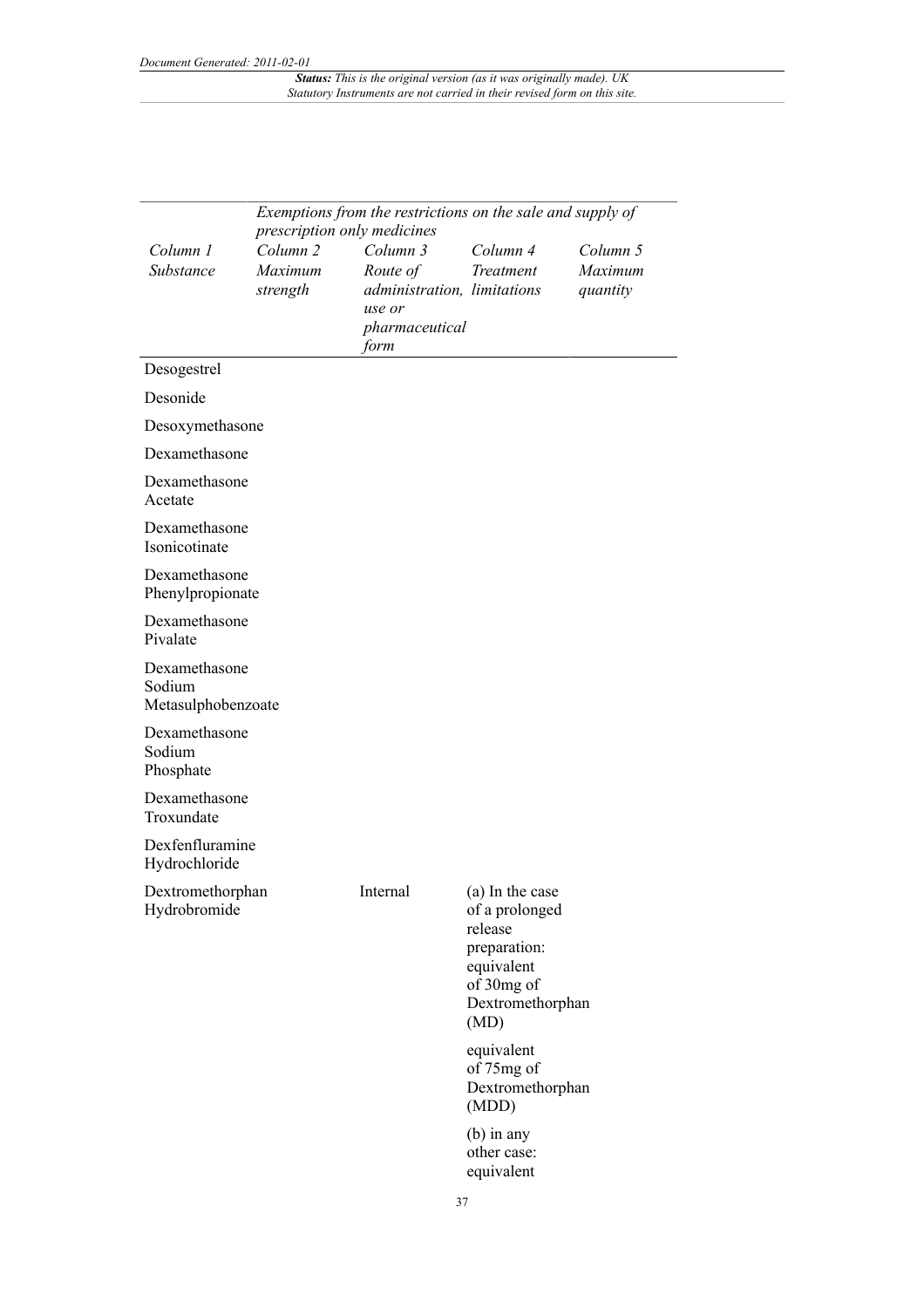| Exemptions from the restrictions on the sale and supply of<br>prescription only medicines |                                            |                                                                                         |                                                                                                                      |                                 |
|-------------------------------------------------------------------------------------------|--------------------------------------------|-----------------------------------------------------------------------------------------|----------------------------------------------------------------------------------------------------------------------|---------------------------------|
| Column 1<br>Substance                                                                     | Column <sub>2</sub><br>Maximum<br>strength | Column 3<br>Route of<br>administration, limitations<br>use or<br>pharmaceutical<br>form | Column 4<br>Treatment                                                                                                | Column 5<br>Maximum<br>quantity |
| Desogestrel                                                                               |                                            |                                                                                         |                                                                                                                      |                                 |
| Desonide                                                                                  |                                            |                                                                                         |                                                                                                                      |                                 |
| Desoxymethasone                                                                           |                                            |                                                                                         |                                                                                                                      |                                 |
| Dexamethasone                                                                             |                                            |                                                                                         |                                                                                                                      |                                 |
| Dexamethasone<br>Acetate                                                                  |                                            |                                                                                         |                                                                                                                      |                                 |
| Dexamethasone<br>Isonicotinate                                                            |                                            |                                                                                         |                                                                                                                      |                                 |
| Dexamethasone<br>Phenylpropionate                                                         |                                            |                                                                                         |                                                                                                                      |                                 |
| Dexamethasone<br>Pivalate                                                                 |                                            |                                                                                         |                                                                                                                      |                                 |
| Dexamethasone<br>Sodium<br>Metasulphobenzoate                                             |                                            |                                                                                         |                                                                                                                      |                                 |
| Dexamethasone<br>Sodium<br>Phosphate                                                      |                                            |                                                                                         |                                                                                                                      |                                 |
| Dexamethasone<br>Troxundate                                                               |                                            |                                                                                         |                                                                                                                      |                                 |
| Dexfenfluramine<br>Hydrochloride                                                          |                                            |                                                                                         |                                                                                                                      |                                 |
| Dextromethorphan<br>Hydrobromide                                                          |                                            | Internal                                                                                | (a) In the case<br>of a prolonged<br>release<br>preparation:<br>equivalent<br>of 30mg of<br>Dextromethorphan<br>(MD) |                                 |
|                                                                                           |                                            |                                                                                         | equivalent<br>of 75mg of<br>Dextromethorphan<br>(MDD)                                                                |                                 |
|                                                                                           |                                            |                                                                                         | $(b)$ in any<br>other case:<br>equivalent                                                                            |                                 |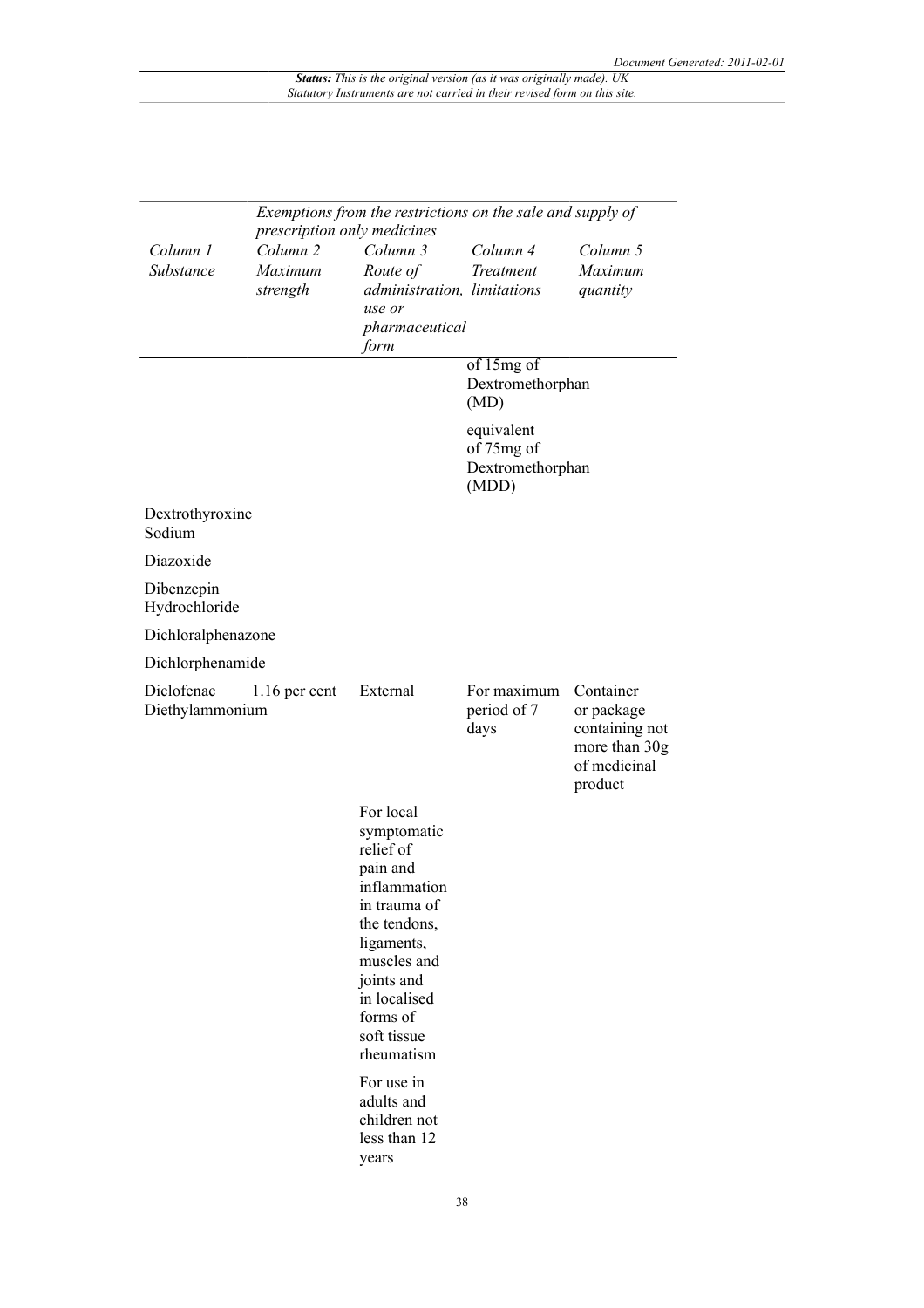| Exemptions from the restrictions on the sale and supply of<br>prescription only medicines |                                            |                                                                                                                                                                                                       |                                                                                                 |                                                                                       |
|-------------------------------------------------------------------------------------------|--------------------------------------------|-------------------------------------------------------------------------------------------------------------------------------------------------------------------------------------------------------|-------------------------------------------------------------------------------------------------|---------------------------------------------------------------------------------------|
| Column 1<br>Substance                                                                     | Column <sub>2</sub><br>Maximum<br>strength | Column 3<br>Route of<br>administration, limitations<br>use or<br>pharmaceutical<br>form                                                                                                               | Column 4<br>Treatment                                                                           | Column 5<br>Maximum<br>quantity                                                       |
|                                                                                           |                                            |                                                                                                                                                                                                       | of 15mg of<br>Dextromethorphan<br>(MD)<br>equivalent<br>of 75mg of<br>Dextromethorphan<br>(MDD) |                                                                                       |
| Dextrothyroxine<br>Sodium                                                                 |                                            |                                                                                                                                                                                                       |                                                                                                 |                                                                                       |
| Diazoxide                                                                                 |                                            |                                                                                                                                                                                                       |                                                                                                 |                                                                                       |
| Dibenzepin<br>Hydrochloride                                                               |                                            |                                                                                                                                                                                                       |                                                                                                 |                                                                                       |
| Dichloralphenazone                                                                        |                                            |                                                                                                                                                                                                       |                                                                                                 |                                                                                       |
| Dichlorphenamide                                                                          |                                            |                                                                                                                                                                                                       |                                                                                                 |                                                                                       |
| Diclofenac<br>Diethylammonium                                                             | $1.16$ per cent                            | External                                                                                                                                                                                              | For maximum<br>period of 7<br>days                                                              | Container<br>or package<br>containing not<br>more than 30g<br>of medicinal<br>product |
|                                                                                           |                                            | For local<br>symptomatic<br>relief of<br>pain and<br>inflammation<br>in trauma of<br>the tendons,<br>ligaments,<br>muscles and<br>joints and<br>in localised<br>forms of<br>soft tissue<br>rheumatism |                                                                                                 |                                                                                       |
|                                                                                           |                                            | For use in<br>adults and<br>children not<br>less than 12<br>years                                                                                                                                     |                                                                                                 |                                                                                       |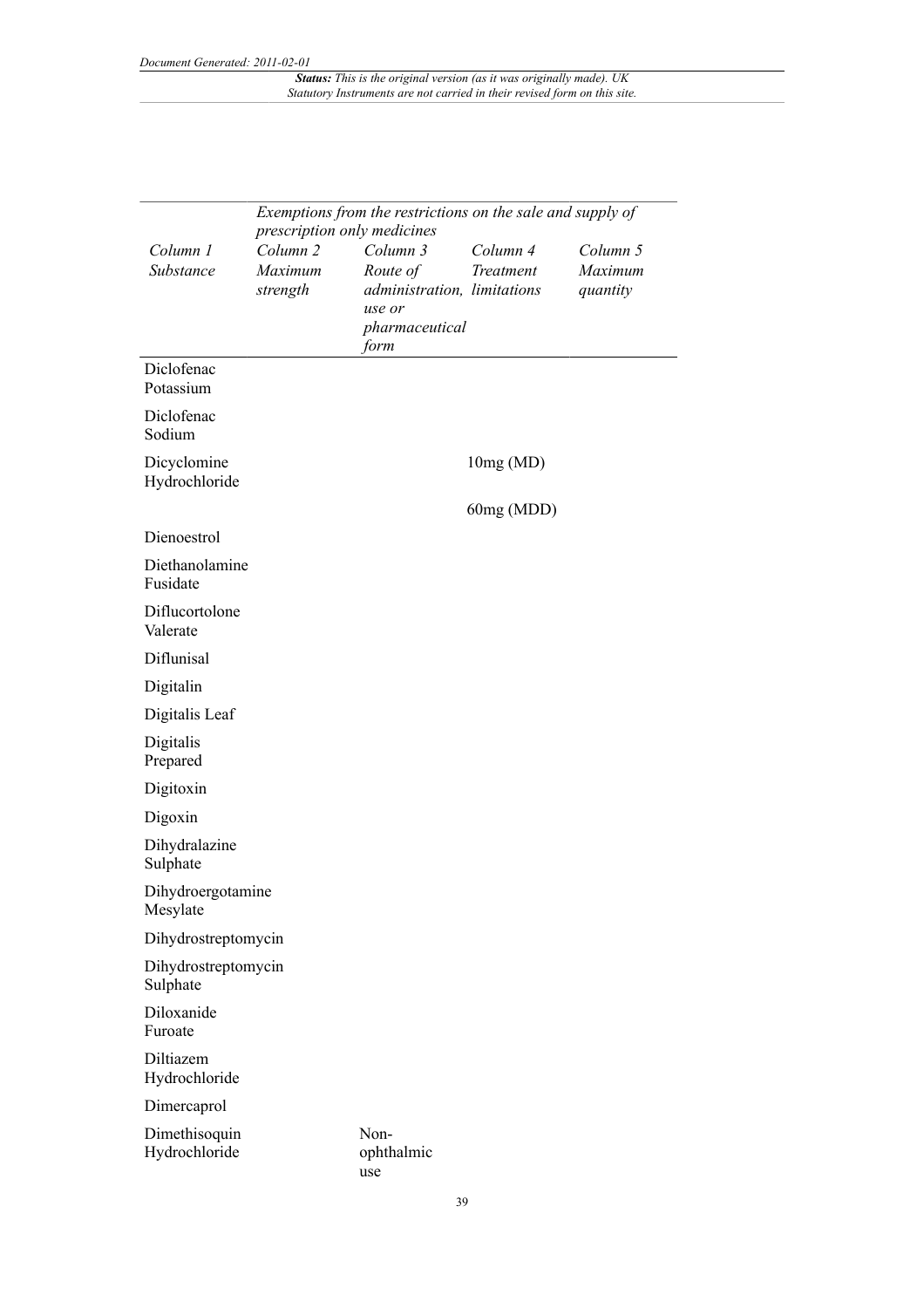|                                 |                                            | Exemptions from the restrictions on the sale and supply of<br>prescription only medicines |                       |                                 |
|---------------------------------|--------------------------------------------|-------------------------------------------------------------------------------------------|-----------------------|---------------------------------|
| Column 1<br>Substance           | Column <sub>2</sub><br>Maximum<br>strength | Column 3<br>Route of<br>administration, limitations<br>use or<br>pharmaceutical<br>form   | Column 4<br>Treatment | Column 5<br>Maximum<br>quantity |
| Diclofenac<br>Potassium         |                                            |                                                                                           |                       |                                 |
| Diclofenac<br>Sodium            |                                            |                                                                                           |                       |                                 |
| Dicyclomine<br>Hydrochloride    |                                            |                                                                                           | 10mg(MD)              |                                 |
|                                 |                                            |                                                                                           | 60mg (MDD)            |                                 |
| Dienoestrol                     |                                            |                                                                                           |                       |                                 |
| Diethanolamine<br>Fusidate      |                                            |                                                                                           |                       |                                 |
| Diflucortolone<br>Valerate      |                                            |                                                                                           |                       |                                 |
| Diflunisal                      |                                            |                                                                                           |                       |                                 |
| Digitalin                       |                                            |                                                                                           |                       |                                 |
| Digitalis Leaf                  |                                            |                                                                                           |                       |                                 |
| Digitalis<br>Prepared           |                                            |                                                                                           |                       |                                 |
| Digitoxin                       |                                            |                                                                                           |                       |                                 |
| Digoxin                         |                                            |                                                                                           |                       |                                 |
| Dihydralazine<br>Sulphate       |                                            |                                                                                           |                       |                                 |
| Dihydroergotamine<br>Mesylate   |                                            |                                                                                           |                       |                                 |
| Dihydrostreptomycin             |                                            |                                                                                           |                       |                                 |
| Dihydrostreptomycin<br>Sulphate |                                            |                                                                                           |                       |                                 |
| Diloxanide<br>Furoate           |                                            |                                                                                           |                       |                                 |
| Diltiazem<br>Hydrochloride      |                                            |                                                                                           |                       |                                 |
| Dimercaprol                     |                                            |                                                                                           |                       |                                 |
| Dimethisoquin<br>Hydrochloride  |                                            | Non-<br>ophthalmic<br>use                                                                 |                       |                                 |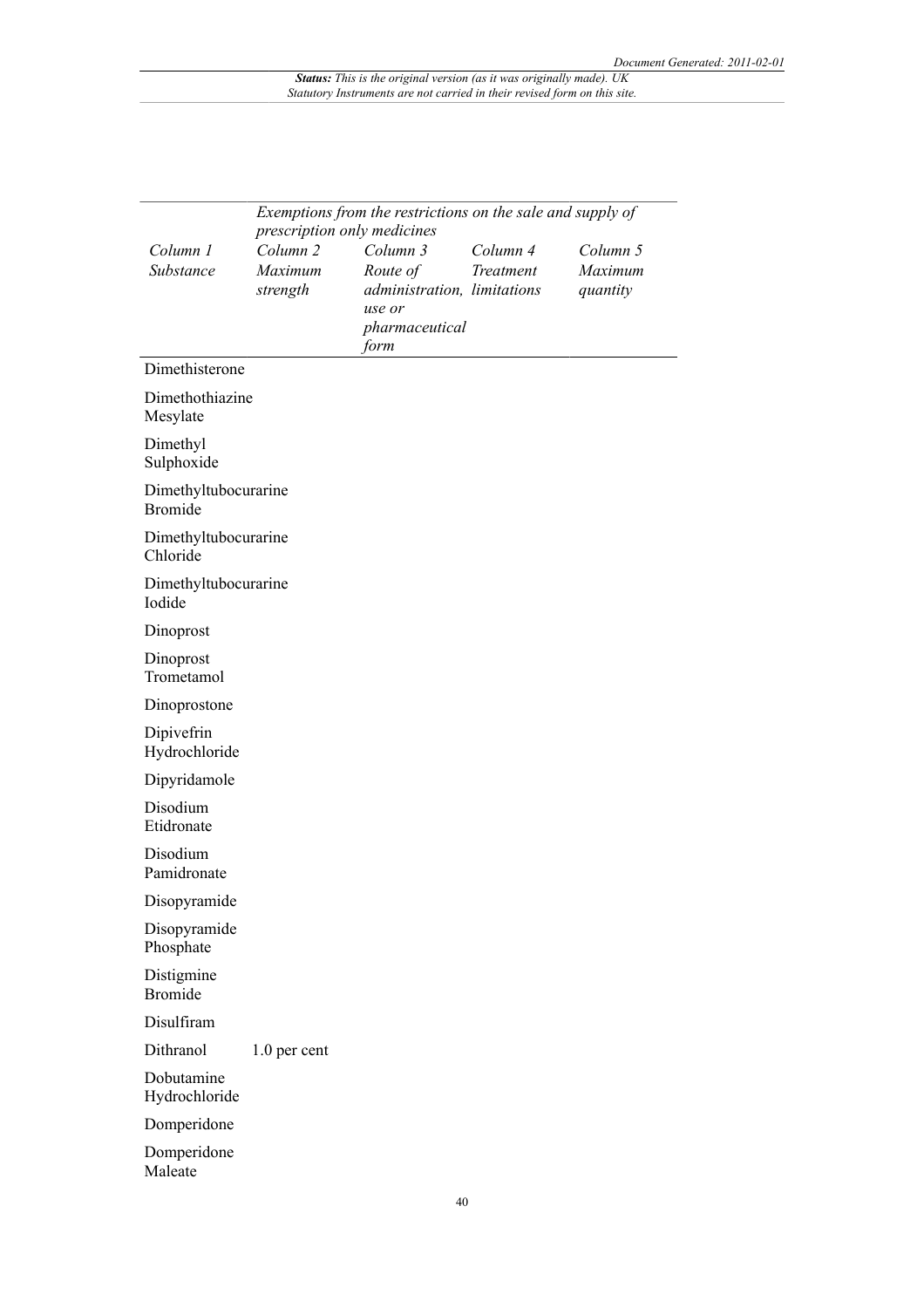|                                        |                                            | Exemptions from the restrictions on the sale and supply of<br>prescription only medicines |                       |                                 |
|----------------------------------------|--------------------------------------------|-------------------------------------------------------------------------------------------|-----------------------|---------------------------------|
| Column 1<br>Substance                  | Column <sub>2</sub><br>Maximum<br>strength | Column 3<br>Route of<br>administration, limitations<br>use or<br>pharmaceutical<br>form   | Column 4<br>Treatment | Column 5<br>Maximum<br>quantity |
| Dimethisterone                         |                                            |                                                                                           |                       |                                 |
| Dimethothiazine<br>Mesylate            |                                            |                                                                                           |                       |                                 |
| Dimethyl<br>Sulphoxide                 |                                            |                                                                                           |                       |                                 |
| Dimethyltubocurarine<br><b>Bromide</b> |                                            |                                                                                           |                       |                                 |
| Dimethyltubocurarine<br>Chloride       |                                            |                                                                                           |                       |                                 |
| Dimethyltubocurarine<br>Iodide         |                                            |                                                                                           |                       |                                 |
| Dinoprost                              |                                            |                                                                                           |                       |                                 |
| Dinoprost<br>Trometamol                |                                            |                                                                                           |                       |                                 |
| Dinoprostone                           |                                            |                                                                                           |                       |                                 |
| Dipivefrin<br>Hydrochloride            |                                            |                                                                                           |                       |                                 |
| Dipyridamole                           |                                            |                                                                                           |                       |                                 |
| Disodium<br>Etidronate                 |                                            |                                                                                           |                       |                                 |
| Disodium<br>Pamidronate                |                                            |                                                                                           |                       |                                 |
| Disopyramide                           |                                            |                                                                                           |                       |                                 |
| Disopyramide<br>Phosphate              |                                            |                                                                                           |                       |                                 |
| Distigmine<br><b>Bromide</b>           |                                            |                                                                                           |                       |                                 |
| Disulfiram                             |                                            |                                                                                           |                       |                                 |
| Dithranol                              | 1.0 per cent                               |                                                                                           |                       |                                 |
| Dobutamine<br>Hydrochloride            |                                            |                                                                                           |                       |                                 |
| Domperidone                            |                                            |                                                                                           |                       |                                 |
| Domperidone<br>Maleate                 |                                            |                                                                                           |                       |                                 |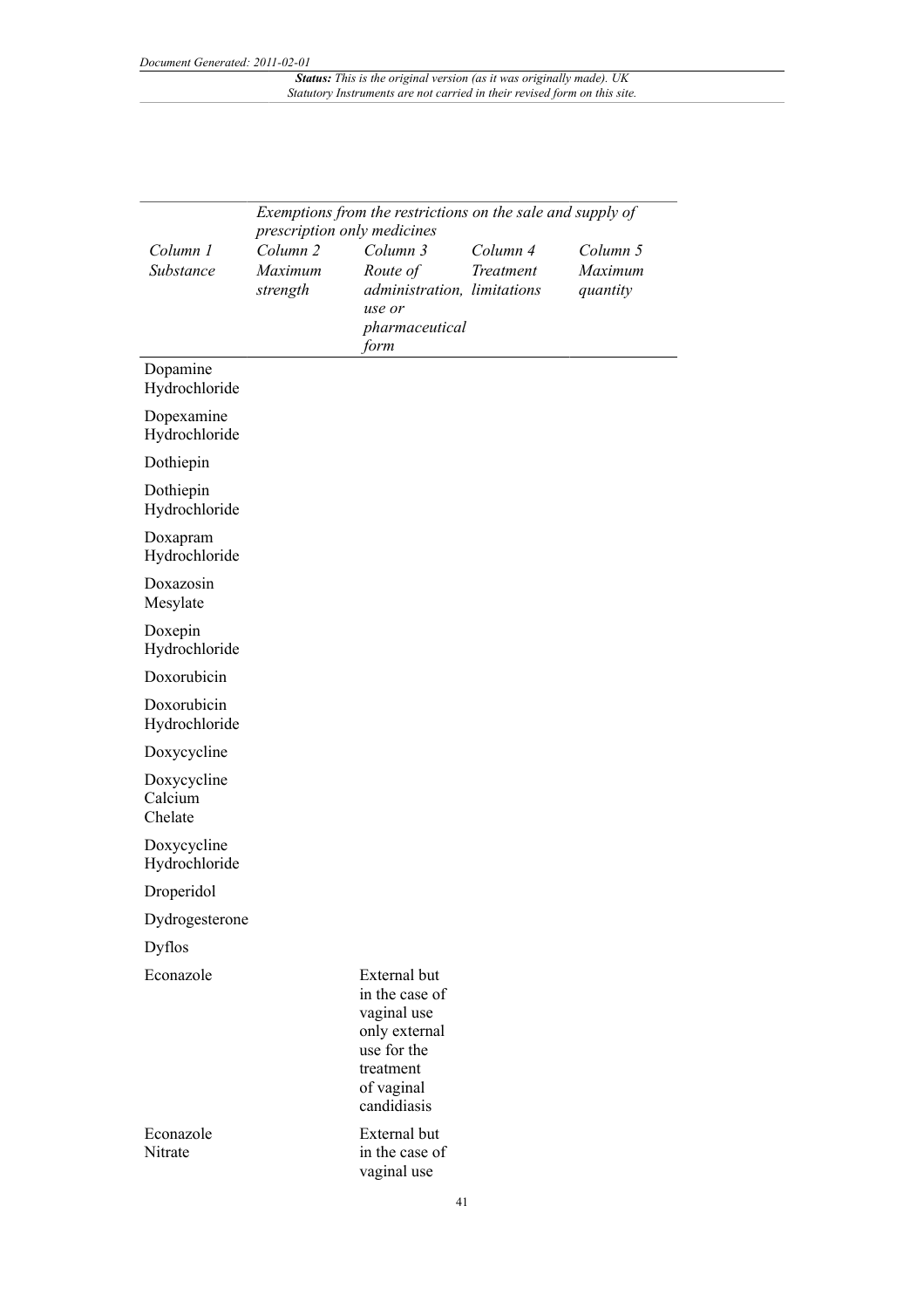|                                   | prescription only medicines                | Exemptions from the restrictions on the sale and supply of                                                              |                       |                                 |
|-----------------------------------|--------------------------------------------|-------------------------------------------------------------------------------------------------------------------------|-----------------------|---------------------------------|
| Column 1<br>Substance             | Column <sub>2</sub><br>Maximum<br>strength | Column 3<br>Route of<br>administration, limitations<br>use or<br>pharmaceutical<br>form                                 | Column 4<br>Treatment | Column 5<br>Maximum<br>quantity |
| Dopamine<br>Hydrochloride         |                                            |                                                                                                                         |                       |                                 |
| Dopexamine<br>Hydrochloride       |                                            |                                                                                                                         |                       |                                 |
| Dothiepin                         |                                            |                                                                                                                         |                       |                                 |
| Dothiepin<br>Hydrochloride        |                                            |                                                                                                                         |                       |                                 |
| Doxapram<br>Hydrochloride         |                                            |                                                                                                                         |                       |                                 |
| Doxazosin<br>Mesylate             |                                            |                                                                                                                         |                       |                                 |
| Doxepin<br>Hydrochloride          |                                            |                                                                                                                         |                       |                                 |
| Doxorubicin                       |                                            |                                                                                                                         |                       |                                 |
| Doxorubicin<br>Hydrochloride      |                                            |                                                                                                                         |                       |                                 |
| Doxycycline                       |                                            |                                                                                                                         |                       |                                 |
| Doxycycline<br>Calcium<br>Chelate |                                            |                                                                                                                         |                       |                                 |
| Doxycycline<br>Hydrochloride      |                                            |                                                                                                                         |                       |                                 |
| Droperidol                        |                                            |                                                                                                                         |                       |                                 |
| Dydrogesterone                    |                                            |                                                                                                                         |                       |                                 |
| <b>Dyflos</b>                     |                                            |                                                                                                                         |                       |                                 |
| Econazole                         |                                            | External but<br>in the case of<br>vaginal use<br>only external<br>use for the<br>treatment<br>of vaginal<br>candidiasis |                       |                                 |
| Econazole<br>Nitrate              |                                            | External but<br>in the case of<br>vaginal use                                                                           |                       |                                 |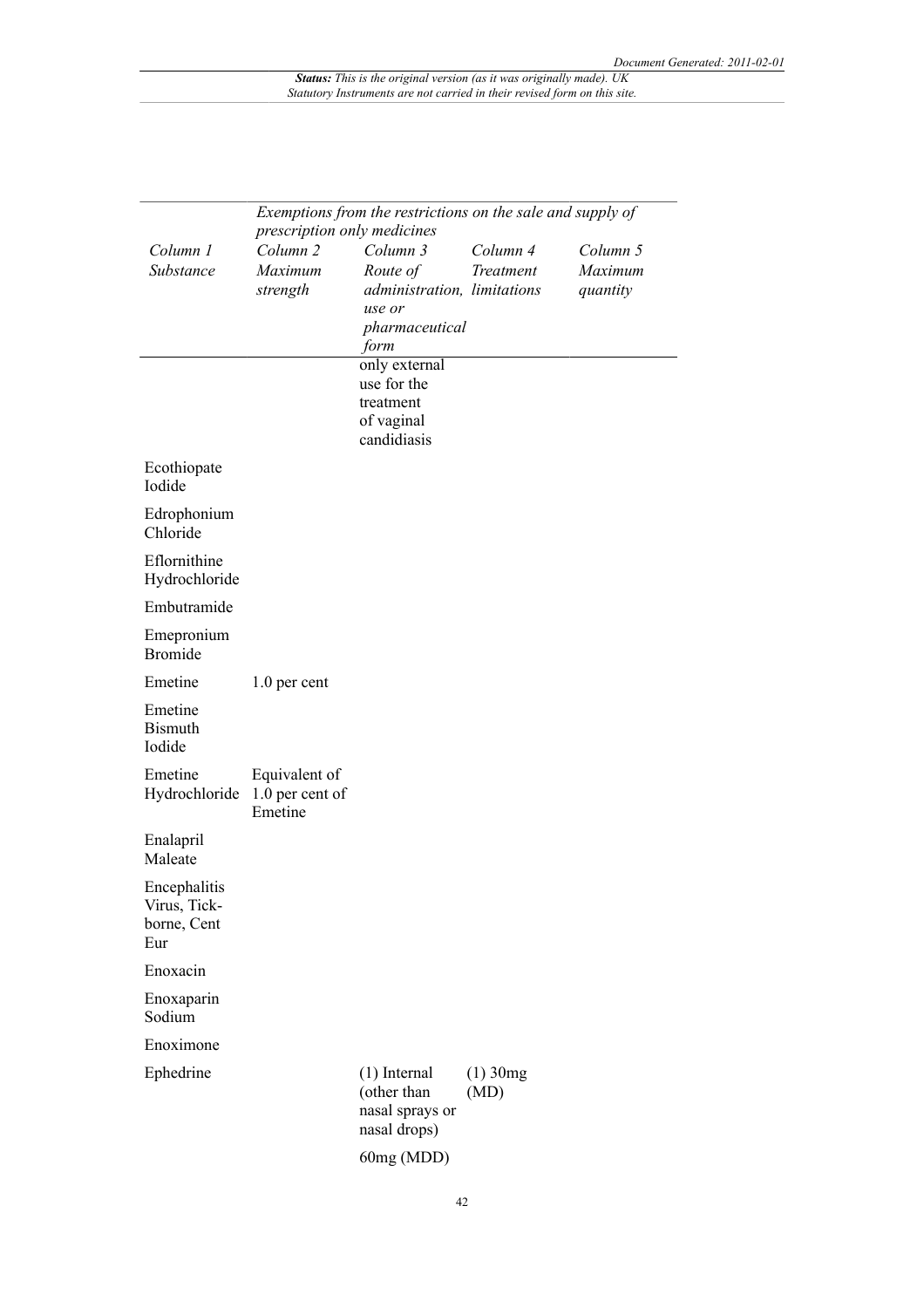|                                                    | Exemptions from the restrictions on the sale and supply of<br>prescription only medicines |                                                                                         |                       |                                 |
|----------------------------------------------------|-------------------------------------------------------------------------------------------|-----------------------------------------------------------------------------------------|-----------------------|---------------------------------|
| Column 1<br>Substance                              | Column <sub>2</sub><br>Maximum<br>strength                                                | Column 3<br>Route of<br>administration, limitations<br>use or<br>pharmaceutical<br>form | Column 4<br>Treatment | Column 5<br>Maximum<br>quantity |
|                                                    |                                                                                           | only external<br>use for the<br>treatment<br>of vaginal<br>candidiasis                  |                       |                                 |
| Ecothiopate<br>Iodide                              |                                                                                           |                                                                                         |                       |                                 |
| Edrophonium<br>Chloride                            |                                                                                           |                                                                                         |                       |                                 |
| Eflornithine<br>Hydrochloride                      |                                                                                           |                                                                                         |                       |                                 |
| Embutramide                                        |                                                                                           |                                                                                         |                       |                                 |
| Emepronium<br><b>Bromide</b>                       |                                                                                           |                                                                                         |                       |                                 |
| Emetine                                            | 1.0 per cent                                                                              |                                                                                         |                       |                                 |
| Emetine<br><b>Bismuth</b><br>Iodide                |                                                                                           |                                                                                         |                       |                                 |
| Emetine<br>Hydrochloride                           | Equivalent of<br>1.0 per cent of<br>Emetine                                               |                                                                                         |                       |                                 |
| Enalapril<br>Maleate                               |                                                                                           |                                                                                         |                       |                                 |
| Encephalitis<br>Virus, Tick-<br>borne, Cent<br>Eur |                                                                                           |                                                                                         |                       |                                 |
| Enoxacin                                           |                                                                                           |                                                                                         |                       |                                 |
| Enoxaparin<br>Sodium                               |                                                                                           |                                                                                         |                       |                                 |
| Enoximone                                          |                                                                                           |                                                                                         |                       |                                 |
| Ephedrine                                          |                                                                                           | $(1)$ Internal<br>(other than<br>nasal sprays or<br>nasal drops)                        | $(1)$ 30 $mg$<br>(MD) |                                 |
|                                                    |                                                                                           | 60mg (MDD)                                                                              |                       |                                 |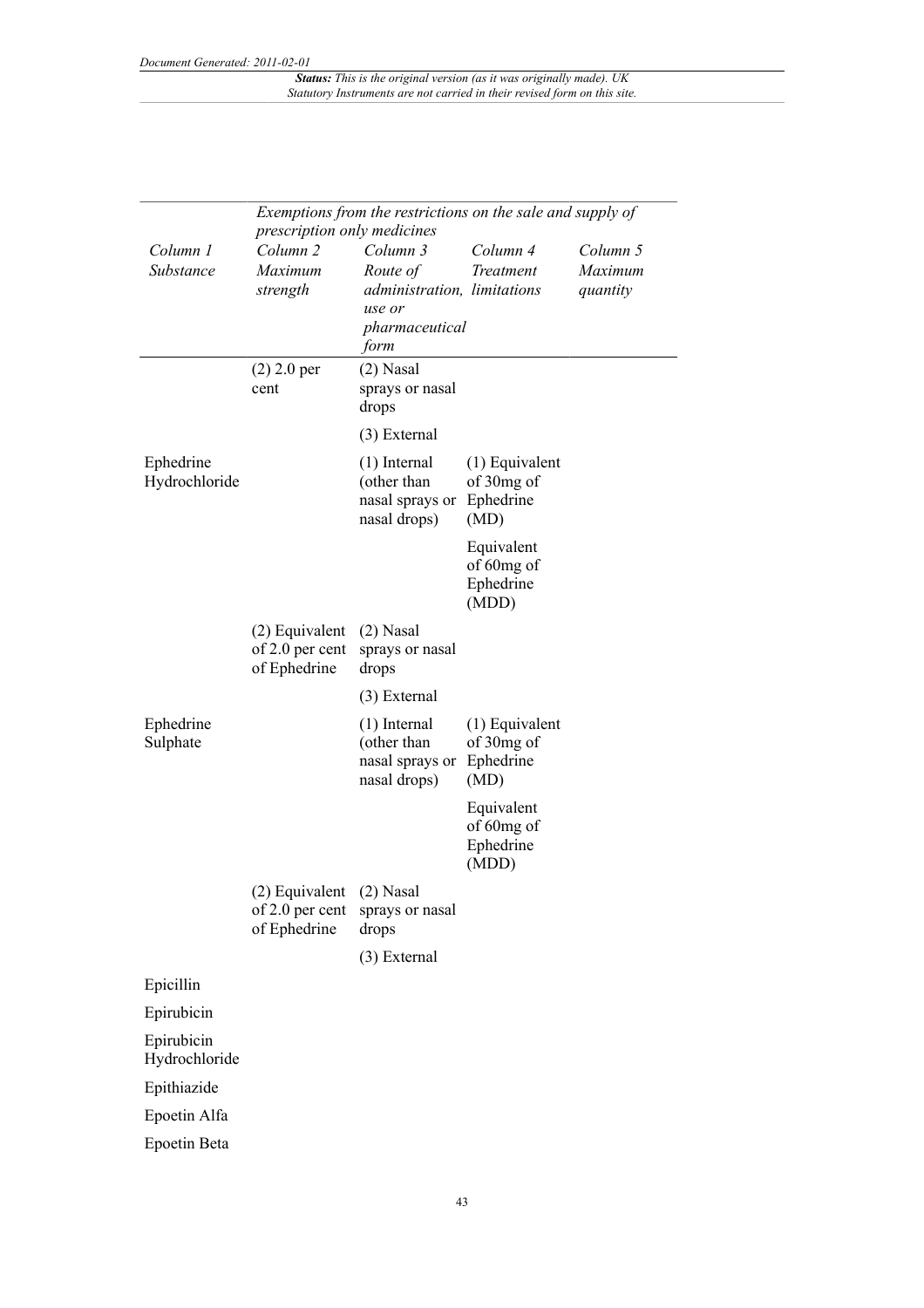| Exemptions from the restrictions on the sale and supply of<br>prescription only medicines |                                                             |                                                                                         |                                                     |                                 |
|-------------------------------------------------------------------------------------------|-------------------------------------------------------------|-----------------------------------------------------------------------------------------|-----------------------------------------------------|---------------------------------|
| Column 1<br>Substance                                                                     | Column <sub>2</sub><br>Maximum<br>strength                  | Column 3<br>Route of<br>administration, limitations<br>use or<br>pharmaceutical<br>form | Column 4<br><b>Treatment</b>                        | Column 5<br>Maximum<br>quantity |
|                                                                                           | $(2)$ 2.0 per<br>cent                                       | $(2)$ Nasal<br>sprays or nasal<br>drops                                                 |                                                     |                                 |
|                                                                                           |                                                             | (3) External                                                                            |                                                     |                                 |
| Ephedrine<br>Hydrochloride                                                                |                                                             | $(1)$ Internal<br>(other than<br>nasal sprays or Ephedrine<br>nasal drops)              | $(1)$ Equivalent<br>of 30mg of<br>(MD)              |                                 |
|                                                                                           |                                                             |                                                                                         | Equivalent<br>of 60mg of<br>Ephedrine<br>(MDD)      |                                 |
|                                                                                           | (2) Equivalent<br>of 2.0 per cent<br>of Ephedrine           | $(2)$ Nasal<br>sprays or nasal<br>drops                                                 |                                                     |                                 |
|                                                                                           |                                                             | (3) External                                                                            |                                                     |                                 |
| Ephedrine<br>Sulphate                                                                     |                                                             | $(1)$ Internal<br>(other than<br>nasal sprays or<br>nasal drops)                        | $(1)$ Equivalent<br>of 30mg of<br>Ephedrine<br>(MD) |                                 |
|                                                                                           |                                                             |                                                                                         | Equivalent<br>of 60mg of<br>Ephedrine<br>(MDD)      |                                 |
|                                                                                           | (2) Equivalent (2) Nasal<br>of 2.0 per cent<br>of Ephedrine | sprays or nasal<br>drops                                                                |                                                     |                                 |
|                                                                                           |                                                             | (3) External                                                                            |                                                     |                                 |
| Epicillin                                                                                 |                                                             |                                                                                         |                                                     |                                 |
| Epirubicin                                                                                |                                                             |                                                                                         |                                                     |                                 |
| Epirubicin<br>Hydrochloride                                                               |                                                             |                                                                                         |                                                     |                                 |
| Epithiazide                                                                               |                                                             |                                                                                         |                                                     |                                 |
| Epoetin Alfa                                                                              |                                                             |                                                                                         |                                                     |                                 |
| Epoetin Beta                                                                              |                                                             |                                                                                         |                                                     |                                 |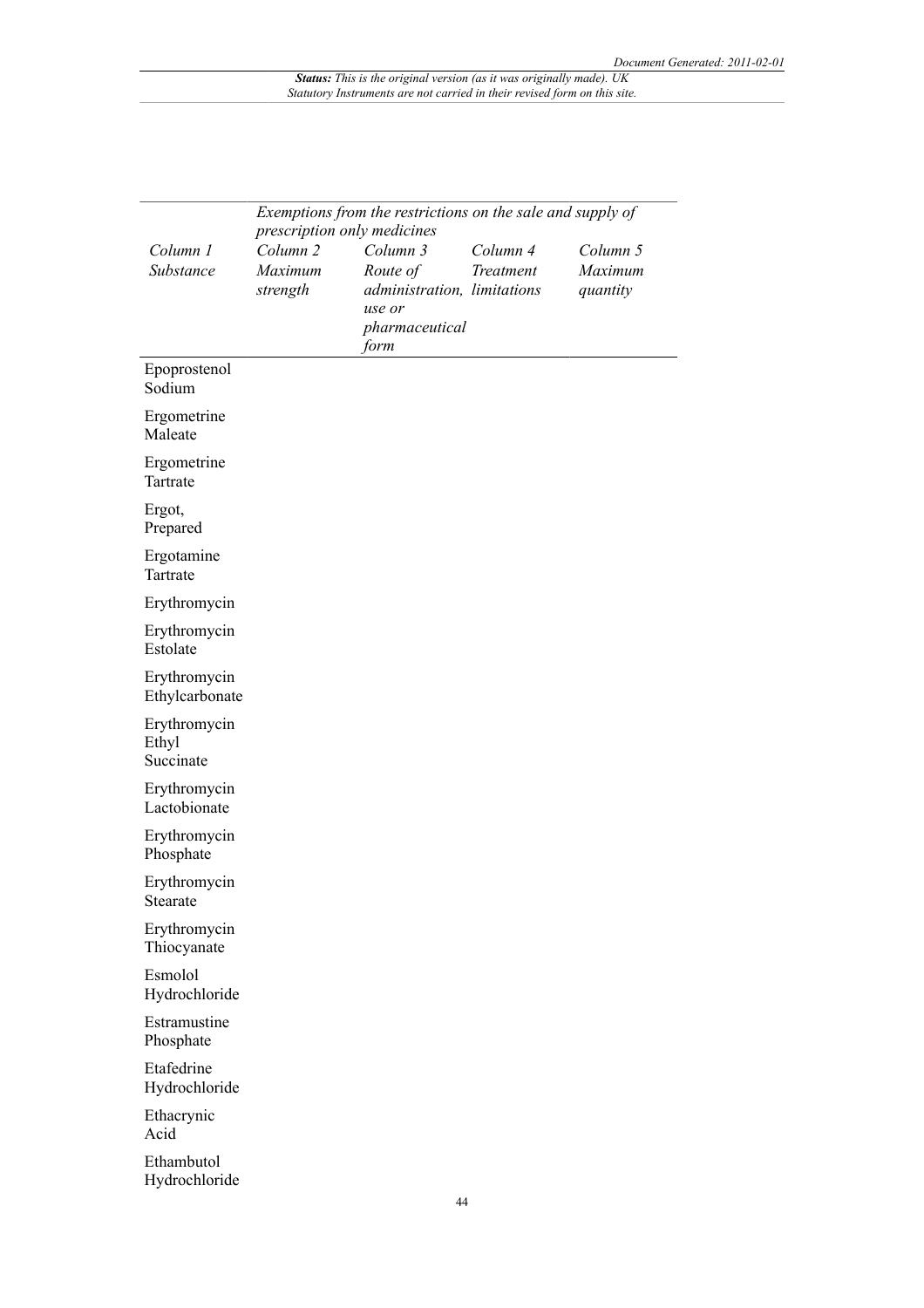|                                    | Exemptions from the restrictions on the sale and supply of |                             |           |          |  |
|------------------------------------|------------------------------------------------------------|-----------------------------|-----------|----------|--|
|                                    | prescription only medicines                                |                             |           |          |  |
| Column 1                           | Column <sub>2</sub>                                        | Column 3                    | Column 4  | Column 5 |  |
| Substance                          | Maximum                                                    | Route of                    | Treatment | Maximum  |  |
|                                    | strength                                                   | administration, limitations |           | quantity |  |
|                                    |                                                            | use or                      |           |          |  |
|                                    |                                                            | pharmaceutical<br>form      |           |          |  |
| Epoprostenol<br>Sodium             |                                                            |                             |           |          |  |
| Ergometrine<br>Maleate             |                                                            |                             |           |          |  |
| Ergometrine<br>Tartrate            |                                                            |                             |           |          |  |
| Ergot,<br>Prepared                 |                                                            |                             |           |          |  |
| Ergotamine<br>Tartrate             |                                                            |                             |           |          |  |
| Erythromycin                       |                                                            |                             |           |          |  |
| Erythromycin<br>Estolate           |                                                            |                             |           |          |  |
| Erythromycin<br>Ethylcarbonate     |                                                            |                             |           |          |  |
| Erythromycin<br>Ethyl<br>Succinate |                                                            |                             |           |          |  |
| Erythromycin<br>Lactobionate       |                                                            |                             |           |          |  |
| Erythromycin<br>Phosphate          |                                                            |                             |           |          |  |
| Erythromycin<br>Stearate           |                                                            |                             |           |          |  |
| Erythromycin<br>Thiocyanate        |                                                            |                             |           |          |  |
| Esmolol<br>Hydrochloride           |                                                            |                             |           |          |  |
| Estramustine<br>Phosphate          |                                                            |                             |           |          |  |
| Etafedrine<br>Hydrochloride        |                                                            |                             |           |          |  |
| Ethacrynic<br>Acid                 |                                                            |                             |           |          |  |
| Ethambutol<br>Hydrochloride        |                                                            |                             |           |          |  |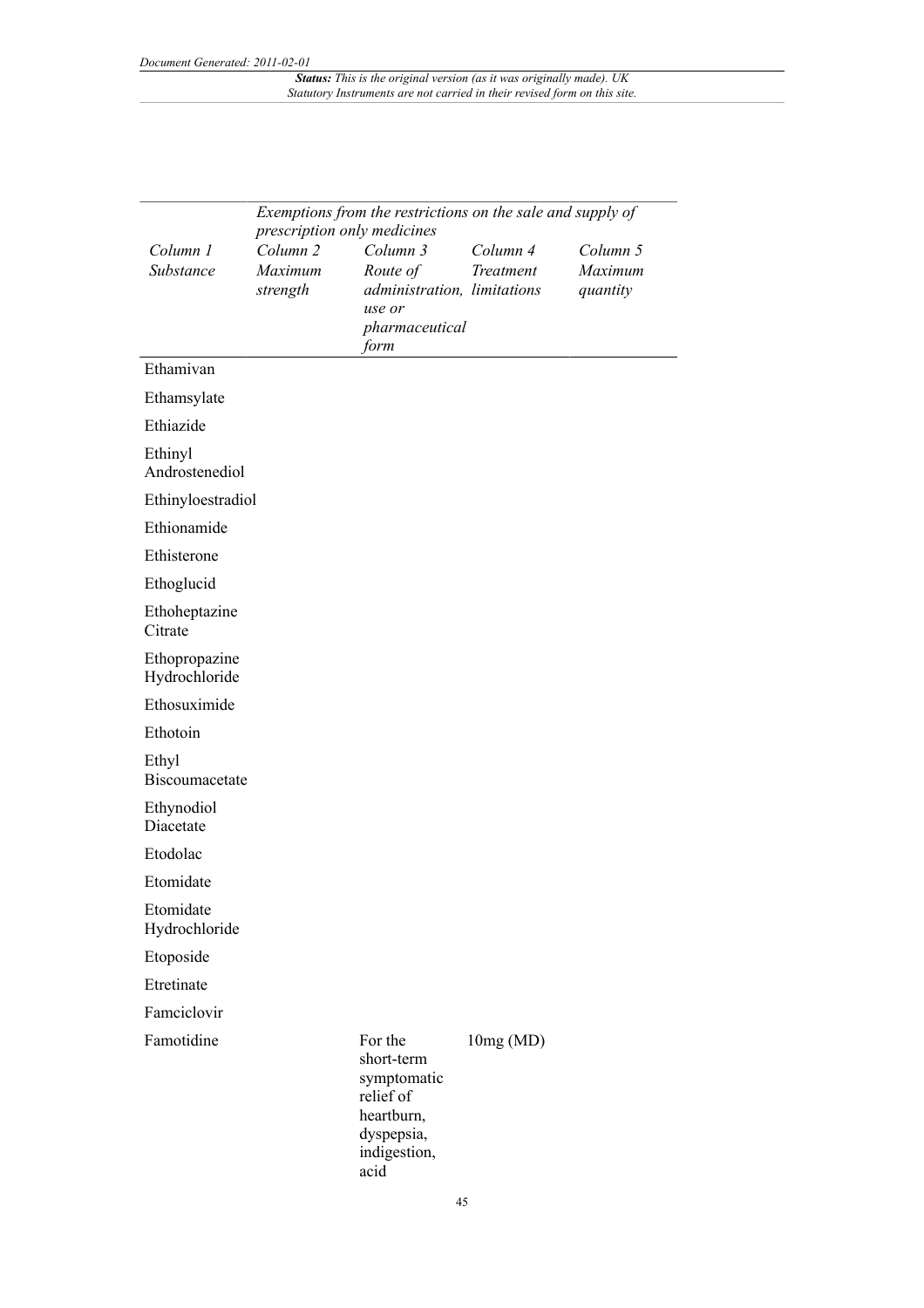|                                | Exemptions from the restrictions on the sale and supply of |                                                                                                       |                       |                     |  |  |  |
|--------------------------------|------------------------------------------------------------|-------------------------------------------------------------------------------------------------------|-----------------------|---------------------|--|--|--|
|                                | prescription only medicines<br>Column <sub>2</sub>         |                                                                                                       |                       |                     |  |  |  |
| Column 1<br>Substance          | Maximum                                                    | Column 3<br>Route of                                                                                  | Column 4<br>Treatment | Column 5<br>Maximum |  |  |  |
|                                | strength                                                   | administration, limitations<br>use or                                                                 |                       | quantity            |  |  |  |
|                                |                                                            | pharmaceutical<br>form                                                                                |                       |                     |  |  |  |
| Ethamivan                      |                                                            |                                                                                                       |                       |                     |  |  |  |
| Ethamsylate                    |                                                            |                                                                                                       |                       |                     |  |  |  |
| Ethiazide                      |                                                            |                                                                                                       |                       |                     |  |  |  |
| Ethinyl<br>Androstenediol      |                                                            |                                                                                                       |                       |                     |  |  |  |
| Ethinyloestradiol              |                                                            |                                                                                                       |                       |                     |  |  |  |
| Ethionamide                    |                                                            |                                                                                                       |                       |                     |  |  |  |
| Ethisterone                    |                                                            |                                                                                                       |                       |                     |  |  |  |
| Ethoglucid                     |                                                            |                                                                                                       |                       |                     |  |  |  |
| Ethoheptazine<br>Citrate       |                                                            |                                                                                                       |                       |                     |  |  |  |
| Ethopropazine<br>Hydrochloride |                                                            |                                                                                                       |                       |                     |  |  |  |
| Ethosuximide                   |                                                            |                                                                                                       |                       |                     |  |  |  |
| Ethotoin                       |                                                            |                                                                                                       |                       |                     |  |  |  |
| Ethyl<br>Biscoumacetate        |                                                            |                                                                                                       |                       |                     |  |  |  |
| Ethynodiol<br>Diacetate        |                                                            |                                                                                                       |                       |                     |  |  |  |
| Etodolac                       |                                                            |                                                                                                       |                       |                     |  |  |  |
| Etomidate                      |                                                            |                                                                                                       |                       |                     |  |  |  |
| Etomidate<br>Hydrochloride     |                                                            |                                                                                                       |                       |                     |  |  |  |
| Etoposide                      |                                                            |                                                                                                       |                       |                     |  |  |  |
| Etretinate                     |                                                            |                                                                                                       |                       |                     |  |  |  |
| Famciclovir                    |                                                            |                                                                                                       |                       |                     |  |  |  |
| Famotidine                     |                                                            | For the<br>short-term<br>symptomatic<br>relief of<br>heartburn,<br>dyspepsia,<br>indigestion,<br>acid | 10mg(MD)              |                     |  |  |  |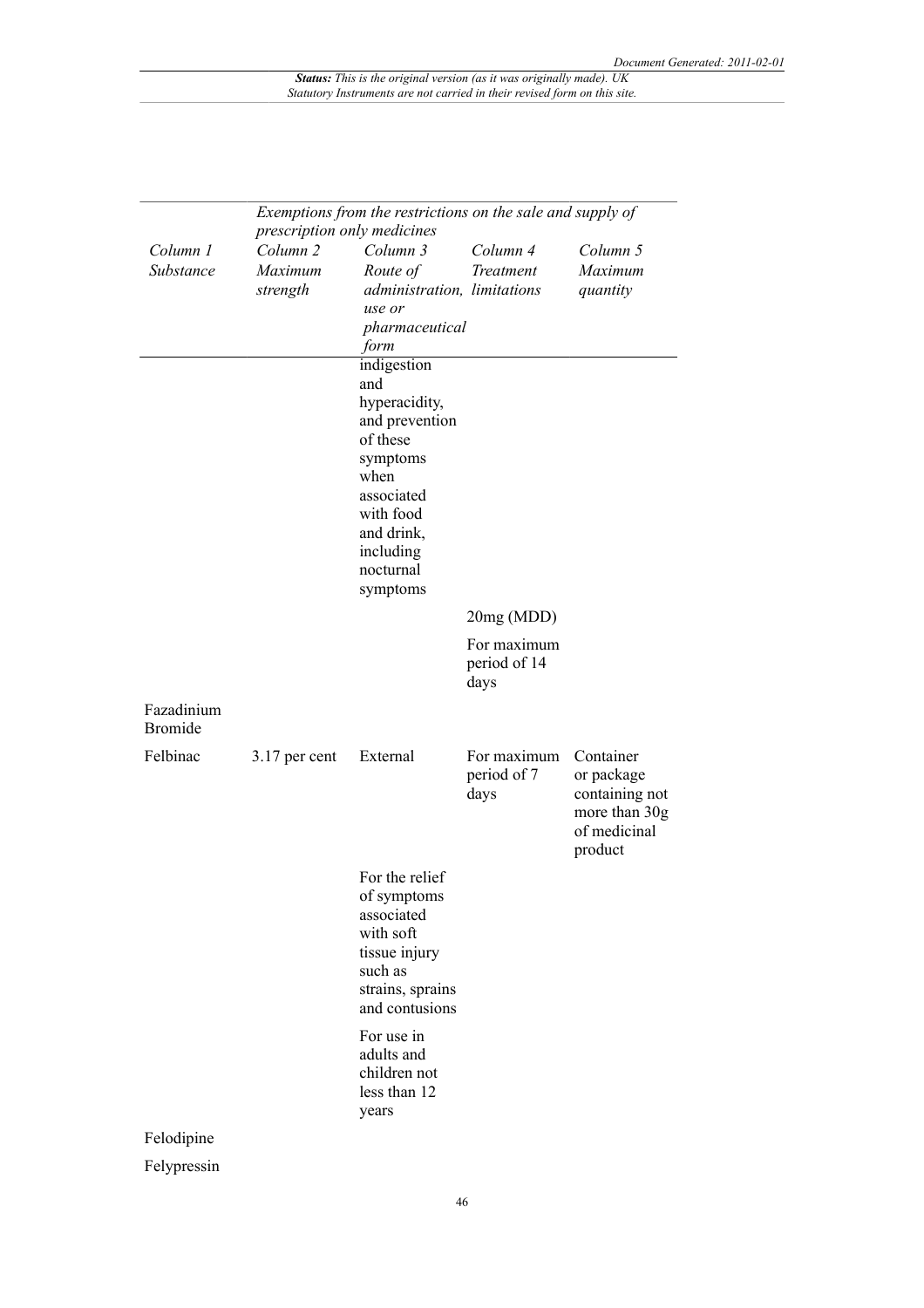| Exemptions from the restrictions on the sale and supply of<br>prescription only medicines |                                            |                                                                                                                                                                      |                                     |                                                                                       |
|-------------------------------------------------------------------------------------------|--------------------------------------------|----------------------------------------------------------------------------------------------------------------------------------------------------------------------|-------------------------------------|---------------------------------------------------------------------------------------|
| Column 1<br>Substance                                                                     | Column <sub>2</sub><br>Maximum<br>strength | Column 3<br>Route of<br>administration, limitations<br>use or<br>pharmaceutical<br>form                                                                              | Column 4<br>Treatment               | Column 5<br>Maximum<br>quantity                                                       |
|                                                                                           |                                            | indigestion<br>and<br>hyperacidity,<br>and prevention<br>of these<br>symptoms<br>when<br>associated<br>with food<br>and drink,<br>including<br>nocturnal<br>symptoms |                                     |                                                                                       |
|                                                                                           |                                            |                                                                                                                                                                      | 20mg (MDD)                          |                                                                                       |
|                                                                                           |                                            |                                                                                                                                                                      | For maximum<br>period of 14<br>days |                                                                                       |
| Fazadinium<br><b>Bromide</b>                                                              |                                            |                                                                                                                                                                      |                                     |                                                                                       |
| Felbinac                                                                                  | 3.17 per cent                              | External                                                                                                                                                             | For maximum<br>period of 7<br>days  | Container<br>or package<br>containing not<br>more than 30g<br>of medicinal<br>product |
|                                                                                           |                                            | For the relief<br>of symptoms<br>associated<br>with soft<br>tissue injury<br>such as<br>strains, sprains<br>and contusions                                           |                                     |                                                                                       |
|                                                                                           |                                            | For use in<br>adults and<br>children not<br>less than 12<br>years                                                                                                    |                                     |                                                                                       |
| Felodipine                                                                                |                                            |                                                                                                                                                                      |                                     |                                                                                       |
| Felypressin                                                                               |                                            |                                                                                                                                                                      |                                     |                                                                                       |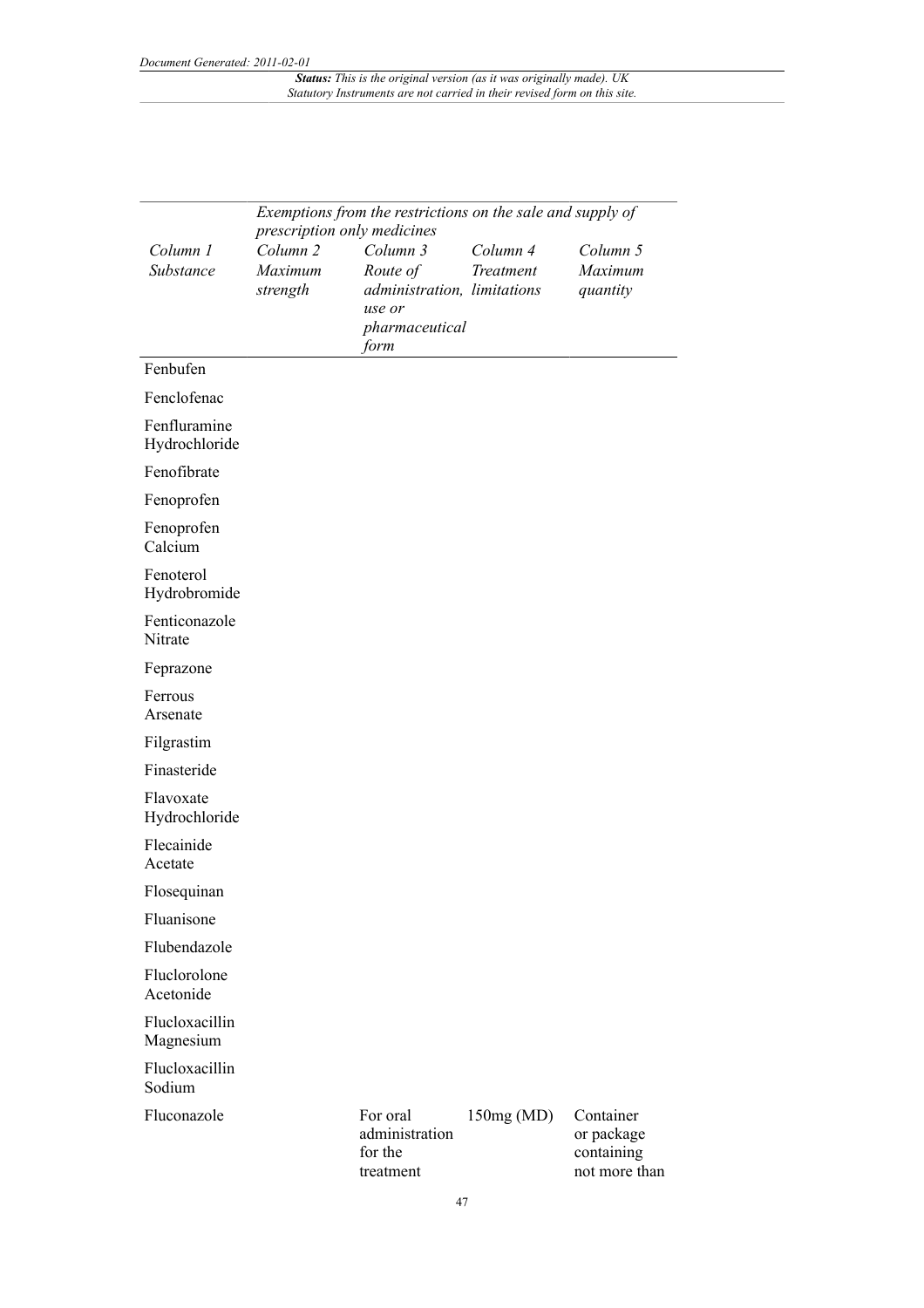|                               | Exemptions from the restrictions on the sale and supply of<br>prescription only medicines |                                                                                         |                       |                                                        |
|-------------------------------|-------------------------------------------------------------------------------------------|-----------------------------------------------------------------------------------------|-----------------------|--------------------------------------------------------|
| Column 1<br>Substance         | Column <sub>2</sub><br>Maximum<br>strength                                                | Column 3<br>Route of<br>administration, limitations<br>use or<br>pharmaceutical<br>form | Column 4<br>Treatment | Column 5<br>Maximum<br>quantity                        |
| Fenbufen                      |                                                                                           |                                                                                         |                       |                                                        |
| Fenclofenac                   |                                                                                           |                                                                                         |                       |                                                        |
| Fenfluramine<br>Hydrochloride |                                                                                           |                                                                                         |                       |                                                        |
| Fenofibrate                   |                                                                                           |                                                                                         |                       |                                                        |
| Fenoprofen                    |                                                                                           |                                                                                         |                       |                                                        |
| Fenoprofen<br>Calcium         |                                                                                           |                                                                                         |                       |                                                        |
| Fenoterol<br>Hydrobromide     |                                                                                           |                                                                                         |                       |                                                        |
| Fenticonazole<br>Nitrate      |                                                                                           |                                                                                         |                       |                                                        |
| Feprazone                     |                                                                                           |                                                                                         |                       |                                                        |
| Ferrous<br>Arsenate           |                                                                                           |                                                                                         |                       |                                                        |
| Filgrastim                    |                                                                                           |                                                                                         |                       |                                                        |
| Finasteride                   |                                                                                           |                                                                                         |                       |                                                        |
| Flavoxate<br>Hydrochloride    |                                                                                           |                                                                                         |                       |                                                        |
| Flecainide<br>Acetate         |                                                                                           |                                                                                         |                       |                                                        |
| Flosequinan                   |                                                                                           |                                                                                         |                       |                                                        |
| Fluanisone                    |                                                                                           |                                                                                         |                       |                                                        |
| Flubendazole                  |                                                                                           |                                                                                         |                       |                                                        |
| Fluclorolone<br>Acetonide     |                                                                                           |                                                                                         |                       |                                                        |
| Flucloxacillin<br>Magnesium   |                                                                                           |                                                                                         |                       |                                                        |
| Flucloxacillin<br>Sodium      |                                                                                           |                                                                                         |                       |                                                        |
| Fluconazole                   |                                                                                           | For oral<br>administration<br>for the<br>treatment                                      | 150mg(MD)             | Container<br>or package<br>containing<br>not more than |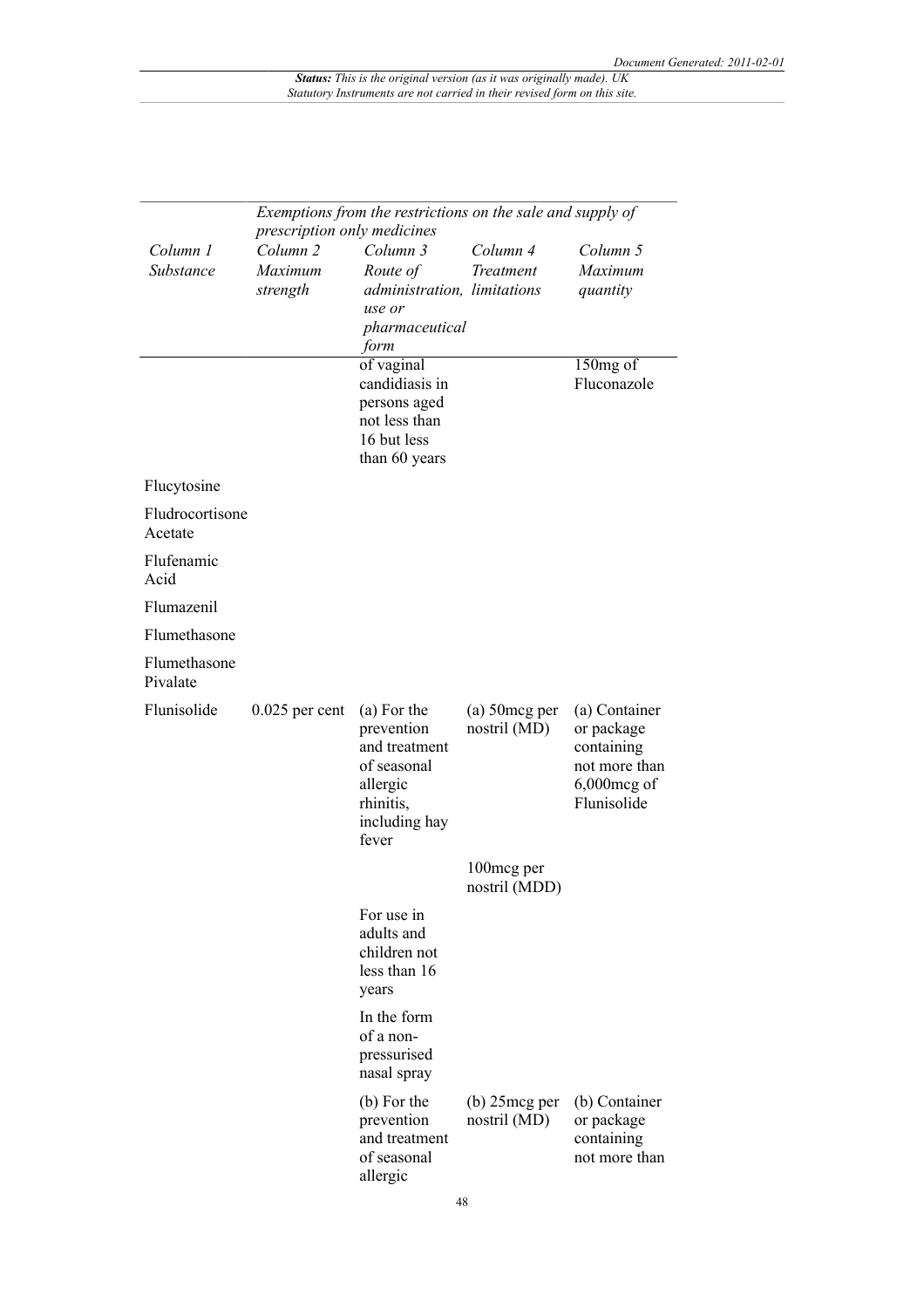|                            | Exemptions from the restrictions on the sale and supply of<br>prescription only medicines |                                                                                                              |                                  |                                                                                             |  |
|----------------------------|-------------------------------------------------------------------------------------------|--------------------------------------------------------------------------------------------------------------|----------------------------------|---------------------------------------------------------------------------------------------|--|
| Column 1<br>Substance      | Column <sub>2</sub><br>Maximum<br>strength                                                | Column 3<br>Route of<br>administration, limitations<br>use or<br>pharmaceutical<br>form                      | Column 4<br>Treatment            | Column 5<br>Maximum<br>quantity                                                             |  |
|                            |                                                                                           | of vaginal<br>candidiasis in<br>persons aged<br>not less than<br>16 but less<br>than 60 years                |                                  | 150mg of<br>Fluconazole                                                                     |  |
| Flucytosine                |                                                                                           |                                                                                                              |                                  |                                                                                             |  |
| Fludrocortisone<br>Acetate |                                                                                           |                                                                                                              |                                  |                                                                                             |  |
| Flufenamic<br>Acid         |                                                                                           |                                                                                                              |                                  |                                                                                             |  |
| Flumazenil                 |                                                                                           |                                                                                                              |                                  |                                                                                             |  |
| Flumethasone               |                                                                                           |                                                                                                              |                                  |                                                                                             |  |
| Flumethasone<br>Pivalate   |                                                                                           |                                                                                                              |                                  |                                                                                             |  |
| Flunisolide                | $0.025$ per cent                                                                          | (a) For the<br>prevention<br>and treatment<br>of seasonal<br>allergic<br>rhinitis,<br>including hay<br>fever | $(a)$ 50 mcg per<br>nostril (MD) | (a) Container<br>or package<br>containing<br>not more than<br>$6,000$ mcg of<br>Flunisolide |  |
|                            |                                                                                           |                                                                                                              | 100mcg per<br>nostril (MDD)      |                                                                                             |  |
|                            |                                                                                           | For use in<br>adults and<br>children not<br>less than 16<br>years                                            |                                  |                                                                                             |  |
|                            |                                                                                           | In the form<br>of a non-<br>pressurised<br>nasal spray                                                       |                                  |                                                                                             |  |
|                            |                                                                                           | (b) For the<br>prevention<br>and treatment<br>of seasonal<br>allergic                                        | $(b)$ 25 mcg per<br>nostril (MD) | (b) Container<br>or package<br>containing<br>not more than                                  |  |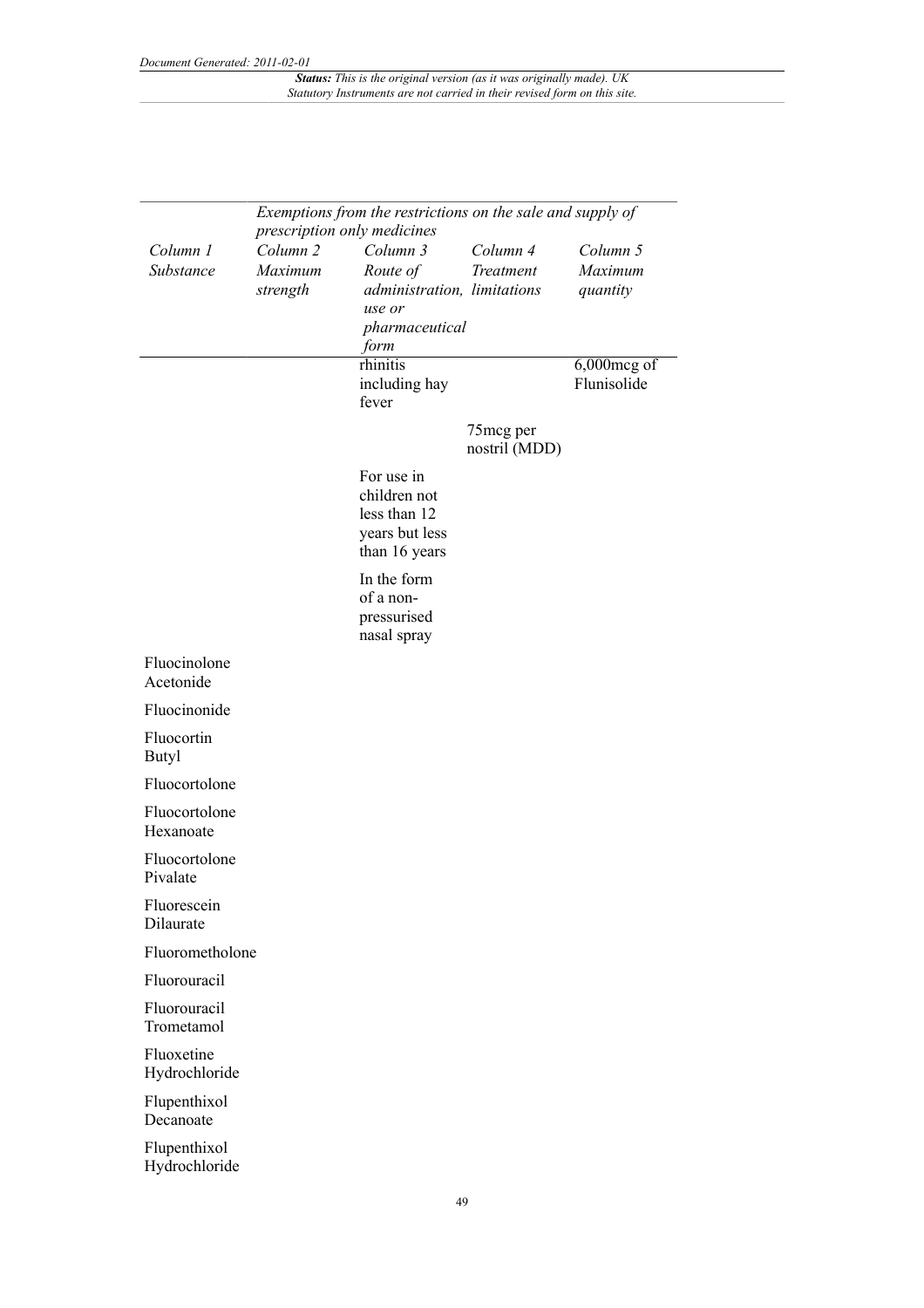|                               | Exemptions from the restrictions on the sale and supply of<br>prescription only medicines |                                                                                         |                             |                                 |  |
|-------------------------------|-------------------------------------------------------------------------------------------|-----------------------------------------------------------------------------------------|-----------------------------|---------------------------------|--|
| Column 1<br>Substance         | Column <sub>2</sub><br>Maximum<br>strength                                                | Column 3<br>Route of<br>administration, limitations<br>use or<br>pharmaceutical<br>form | Column 4<br>Treatment       | Column 5<br>Maximum<br>quantity |  |
|                               |                                                                                           | rhinitis<br>including hay<br>fever                                                      |                             | 6,000mcg of<br>Flunisolide      |  |
|                               |                                                                                           |                                                                                         | 75 mcg per<br>nostril (MDD) |                                 |  |
|                               |                                                                                           | For use in<br>children not<br>less than 12<br>years but less<br>than 16 years           |                             |                                 |  |
|                               |                                                                                           | In the form<br>of a non-<br>pressurised<br>nasal spray                                  |                             |                                 |  |
| Fluocinolone<br>Acetonide     |                                                                                           |                                                                                         |                             |                                 |  |
| Fluocinonide                  |                                                                                           |                                                                                         |                             |                                 |  |
| Fluocortin<br><b>Butyl</b>    |                                                                                           |                                                                                         |                             |                                 |  |
| Fluocortolone                 |                                                                                           |                                                                                         |                             |                                 |  |
| Fluocortolone<br>Hexanoate    |                                                                                           |                                                                                         |                             |                                 |  |
| Fluocortolone<br>Pivalate     |                                                                                           |                                                                                         |                             |                                 |  |
| Fluorescein<br>Dilaurate      |                                                                                           |                                                                                         |                             |                                 |  |
| Fluorometholone               |                                                                                           |                                                                                         |                             |                                 |  |
| Fluorouracil                  |                                                                                           |                                                                                         |                             |                                 |  |
| Fluorouracil<br>Trometamol    |                                                                                           |                                                                                         |                             |                                 |  |
| Fluoxetine<br>Hydrochloride   |                                                                                           |                                                                                         |                             |                                 |  |
| Flupenthixol<br>Decanoate     |                                                                                           |                                                                                         |                             |                                 |  |
| Flupenthixol<br>Hydrochloride |                                                                                           |                                                                                         |                             |                                 |  |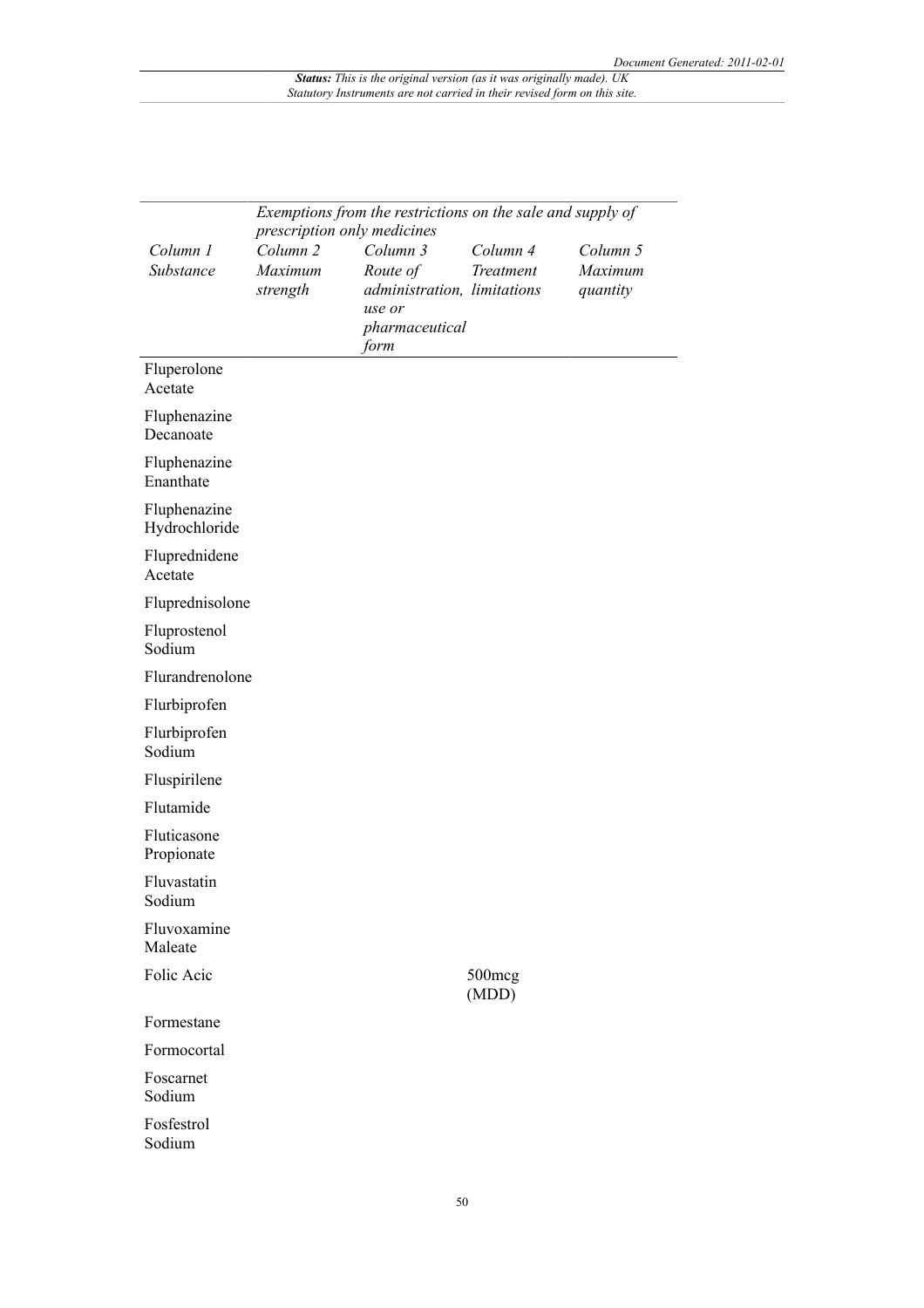|                               | Exemptions from the restrictions on the sale and supply of<br>prescription only medicines |                             |                       |                     |  |
|-------------------------------|-------------------------------------------------------------------------------------------|-----------------------------|-----------------------|---------------------|--|
| Column 1<br>Substance         | Column <sub>2</sub><br>Maximum                                                            | Column 3<br>Route of        | Column 4<br>Treatment | Column 5<br>Maximum |  |
|                               | strength                                                                                  | administration, limitations |                       | quantity            |  |
|                               |                                                                                           | use or<br>pharmaceutical    |                       |                     |  |
|                               |                                                                                           | form                        |                       |                     |  |
| Fluperolone<br>Acetate        |                                                                                           |                             |                       |                     |  |
| Fluphenazine<br>Decanoate     |                                                                                           |                             |                       |                     |  |
| Fluphenazine<br>Enanthate     |                                                                                           |                             |                       |                     |  |
| Fluphenazine<br>Hydrochloride |                                                                                           |                             |                       |                     |  |
| Fluprednidene<br>Acetate      |                                                                                           |                             |                       |                     |  |
| Fluprednisolone               |                                                                                           |                             |                       |                     |  |
| Fluprostenol<br>Sodium        |                                                                                           |                             |                       |                     |  |
| Flurandrenolone               |                                                                                           |                             |                       |                     |  |
| Flurbiprofen                  |                                                                                           |                             |                       |                     |  |
| Flurbiprofen<br>Sodium        |                                                                                           |                             |                       |                     |  |
| Fluspirilene                  |                                                                                           |                             |                       |                     |  |
| Flutamide                     |                                                                                           |                             |                       |                     |  |
| Fluticasone<br>Propionate     |                                                                                           |                             |                       |                     |  |
| Fluvastatin<br>Sodium         |                                                                                           |                             |                       |                     |  |
| Fluvoxamine<br>Maleate        |                                                                                           |                             |                       |                     |  |
| Folic Acic                    |                                                                                           |                             | 500mcg<br>(MDD)       |                     |  |
| Formestane                    |                                                                                           |                             |                       |                     |  |
| Formocortal                   |                                                                                           |                             |                       |                     |  |
| Foscarnet<br>Sodium           |                                                                                           |                             |                       |                     |  |
| Fosfestrol<br>Sodium          |                                                                                           |                             |                       |                     |  |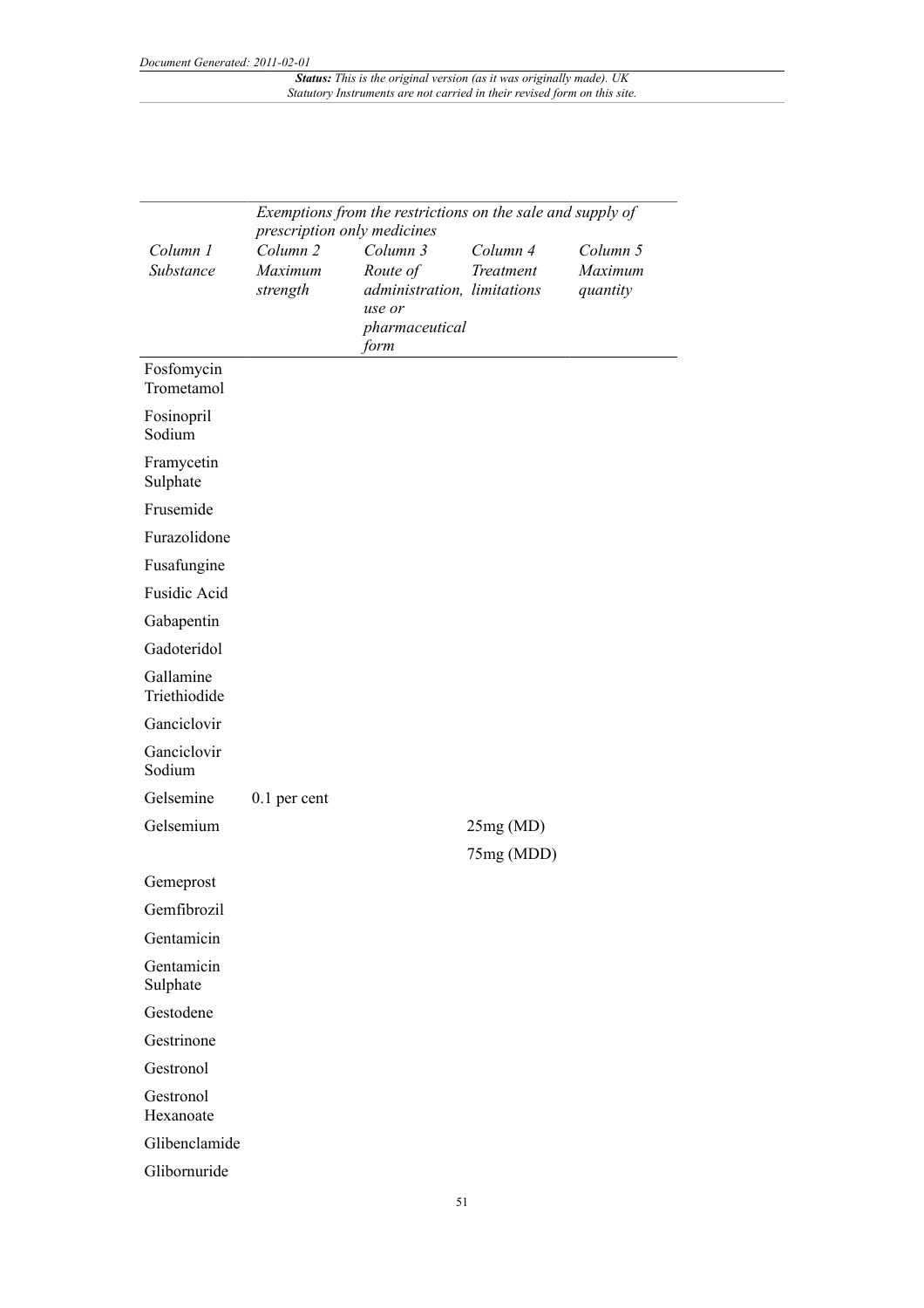| Exemptions from the restrictions on the sale and supply of<br>prescription only medicines |                                            |                                                                                 |                       |                                 |
|-------------------------------------------------------------------------------------------|--------------------------------------------|---------------------------------------------------------------------------------|-----------------------|---------------------------------|
| Column 1<br>Substance                                                                     | Column <sub>2</sub><br>Maximum<br>strength | Column 3<br>Route of<br>administration, limitations<br>use or<br>pharmaceutical | Column 4<br>Treatment | Column 5<br>Maximum<br>quantity |
|                                                                                           |                                            | form                                                                            |                       |                                 |
| Fosfomycin<br>Trometamol                                                                  |                                            |                                                                                 |                       |                                 |
| Fosinopril<br>Sodium                                                                      |                                            |                                                                                 |                       |                                 |
| Framycetin<br>Sulphate                                                                    |                                            |                                                                                 |                       |                                 |
| Frusemide                                                                                 |                                            |                                                                                 |                       |                                 |
| Furazolidone                                                                              |                                            |                                                                                 |                       |                                 |
| Fusafungine                                                                               |                                            |                                                                                 |                       |                                 |
| <b>Fusidic Acid</b>                                                                       |                                            |                                                                                 |                       |                                 |
| Gabapentin                                                                                |                                            |                                                                                 |                       |                                 |
| Gadoteridol                                                                               |                                            |                                                                                 |                       |                                 |
| Gallamine<br>Triethiodide                                                                 |                                            |                                                                                 |                       |                                 |
| Ganciclovir                                                                               |                                            |                                                                                 |                       |                                 |
| Ganciclovir<br>Sodium                                                                     |                                            |                                                                                 |                       |                                 |
| Gelsemine                                                                                 | $0.1$ per cent                             |                                                                                 |                       |                                 |
| Gelsemium                                                                                 |                                            |                                                                                 | 25mg(MD)              |                                 |
|                                                                                           |                                            |                                                                                 | 75mg (MDD)            |                                 |
| Gemeprost                                                                                 |                                            |                                                                                 |                       |                                 |
| Gemfibrozil                                                                               |                                            |                                                                                 |                       |                                 |
| Gentamicin                                                                                |                                            |                                                                                 |                       |                                 |
| Gentamicin<br>Sulphate                                                                    |                                            |                                                                                 |                       |                                 |
| Gestodene                                                                                 |                                            |                                                                                 |                       |                                 |
| Gestrinone                                                                                |                                            |                                                                                 |                       |                                 |
| Gestronol                                                                                 |                                            |                                                                                 |                       |                                 |
| Gestronol<br>Hexanoate                                                                    |                                            |                                                                                 |                       |                                 |
| Glibenclamide                                                                             |                                            |                                                                                 |                       |                                 |
| Glibornuride                                                                              |                                            |                                                                                 |                       |                                 |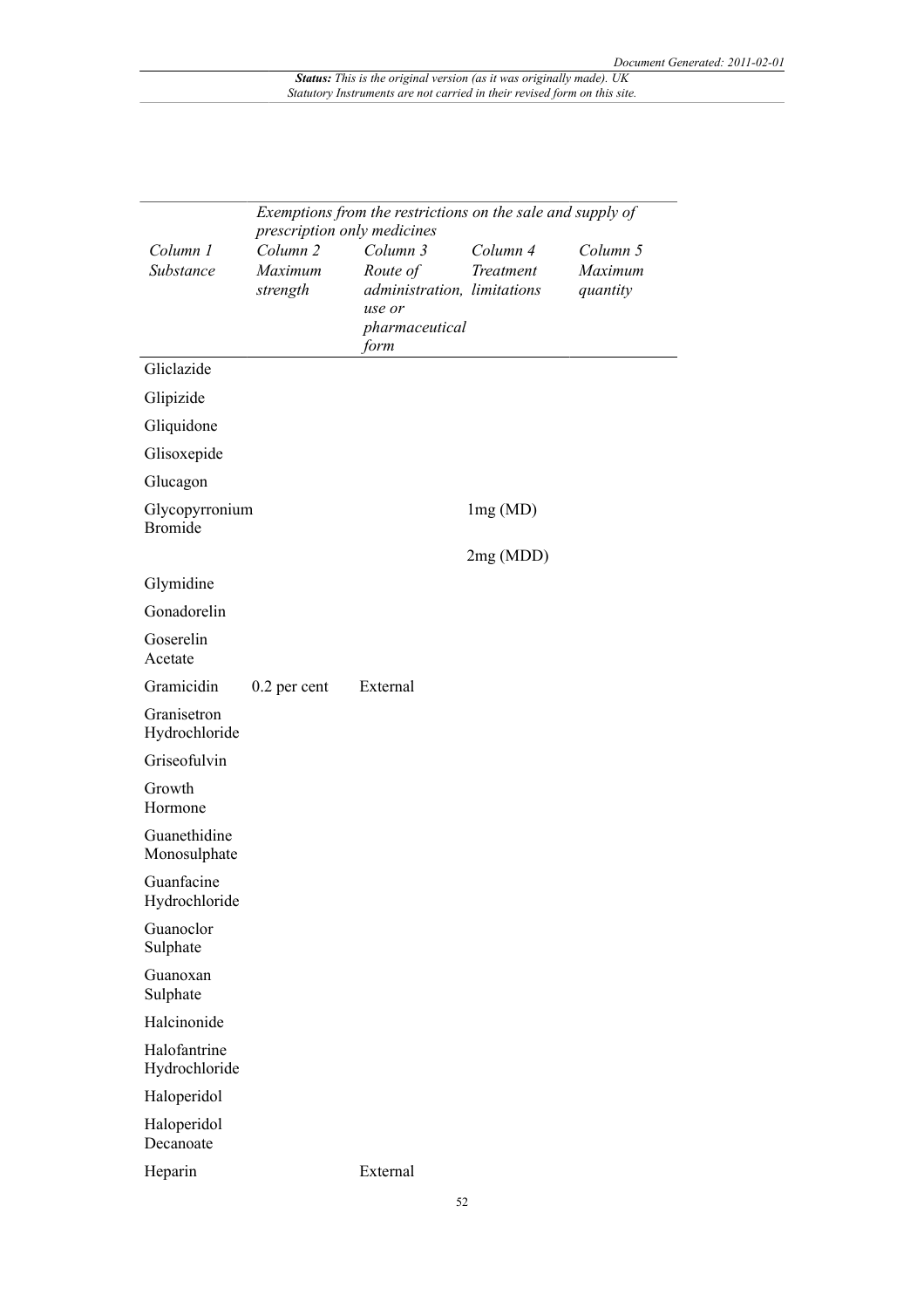|                                  | Exemptions from the restrictions on the sale and supply of<br>prescription only medicines |                                                                                         |                       |                                 |  |  |
|----------------------------------|-------------------------------------------------------------------------------------------|-----------------------------------------------------------------------------------------|-----------------------|---------------------------------|--|--|
| Column 1<br>Substance            | Column <sub>2</sub><br>Maximum<br>strength                                                | Column 3<br>Route of<br>administration, limitations<br>use or<br>pharmaceutical<br>form | Column 4<br>Treatment | Column 5<br>Maximum<br>quantity |  |  |
| Gliclazide                       |                                                                                           |                                                                                         |                       |                                 |  |  |
| Glipizide                        |                                                                                           |                                                                                         |                       |                                 |  |  |
| Gliquidone                       |                                                                                           |                                                                                         |                       |                                 |  |  |
| Glisoxepide                      |                                                                                           |                                                                                         |                       |                                 |  |  |
| Glucagon                         |                                                                                           |                                                                                         |                       |                                 |  |  |
| Glycopyrronium<br><b>Bromide</b> |                                                                                           |                                                                                         | lmg(MD)               |                                 |  |  |
|                                  |                                                                                           |                                                                                         | 2mg (MDD)             |                                 |  |  |
| Glymidine                        |                                                                                           |                                                                                         |                       |                                 |  |  |
| Gonadorelin                      |                                                                                           |                                                                                         |                       |                                 |  |  |
| Goserelin<br>Acetate             |                                                                                           |                                                                                         |                       |                                 |  |  |
| Gramicidin                       | 0.2 per cent                                                                              | External                                                                                |                       |                                 |  |  |
| Granisetron<br>Hydrochloride     |                                                                                           |                                                                                         |                       |                                 |  |  |
| Griseofulvin                     |                                                                                           |                                                                                         |                       |                                 |  |  |
| Growth<br>Hormone                |                                                                                           |                                                                                         |                       |                                 |  |  |
| Guanethidine<br>Monosulphate     |                                                                                           |                                                                                         |                       |                                 |  |  |
| Guanfacine<br>Hydrochloride      |                                                                                           |                                                                                         |                       |                                 |  |  |
| Guanoclor<br>Sulphate            |                                                                                           |                                                                                         |                       |                                 |  |  |
| Guanoxan<br>Sulphate             |                                                                                           |                                                                                         |                       |                                 |  |  |
| Halcinonide                      |                                                                                           |                                                                                         |                       |                                 |  |  |
| Halofantrine<br>Hydrochloride    |                                                                                           |                                                                                         |                       |                                 |  |  |
| Haloperidol                      |                                                                                           |                                                                                         |                       |                                 |  |  |
| Haloperidol<br>Decanoate         |                                                                                           |                                                                                         |                       |                                 |  |  |
| Heparin                          |                                                                                           | External                                                                                |                       |                                 |  |  |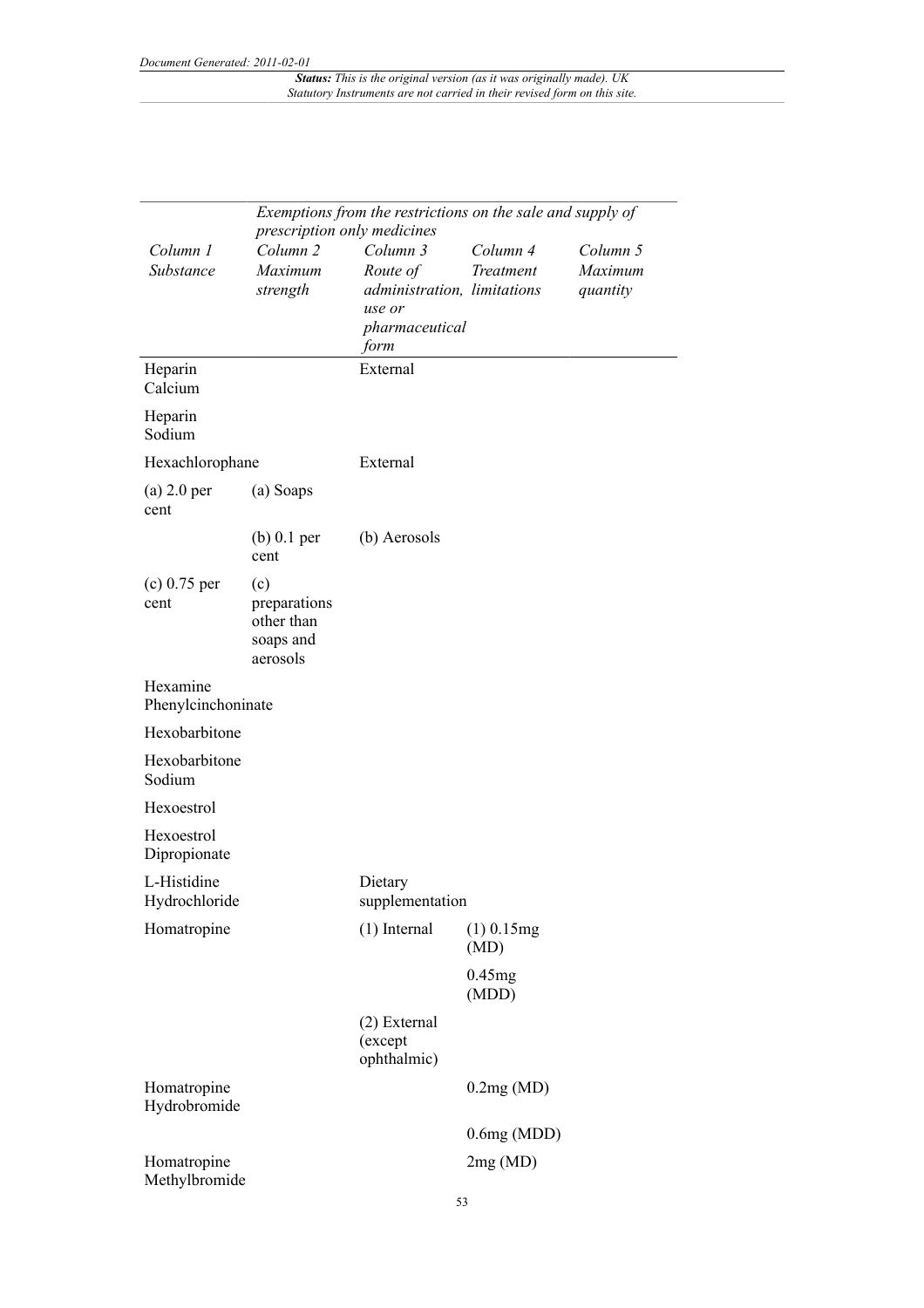| Exemptions from the restrictions on the sale and supply of<br>prescription only medicines |                                                            |                                                                                         |                       |                                 |
|-------------------------------------------------------------------------------------------|------------------------------------------------------------|-----------------------------------------------------------------------------------------|-----------------------|---------------------------------|
| Column 1<br>Substance                                                                     | Column <sub>2</sub><br>Maximum<br>strength                 | Column 3<br>Route of<br>administration, limitations<br>use or<br>pharmaceutical<br>form | Column 4<br>Treatment | Column 5<br>Maximum<br>quantity |
| Heparin<br>Calcium                                                                        |                                                            | External                                                                                |                       |                                 |
| Heparin<br>Sodium                                                                         |                                                            |                                                                                         |                       |                                 |
| Hexachlorophane                                                                           |                                                            | External                                                                                |                       |                                 |
| $(a)$ 2.0 per<br>cent                                                                     | (a) Soaps                                                  |                                                                                         |                       |                                 |
|                                                                                           | $(b)$ 0.1 per<br>cent                                      | (b) Aerosols                                                                            |                       |                                 |
| $(c)$ 0.75 per<br>cent                                                                    | (c)<br>preparations<br>other than<br>soaps and<br>aerosols |                                                                                         |                       |                                 |
| Hexamine<br>Phenylcinchoninate                                                            |                                                            |                                                                                         |                       |                                 |
| Hexobarbitone                                                                             |                                                            |                                                                                         |                       |                                 |
| Hexobarbitone<br>Sodium                                                                   |                                                            |                                                                                         |                       |                                 |
| Hexoestrol                                                                                |                                                            |                                                                                         |                       |                                 |
| Hexoestrol<br>Dipropionate                                                                |                                                            |                                                                                         |                       |                                 |
| L-Histidine<br>Hydrochloride                                                              |                                                            | Dietary<br>supplementation                                                              |                       |                                 |
| Homatropine                                                                               |                                                            | $(1)$ Internal                                                                          | $(1)$ 0.15mg<br>(MD)  |                                 |
|                                                                                           |                                                            |                                                                                         | 0.45mg<br>(MDD)       |                                 |
|                                                                                           |                                                            | (2) External<br>(except<br>ophthalmic)                                                  |                       |                                 |
| Homatropine<br>Hydrobromide                                                               |                                                            |                                                                                         | 0.2mg(MD)             |                                 |
|                                                                                           |                                                            |                                                                                         | 0.6mg(MDD)            |                                 |
| Homatropine<br>Methylbromide                                                              |                                                            |                                                                                         | 2mg(MD)               |                                 |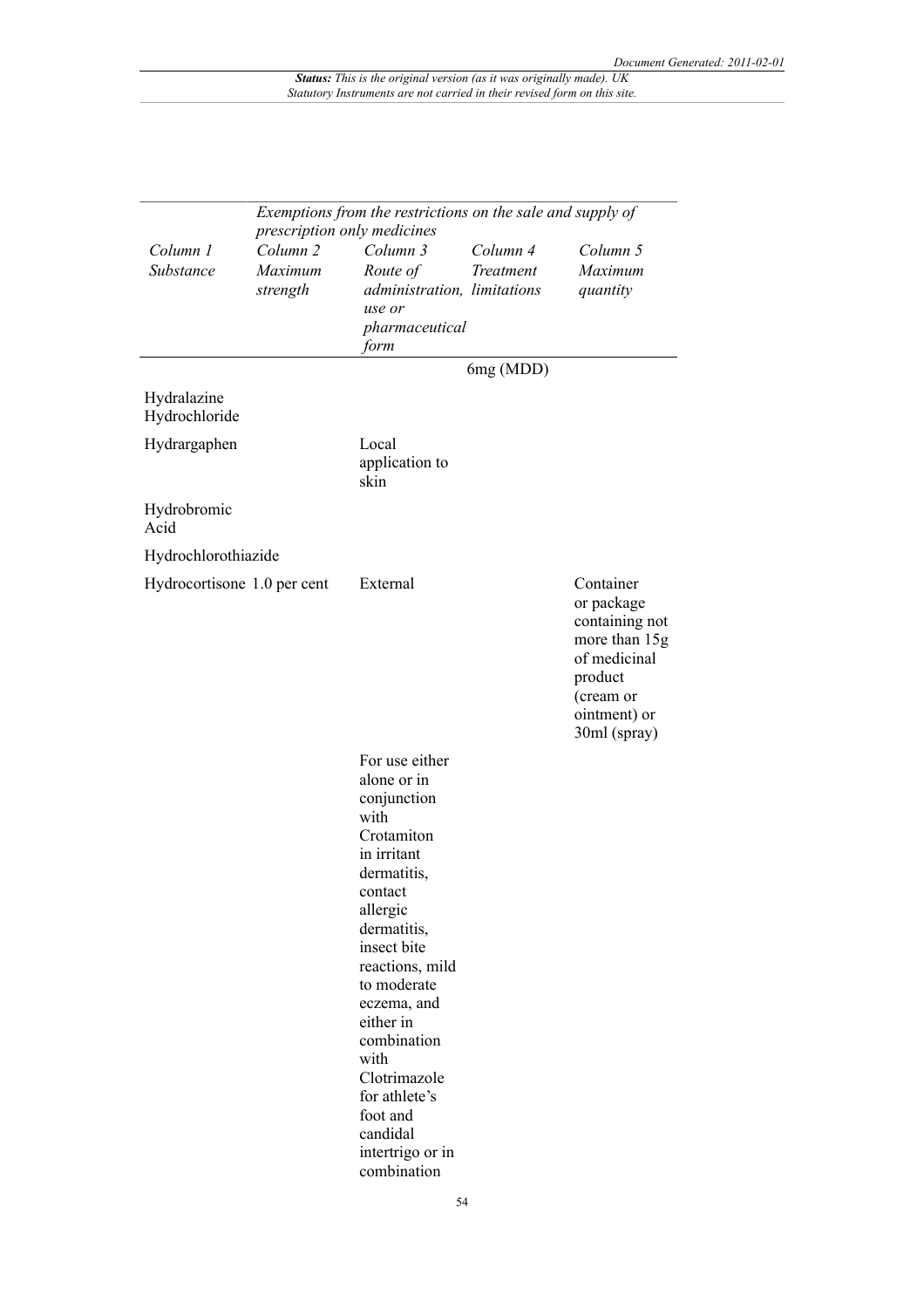|                              | Exemptions from the restrictions on the sale and supply of<br>prescription only medicines |                                                                                                                                                                                                                                                                                                                                        |                       |                                                                                                                                    |
|------------------------------|-------------------------------------------------------------------------------------------|----------------------------------------------------------------------------------------------------------------------------------------------------------------------------------------------------------------------------------------------------------------------------------------------------------------------------------------|-----------------------|------------------------------------------------------------------------------------------------------------------------------------|
| Column 1<br>Substance        | Column <sub>2</sub><br>Maximum<br>strength                                                | Column 3<br>Route of<br>administration, limitations<br>use or<br>pharmaceutical<br>form                                                                                                                                                                                                                                                | Column 4<br>Treatment | Column 5<br>Maximum<br>quantity                                                                                                    |
|                              |                                                                                           |                                                                                                                                                                                                                                                                                                                                        | 6mg (MDD)             |                                                                                                                                    |
| Hydralazine<br>Hydrochloride |                                                                                           |                                                                                                                                                                                                                                                                                                                                        |                       |                                                                                                                                    |
| Hydrargaphen                 |                                                                                           | Local<br>application to<br>skin                                                                                                                                                                                                                                                                                                        |                       |                                                                                                                                    |
| Hydrobromic<br>Acid          |                                                                                           |                                                                                                                                                                                                                                                                                                                                        |                       |                                                                                                                                    |
| Hydrochlorothiazide          |                                                                                           |                                                                                                                                                                                                                                                                                                                                        |                       |                                                                                                                                    |
| Hydrocortisone 1.0 per cent  |                                                                                           | External                                                                                                                                                                                                                                                                                                                               |                       | Container<br>or package<br>containing not<br>more than 15g<br>of medicinal<br>product<br>(cream or<br>ointment) or<br>30ml (spray) |
|                              |                                                                                           | For use either<br>alone or in<br>conjunction<br>with<br>Crotamiton<br>in irritant<br>dermatitis,<br>contact<br>allergic<br>dermatitis,<br>insect bite<br>reactions, mild<br>to moderate<br>eczema, and<br>either in<br>combination<br>with<br>Clotrimazole<br>for athlete's<br>foot and<br>candidal<br>intertrigo or in<br>combination |                       |                                                                                                                                    |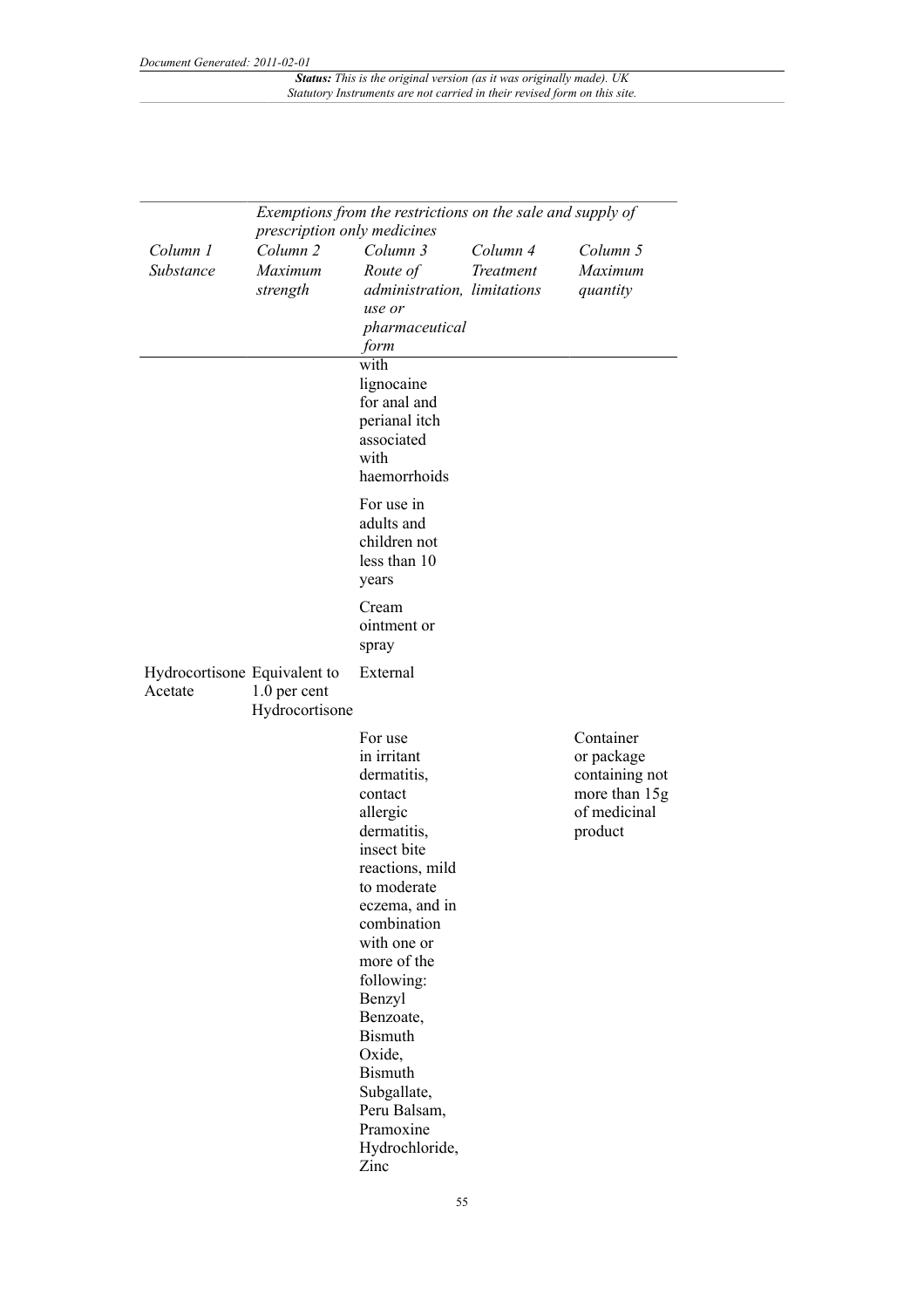|                                         | Exemptions from the restrictions on the sale and supply of                |                                                                                                                                                                                                                                                                                                                                                      |                       |                                                                                       |
|-----------------------------------------|---------------------------------------------------------------------------|------------------------------------------------------------------------------------------------------------------------------------------------------------------------------------------------------------------------------------------------------------------------------------------------------------------------------------------------------|-----------------------|---------------------------------------------------------------------------------------|
| Column 1<br>Substance                   | prescription only medicines<br>Column <sub>2</sub><br>Maximum<br>strength | Column 3<br>Route of<br>administration, limitations<br>use or<br>pharmaceutical<br>form                                                                                                                                                                                                                                                              | Column 4<br>Treatment | Column 5<br>Maximum<br>quantity                                                       |
|                                         |                                                                           | with<br>lignocaine<br>for anal and<br>perianal itch<br>associated<br>with<br>haemorrhoids                                                                                                                                                                                                                                                            |                       |                                                                                       |
|                                         |                                                                           | For use in<br>adults and<br>children not<br>less than 10<br>years                                                                                                                                                                                                                                                                                    |                       |                                                                                       |
|                                         |                                                                           | Cream<br>ointment or<br>spray                                                                                                                                                                                                                                                                                                                        |                       |                                                                                       |
| Hydrocortisone Equivalent to<br>Acetate | 1.0 per cent<br>Hydrocortisone                                            | External                                                                                                                                                                                                                                                                                                                                             |                       |                                                                                       |
|                                         |                                                                           | For use<br>in irritant<br>dermatitis,<br>contact<br>allergic<br>dermatitis,<br>insect bite<br>reactions, mild<br>to moderate<br>eczema, and in<br>combination<br>with one or<br>more of the<br>following:<br>Benzyl<br>Benzoate,<br><b>Bismuth</b><br>Oxide,<br><b>Bismuth</b><br>Subgallate,<br>Peru Balsam,<br>Pramoxine<br>Hydrochloride,<br>Zinc |                       | Container<br>or package<br>containing not<br>more than 15g<br>of medicinal<br>product |

55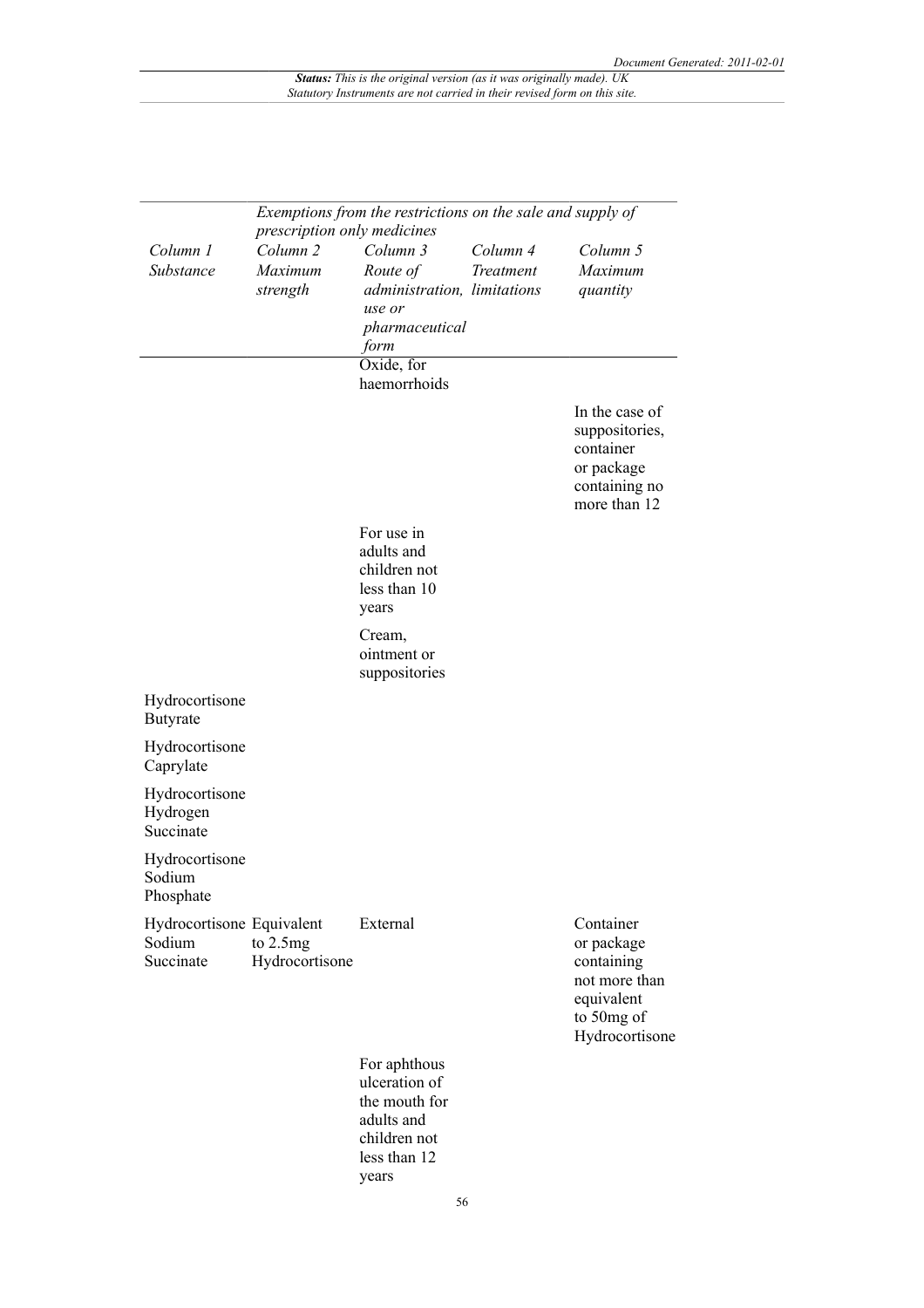|                                                  | Exemptions from the restrictions on the sale and supply of<br>prescription only medicines |                                                                                                       |                              |                                                                                                      |  |
|--------------------------------------------------|-------------------------------------------------------------------------------------------|-------------------------------------------------------------------------------------------------------|------------------------------|------------------------------------------------------------------------------------------------------|--|
| Column 1<br>Substance                            | Column <sub>2</sub><br>Maximum<br>strength                                                | Column 3<br>Route of<br>administration, limitations<br>use or<br>pharmaceutical<br>form               | Column 4<br><b>Treatment</b> | Column 5<br>Maximum<br>quantity                                                                      |  |
|                                                  |                                                                                           | Oxide, for<br>haemorrhoids                                                                            |                              |                                                                                                      |  |
|                                                  |                                                                                           |                                                                                                       |                              | In the case of<br>suppositories,<br>container<br>or package<br>containing no<br>more than 12         |  |
|                                                  |                                                                                           | For use in<br>adults and<br>children not<br>less than 10<br>years                                     |                              |                                                                                                      |  |
|                                                  |                                                                                           | Cream,<br>ointment or<br>suppositories                                                                |                              |                                                                                                      |  |
| Hydrocortisone<br>Butyrate                       |                                                                                           |                                                                                                       |                              |                                                                                                      |  |
| Hydrocortisone<br>Caprylate                      |                                                                                           |                                                                                                       |                              |                                                                                                      |  |
| Hydrocortisone<br>Hydrogen<br>Succinate          |                                                                                           |                                                                                                       |                              |                                                                                                      |  |
| Hydrocortisone<br>Sodium<br>Phosphate            |                                                                                           |                                                                                                       |                              |                                                                                                      |  |
| Hydrocortisone Equivalent<br>Sodium<br>Succinate | to 2.5mg<br>Hydrocortisone                                                                | External                                                                                              |                              | Container<br>or package<br>containing<br>not more than<br>equivalent<br>to 50mg of<br>Hydrocortisone |  |
|                                                  |                                                                                           | For aphthous<br>ulceration of<br>the mouth for<br>adults and<br>children not<br>less than 12<br>years |                              |                                                                                                      |  |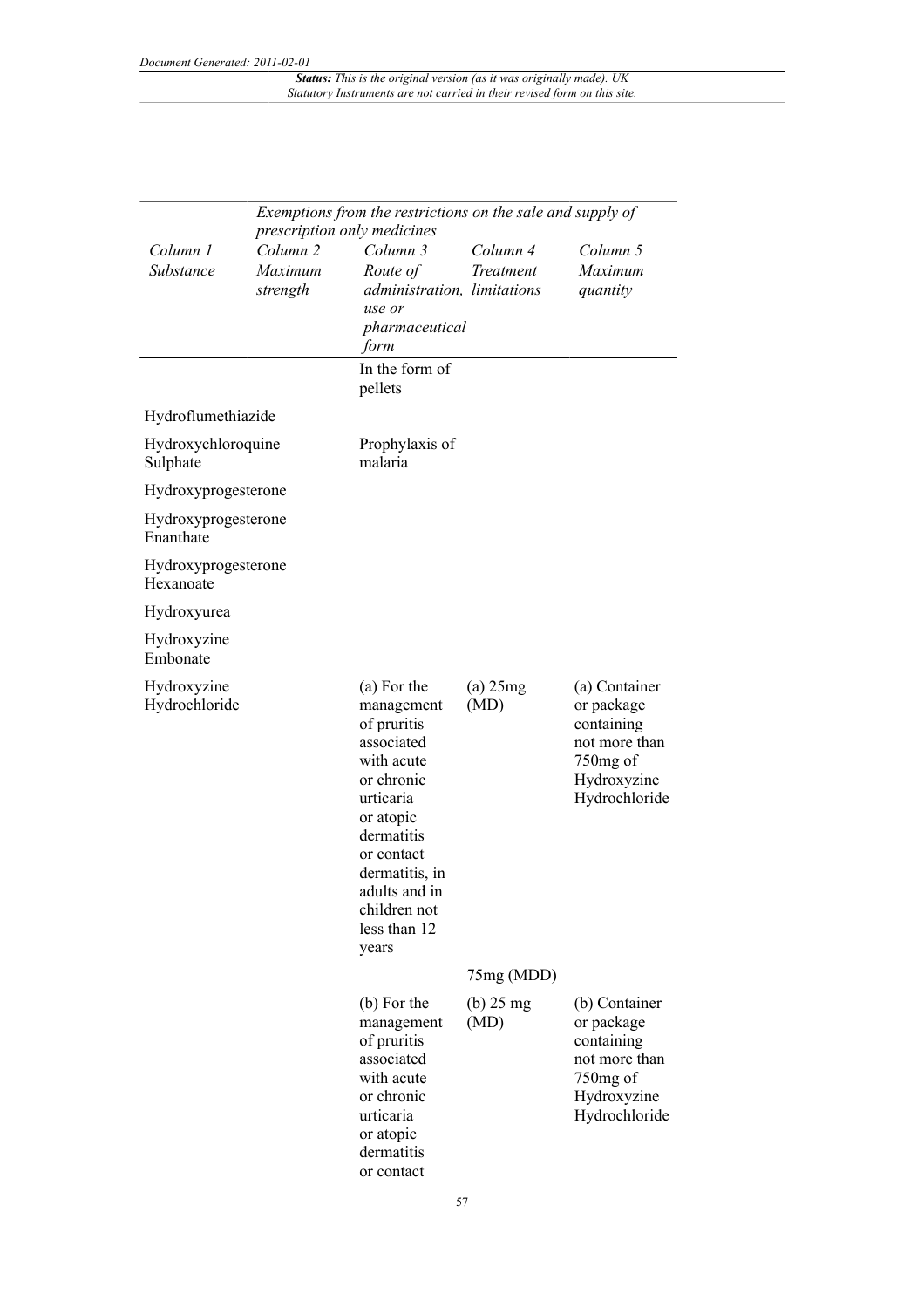|                                  |                                            | prescription only medicines                                                                                                                                                                                          | Exemptions from the restrictions on the sale and supply of |                                                                                                        |  |  |
|----------------------------------|--------------------------------------------|----------------------------------------------------------------------------------------------------------------------------------------------------------------------------------------------------------------------|------------------------------------------------------------|--------------------------------------------------------------------------------------------------------|--|--|
| Column 1<br>Substance            | Column <sub>2</sub><br>Maximum<br>strength | Column 3<br>Route of<br>administration, limitations<br>use or<br>pharmaceutical<br>form                                                                                                                              | Column 4<br><b>Treatment</b>                               | Column 5<br>Maximum<br>quantity                                                                        |  |  |
|                                  |                                            | In the form of<br>pellets                                                                                                                                                                                            |                                                            |                                                                                                        |  |  |
| Hydroflumethiazide               |                                            |                                                                                                                                                                                                                      |                                                            |                                                                                                        |  |  |
| Hydroxychloroquine<br>Sulphate   |                                            | Prophylaxis of<br>malaria                                                                                                                                                                                            |                                                            |                                                                                                        |  |  |
| Hydroxyprogesterone              |                                            |                                                                                                                                                                                                                      |                                                            |                                                                                                        |  |  |
| Hydroxyprogesterone<br>Enanthate |                                            |                                                                                                                                                                                                                      |                                                            |                                                                                                        |  |  |
| Hydroxyprogesterone<br>Hexanoate |                                            |                                                                                                                                                                                                                      |                                                            |                                                                                                        |  |  |
| Hydroxyurea                      |                                            |                                                                                                                                                                                                                      |                                                            |                                                                                                        |  |  |
| Hydroxyzine<br>Embonate          |                                            |                                                                                                                                                                                                                      |                                                            |                                                                                                        |  |  |
| Hydroxyzine<br>Hydrochloride     |                                            | (a) For the<br>management<br>of pruritis<br>associated<br>with acute<br>or chronic<br>urticaria<br>or atopic<br>dermatitis<br>or contact<br>dermatitis, in<br>adults and in<br>children not<br>less than 12<br>years | $(a)$ 25 $mg$<br>(MD)                                      | (a) Container<br>or package<br>containing<br>not more than<br>750mg of<br>Hydroxyzine<br>Hydrochloride |  |  |
|                                  |                                            |                                                                                                                                                                                                                      | 75mg (MDD)                                                 |                                                                                                        |  |  |
|                                  |                                            | (b) For the<br>management<br>of pruritis<br>associated<br>with acute<br>or chronic<br>urticaria<br>or atopic<br>dermatitis<br>or contact                                                                             | $(b)$ 25 mg<br>(MD)                                        | (b) Container<br>or package<br>containing<br>not more than<br>750mg of<br>Hydroxyzine<br>Hydrochloride |  |  |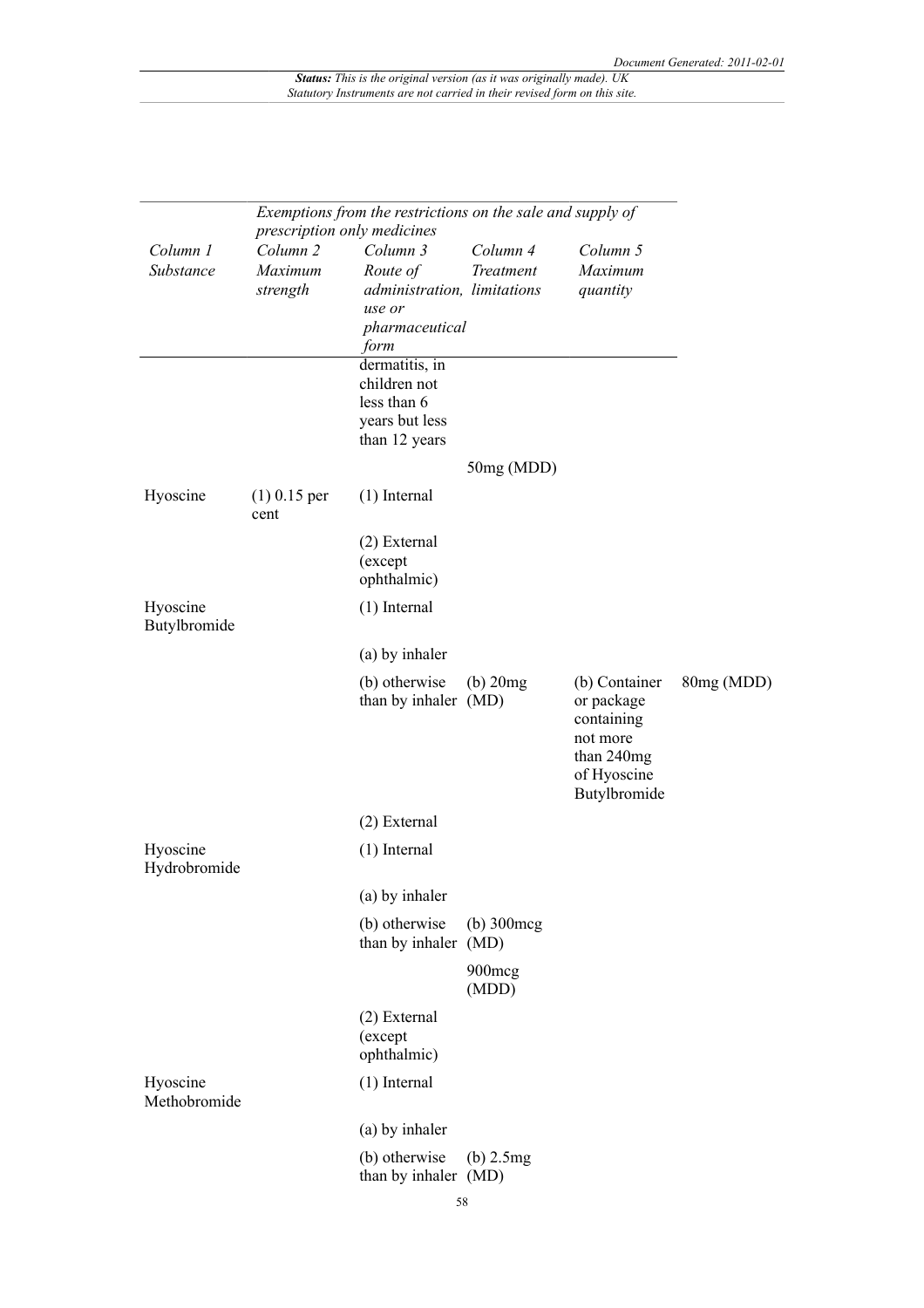| Exemptions from the restrictions on the sale and supply of<br>prescription only medicines |                        |                                        |                                |                                                                                                    |            |
|-------------------------------------------------------------------------------------------|------------------------|----------------------------------------|--------------------------------|----------------------------------------------------------------------------------------------------|------------|
| Column 1                                                                                  | Column <sub>2</sub>    | Column 3                               | Column 4                       | Column 5                                                                                           |            |
| Substance                                                                                 | Maximum                | Route of                               | Treatment                      | Maximum                                                                                            |            |
|                                                                                           | strength               | administration, limitations            |                                | quantity                                                                                           |            |
|                                                                                           |                        | use or                                 |                                |                                                                                                    |            |
|                                                                                           |                        | pharmaceutical<br>form                 |                                |                                                                                                    |            |
|                                                                                           |                        | dermatitis, in                         |                                |                                                                                                    |            |
|                                                                                           |                        | children not                           |                                |                                                                                                    |            |
|                                                                                           |                        | less than 6                            |                                |                                                                                                    |            |
|                                                                                           |                        | years but less                         |                                |                                                                                                    |            |
|                                                                                           |                        | than 12 years                          |                                |                                                                                                    |            |
|                                                                                           |                        |                                        | 50mg (MDD)                     |                                                                                                    |            |
| Hyoscine                                                                                  | $(1)$ 0.15 per<br>cent | $(1)$ Internal                         |                                |                                                                                                    |            |
|                                                                                           |                        | (2) External<br>(except<br>ophthalmic) |                                |                                                                                                    |            |
| Hyoscine                                                                                  |                        | $(1)$ Internal                         |                                |                                                                                                    |            |
| Butylbromide                                                                              |                        |                                        |                                |                                                                                                    |            |
|                                                                                           |                        | (a) by inhaler                         |                                |                                                                                                    |            |
|                                                                                           |                        | (b) otherwise<br>than by inhaler (MD)  | $(b)$ 20 $mg$                  | (b) Container<br>or package<br>containing<br>not more<br>than 240mg<br>of Hyoscine<br>Butylbromide | 80mg (MDD) |
|                                                                                           |                        | (2) External                           |                                |                                                                                                    |            |
| Hyoscine<br>Hydrobromide                                                                  |                        | $(1)$ Internal                         |                                |                                                                                                    |            |
|                                                                                           |                        | (a) by inhaler                         |                                |                                                                                                    |            |
|                                                                                           |                        | (b) otherwise<br>than by inhaler       | $(b)$ 300 $\text{mcg}$<br>(MD) |                                                                                                    |            |
|                                                                                           |                        |                                        | 900mcg<br>(MDD)                |                                                                                                    |            |
|                                                                                           |                        | (2) External<br>(except<br>ophthalmic) |                                |                                                                                                    |            |
| Hyoscine<br>Methobromide                                                                  |                        | $(1)$ Internal                         |                                |                                                                                                    |            |
|                                                                                           |                        | (a) by inhaler                         |                                |                                                                                                    |            |
|                                                                                           |                        | (b) otherwise<br>than by inhaler (MD)  | $(b)$ 2.5 $mg$                 |                                                                                                    |            |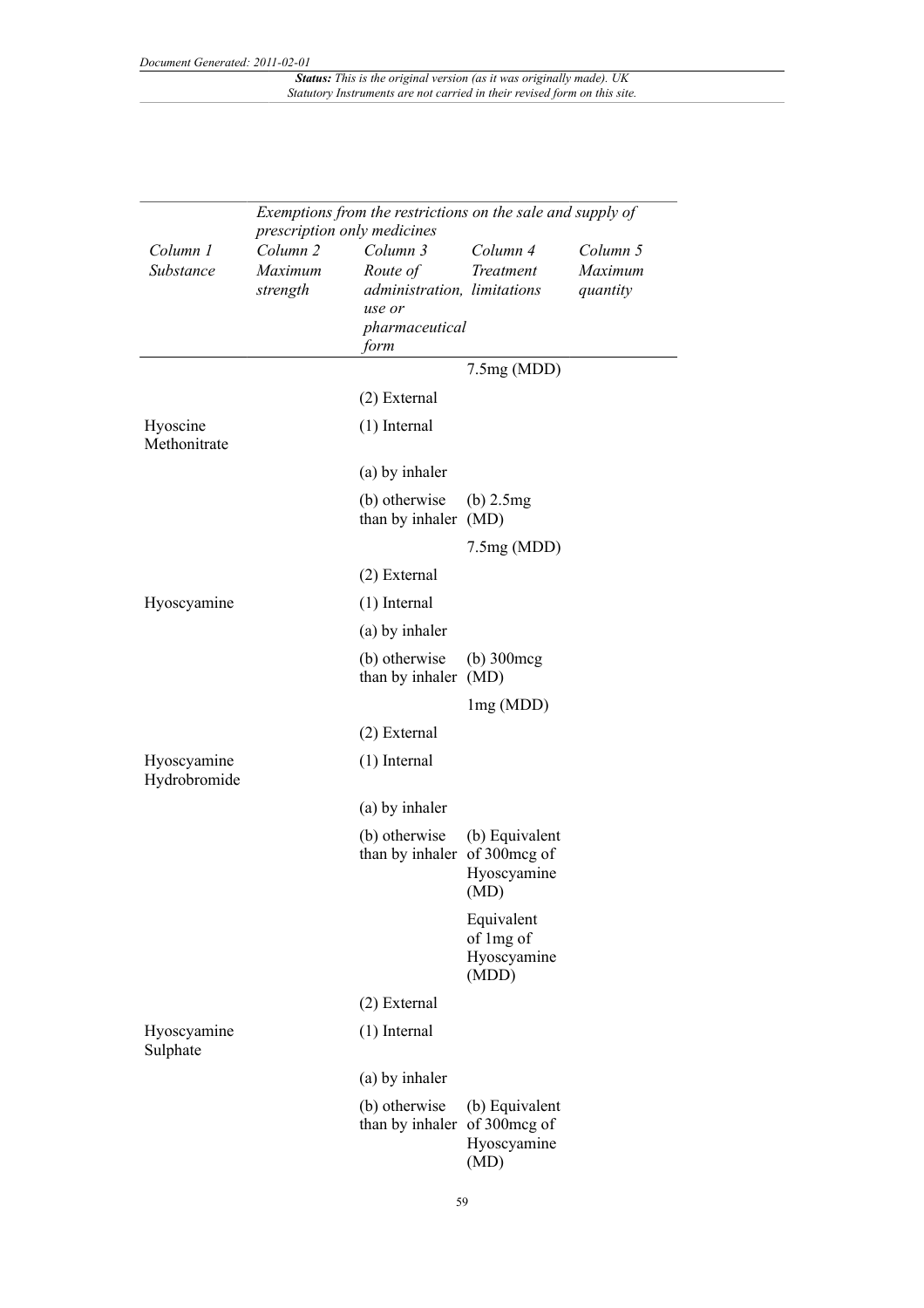|                             | Exemptions from the restrictions on the sale and supply of |                                         |                             |                     |  |
|-----------------------------|------------------------------------------------------------|-----------------------------------------|-----------------------------|---------------------|--|
|                             | prescription only medicines                                |                                         |                             |                     |  |
| Column 1                    | Column <sub>2</sub>                                        | Column 3                                | Column 4                    | Column 5            |  |
| Substance                   | Maximum<br>strength                                        | Route of<br>administration, limitations | <b>Treatment</b>            | Maximum<br>quantity |  |
|                             |                                                            | use or                                  |                             |                     |  |
|                             |                                                            | pharmaceutical                          |                             |                     |  |
|                             |                                                            | form                                    |                             |                     |  |
|                             |                                                            |                                         | 7.5mg(MDD)                  |                     |  |
|                             |                                                            | $(2)$ External                          |                             |                     |  |
| Hyoscine<br>Methonitrate    |                                                            | $(1)$ Internal                          |                             |                     |  |
|                             |                                                            | (a) by inhaler                          |                             |                     |  |
|                             |                                                            | (b) otherwise<br>than by inhaler (MD)   | $(b)$ 2.5 $mg$              |                     |  |
|                             |                                                            |                                         | 7.5mg(MDD)                  |                     |  |
|                             |                                                            | $(2)$ External                          |                             |                     |  |
| Hyoscyamine                 |                                                            | $(1)$ Internal                          |                             |                     |  |
|                             |                                                            | (a) by inhaler                          |                             |                     |  |
|                             |                                                            | (b) otherwise<br>than by inhaler (MD)   | $(b)$ 300 $\text{mcg}$      |                     |  |
|                             |                                                            |                                         | lmg(MDD)                    |                     |  |
|                             |                                                            | $(2)$ External                          |                             |                     |  |
| Hyoscyamine<br>Hydrobromide |                                                            | $(1)$ Internal                          |                             |                     |  |
|                             |                                                            | (a) by inhaler                          |                             |                     |  |
|                             |                                                            | (b) otherwise                           | (b) Equivalent              |                     |  |
|                             |                                                            | than by inhaler                         | of 300mcg of                |                     |  |
|                             |                                                            |                                         | Hyoscyamine<br>(MD)         |                     |  |
|                             |                                                            |                                         | Equivalent                  |                     |  |
|                             |                                                            |                                         | of 1mg of                   |                     |  |
|                             |                                                            |                                         | Hyoscyamine<br>(MDD)        |                     |  |
|                             |                                                            | (2) External                            |                             |                     |  |
| Hyoscyamine<br>Sulphate     |                                                            | $(1)$ Internal                          |                             |                     |  |
|                             |                                                            | (a) by inhaler                          |                             |                     |  |
|                             |                                                            | (b) otherwise                           | (b) Equivalent              |                     |  |
|                             |                                                            | than by inhaler                         | of 300mcg of<br>Hyoscyamine |                     |  |
|                             |                                                            |                                         | (MD)                        |                     |  |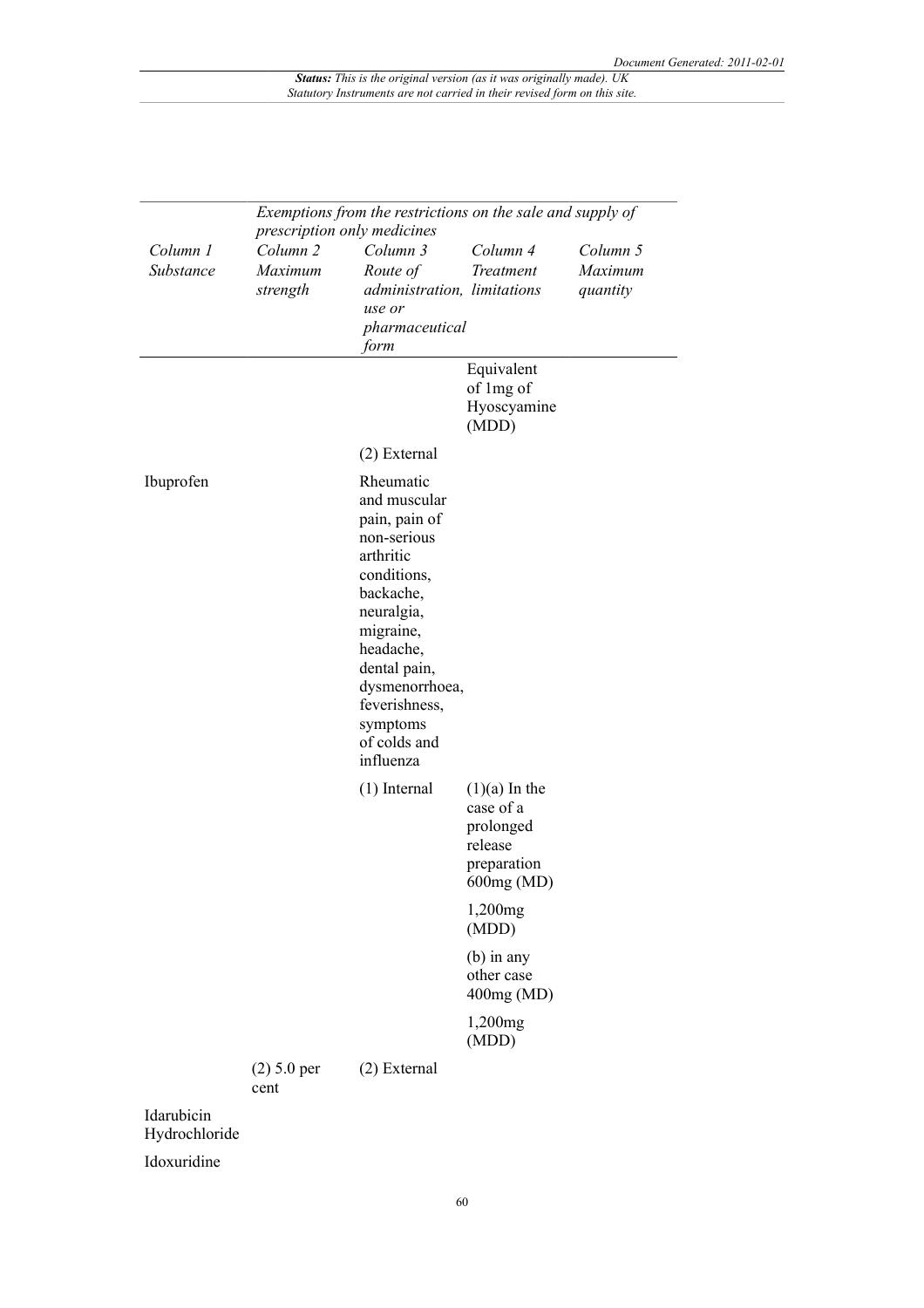|                             | Exemptions from the restrictions on the sale and supply of<br>prescription only medicines |                                                                                                                                                                                                                                        |                                                                                   |                                 |  |
|-----------------------------|-------------------------------------------------------------------------------------------|----------------------------------------------------------------------------------------------------------------------------------------------------------------------------------------------------------------------------------------|-----------------------------------------------------------------------------------|---------------------------------|--|
| Column 1<br>Substance       | Column <sub>2</sub><br>Maximum<br>strength                                                | Column 3<br>Route of<br>administration, limitations<br>use or<br>pharmaceutical<br>form                                                                                                                                                | Column 4<br>Treatment                                                             | Column 5<br>Maximum<br>quantity |  |
|                             |                                                                                           |                                                                                                                                                                                                                                        | Equivalent<br>of 1mg of<br>Hyoscyamine<br>(MDD)                                   |                                 |  |
|                             |                                                                                           | $(2)$ External                                                                                                                                                                                                                         |                                                                                   |                                 |  |
| Ibuprofen                   |                                                                                           | Rheumatic<br>and muscular<br>pain, pain of<br>non-serious<br>arthritic<br>conditions,<br>backache,<br>neuralgia,<br>migraine,<br>headache,<br>dental pain,<br>dysmenorrhoea,<br>feverishness,<br>symptoms<br>of colds and<br>influenza |                                                                                   |                                 |  |
|                             |                                                                                           | $(1)$ Internal                                                                                                                                                                                                                         | $(1)(a)$ In the<br>case of a<br>prolonged<br>release<br>preparation<br>600mg (MD) |                                 |  |
|                             |                                                                                           |                                                                                                                                                                                                                                        | 1,200mg<br>(MDD)                                                                  |                                 |  |
|                             |                                                                                           |                                                                                                                                                                                                                                        | $(b)$ in any<br>other case<br>400mg (MD)                                          |                                 |  |
|                             |                                                                                           |                                                                                                                                                                                                                                        | 1,200mg<br>(MDD)                                                                  |                                 |  |
|                             | $(2) 5.0$ per<br>cent                                                                     | (2) External                                                                                                                                                                                                                           |                                                                                   |                                 |  |
| Idarubicin<br>Hydrochloride |                                                                                           |                                                                                                                                                                                                                                        |                                                                                   |                                 |  |

Idoxuridine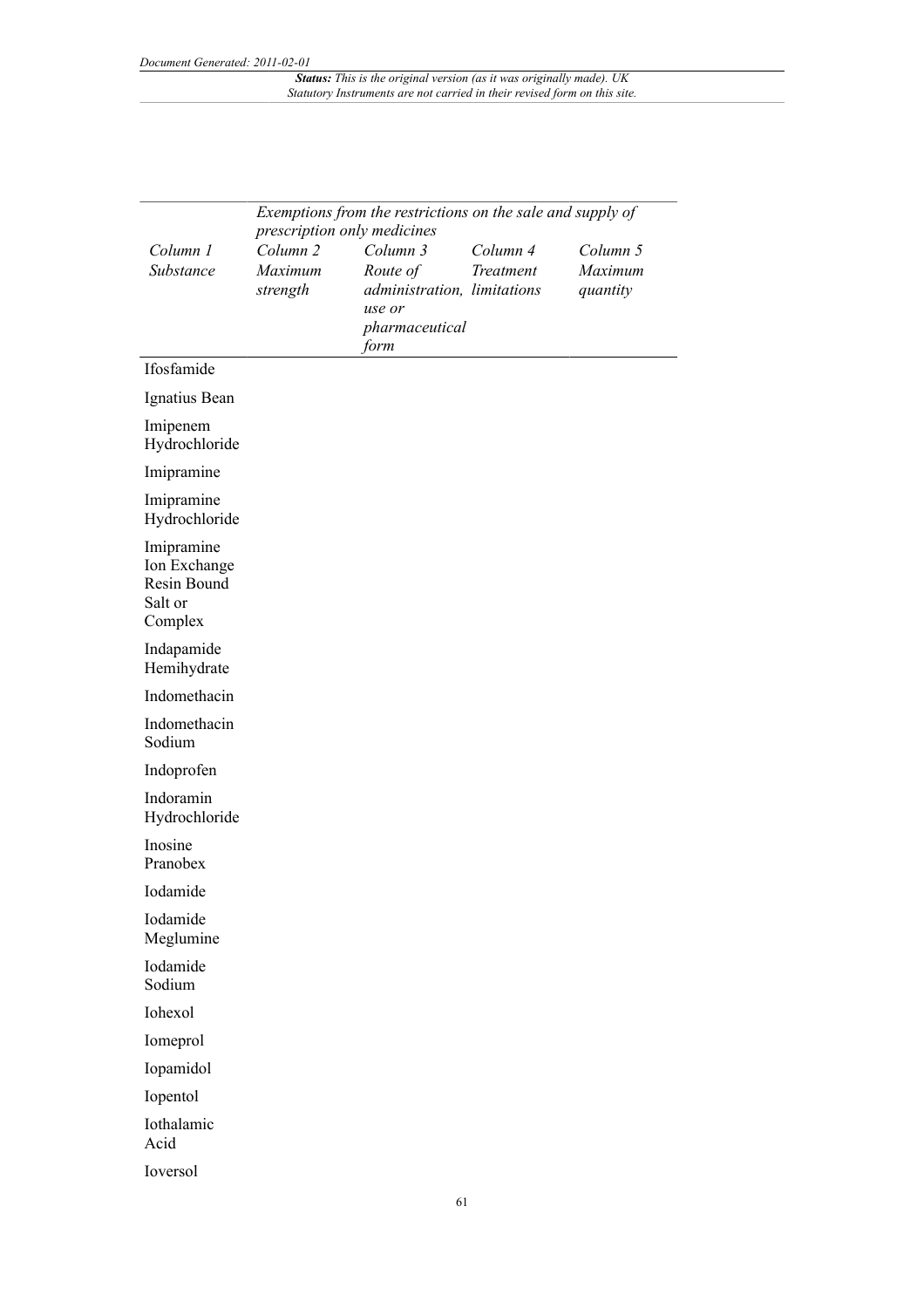|                                                                 | Exemptions from the restrictions on the sale and supply of |                             |           |          |
|-----------------------------------------------------------------|------------------------------------------------------------|-----------------------------|-----------|----------|
|                                                                 | prescription only medicines                                |                             |           |          |
| Column 1                                                        | Column <sub>2</sub>                                        | Column 3                    | Column 4  | Column 5 |
| Substance                                                       | Maximum                                                    | Route of                    | Treatment | Maximum  |
|                                                                 | strength                                                   | administration, limitations |           | quantity |
|                                                                 |                                                            | use or<br>pharmaceutical    |           |          |
|                                                                 |                                                            | form                        |           |          |
| Ifosfamide                                                      |                                                            |                             |           |          |
| Ignatius Bean                                                   |                                                            |                             |           |          |
| Imipenem<br>Hydrochloride                                       |                                                            |                             |           |          |
| Imipramine                                                      |                                                            |                             |           |          |
| Imipramine<br>Hydrochloride                                     |                                                            |                             |           |          |
| Imipramine<br>Ion Exchange<br>Resin Bound<br>Salt or<br>Complex |                                                            |                             |           |          |
| Indapamide<br>Hemihydrate                                       |                                                            |                             |           |          |
| Indomethacin                                                    |                                                            |                             |           |          |
| Indomethacin<br>Sodium                                          |                                                            |                             |           |          |
| Indoprofen                                                      |                                                            |                             |           |          |
| Indoramin<br>Hydrochloride                                      |                                                            |                             |           |          |
| Inosine<br>Pranobex                                             |                                                            |                             |           |          |
| Iodamide                                                        |                                                            |                             |           |          |
| Iodamide<br>Meglumine                                           |                                                            |                             |           |          |
| Iodamide<br>Sodium                                              |                                                            |                             |           |          |
| Iohexol                                                         |                                                            |                             |           |          |
| Iomeprol                                                        |                                                            |                             |           |          |
| Iopamidol                                                       |                                                            |                             |           |          |
| Iopentol                                                        |                                                            |                             |           |          |
| Iothalamic<br>Acid                                              |                                                            |                             |           |          |
| Ioversol                                                        |                                                            |                             |           |          |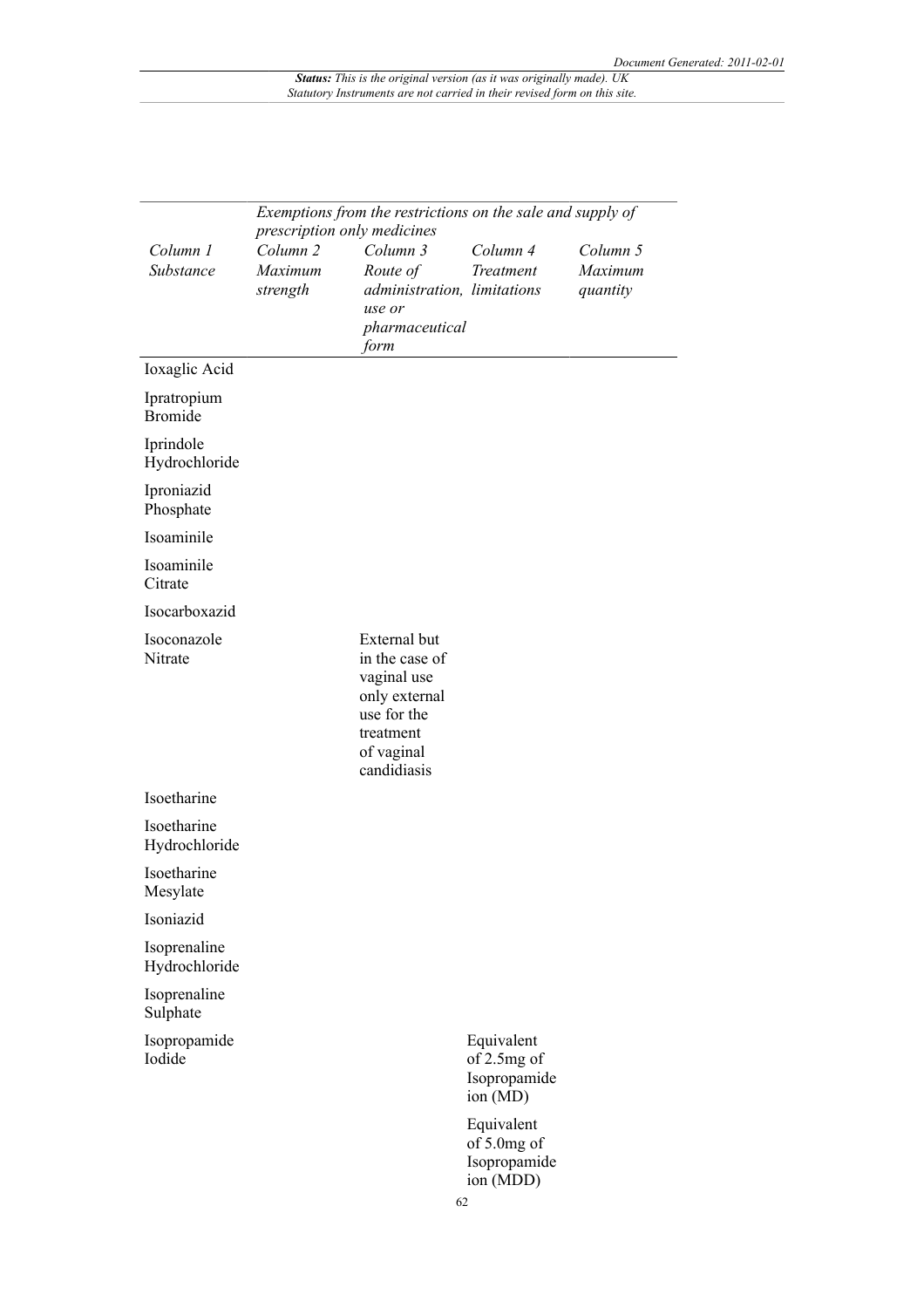|                               | Exemptions from the restrictions on the sale and supply of |                                                                                                                         |                                                        |                                 |  |
|-------------------------------|------------------------------------------------------------|-------------------------------------------------------------------------------------------------------------------------|--------------------------------------------------------|---------------------------------|--|
|                               | prescription only medicines                                |                                                                                                                         |                                                        |                                 |  |
| Column 1<br>Substance         | Column <sub>2</sub><br>Maximum<br>strength                 | Column 3<br>Route of<br>administration, limitations<br>use or<br>pharmaceutical<br>form                                 | Column 4<br>Treatment                                  | Column 5<br>Maximum<br>quantity |  |
| Ioxaglic Acid                 |                                                            |                                                                                                                         |                                                        |                                 |  |
| Ipratropium<br><b>Bromide</b> |                                                            |                                                                                                                         |                                                        |                                 |  |
| Iprindole<br>Hydrochloride    |                                                            |                                                                                                                         |                                                        |                                 |  |
| Iproniazid<br>Phosphate       |                                                            |                                                                                                                         |                                                        |                                 |  |
| Isoaminile                    |                                                            |                                                                                                                         |                                                        |                                 |  |
| Isoaminile<br>Citrate         |                                                            |                                                                                                                         |                                                        |                                 |  |
| Isocarboxazid                 |                                                            |                                                                                                                         |                                                        |                                 |  |
| Isoconazole<br>Nitrate        |                                                            | External but<br>in the case of<br>vaginal use<br>only external<br>use for the<br>treatment<br>of vaginal<br>candidiasis |                                                        |                                 |  |
| Isoetharine                   |                                                            |                                                                                                                         |                                                        |                                 |  |
| Isoetharine<br>Hydrochloride  |                                                            |                                                                                                                         |                                                        |                                 |  |
| Isoetharine<br>Mesylate       |                                                            |                                                                                                                         |                                                        |                                 |  |
| Isoniazid                     |                                                            |                                                                                                                         |                                                        |                                 |  |
| Isoprenaline<br>Hydrochloride |                                                            |                                                                                                                         |                                                        |                                 |  |
| Isoprenaline<br>Sulphate      |                                                            |                                                                                                                         |                                                        |                                 |  |
| Isopropamide<br>Iodide        |                                                            |                                                                                                                         | Equivalent<br>of 2.5mg of<br>Isopropamide<br>ion (MD)  |                                 |  |
|                               |                                                            |                                                                                                                         | Equivalent<br>of 5.0mg of<br>Isopropamide<br>ion (MDD) |                                 |  |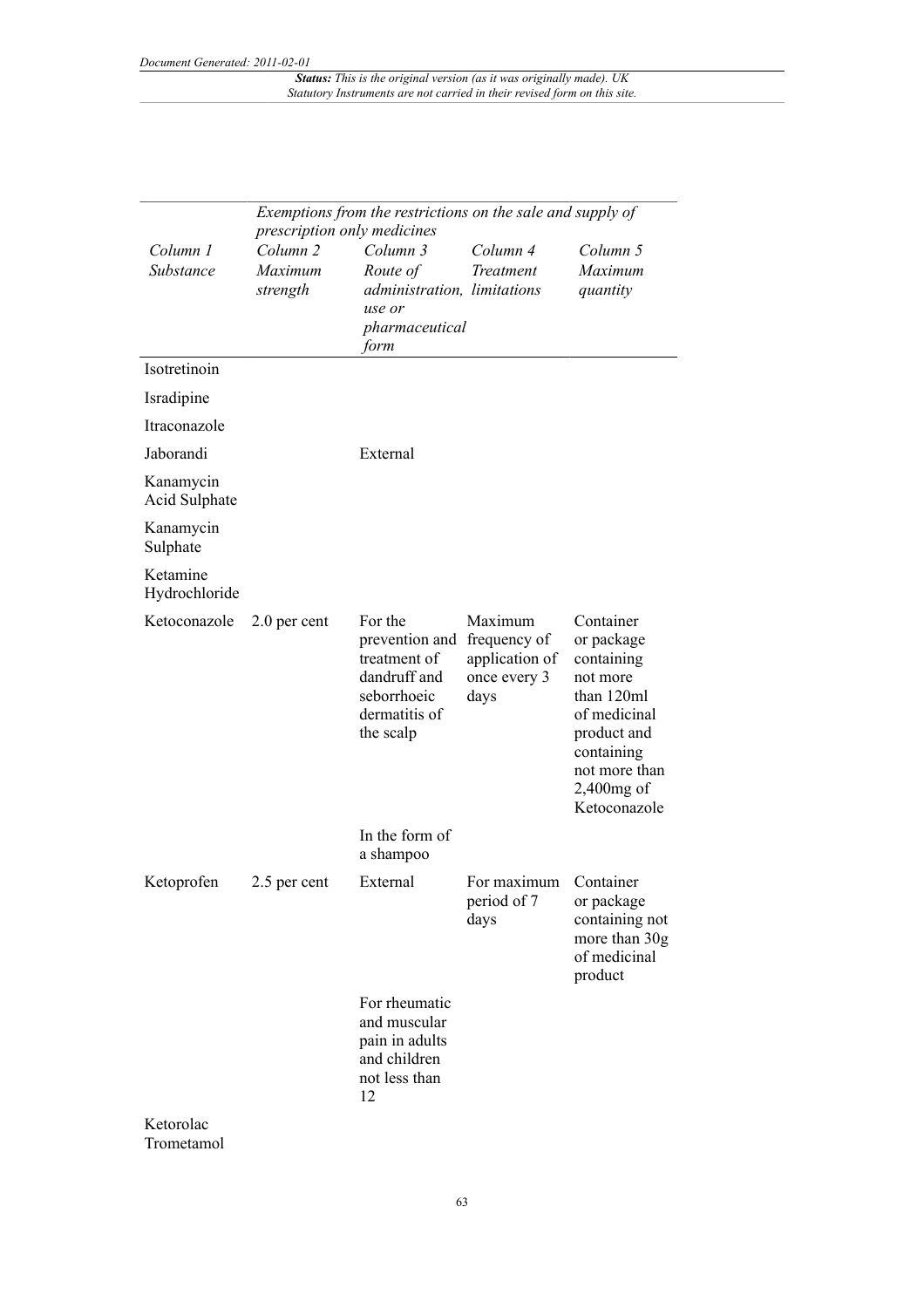|                            | Exemptions from the restrictions on the sale and supply of<br>prescription only medicines |                                                                                                        |                                                                   |                                                                                                                                                             |
|----------------------------|-------------------------------------------------------------------------------------------|--------------------------------------------------------------------------------------------------------|-------------------------------------------------------------------|-------------------------------------------------------------------------------------------------------------------------------------------------------------|
| Column 1<br>Substance      | Column <sub>2</sub><br>Maximum<br>strength                                                | Column 3<br>Route of<br>administration, limitations<br>use or<br>pharmaceutical<br>form                | Column 4<br>Treatment                                             | Column 5<br>Maximum<br>quantity                                                                                                                             |
| Isotretinoin               |                                                                                           |                                                                                                        |                                                                   |                                                                                                                                                             |
| Isradipine                 |                                                                                           |                                                                                                        |                                                                   |                                                                                                                                                             |
| Itraconazole               |                                                                                           |                                                                                                        |                                                                   |                                                                                                                                                             |
| Jaborandi                  |                                                                                           | External                                                                                               |                                                                   |                                                                                                                                                             |
| Kanamycin<br>Acid Sulphate |                                                                                           |                                                                                                        |                                                                   |                                                                                                                                                             |
| Kanamycin<br>Sulphate      |                                                                                           |                                                                                                        |                                                                   |                                                                                                                                                             |
| Ketamine<br>Hydrochloride  |                                                                                           |                                                                                                        |                                                                   |                                                                                                                                                             |
| Ketoconazole               | 2.0 per cent                                                                              | For the<br>prevention and<br>treatment of<br>dandruff and<br>seborrhoeic<br>dermatitis of<br>the scalp | Maximum<br>frequency of<br>application of<br>once every 3<br>days | Container<br>or package<br>containing<br>not more<br>than 120ml<br>of medicinal<br>product and<br>containing<br>not more than<br>2,400mg of<br>Ketoconazole |
|                            |                                                                                           | In the form of<br>a shampoo                                                                            |                                                                   |                                                                                                                                                             |
| Ketoprofen                 | 2.5 per cent                                                                              | External                                                                                               | For maximum<br>period of 7<br>days                                | Container<br>or package<br>containing not<br>more than 30g<br>of medicinal<br>product                                                                       |
|                            |                                                                                           | For rheumatic<br>and muscular<br>pain in adults<br>and children<br>not less than<br>12                 |                                                                   |                                                                                                                                                             |
| Ketorolac<br>Trometamol    |                                                                                           |                                                                                                        |                                                                   |                                                                                                                                                             |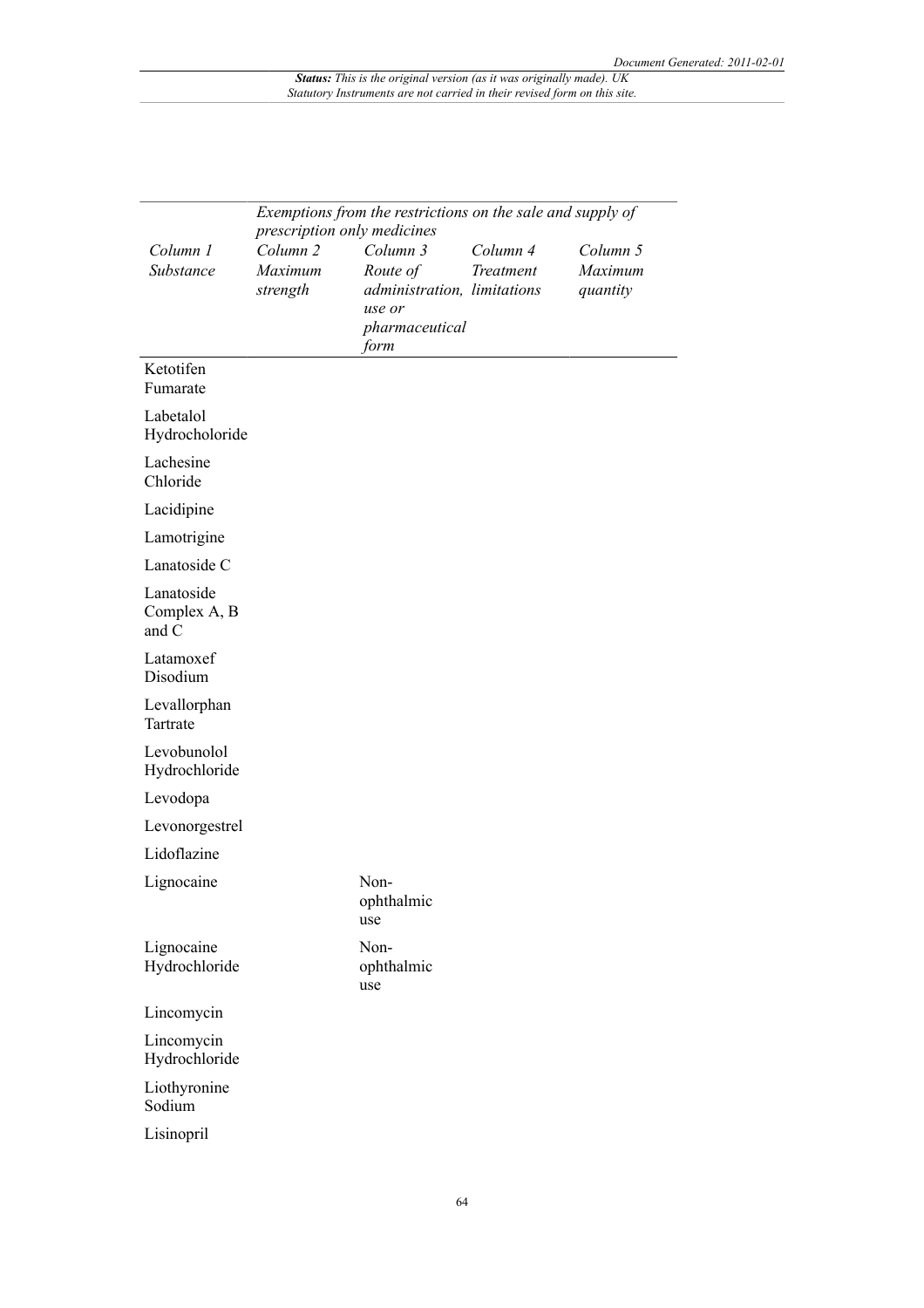|                                     | Exemptions from the restrictions on the sale and supply of<br>prescription only medicines |                             |           |          |  |
|-------------------------------------|-------------------------------------------------------------------------------------------|-----------------------------|-----------|----------|--|
| Column 1                            | Column <sub>2</sub>                                                                       | Column 3                    | Column 4  | Column 5 |  |
| Substance                           | Maximum                                                                                   | Route of                    | Treatment | Maximum  |  |
|                                     | strength                                                                                  | administration, limitations |           | quantity |  |
|                                     |                                                                                           | use or<br>pharmaceutical    |           |          |  |
|                                     |                                                                                           | form                        |           |          |  |
| Ketotifen<br>Fumarate               |                                                                                           |                             |           |          |  |
| Labetalol<br>Hydrocholoride         |                                                                                           |                             |           |          |  |
| Lachesine<br>Chloride               |                                                                                           |                             |           |          |  |
| Lacidipine                          |                                                                                           |                             |           |          |  |
| Lamotrigine                         |                                                                                           |                             |           |          |  |
| Lanatoside C                        |                                                                                           |                             |           |          |  |
| Lanatoside<br>Complex A, B<br>and C |                                                                                           |                             |           |          |  |
| Latamoxef<br>Disodium               |                                                                                           |                             |           |          |  |
| Levallorphan<br>Tartrate            |                                                                                           |                             |           |          |  |
| Levobunolol<br>Hydrochloride        |                                                                                           |                             |           |          |  |
| Levodopa                            |                                                                                           |                             |           |          |  |
| Levonorgestrel                      |                                                                                           |                             |           |          |  |
| Lidoflazine                         |                                                                                           |                             |           |          |  |
| Lignocaine                          |                                                                                           | Non-<br>ophthalmic<br>use   |           |          |  |
| Lignocaine<br>Hydrochloride         |                                                                                           | Non-<br>ophthalmic<br>use   |           |          |  |
| Lincomycin                          |                                                                                           |                             |           |          |  |
| Lincomycin<br>Hydrochloride         |                                                                                           |                             |           |          |  |
| Liothyronine<br>Sodium              |                                                                                           |                             |           |          |  |
| Lisinopril                          |                                                                                           |                             |           |          |  |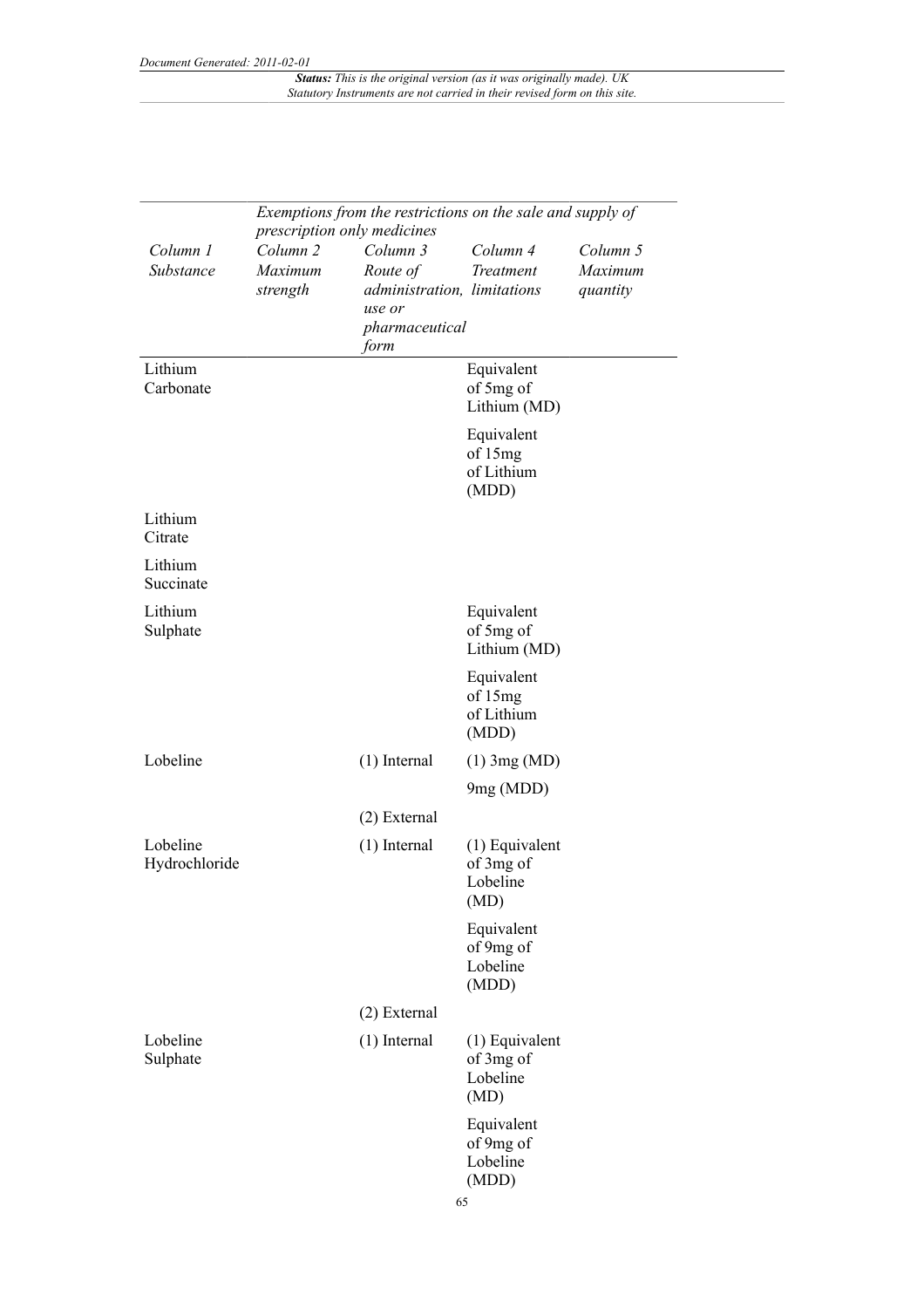|                           | Exemptions from the restrictions on the sale and supply of<br>prescription only medicines |                                                                                         |                                                   |                                 |
|---------------------------|-------------------------------------------------------------------------------------------|-----------------------------------------------------------------------------------------|---------------------------------------------------|---------------------------------|
| Column 1<br>Substance     | Column <sub>2</sub><br>Maximum<br>strength                                                | Column 3<br>Route of<br>administration, limitations<br>use or<br>pharmaceutical<br>form | Column 4<br>Treatment                             | Column 5<br>Maximum<br>quantity |
| Lithium<br>Carbonate      |                                                                                           |                                                                                         | Equivalent<br>of 5mg of<br>Lithium (MD)           |                                 |
|                           |                                                                                           |                                                                                         | Equivalent<br>of 15mg<br>of Lithium<br>(MDD)      |                                 |
| Lithium<br>Citrate        |                                                                                           |                                                                                         |                                                   |                                 |
| Lithium<br>Succinate      |                                                                                           |                                                                                         |                                                   |                                 |
| Lithium<br>Sulphate       |                                                                                           |                                                                                         | Equivalent<br>of 5mg of<br>Lithium (MD)           |                                 |
|                           |                                                                                           |                                                                                         | Equivalent<br>of 15mg<br>of Lithium<br>(MDD)      |                                 |
| Lobeline                  |                                                                                           | $(1)$ Internal                                                                          | $(1)$ 3mg (MD)<br>9mg (MDD)                       |                                 |
|                           |                                                                                           | (2) External                                                                            |                                                   |                                 |
| Lobeline<br>Hydrochloride |                                                                                           | $(1)$ Internal                                                                          | $(1)$ Equivalent<br>of 3mg of<br>Lobeline<br>(MD) |                                 |
|                           |                                                                                           |                                                                                         | Equivalent<br>of 9mg of<br>Lobeline<br>(MDD)      |                                 |
|                           |                                                                                           | (2) External                                                                            |                                                   |                                 |
| Lobeline<br>Sulphate      |                                                                                           | $(1)$ Internal                                                                          | $(1)$ Equivalent<br>of 3mg of<br>Lobeline<br>(MD) |                                 |
|                           |                                                                                           |                                                                                         | Equivalent<br>of 9mg of<br>Lobeline<br>(MDD)      |                                 |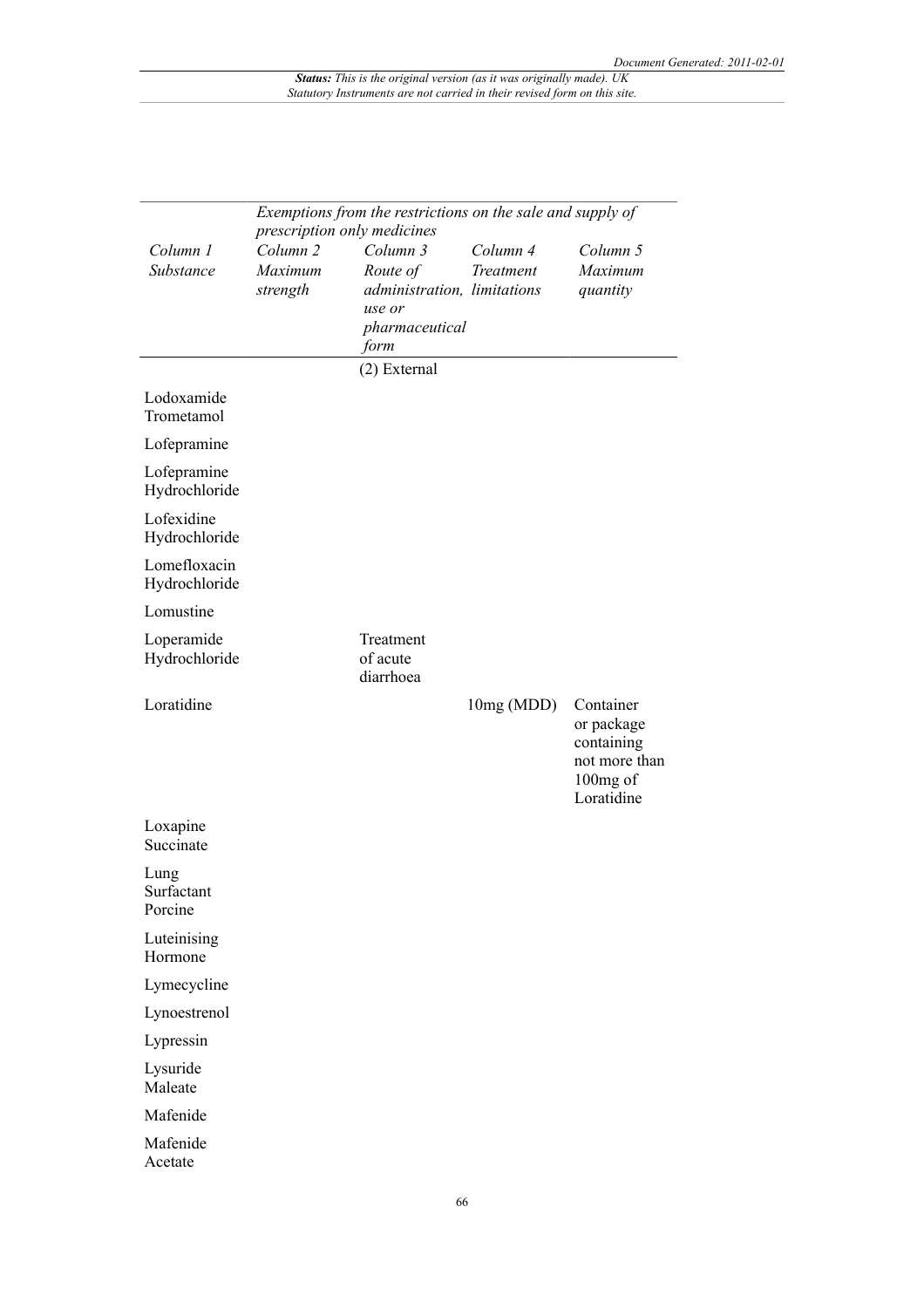|                               | Exemptions from the restrictions on the sale and supply of<br>prescription only medicines |                                                                                         |                       |                                                                                  |  |
|-------------------------------|-------------------------------------------------------------------------------------------|-----------------------------------------------------------------------------------------|-----------------------|----------------------------------------------------------------------------------|--|
| Column 1<br>Substance         | Column <sub>2</sub><br>Maximum<br>strength                                                | Column 3<br>Route of<br>administration, limitations<br>use or<br>pharmaceutical<br>form | Column 4<br>Treatment | Column 5<br>Maximum<br>quantity                                                  |  |
|                               |                                                                                           | (2) External                                                                            |                       |                                                                                  |  |
| Lodoxamide<br>Trometamol      |                                                                                           |                                                                                         |                       |                                                                                  |  |
| Lofepramine                   |                                                                                           |                                                                                         |                       |                                                                                  |  |
| Lofepramine<br>Hydrochloride  |                                                                                           |                                                                                         |                       |                                                                                  |  |
| Lofexidine<br>Hydrochloride   |                                                                                           |                                                                                         |                       |                                                                                  |  |
| Lomefloxacin<br>Hydrochloride |                                                                                           |                                                                                         |                       |                                                                                  |  |
| Lomustine                     |                                                                                           |                                                                                         |                       |                                                                                  |  |
| Loperamide<br>Hydrochloride   |                                                                                           | Treatment<br>of acute<br>diarrhoea                                                      |                       |                                                                                  |  |
| Loratidine                    |                                                                                           |                                                                                         | 10mg (MDD)            | Container<br>or package<br>containing<br>not more than<br>100mg of<br>Loratidine |  |
| Loxapine<br>Succinate         |                                                                                           |                                                                                         |                       |                                                                                  |  |
| Lung<br>Surfactant<br>Porcine |                                                                                           |                                                                                         |                       |                                                                                  |  |
| Luteinising<br>Hormone        |                                                                                           |                                                                                         |                       |                                                                                  |  |
| Lymecycline                   |                                                                                           |                                                                                         |                       |                                                                                  |  |
| Lynoestrenol                  |                                                                                           |                                                                                         |                       |                                                                                  |  |
| Lypressin                     |                                                                                           |                                                                                         |                       |                                                                                  |  |
| Lysuride<br>Maleate           |                                                                                           |                                                                                         |                       |                                                                                  |  |
| Mafenide                      |                                                                                           |                                                                                         |                       |                                                                                  |  |
| Mafenide<br>Acetate           |                                                                                           |                                                                                         |                       |                                                                                  |  |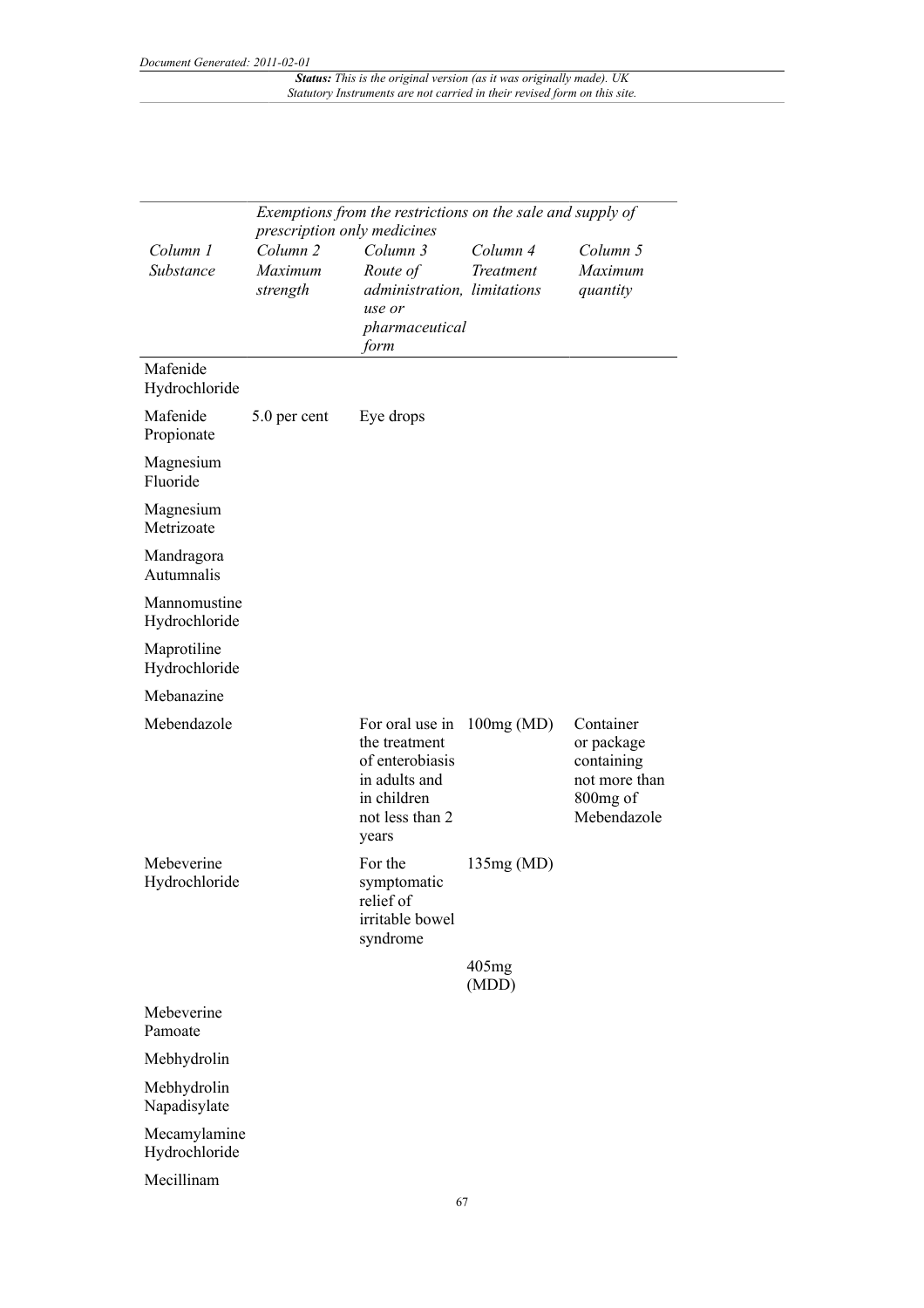|                               | prescription only medicines                | Exemptions from the restrictions on the sale and supply of                                                      |                       |                                                                                   |
|-------------------------------|--------------------------------------------|-----------------------------------------------------------------------------------------------------------------|-----------------------|-----------------------------------------------------------------------------------|
| Column 1<br>Substance         | Column <sub>2</sub><br>Maximum<br>strength | Column 3<br>Route of<br>administration, limitations<br>use or<br>pharmaceutical<br>form                         | Column 4<br>Treatment | Column 5<br>Maximum<br>quantity                                                   |
| Mafenide<br>Hydrochloride     |                                            |                                                                                                                 |                       |                                                                                   |
| Mafenide<br>Propionate        | 5.0 per cent                               | Eye drops                                                                                                       |                       |                                                                                   |
| Magnesium<br>Fluoride         |                                            |                                                                                                                 |                       |                                                                                   |
| Magnesium<br>Metrizoate       |                                            |                                                                                                                 |                       |                                                                                   |
| Mandragora<br>Autumnalis      |                                            |                                                                                                                 |                       |                                                                                   |
| Mannomustine<br>Hydrochloride |                                            |                                                                                                                 |                       |                                                                                   |
| Maprotiline<br>Hydrochloride  |                                            |                                                                                                                 |                       |                                                                                   |
| Mebanazine                    |                                            |                                                                                                                 |                       |                                                                                   |
| Mebendazole                   |                                            | For oral use in<br>the treatment<br>of enterobiasis<br>in adults and<br>in children<br>not less than 2<br>years | 100mg(MD)             | Container<br>or package<br>containing<br>not more than<br>800mg of<br>Mebendazole |
| Mebeverine<br>Hydrochloride   |                                            | For the<br>symptomatic<br>relief of<br>irritable bowel<br>syndrome                                              | 135mg(MD)             |                                                                                   |
|                               |                                            |                                                                                                                 | 405mg<br>(MDD)        |                                                                                   |
| Mebeverine<br>Pamoate         |                                            |                                                                                                                 |                       |                                                                                   |
| Mebhydrolin                   |                                            |                                                                                                                 |                       |                                                                                   |
| Mebhydrolin<br>Napadisylate   |                                            |                                                                                                                 |                       |                                                                                   |
| Mecamylamine<br>Hydrochloride |                                            |                                                                                                                 |                       |                                                                                   |
| Mecillinam                    |                                            |                                                                                                                 |                       |                                                                                   |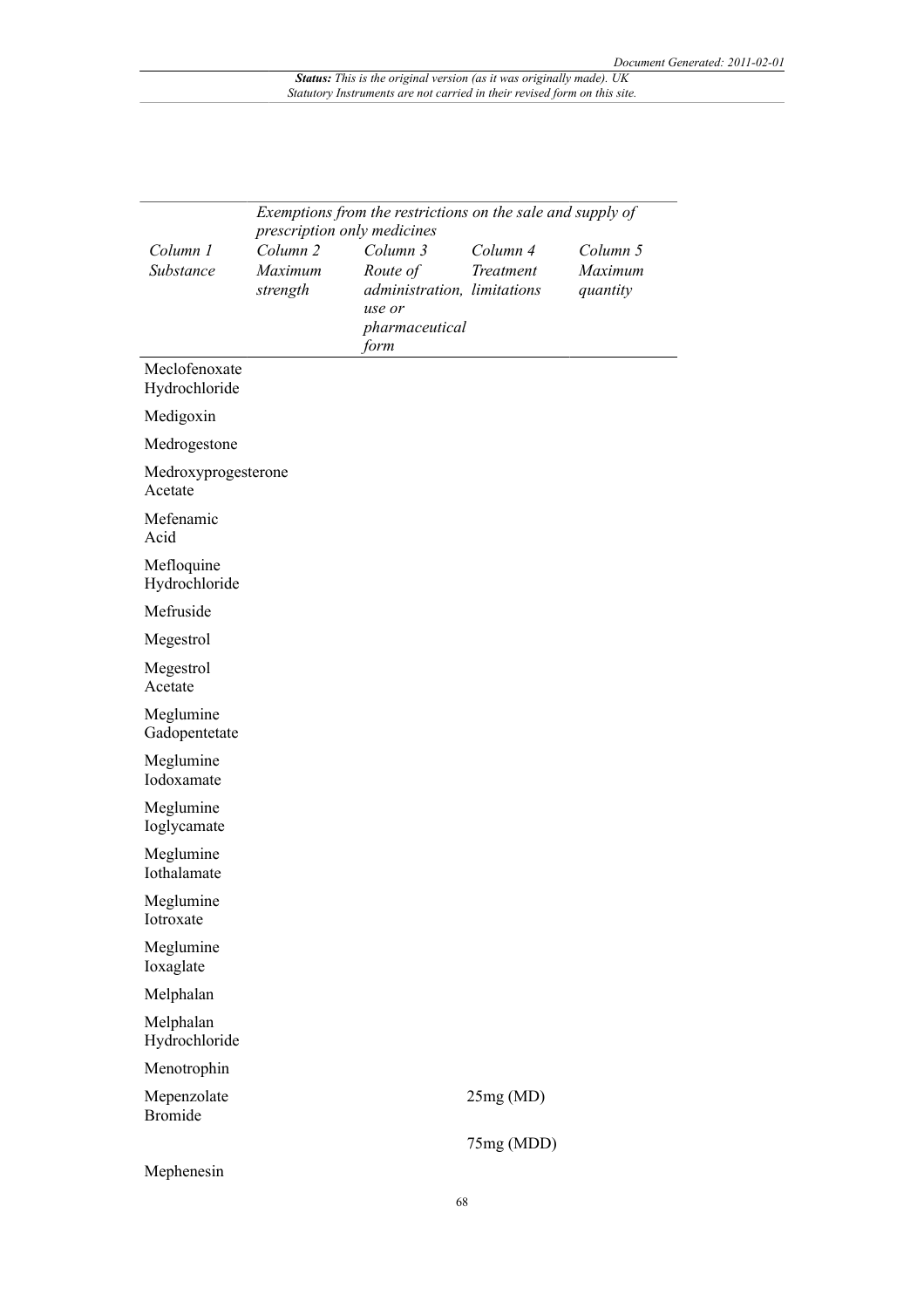|                                | Exemptions from the restrictions on the sale and supply of |                                       |                       |                     |  |
|--------------------------------|------------------------------------------------------------|---------------------------------------|-----------------------|---------------------|--|
|                                | prescription only medicines                                |                                       |                       |                     |  |
| Column 1<br>Substance          | Column <sub>2</sub><br>Maximum                             | Column 3<br>Route of                  | Column 4<br>Treatment | Column 5<br>Maximum |  |
|                                | strength                                                   | administration, limitations<br>use or |                       | quantity            |  |
|                                |                                                            | pharmaceutical<br>form                |                       |                     |  |
| Meclofenoxate<br>Hydrochloride |                                                            |                                       |                       |                     |  |
| Medigoxin                      |                                                            |                                       |                       |                     |  |
| Medrogestone                   |                                                            |                                       |                       |                     |  |
| Medroxyprogesterone<br>Acetate |                                                            |                                       |                       |                     |  |
| Mefenamic<br>Acid              |                                                            |                                       |                       |                     |  |
| Mefloquine<br>Hydrochloride    |                                                            |                                       |                       |                     |  |
| Mefruside                      |                                                            |                                       |                       |                     |  |
| Megestrol                      |                                                            |                                       |                       |                     |  |
| Megestrol<br>Acetate           |                                                            |                                       |                       |                     |  |
| Meglumine<br>Gadopentetate     |                                                            |                                       |                       |                     |  |
| Meglumine<br>Iodoxamate        |                                                            |                                       |                       |                     |  |
| Meglumine<br>Ioglycamate       |                                                            |                                       |                       |                     |  |
| Meglumine<br>Iothalamate       |                                                            |                                       |                       |                     |  |
| Meglumine<br>Iotroxate         |                                                            |                                       |                       |                     |  |
| Meglumine<br>Ioxaglate         |                                                            |                                       |                       |                     |  |
| Melphalan                      |                                                            |                                       |                       |                     |  |
| Melphalan<br>Hydrochloride     |                                                            |                                       |                       |                     |  |
| Menotrophin                    |                                                            |                                       |                       |                     |  |
| Mepenzolate<br><b>Bromide</b>  |                                                            |                                       | 25mg(MD)              |                     |  |
|                                |                                                            |                                       | 75mg (MDD)            |                     |  |
| Mephenesin                     |                                                            |                                       |                       |                     |  |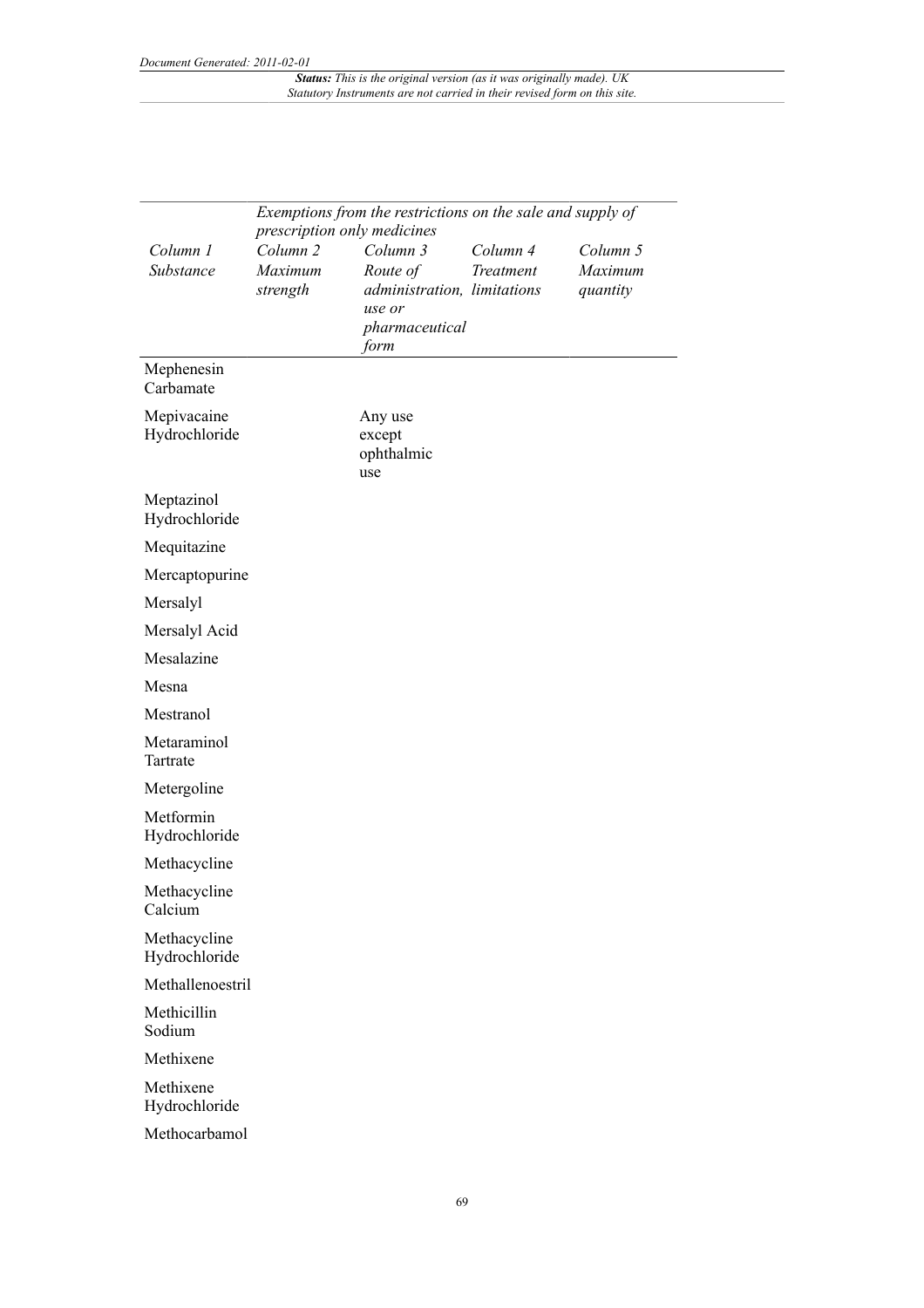|                               | Exemptions from the restrictions on the sale and supply of<br>prescription only medicines |                                                                                         |                       |                                 |  |
|-------------------------------|-------------------------------------------------------------------------------------------|-----------------------------------------------------------------------------------------|-----------------------|---------------------------------|--|
| Column 1<br>Substance         | Column <sub>2</sub><br>Maximum<br>strength                                                | Column 3<br>Route of<br>administration, limitations<br>use or<br>pharmaceutical<br>form | Column 4<br>Treatment | Column 5<br>Maximum<br>quantity |  |
| Mephenesin<br>Carbamate       |                                                                                           |                                                                                         |                       |                                 |  |
| Mepivacaine<br>Hydrochloride  |                                                                                           | Any use<br>except<br>ophthalmic<br>use                                                  |                       |                                 |  |
| Meptazinol<br>Hydrochloride   |                                                                                           |                                                                                         |                       |                                 |  |
| Mequitazine                   |                                                                                           |                                                                                         |                       |                                 |  |
| Mercaptopurine                |                                                                                           |                                                                                         |                       |                                 |  |
| Mersalyl                      |                                                                                           |                                                                                         |                       |                                 |  |
| Mersalyl Acid                 |                                                                                           |                                                                                         |                       |                                 |  |
| Mesalazine                    |                                                                                           |                                                                                         |                       |                                 |  |
| Mesna                         |                                                                                           |                                                                                         |                       |                                 |  |
| Mestranol                     |                                                                                           |                                                                                         |                       |                                 |  |
| Metaraminol<br>Tartrate       |                                                                                           |                                                                                         |                       |                                 |  |
| Metergoline                   |                                                                                           |                                                                                         |                       |                                 |  |
| Metformin<br>Hydrochloride    |                                                                                           |                                                                                         |                       |                                 |  |
| Methacycline                  |                                                                                           |                                                                                         |                       |                                 |  |
| Methacycline<br>Calcium       |                                                                                           |                                                                                         |                       |                                 |  |
| Methacycline<br>Hydrochloride |                                                                                           |                                                                                         |                       |                                 |  |
| Methallenoestril              |                                                                                           |                                                                                         |                       |                                 |  |
| Methicillin<br>Sodium         |                                                                                           |                                                                                         |                       |                                 |  |
| Methixene                     |                                                                                           |                                                                                         |                       |                                 |  |
| Methixene<br>Hydrochloride    |                                                                                           |                                                                                         |                       |                                 |  |
| Methocarbamol                 |                                                                                           |                                                                                         |                       |                                 |  |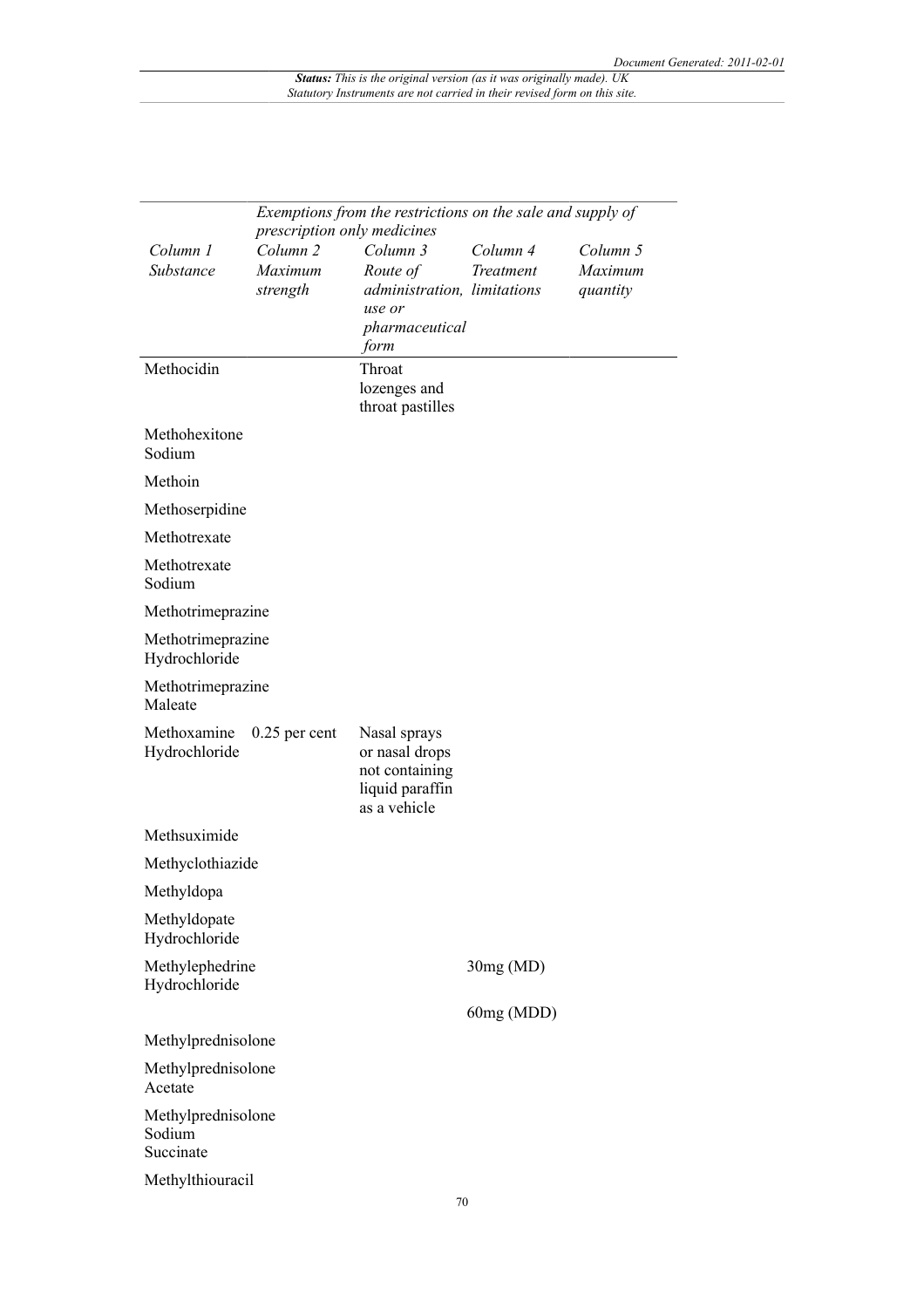|                                           |                                                    | Exemptions from the restrictions on the sale and supply of                          |            |                     |
|-------------------------------------------|----------------------------------------------------|-------------------------------------------------------------------------------------|------------|---------------------|
|                                           | prescription only medicines<br>Column <sub>2</sub> | Column 3                                                                            | Column 4   |                     |
| Column 1<br>Substance                     | Maximum                                            | Route of                                                                            | Treatment  | Column 5<br>Maximum |
|                                           | strength                                           | administration, limitations                                                         |            | quantity            |
|                                           |                                                    | use or                                                                              |            |                     |
|                                           |                                                    | pharmaceutical                                                                      |            |                     |
| Methocidin                                |                                                    | form<br>Throat                                                                      |            |                     |
|                                           |                                                    | lozenges and                                                                        |            |                     |
|                                           |                                                    | throat pastilles                                                                    |            |                     |
| Methohexitone                             |                                                    |                                                                                     |            |                     |
| Sodium                                    |                                                    |                                                                                     |            |                     |
| Methoin                                   |                                                    |                                                                                     |            |                     |
| Methoserpidine                            |                                                    |                                                                                     |            |                     |
| Methotrexate                              |                                                    |                                                                                     |            |                     |
| Methotrexate<br>Sodium                    |                                                    |                                                                                     |            |                     |
| Methotrimeprazine                         |                                                    |                                                                                     |            |                     |
| Methotrimeprazine<br>Hydrochloride        |                                                    |                                                                                     |            |                     |
| Methotrimeprazine<br>Maleate              |                                                    |                                                                                     |            |                     |
| Methoxamine<br>Hydrochloride              | $0.25$ per cent                                    | Nasal sprays<br>or nasal drops<br>not containing<br>liquid paraffin<br>as a vehicle |            |                     |
| Methsuximide                              |                                                    |                                                                                     |            |                     |
| Methyclothiazide                          |                                                    |                                                                                     |            |                     |
| Methyldopa                                |                                                    |                                                                                     |            |                     |
| Methyldopate<br>Hydrochloride             |                                                    |                                                                                     |            |                     |
| Methylephedrine<br>Hydrochloride          |                                                    |                                                                                     | 30mg(MD)   |                     |
|                                           |                                                    |                                                                                     | 60mg (MDD) |                     |
| Methylprednisolone                        |                                                    |                                                                                     |            |                     |
| Methylprednisolone<br>Acetate             |                                                    |                                                                                     |            |                     |
| Methylprednisolone<br>Sodium<br>Succinate |                                                    |                                                                                     |            |                     |
| Methylthiouracil                          |                                                    |                                                                                     |            |                     |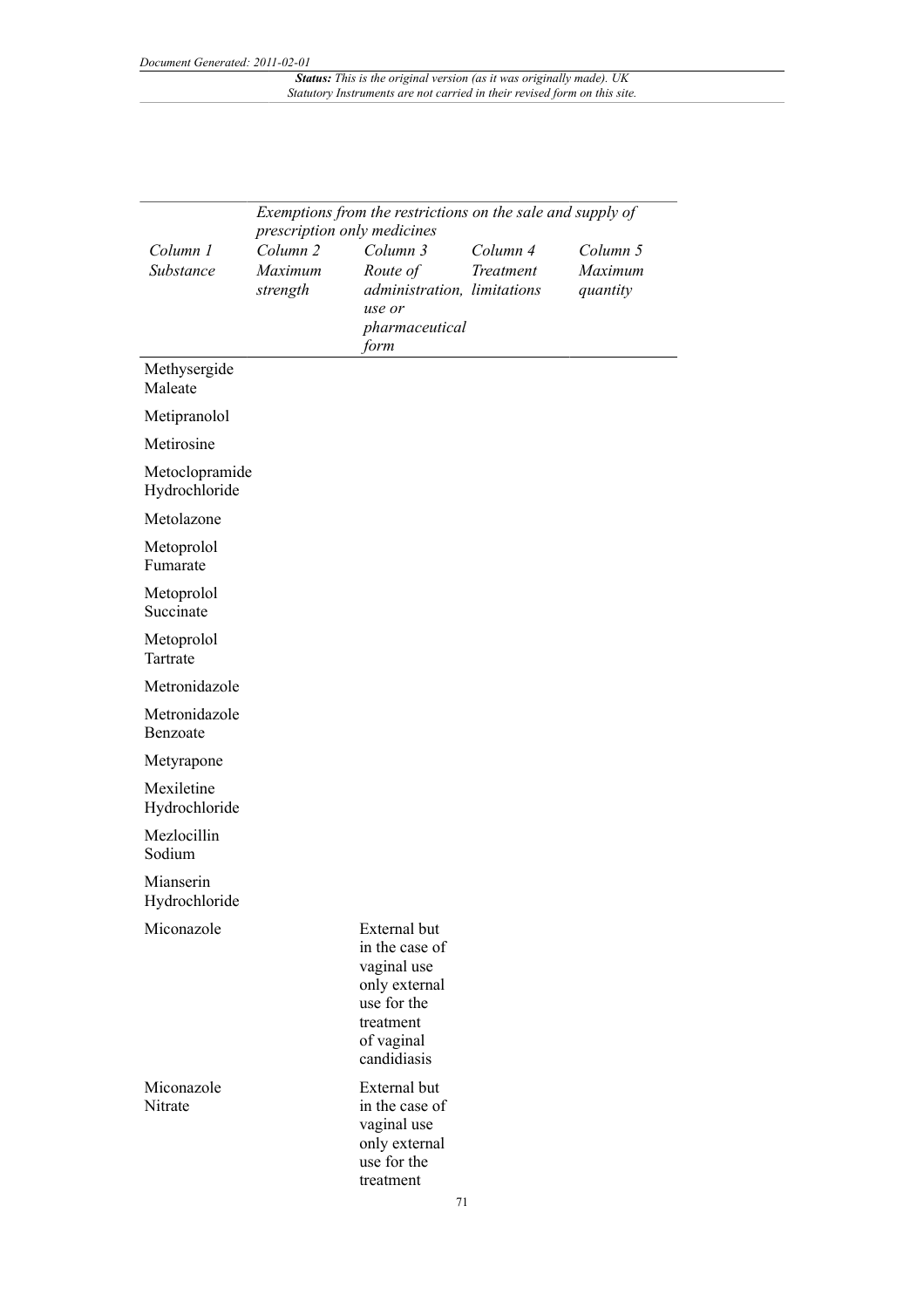|                                 | Exemptions from the restrictions on the sale and supply of |                                                                                                                         |                              |                                 |  |
|---------------------------------|------------------------------------------------------------|-------------------------------------------------------------------------------------------------------------------------|------------------------------|---------------------------------|--|
|                                 | prescription only medicines                                |                                                                                                                         |                              |                                 |  |
| Column 1<br>Substance           | Column <sub>2</sub><br>Maximum<br>strength                 | Column 3<br>Route of<br>administration, limitations<br>use or                                                           | Column 4<br><b>Treatment</b> | Column 5<br>Maximum<br>quantity |  |
|                                 |                                                            | pharmaceutical<br>form                                                                                                  |                              |                                 |  |
| Methysergide<br>Maleate         |                                                            |                                                                                                                         |                              |                                 |  |
| Metipranolol                    |                                                            |                                                                                                                         |                              |                                 |  |
| Metirosine                      |                                                            |                                                                                                                         |                              |                                 |  |
| Metoclopramide<br>Hydrochloride |                                                            |                                                                                                                         |                              |                                 |  |
| Metolazone                      |                                                            |                                                                                                                         |                              |                                 |  |
| Metoprolol<br>Fumarate          |                                                            |                                                                                                                         |                              |                                 |  |
| Metoprolol<br>Succinate         |                                                            |                                                                                                                         |                              |                                 |  |
| Metoprolol<br>Tartrate          |                                                            |                                                                                                                         |                              |                                 |  |
| Metronidazole                   |                                                            |                                                                                                                         |                              |                                 |  |
| Metronidazole<br>Benzoate       |                                                            |                                                                                                                         |                              |                                 |  |
| Metyrapone                      |                                                            |                                                                                                                         |                              |                                 |  |
| Mexiletine<br>Hydrochloride     |                                                            |                                                                                                                         |                              |                                 |  |
| Mezlocillin<br>Sodium           |                                                            |                                                                                                                         |                              |                                 |  |
| Mianserin<br>Hydrochloride      |                                                            |                                                                                                                         |                              |                                 |  |
| Miconazole                      |                                                            | External but<br>in the case of<br>vaginal use<br>only external<br>use for the<br>treatment<br>of vaginal<br>candidiasis |                              |                                 |  |
| Miconazole<br>Nitrate           |                                                            | <b>External</b> but<br>in the case of<br>vaginal use<br>only external<br>use for the<br>treatment                       |                              |                                 |  |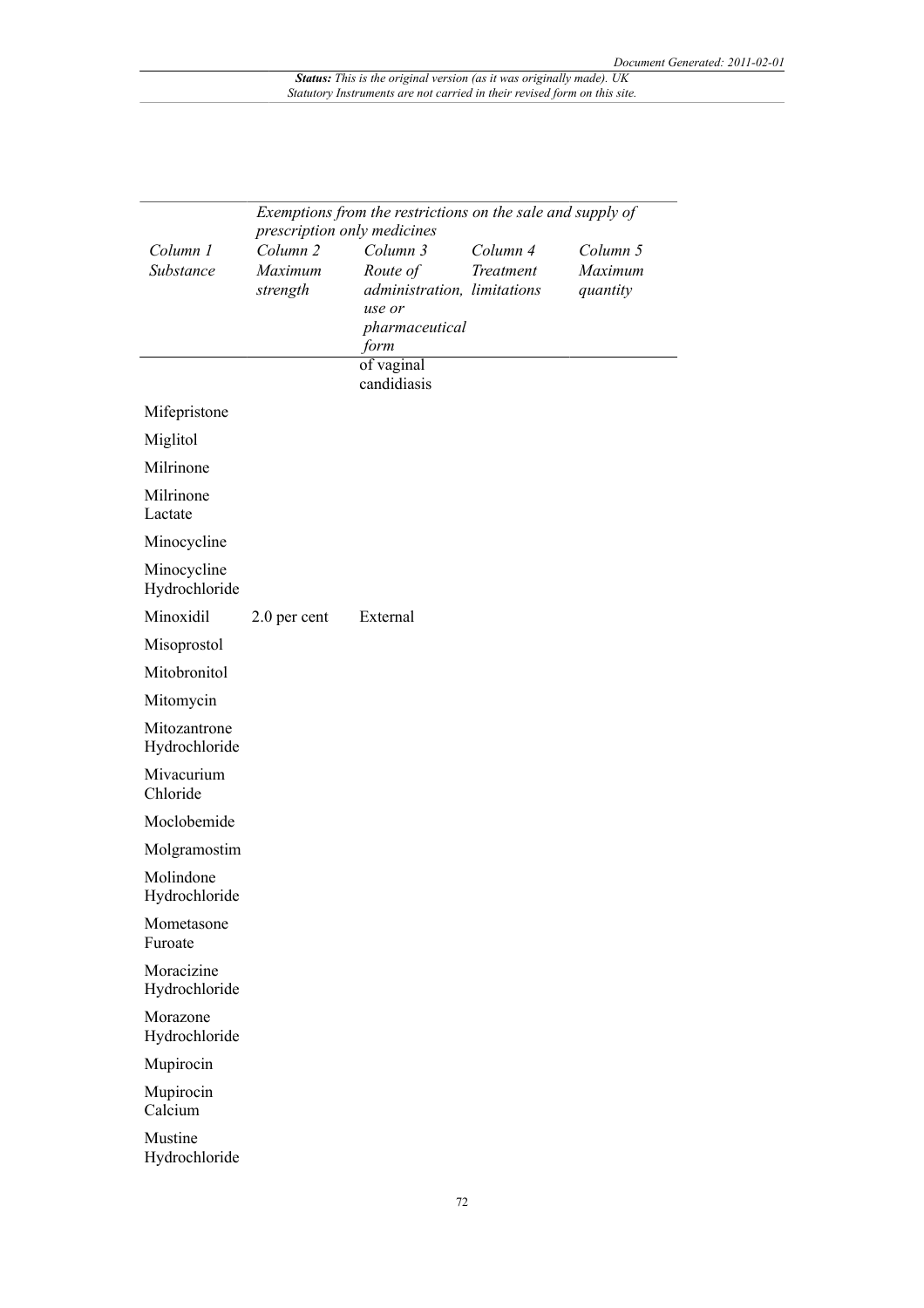| Exemptions from the restrictions on the sale and supply of<br>prescription only medicines |                                            |                                                                                         |                       |                                 |
|-------------------------------------------------------------------------------------------|--------------------------------------------|-----------------------------------------------------------------------------------------|-----------------------|---------------------------------|
| Column 1<br>Substance                                                                     | Column <sub>2</sub><br>Maximum<br>strength | Column 3<br>Route of<br>administration, limitations<br>use or<br>pharmaceutical<br>form | Column 4<br>Treatment | Column 5<br>Maximum<br>quantity |
|                                                                                           |                                            | of vaginal<br>candidiasis                                                               |                       |                                 |
| Mifepristone                                                                              |                                            |                                                                                         |                       |                                 |
| Miglitol                                                                                  |                                            |                                                                                         |                       |                                 |
| Milrinone                                                                                 |                                            |                                                                                         |                       |                                 |
| Milrinone<br>Lactate                                                                      |                                            |                                                                                         |                       |                                 |
| Minocycline                                                                               |                                            |                                                                                         |                       |                                 |
| Minocycline<br>Hydrochloride                                                              |                                            |                                                                                         |                       |                                 |
| Minoxidil                                                                                 | 2.0 per cent                               | External                                                                                |                       |                                 |
| Misoprostol                                                                               |                                            |                                                                                         |                       |                                 |
| Mitobronitol                                                                              |                                            |                                                                                         |                       |                                 |
| Mitomycin                                                                                 |                                            |                                                                                         |                       |                                 |
| Mitozantrone<br>Hydrochloride                                                             |                                            |                                                                                         |                       |                                 |
| Mivacurium<br>Chloride                                                                    |                                            |                                                                                         |                       |                                 |
| Moclobemide                                                                               |                                            |                                                                                         |                       |                                 |
| Molgramostim                                                                              |                                            |                                                                                         |                       |                                 |
| Molindone<br>Hydrochloride                                                                |                                            |                                                                                         |                       |                                 |
| Mometasone<br>Furoate                                                                     |                                            |                                                                                         |                       |                                 |
| Moracizine<br>Hydrochloride                                                               |                                            |                                                                                         |                       |                                 |
| Morazone<br>Hydrochloride                                                                 |                                            |                                                                                         |                       |                                 |
| Mupirocin                                                                                 |                                            |                                                                                         |                       |                                 |
| Mupirocin<br>Calcium                                                                      |                                            |                                                                                         |                       |                                 |
| Mustine<br>Hydrochloride                                                                  |                                            |                                                                                         |                       |                                 |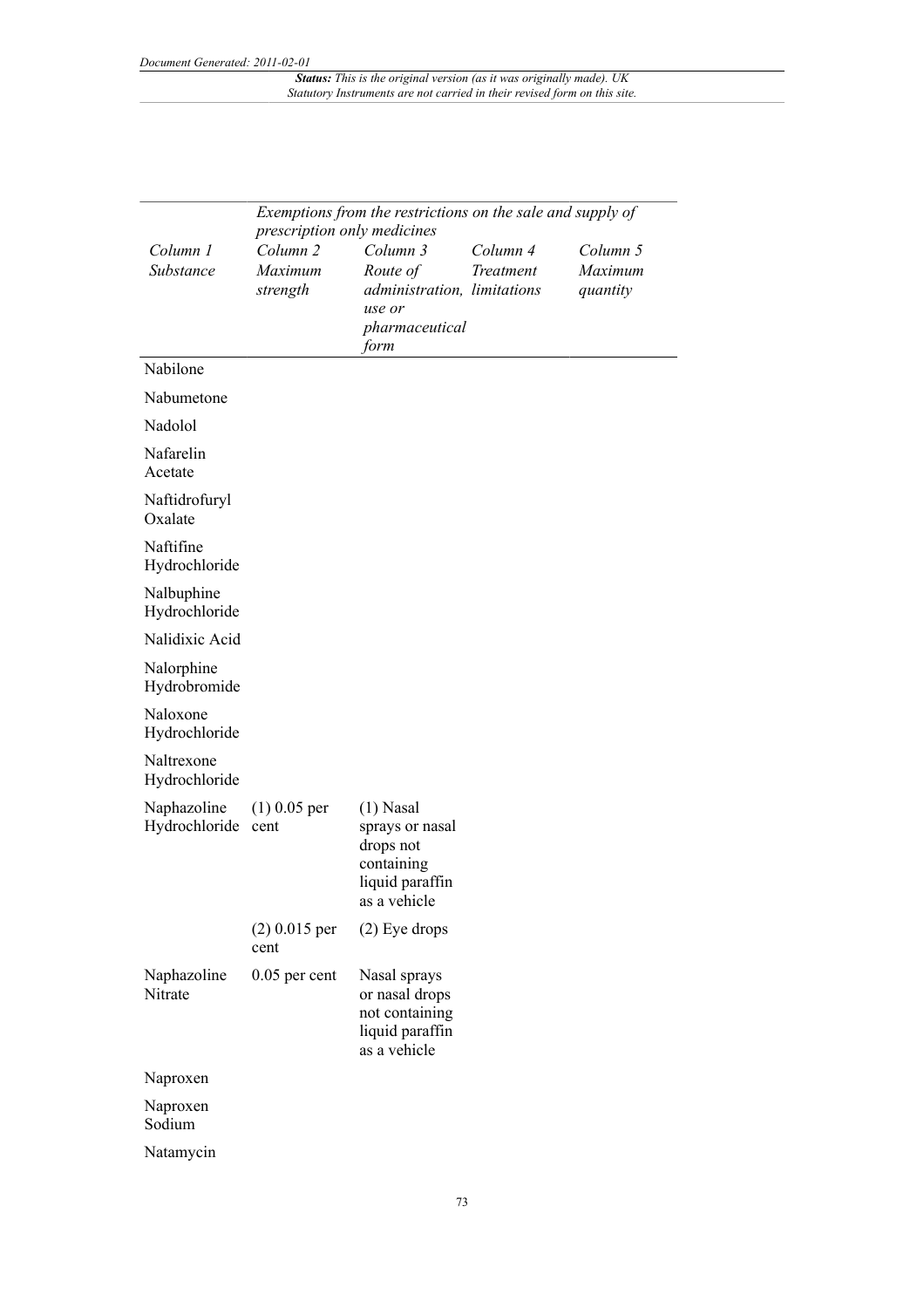|                              | Exemptions from the restrictions on the sale and supply of<br>prescription only medicines |                                                                                              |                       |                                 |
|------------------------------|-------------------------------------------------------------------------------------------|----------------------------------------------------------------------------------------------|-----------------------|---------------------------------|
| Column 1<br>Substance        | Column <sub>2</sub><br>Maximum<br>strength                                                | Column 3<br>Route of<br>administration, limitations<br>use or<br>pharmaceutical<br>form      | Column 4<br>Treatment | Column 5<br>Maximum<br>quantity |
| Nabilone                     |                                                                                           |                                                                                              |                       |                                 |
| Nabumetone                   |                                                                                           |                                                                                              |                       |                                 |
| Nadolol                      |                                                                                           |                                                                                              |                       |                                 |
| Nafarelin<br>Acetate         |                                                                                           |                                                                                              |                       |                                 |
| Naftidrofuryl<br>Oxalate     |                                                                                           |                                                                                              |                       |                                 |
| Naftifine<br>Hydrochloride   |                                                                                           |                                                                                              |                       |                                 |
| Nalbuphine<br>Hydrochloride  |                                                                                           |                                                                                              |                       |                                 |
| Nalidixic Acid               |                                                                                           |                                                                                              |                       |                                 |
| Nalorphine<br>Hydrobromide   |                                                                                           |                                                                                              |                       |                                 |
| Naloxone<br>Hydrochloride    |                                                                                           |                                                                                              |                       |                                 |
| Naltrexone<br>Hydrochloride  |                                                                                           |                                                                                              |                       |                                 |
| Naphazoline<br>Hydrochloride | $(1)$ 0.05 per<br>cent                                                                    | $(1)$ Nasal<br>sprays or nasal<br>drops not<br>containing<br>liquid paraffin<br>as a vehicle |                       |                                 |
|                              | $(2)$ 0.015 per<br>cent                                                                   | $(2)$ Eye drops                                                                              |                       |                                 |
| Naphazoline<br>Nitrate       | 0.05 per cent                                                                             | Nasal sprays<br>or nasal drops<br>not containing<br>liquid paraffin<br>as a vehicle          |                       |                                 |
| Naproxen                     |                                                                                           |                                                                                              |                       |                                 |
| Naproxen<br>Sodium           |                                                                                           |                                                                                              |                       |                                 |
| Natamycin                    |                                                                                           |                                                                                              |                       |                                 |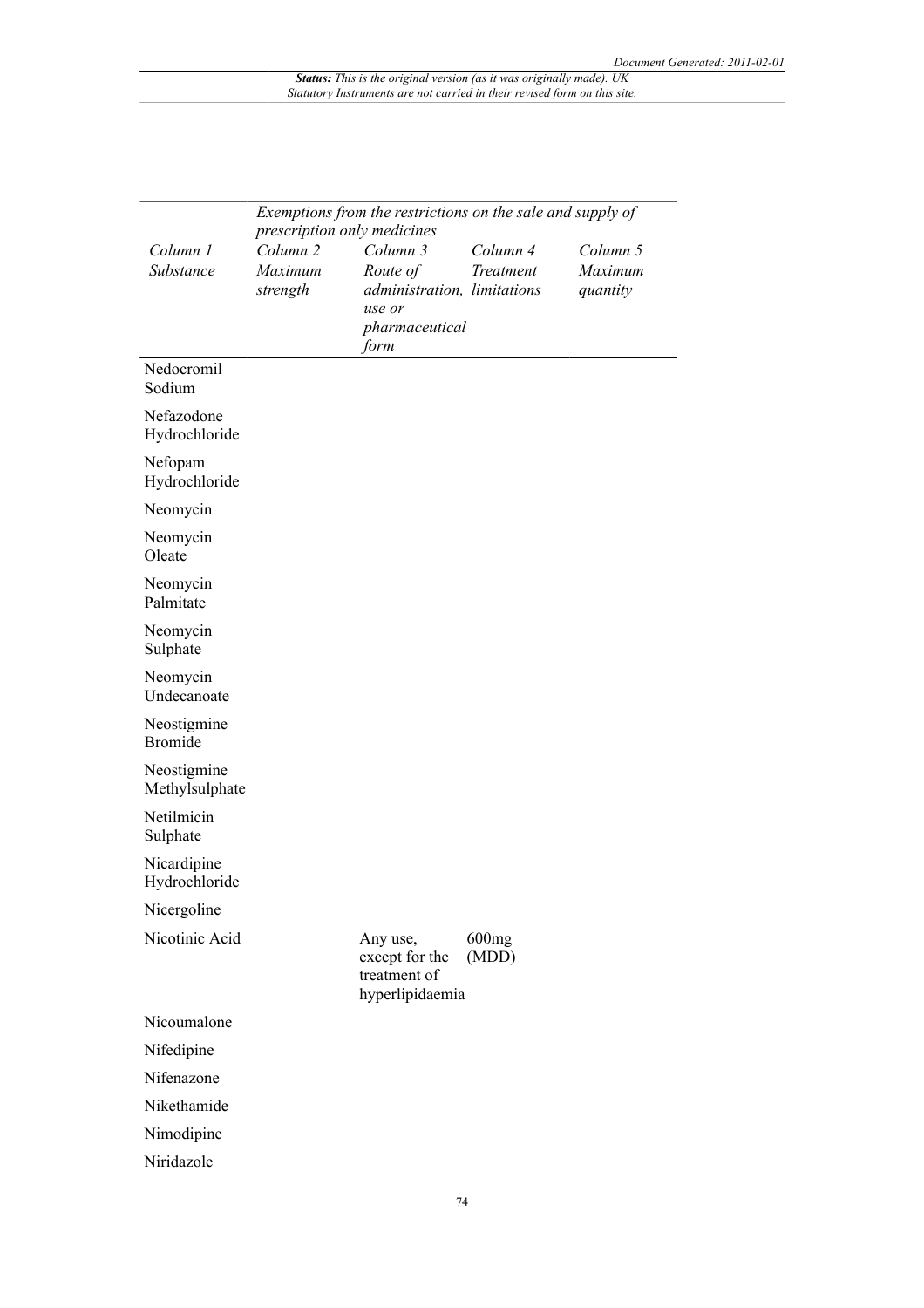|                               | Exemptions from the restrictions on the sale and supply of |                                                               |                |                     |  |  |
|-------------------------------|------------------------------------------------------------|---------------------------------------------------------------|----------------|---------------------|--|--|
|                               | prescription only medicines                                |                                                               |                |                     |  |  |
| Column 1                      | Column <sub>2</sub>                                        | Column 3                                                      | Column 4       | Column 5            |  |  |
| Substance                     | Maximum<br>strength                                        | Route of<br>administration, limitations<br>use or             | Treatment      | Maximum<br>quantity |  |  |
|                               |                                                            | pharmaceutical<br>form                                        |                |                     |  |  |
| Nedocromil<br>Sodium          |                                                            |                                                               |                |                     |  |  |
| Nefazodone<br>Hydrochloride   |                                                            |                                                               |                |                     |  |  |
| Nefopam<br>Hydrochloride      |                                                            |                                                               |                |                     |  |  |
| Neomycin                      |                                                            |                                                               |                |                     |  |  |
| Neomycin<br>Oleate            |                                                            |                                                               |                |                     |  |  |
| Neomycin<br>Palmitate         |                                                            |                                                               |                |                     |  |  |
| Neomycin<br>Sulphate          |                                                            |                                                               |                |                     |  |  |
| Neomycin<br>Undecanoate       |                                                            |                                                               |                |                     |  |  |
| Neostigmine<br><b>Bromide</b> |                                                            |                                                               |                |                     |  |  |
| Neostigmine<br>Methylsulphate |                                                            |                                                               |                |                     |  |  |
| Netilmicin<br>Sulphate        |                                                            |                                                               |                |                     |  |  |
| Nicardipine<br>Hydrochloride  |                                                            |                                                               |                |                     |  |  |
| Nicergoline                   |                                                            |                                                               |                |                     |  |  |
| Nicotinic Acid                |                                                            | Any use,<br>except for the<br>treatment of<br>hyperlipidaemia | 600mg<br>(MDD) |                     |  |  |
| Nicoumalone                   |                                                            |                                                               |                |                     |  |  |
| Nifedipine                    |                                                            |                                                               |                |                     |  |  |
| Nifenazone                    |                                                            |                                                               |                |                     |  |  |
| Nikethamide                   |                                                            |                                                               |                |                     |  |  |
| Nimodipine                    |                                                            |                                                               |                |                     |  |  |
| Niridazole                    |                                                            |                                                               |                |                     |  |  |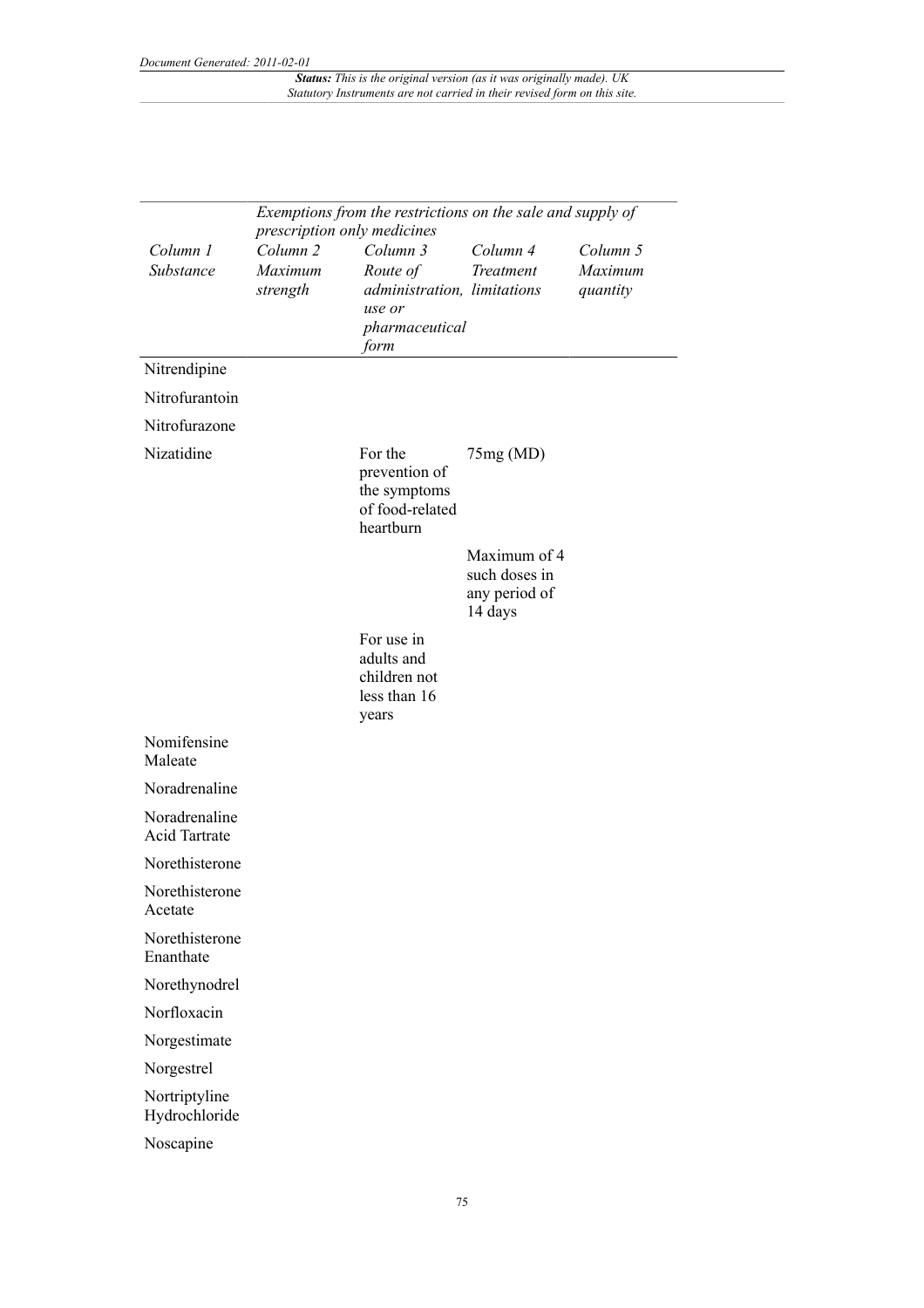|                                | prescription only medicines                | Exemptions from the restrictions on the sale and supply of                              |                                                           |                                 |
|--------------------------------|--------------------------------------------|-----------------------------------------------------------------------------------------|-----------------------------------------------------------|---------------------------------|
| Column 1<br>Substance          | Column <sub>2</sub><br>Maximum<br>strength | Column 3<br>Route of<br>administration, limitations<br>use or<br>pharmaceutical<br>form | Column 4<br>Treatment                                     | Column 5<br>Maximum<br>quantity |
| Nitrendipine                   |                                            |                                                                                         |                                                           |                                 |
| Nitrofurantoin                 |                                            |                                                                                         |                                                           |                                 |
| Nitrofurazone                  |                                            |                                                                                         |                                                           |                                 |
| Nizatidine                     |                                            | For the<br>prevention of<br>the symptoms<br>of food-related<br>heartburn                | 75mg(MD)                                                  |                                 |
|                                |                                            |                                                                                         | Maximum of 4<br>such doses in<br>any period of<br>14 days |                                 |
|                                |                                            | For use in<br>adults and<br>children not<br>less than 16<br>years                       |                                                           |                                 |
| Nomifensine<br>Maleate         |                                            |                                                                                         |                                                           |                                 |
| Noradrenaline                  |                                            |                                                                                         |                                                           |                                 |
| Noradrenaline<br>Acid Tartrate |                                            |                                                                                         |                                                           |                                 |
| Norethisterone                 |                                            |                                                                                         |                                                           |                                 |
| Norethisterone<br>Acetate      |                                            |                                                                                         |                                                           |                                 |
| Norethisterone<br>Enanthate    |                                            |                                                                                         |                                                           |                                 |
| Norethynodrel                  |                                            |                                                                                         |                                                           |                                 |
| Norfloxacin                    |                                            |                                                                                         |                                                           |                                 |
| Norgestimate                   |                                            |                                                                                         |                                                           |                                 |
| Norgestrel                     |                                            |                                                                                         |                                                           |                                 |
| Nortriptyline<br>Hydrochloride |                                            |                                                                                         |                                                           |                                 |
| Noscapine                      |                                            |                                                                                         |                                                           |                                 |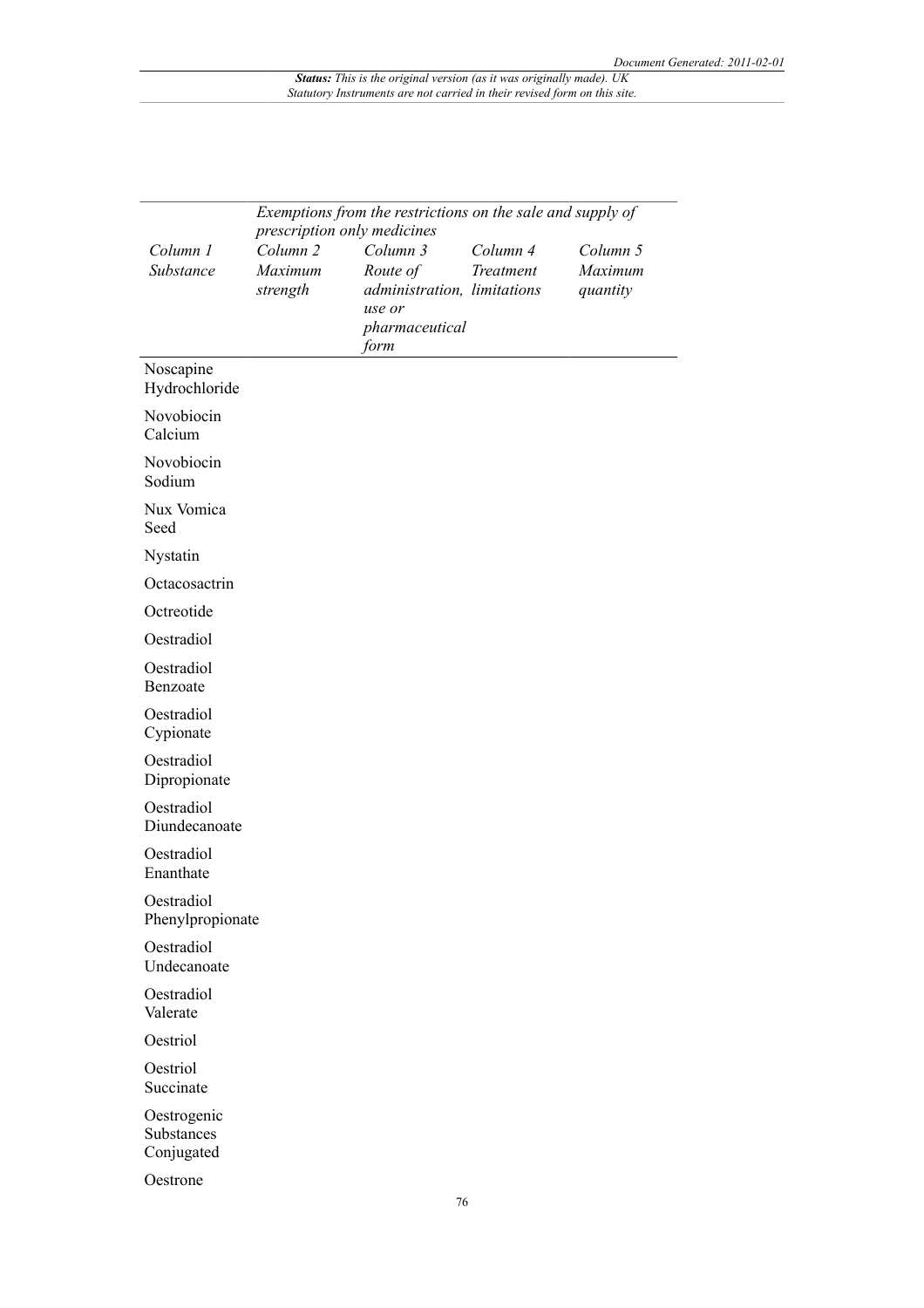|                                         | Exemptions from the restrictions on the sale and supply of<br>prescription only medicines |                                                                                         |                       |                                 |  |
|-----------------------------------------|-------------------------------------------------------------------------------------------|-----------------------------------------------------------------------------------------|-----------------------|---------------------------------|--|
| Column 1<br>Substance                   | Column <sub>2</sub><br>Maximum<br>strength                                                | Column 3<br>Route of<br>administration, limitations<br>use or<br>pharmaceutical<br>form | Column 4<br>Treatment | Column 5<br>Maximum<br>quantity |  |
| Noscapine<br>Hydrochloride              |                                                                                           |                                                                                         |                       |                                 |  |
| Novobiocin<br>Calcium                   |                                                                                           |                                                                                         |                       |                                 |  |
| Novobiocin<br>Sodium                    |                                                                                           |                                                                                         |                       |                                 |  |
| Nux Vomica<br>Seed                      |                                                                                           |                                                                                         |                       |                                 |  |
| Nystatin                                |                                                                                           |                                                                                         |                       |                                 |  |
| Octacosactrin                           |                                                                                           |                                                                                         |                       |                                 |  |
| Octreotide                              |                                                                                           |                                                                                         |                       |                                 |  |
| Oestradiol                              |                                                                                           |                                                                                         |                       |                                 |  |
| Oestradiol<br>Benzoate                  |                                                                                           |                                                                                         |                       |                                 |  |
| Oestradiol<br>Cypionate                 |                                                                                           |                                                                                         |                       |                                 |  |
| Oestradiol<br>Dipropionate              |                                                                                           |                                                                                         |                       |                                 |  |
| Oestradiol<br>Diundecanoate             |                                                                                           |                                                                                         |                       |                                 |  |
| Oestradiol<br>Enanthate                 |                                                                                           |                                                                                         |                       |                                 |  |
| Oestradiol<br>Phenylpropionate          |                                                                                           |                                                                                         |                       |                                 |  |
| Oestradiol<br>Undecanoate               |                                                                                           |                                                                                         |                       |                                 |  |
| Oestradiol<br>Valerate                  |                                                                                           |                                                                                         |                       |                                 |  |
| Oestriol                                |                                                                                           |                                                                                         |                       |                                 |  |
| Oestriol<br>Succinate                   |                                                                                           |                                                                                         |                       |                                 |  |
| Oestrogenic<br>Substances<br>Conjugated |                                                                                           |                                                                                         |                       |                                 |  |
| Oestrone                                |                                                                                           |                                                                                         |                       |                                 |  |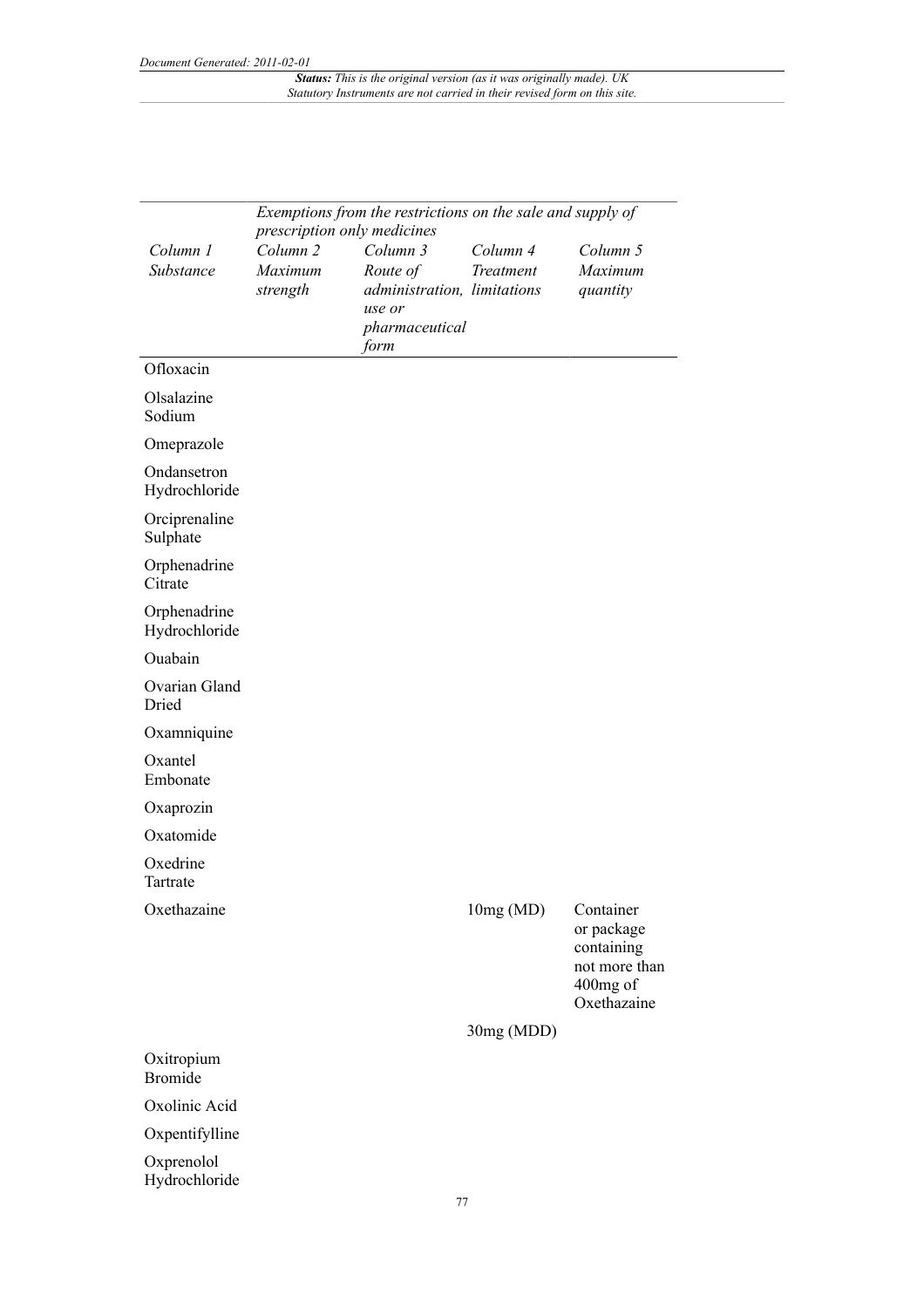|                               | Exemptions from the restrictions on the sale and supply of<br>prescription only medicines |                                                               |                       |                                                                                   |  |
|-------------------------------|-------------------------------------------------------------------------------------------|---------------------------------------------------------------|-----------------------|-----------------------------------------------------------------------------------|--|
| Column 1<br>Substance         | Column <sub>2</sub><br>Maximum<br>strength                                                | Column 3<br>Route of<br>administration, limitations<br>use or | Column 4<br>Treatment | Column 5<br>Maximum<br>quantity                                                   |  |
|                               |                                                                                           | pharmaceutical<br>form                                        |                       |                                                                                   |  |
| Ofloxacin                     |                                                                                           |                                                               |                       |                                                                                   |  |
| Olsalazine<br>Sodium          |                                                                                           |                                                               |                       |                                                                                   |  |
| Omeprazole                    |                                                                                           |                                                               |                       |                                                                                   |  |
| Ondansetron<br>Hydrochloride  |                                                                                           |                                                               |                       |                                                                                   |  |
| Orciprenaline<br>Sulphate     |                                                                                           |                                                               |                       |                                                                                   |  |
| Orphenadrine<br>Citrate       |                                                                                           |                                                               |                       |                                                                                   |  |
| Orphenadrine<br>Hydrochloride |                                                                                           |                                                               |                       |                                                                                   |  |
| Ouabain                       |                                                                                           |                                                               |                       |                                                                                   |  |
| Ovarian Gland<br>Dried        |                                                                                           |                                                               |                       |                                                                                   |  |
| Oxamniquine                   |                                                                                           |                                                               |                       |                                                                                   |  |
| Oxantel<br>Embonate           |                                                                                           |                                                               |                       |                                                                                   |  |
| Oxaprozin                     |                                                                                           |                                                               |                       |                                                                                   |  |
| Oxatomide                     |                                                                                           |                                                               |                       |                                                                                   |  |
| Oxedrine<br>Tartrate          |                                                                                           |                                                               |                       |                                                                                   |  |
| Oxethazaine                   |                                                                                           |                                                               | 10mg(MD)              | Container<br>or package<br>containing<br>not more than<br>400mg of<br>Oxethazaine |  |
|                               |                                                                                           |                                                               | 30mg (MDD)            |                                                                                   |  |
| Oxitropium<br><b>Bromide</b>  |                                                                                           |                                                               |                       |                                                                                   |  |
| Oxolinic Acid                 |                                                                                           |                                                               |                       |                                                                                   |  |
| Oxpentifylline                |                                                                                           |                                                               |                       |                                                                                   |  |
| Oxprenolol<br>Hydrochloride   |                                                                                           |                                                               |                       |                                                                                   |  |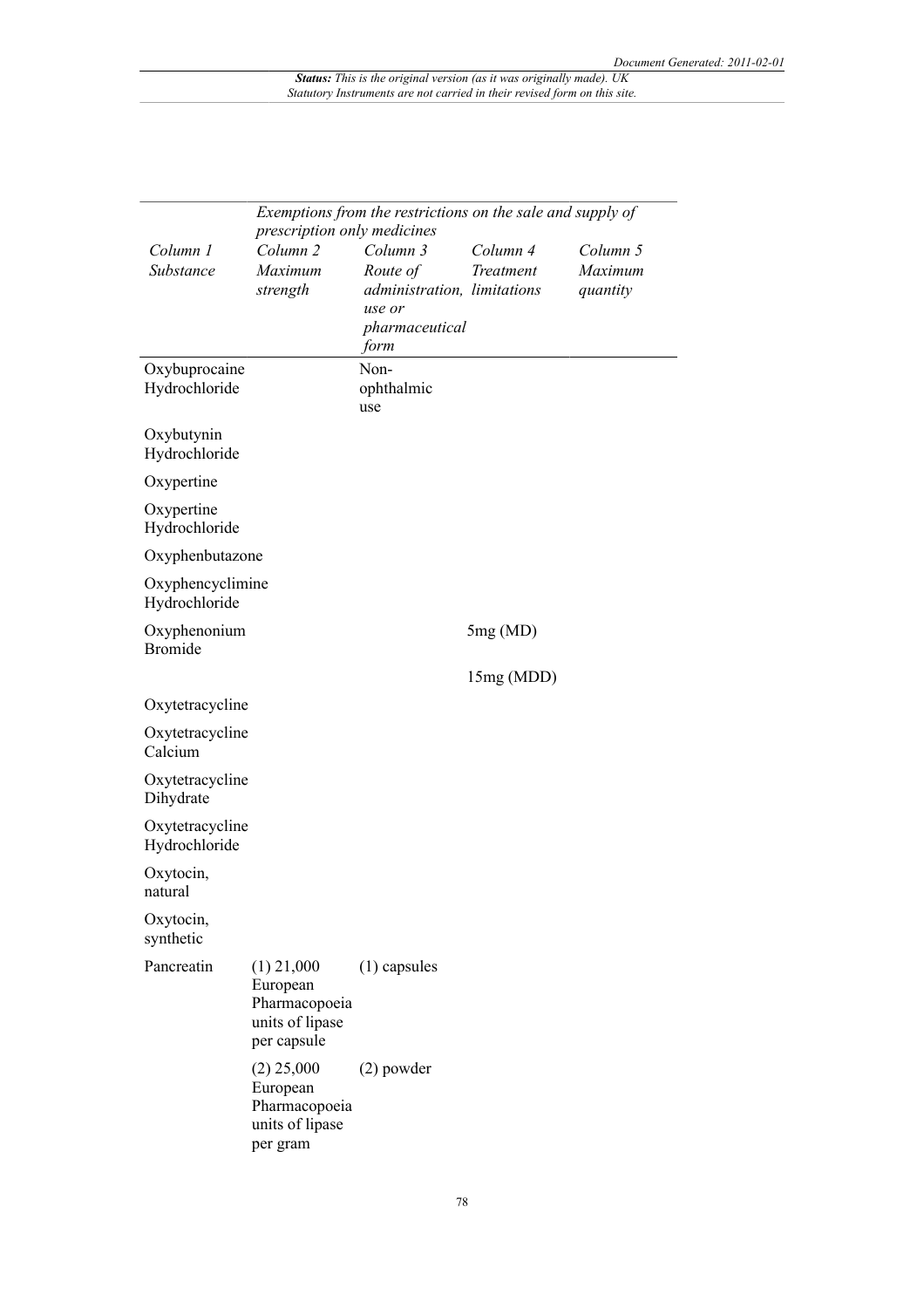|                                  |                                                    | Exemptions from the restrictions on the sale and supply of |            |          |
|----------------------------------|----------------------------------------------------|------------------------------------------------------------|------------|----------|
| Column 1                         | prescription only medicines<br>Column <sub>2</sub> | Column 3                                                   | Column 4   | Column 5 |
| Substance                        | Maximum                                            | Route of                                                   | Treatment  | Maximum  |
|                                  | strength                                           | administration, limitations                                |            | quantity |
|                                  |                                                    | use or                                                     |            |          |
|                                  |                                                    | pharmaceutical                                             |            |          |
|                                  |                                                    | form                                                       |            |          |
| Oxybuprocaine                    |                                                    | Non-                                                       |            |          |
| Hydrochloride                    |                                                    | ophthalmic                                                 |            |          |
|                                  |                                                    | use                                                        |            |          |
| Oxybutynin                       |                                                    |                                                            |            |          |
| Hydrochloride                    |                                                    |                                                            |            |          |
| Oxypertine                       |                                                    |                                                            |            |          |
| Oxypertine                       |                                                    |                                                            |            |          |
| Hydrochloride                    |                                                    |                                                            |            |          |
| Oxyphenbutazone                  |                                                    |                                                            |            |          |
| Oxyphencyclimine                 |                                                    |                                                            |            |          |
| Hydrochloride                    |                                                    |                                                            |            |          |
| Oxyphenonium                     |                                                    |                                                            | 5mg(MD)    |          |
| <b>Bromide</b>                   |                                                    |                                                            |            |          |
|                                  |                                                    |                                                            | 15mg (MDD) |          |
| Oxytetracycline                  |                                                    |                                                            |            |          |
|                                  |                                                    |                                                            |            |          |
| Oxytetracycline<br>Calcium       |                                                    |                                                            |            |          |
|                                  |                                                    |                                                            |            |          |
| Oxytetracycline<br>Dihydrate     |                                                    |                                                            |            |          |
|                                  |                                                    |                                                            |            |          |
| Oxytetracycline<br>Hydrochloride |                                                    |                                                            |            |          |
|                                  |                                                    |                                                            |            |          |
| Oxytocin,<br>natural             |                                                    |                                                            |            |          |
| Oxytocin,                        |                                                    |                                                            |            |          |
| synthetic                        |                                                    |                                                            |            |          |
| Pancreatin                       | $(1)$ 21,000                                       | $(1)$ capsules                                             |            |          |
|                                  | European                                           |                                                            |            |          |
|                                  | Pharmacopoeia                                      |                                                            |            |          |
|                                  | units of lipase                                    |                                                            |            |          |
|                                  | per capsule                                        |                                                            |            |          |
|                                  | $(2)$ 25,000                                       | $(2)$ powder                                               |            |          |
|                                  | European                                           |                                                            |            |          |
|                                  | Pharmacopoeia                                      |                                                            |            |          |
|                                  | units of lipase                                    |                                                            |            |          |
|                                  | per gram                                           |                                                            |            |          |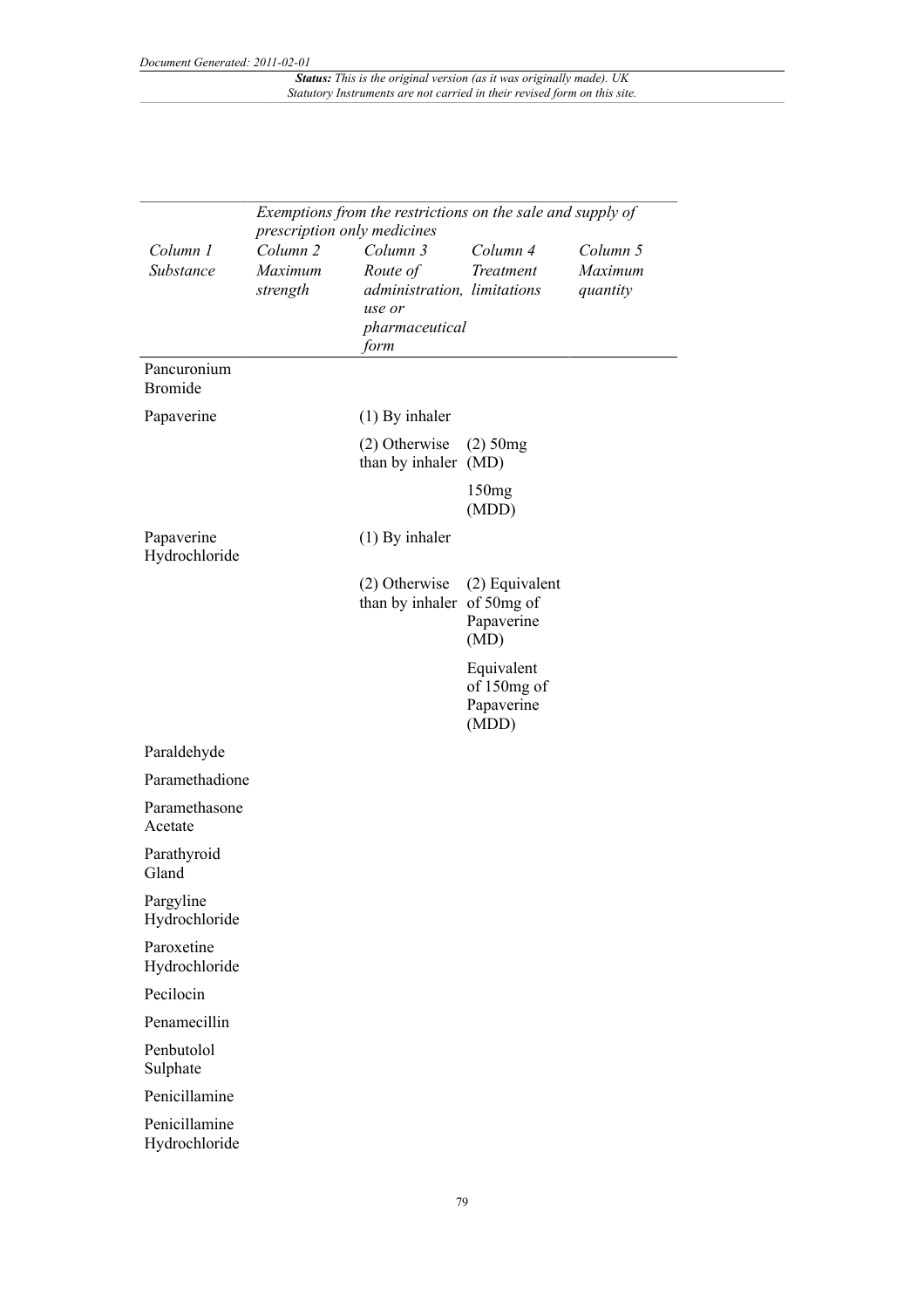|                                | Exemptions from the restrictions on the sale and supply of<br>prescription only medicines |                                                                                         |                                                  |                                 |  |
|--------------------------------|-------------------------------------------------------------------------------------------|-----------------------------------------------------------------------------------------|--------------------------------------------------|---------------------------------|--|
| Column 1<br>Substance          | Column <sub>2</sub><br>Maximum<br>strength                                                | Column 3<br>Route of<br>administration, limitations<br>use or<br>pharmaceutical<br>form | Column 4<br>Treatment                            | Column 5<br>Maximum<br>quantity |  |
| Pancuronium<br><b>Bromide</b>  |                                                                                           |                                                                                         |                                                  |                                 |  |
| Papaverine                     |                                                                                           | $(1)$ By inhaler                                                                        |                                                  |                                 |  |
|                                |                                                                                           | $(2)$ Otherwise<br>than by inhaler (MD)                                                 | $(2)$ 50mg                                       |                                 |  |
|                                |                                                                                           |                                                                                         | 150mg<br>(MDD)                                   |                                 |  |
| Papaverine<br>Hydrochloride    |                                                                                           | $(1)$ By inhaler                                                                        |                                                  |                                 |  |
|                                |                                                                                           | $(2)$ Otherwise<br>than by inhaler of 50mg of                                           | (2) Equivalent<br>Papaverine<br>(MD)             |                                 |  |
|                                |                                                                                           |                                                                                         | Equivalent<br>of 150mg of<br>Papaverine<br>(MDD) |                                 |  |
| Paraldehyde                    |                                                                                           |                                                                                         |                                                  |                                 |  |
| Paramethadione                 |                                                                                           |                                                                                         |                                                  |                                 |  |
| Paramethasone<br>Acetate       |                                                                                           |                                                                                         |                                                  |                                 |  |
| Parathyroid<br>Gland           |                                                                                           |                                                                                         |                                                  |                                 |  |
| Pargyline<br>Hydrochloride     |                                                                                           |                                                                                         |                                                  |                                 |  |
| Paroxetine<br>Hydrochloride    |                                                                                           |                                                                                         |                                                  |                                 |  |
| Pecilocin                      |                                                                                           |                                                                                         |                                                  |                                 |  |
| Penamecillin                   |                                                                                           |                                                                                         |                                                  |                                 |  |
| Penbutolol<br>Sulphate         |                                                                                           |                                                                                         |                                                  |                                 |  |
| Penicillamine                  |                                                                                           |                                                                                         |                                                  |                                 |  |
| Penicillamine<br>Hydrochloride |                                                                                           |                                                                                         |                                                  |                                 |  |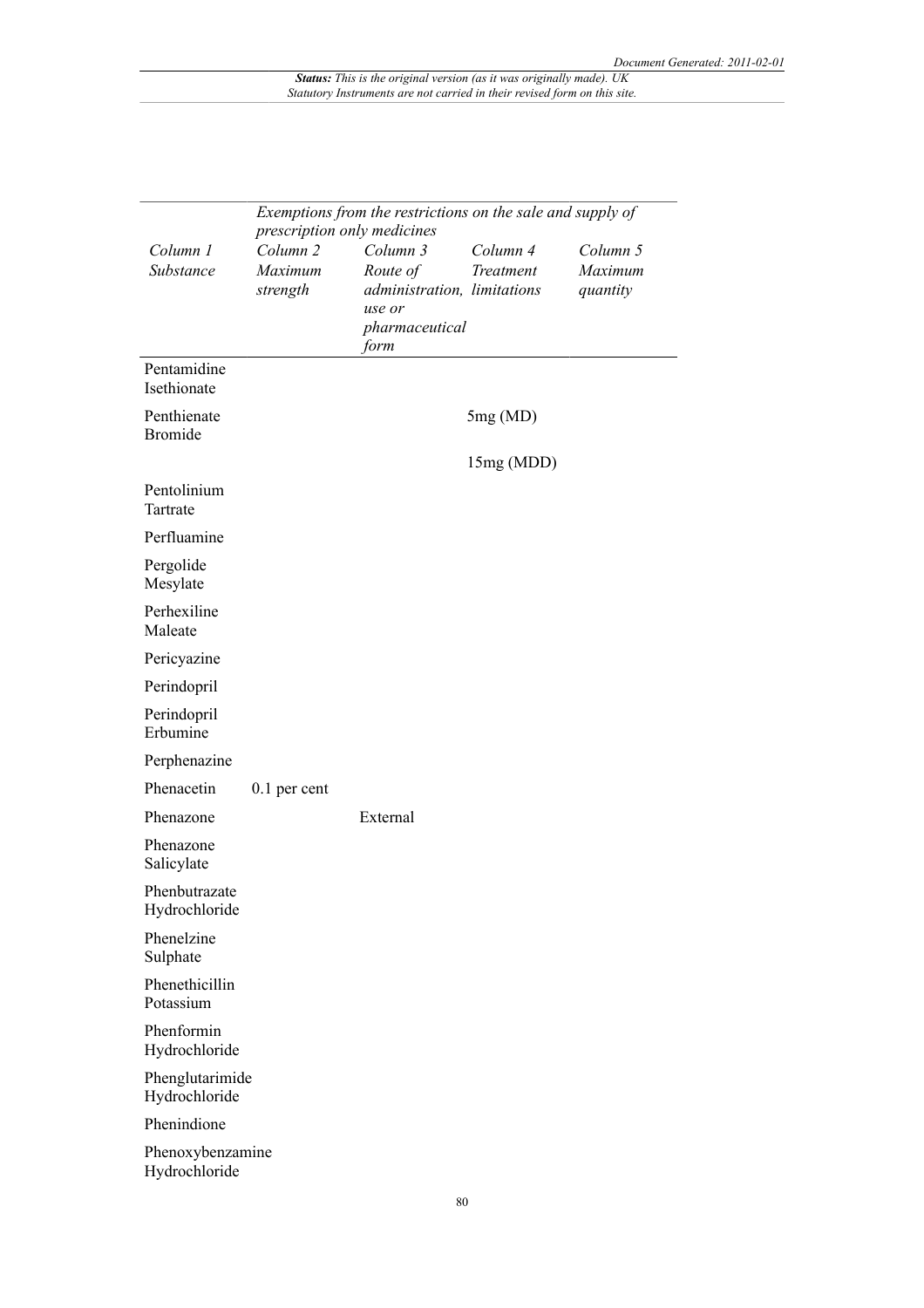|                                   | Exemptions from the restrictions on the sale and supply of<br>prescription only medicines |                                                                                         |                       |                                 |
|-----------------------------------|-------------------------------------------------------------------------------------------|-----------------------------------------------------------------------------------------|-----------------------|---------------------------------|
| Column 1<br>Substance             | Column <sub>2</sub><br>Maximum<br>strength                                                | Column 3<br>Route of<br>administration, limitations<br>use or<br>pharmaceutical<br>form | Column 4<br>Treatment | Column 5<br>Maximum<br>quantity |
| Pentamidine<br>Isethionate        |                                                                                           |                                                                                         |                       |                                 |
| Penthienate<br><b>Bromide</b>     |                                                                                           |                                                                                         | 5mg(MD)<br>15mg (MDD) |                                 |
| Pentolinium<br>Tartrate           |                                                                                           |                                                                                         |                       |                                 |
| Perfluamine                       |                                                                                           |                                                                                         |                       |                                 |
| Pergolide<br>Mesylate             |                                                                                           |                                                                                         |                       |                                 |
| Perhexiline<br>Maleate            |                                                                                           |                                                                                         |                       |                                 |
| Pericyazine                       |                                                                                           |                                                                                         |                       |                                 |
| Perindopril                       |                                                                                           |                                                                                         |                       |                                 |
| Perindopril<br>Erbumine           |                                                                                           |                                                                                         |                       |                                 |
| Perphenazine                      |                                                                                           |                                                                                         |                       |                                 |
| Phenacetin                        | $0.1$ per cent                                                                            |                                                                                         |                       |                                 |
| Phenazone                         |                                                                                           | External                                                                                |                       |                                 |
| Phenazone<br>Salicylate           |                                                                                           |                                                                                         |                       |                                 |
| Phenbutrazate<br>Hydrochloride    |                                                                                           |                                                                                         |                       |                                 |
| Phenelzine<br>Sulphate            |                                                                                           |                                                                                         |                       |                                 |
| Phenethicillin<br>Potassium       |                                                                                           |                                                                                         |                       |                                 |
| Phenformin<br>Hydrochloride       |                                                                                           |                                                                                         |                       |                                 |
| Phenglutarimide<br>Hydrochloride  |                                                                                           |                                                                                         |                       |                                 |
| Phenindione                       |                                                                                           |                                                                                         |                       |                                 |
| Phenoxybenzamine<br>Hydrochloride |                                                                                           |                                                                                         |                       |                                 |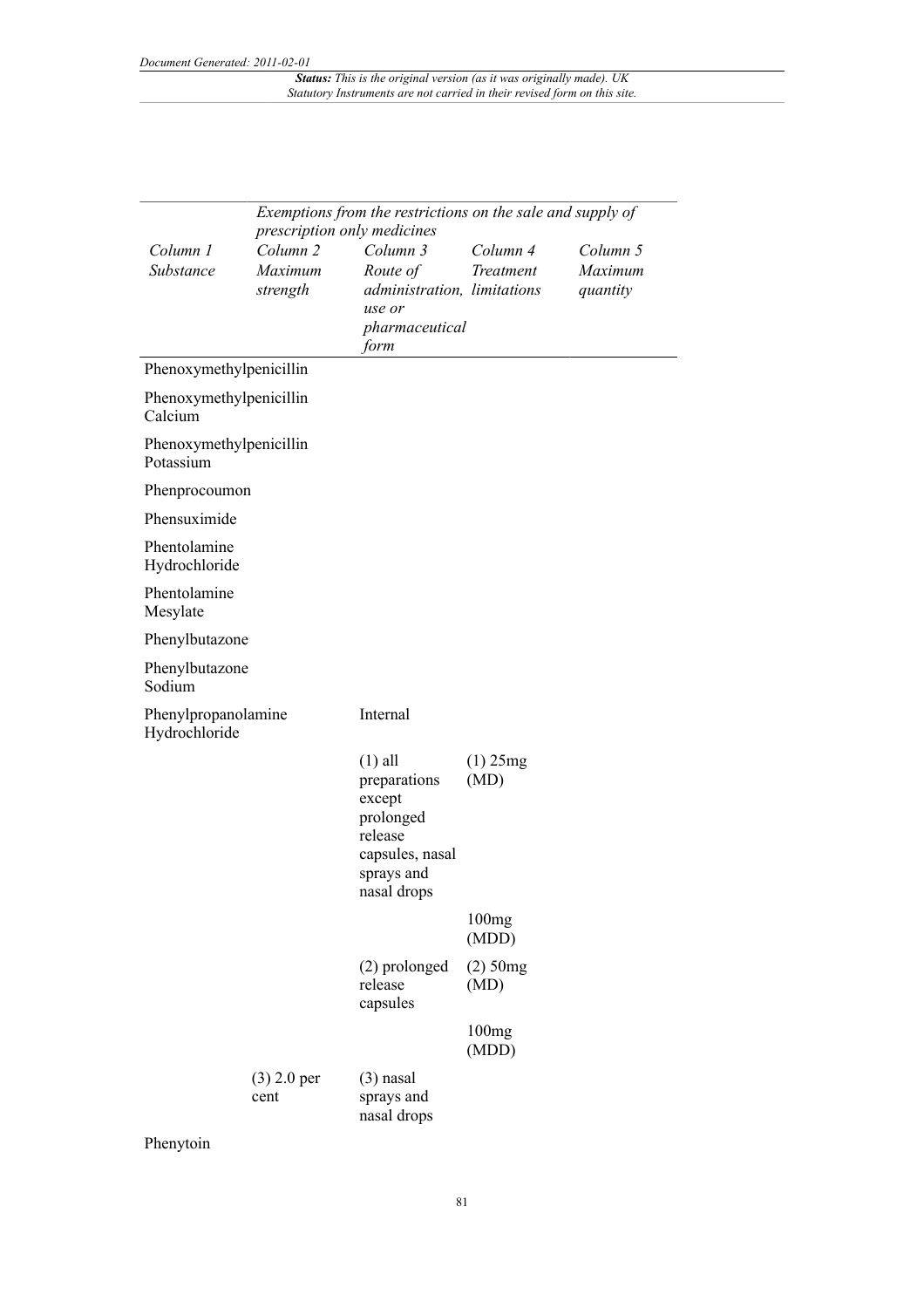| Exemptions from the restrictions on the sale and supply of<br>prescription only medicines |                                            |                                                                                                             |                       |                                 |
|-------------------------------------------------------------------------------------------|--------------------------------------------|-------------------------------------------------------------------------------------------------------------|-----------------------|---------------------------------|
| Column 1<br>Substance                                                                     | Column <sub>2</sub><br>Maximum<br>strength | Column 3<br>Route of<br>administration, limitations<br>use or<br>pharmaceutical<br>form                     | Column 4<br>Treatment | Column 5<br>Maximum<br>quantity |
| Phenoxymethylpenicillin                                                                   |                                            |                                                                                                             |                       |                                 |
| Phenoxymethylpenicillin<br>Calcium                                                        |                                            |                                                                                                             |                       |                                 |
| Phenoxymethylpenicillin<br>Potassium                                                      |                                            |                                                                                                             |                       |                                 |
| Phenprocoumon                                                                             |                                            |                                                                                                             |                       |                                 |
| Phensuximide                                                                              |                                            |                                                                                                             |                       |                                 |
| Phentolamine<br>Hydrochloride                                                             |                                            |                                                                                                             |                       |                                 |
| Phentolamine<br>Mesylate                                                                  |                                            |                                                                                                             |                       |                                 |
| Phenylbutazone                                                                            |                                            |                                                                                                             |                       |                                 |
| Phenylbutazone<br>Sodium                                                                  |                                            |                                                                                                             |                       |                                 |
| Phenylpropanolamine<br>Hydrochloride                                                      |                                            | Internal                                                                                                    |                       |                                 |
|                                                                                           |                                            | $(1)$ all<br>preparations<br>except<br>prolonged<br>release<br>capsules, nasal<br>sprays and<br>nasal drops | $(1)$ 25mg<br>(MD)    |                                 |
|                                                                                           |                                            |                                                                                                             | 100mg<br>(MDD)        |                                 |
|                                                                                           |                                            | (2) prolonged<br>release<br>capsules                                                                        | $(2)$ 50mg<br>(MD)    |                                 |
|                                                                                           |                                            |                                                                                                             | 100mg<br>(MDD)        |                                 |
|                                                                                           | $(3)$ 2.0 per<br>cent                      | $(3)$ nasal<br>sprays and<br>nasal drops                                                                    |                       |                                 |

Phenytoin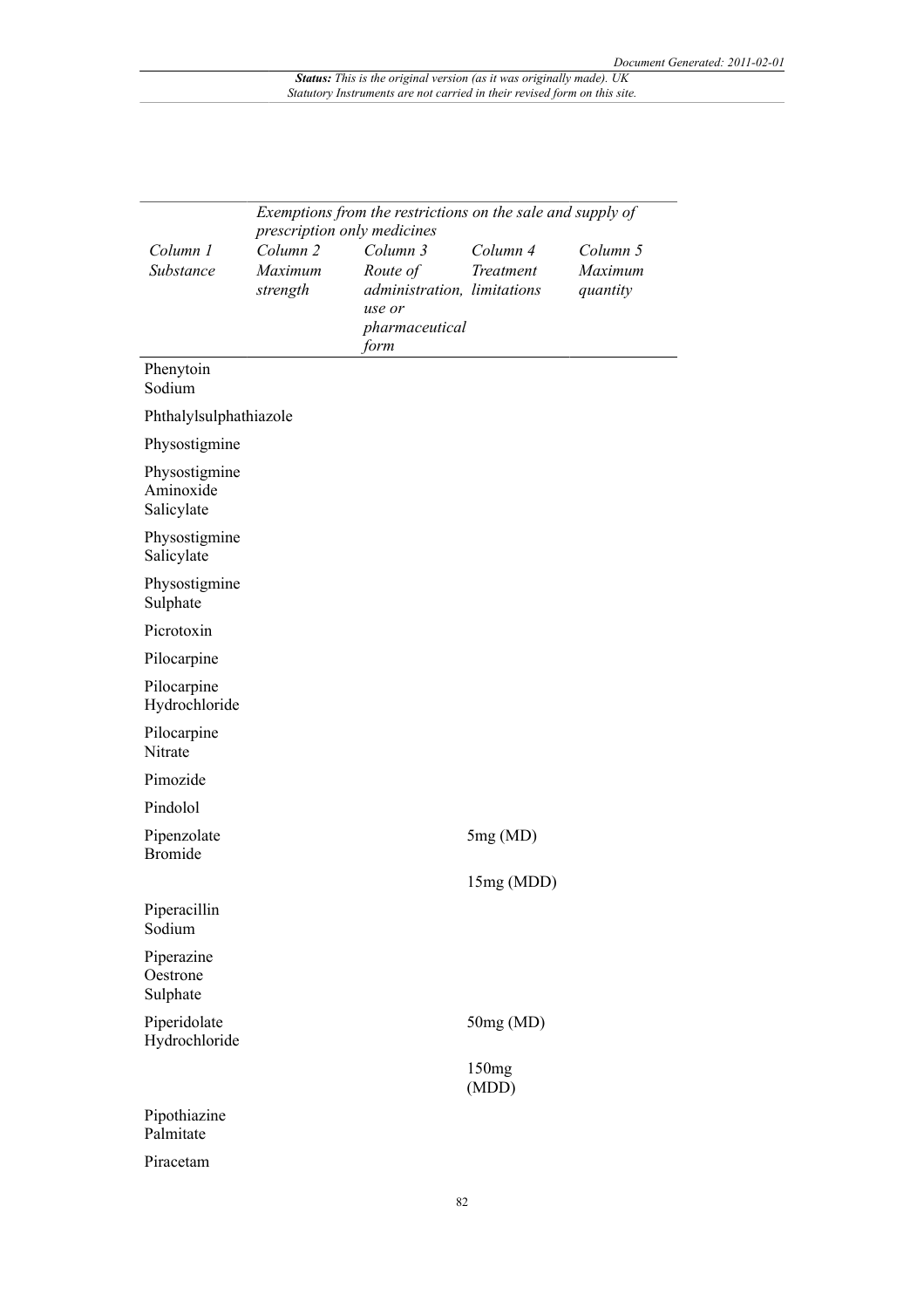|                                          | Exemptions from the restrictions on the sale and supply of<br>prescription only medicines |                                                                                         |                            |                                 |
|------------------------------------------|-------------------------------------------------------------------------------------------|-----------------------------------------------------------------------------------------|----------------------------|---------------------------------|
| Column 1<br>Substance                    | Column <sub>2</sub><br>Maximum<br>strength                                                | Column 3<br>Route of<br>administration, limitations<br>use or<br>pharmaceutical<br>form | Column 4<br>Treatment      | Column 5<br>Maximum<br>quantity |
| Phenytoin<br>Sodium                      |                                                                                           |                                                                                         |                            |                                 |
| Phthalylsulphathiazole                   |                                                                                           |                                                                                         |                            |                                 |
| Physostigmine                            |                                                                                           |                                                                                         |                            |                                 |
| Physostigmine<br>Aminoxide<br>Salicylate |                                                                                           |                                                                                         |                            |                                 |
| Physostigmine<br>Salicylate              |                                                                                           |                                                                                         |                            |                                 |
| Physostigmine<br>Sulphate                |                                                                                           |                                                                                         |                            |                                 |
| Picrotoxin                               |                                                                                           |                                                                                         |                            |                                 |
| Pilocarpine                              |                                                                                           |                                                                                         |                            |                                 |
| Pilocarpine<br>Hydrochloride             |                                                                                           |                                                                                         |                            |                                 |
| Pilocarpine<br>Nitrate                   |                                                                                           |                                                                                         |                            |                                 |
| Pimozide                                 |                                                                                           |                                                                                         |                            |                                 |
| Pindolol                                 |                                                                                           |                                                                                         |                            |                                 |
| Pipenzolate<br><b>Bromide</b>            |                                                                                           |                                                                                         | 5mg(MD)                    |                                 |
|                                          |                                                                                           |                                                                                         | 15mg (MDD)                 |                                 |
| Piperacillin<br>Sodium                   |                                                                                           |                                                                                         |                            |                                 |
| Piperazine<br>Oestrone<br>Sulphate       |                                                                                           |                                                                                         |                            |                                 |
| Piperidolate<br>Hydrochloride            |                                                                                           |                                                                                         | 50mg (MD)                  |                                 |
|                                          |                                                                                           |                                                                                         | 150 <sub>mg</sub><br>(MDD) |                                 |
| Pipothiazine<br>Palmitate                |                                                                                           |                                                                                         |                            |                                 |
| Piracetam                                |                                                                                           |                                                                                         |                            |                                 |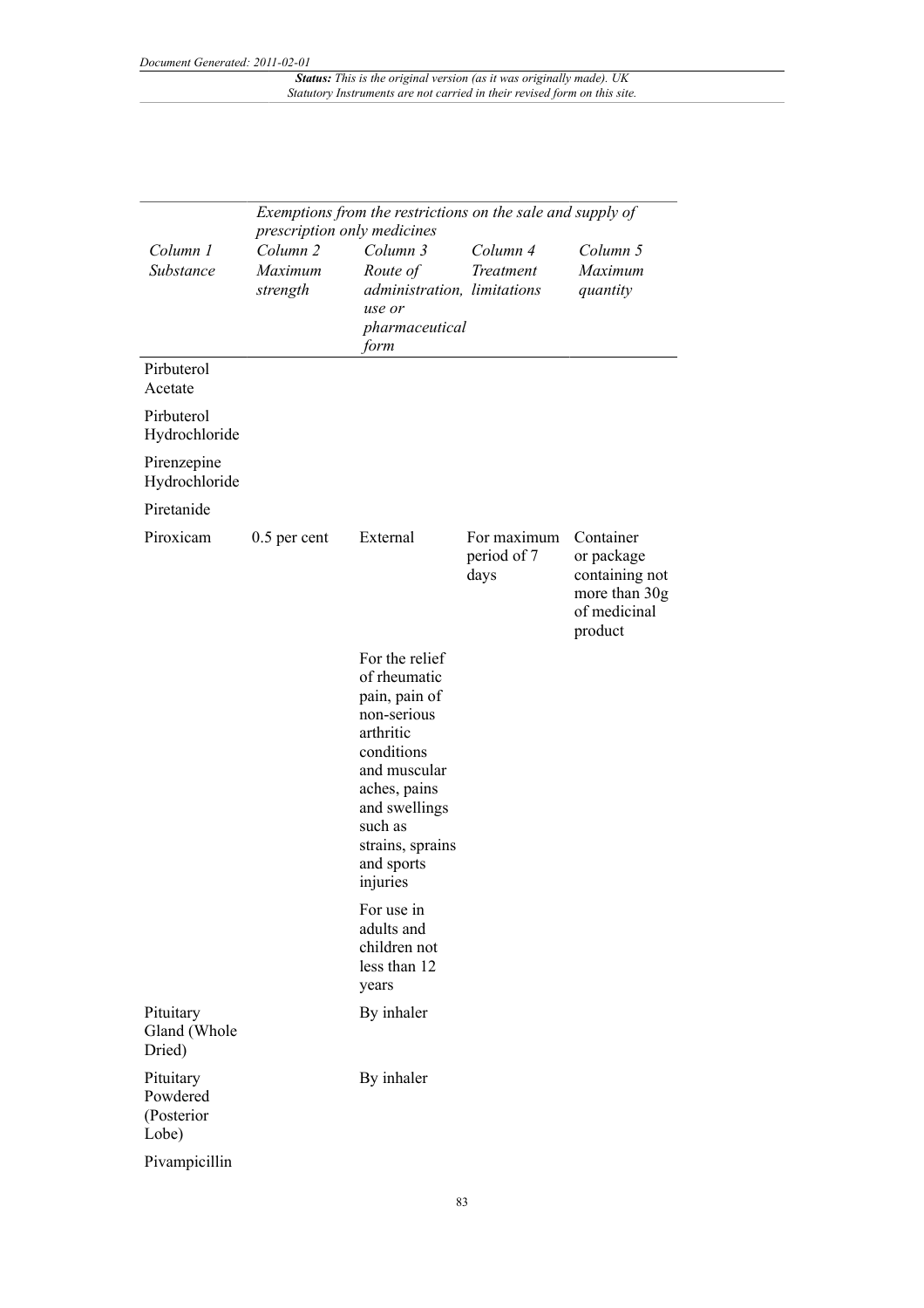|                                              |                                            | Exemptions from the restrictions on the sale and supply of<br>prescription only medicines                                                                                                           |                                    |                                                                                       |  |  |
|----------------------------------------------|--------------------------------------------|-----------------------------------------------------------------------------------------------------------------------------------------------------------------------------------------------------|------------------------------------|---------------------------------------------------------------------------------------|--|--|
| Column 1<br>Substance                        | Column <sub>2</sub><br>Maximum<br>strength | Column 3<br>Route of<br>administration, limitations<br>use or<br>pharmaceutical<br>form                                                                                                             | Column 4<br>Treatment              | Column 5<br>Maximum<br>quantity                                                       |  |  |
| Pirbuterol<br>Acetate                        |                                            |                                                                                                                                                                                                     |                                    |                                                                                       |  |  |
| Pirbuterol<br>Hydrochloride                  |                                            |                                                                                                                                                                                                     |                                    |                                                                                       |  |  |
| Pirenzepine<br>Hydrochloride                 |                                            |                                                                                                                                                                                                     |                                    |                                                                                       |  |  |
| Piretanide                                   |                                            |                                                                                                                                                                                                     |                                    |                                                                                       |  |  |
| Piroxicam                                    | $0.5$ per cent                             | External                                                                                                                                                                                            | For maximum<br>period of 7<br>days | Container<br>or package<br>containing not<br>more than 30g<br>of medicinal<br>product |  |  |
|                                              |                                            | For the relief<br>of rheumatic<br>pain, pain of<br>non-serious<br>arthritic<br>conditions<br>and muscular<br>aches, pains<br>and swellings<br>such as<br>strains, sprains<br>and sports<br>injuries |                                    |                                                                                       |  |  |
|                                              |                                            | For use in<br>adults and<br>children not<br>less than 12<br>years                                                                                                                                   |                                    |                                                                                       |  |  |
| Pituitary<br>Gland (Whole<br>Dried)          |                                            | By inhaler                                                                                                                                                                                          |                                    |                                                                                       |  |  |
| Pituitary<br>Powdered<br>(Posterior<br>Lobe) |                                            | By inhaler                                                                                                                                                                                          |                                    |                                                                                       |  |  |
| Pivampicillin                                |                                            |                                                                                                                                                                                                     |                                    |                                                                                       |  |  |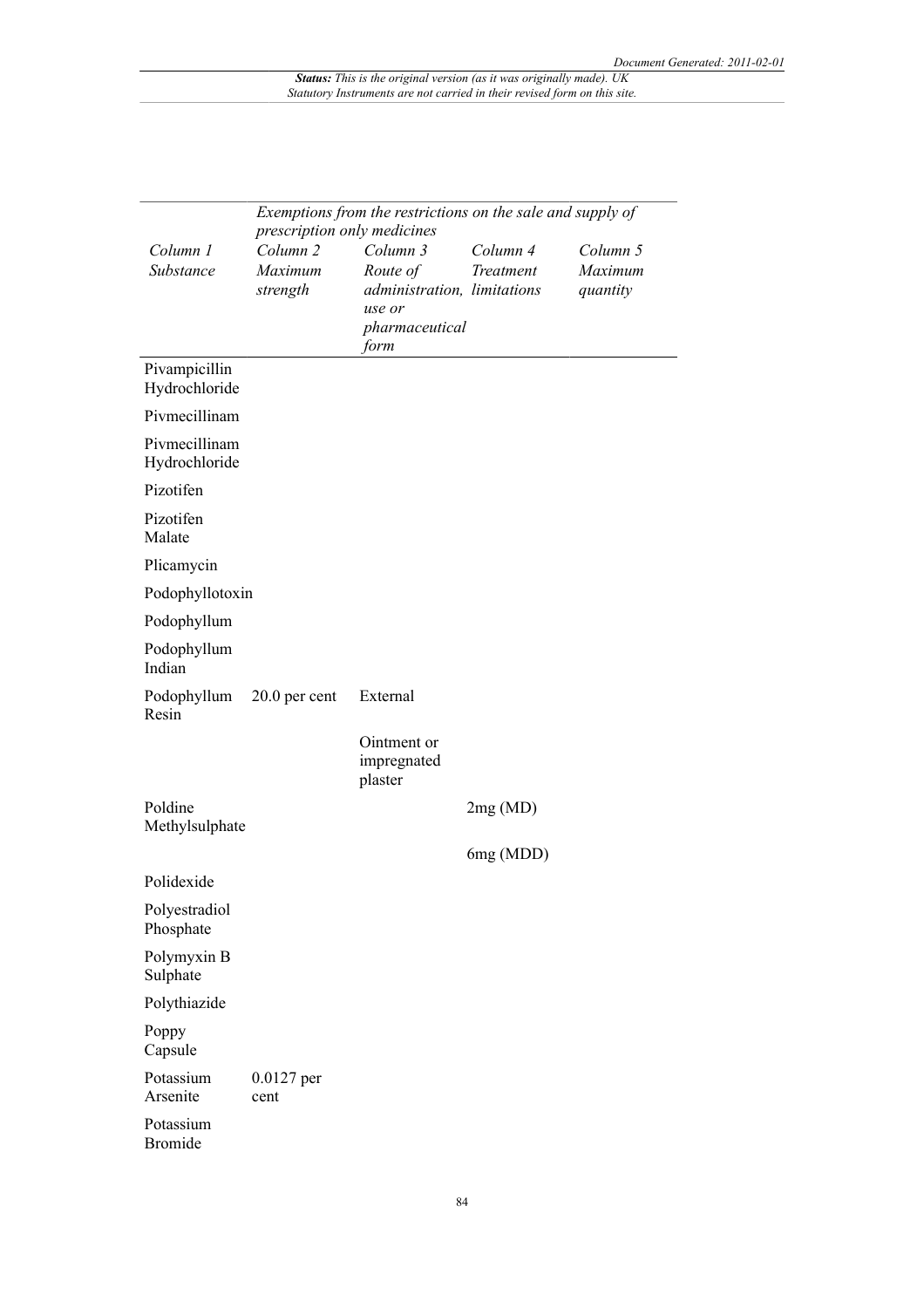|                                |                                                    | Exemptions from the restrictions on the sale and supply of |           |          |
|--------------------------------|----------------------------------------------------|------------------------------------------------------------|-----------|----------|
| Column 1                       | prescription only medicines<br>Column <sub>2</sub> | Column 3                                                   | Column 4  | Column 5 |
| Substance                      | Maximum                                            | Route of                                                   | Treatment | Maximum  |
|                                | strength                                           | administration, limitations                                |           | quantity |
|                                |                                                    | use or                                                     |           |          |
|                                |                                                    | pharmaceutical<br>form                                     |           |          |
| Pivampicillin                  |                                                    |                                                            |           |          |
| Hydrochloride                  |                                                    |                                                            |           |          |
| Pivmecillinam                  |                                                    |                                                            |           |          |
| Pivmecillinam<br>Hydrochloride |                                                    |                                                            |           |          |
| Pizotifen                      |                                                    |                                                            |           |          |
| Pizotifen<br>Malate            |                                                    |                                                            |           |          |
| Plicamycin                     |                                                    |                                                            |           |          |
| Podophyllotoxin                |                                                    |                                                            |           |          |
| Podophyllum                    |                                                    |                                                            |           |          |
| Podophyllum<br>Indian          |                                                    |                                                            |           |          |
| Podophyllum<br>Resin           | $20.0$ per cent                                    | External                                                   |           |          |
|                                |                                                    | Ointment or<br>impregnated<br>plaster                      |           |          |
| Poldine<br>Methylsulphate      |                                                    |                                                            | 2mg(MD)   |          |
|                                |                                                    |                                                            | 6mg (MDD) |          |
| Polidexide                     |                                                    |                                                            |           |          |
| Polyestradiol<br>Phosphate     |                                                    |                                                            |           |          |
| Polymyxin B<br>Sulphate        |                                                    |                                                            |           |          |
| Polythiazide                   |                                                    |                                                            |           |          |
| Poppy<br>Capsule               |                                                    |                                                            |           |          |
| Potassium<br>Arsenite          | $0.0127$ per<br>cent                               |                                                            |           |          |
| Potassium<br><b>Bromide</b>    |                                                    |                                                            |           |          |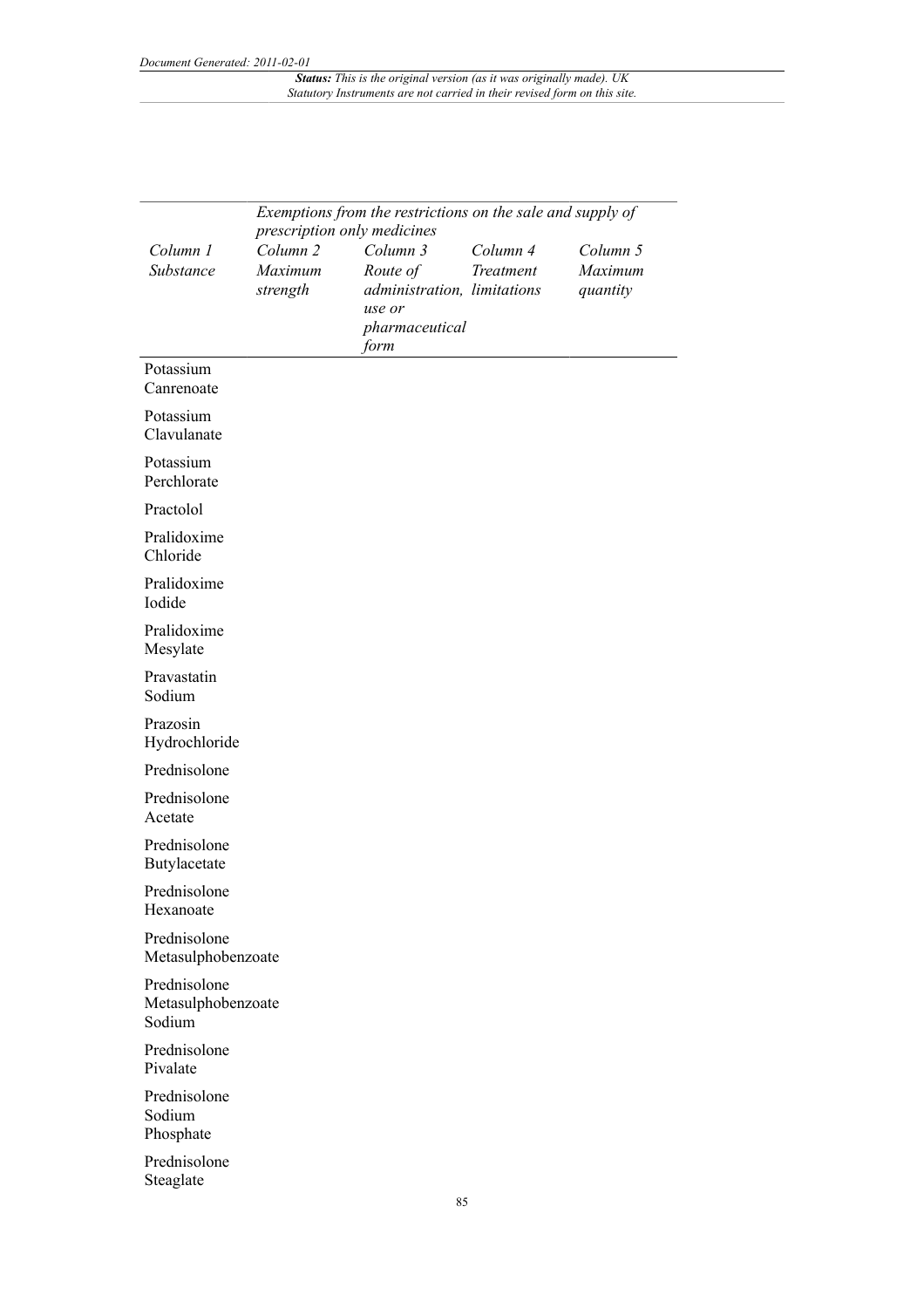|                                              | Exemptions from the restrictions on the sale and supply of |                                                   |           |                     |  |  |
|----------------------------------------------|------------------------------------------------------------|---------------------------------------------------|-----------|---------------------|--|--|
|                                              | prescription only medicines                                |                                                   |           |                     |  |  |
| Column 1                                     | Column <sub>2</sub>                                        | Column 3                                          | Column 4  | Column 5            |  |  |
| Substance                                    | Maximum<br>strength                                        | Route of<br>administration, limitations<br>use or | Treatment | Maximum<br>quantity |  |  |
|                                              |                                                            | pharmaceutical<br>form                            |           |                     |  |  |
| Potassium<br>Canrenoate                      |                                                            |                                                   |           |                     |  |  |
| Potassium<br>Clavulanate                     |                                                            |                                                   |           |                     |  |  |
| Potassium<br>Perchlorate                     |                                                            |                                                   |           |                     |  |  |
| Practolol                                    |                                                            |                                                   |           |                     |  |  |
| Pralidoxime<br>Chloride                      |                                                            |                                                   |           |                     |  |  |
| Pralidoxime<br>Iodide                        |                                                            |                                                   |           |                     |  |  |
| Pralidoxime<br>Mesylate                      |                                                            |                                                   |           |                     |  |  |
| Pravastatin<br>Sodium                        |                                                            |                                                   |           |                     |  |  |
| Prazosin<br>Hydrochloride                    |                                                            |                                                   |           |                     |  |  |
| Prednisolone                                 |                                                            |                                                   |           |                     |  |  |
| Prednisolone<br>Acetate                      |                                                            |                                                   |           |                     |  |  |
| Prednisolone<br>Butylacetate                 |                                                            |                                                   |           |                     |  |  |
| Prednisolone<br>Hexanoate                    |                                                            |                                                   |           |                     |  |  |
| Prednisolone<br>Metasulphobenzoate           |                                                            |                                                   |           |                     |  |  |
| Prednisolone<br>Metasulphobenzoate<br>Sodium |                                                            |                                                   |           |                     |  |  |
| Prednisolone<br>Pivalate                     |                                                            |                                                   |           |                     |  |  |
| Prednisolone<br>Sodium<br>Phosphate          |                                                            |                                                   |           |                     |  |  |
| Prednisolone<br>Steaglate                    |                                                            |                                                   |           |                     |  |  |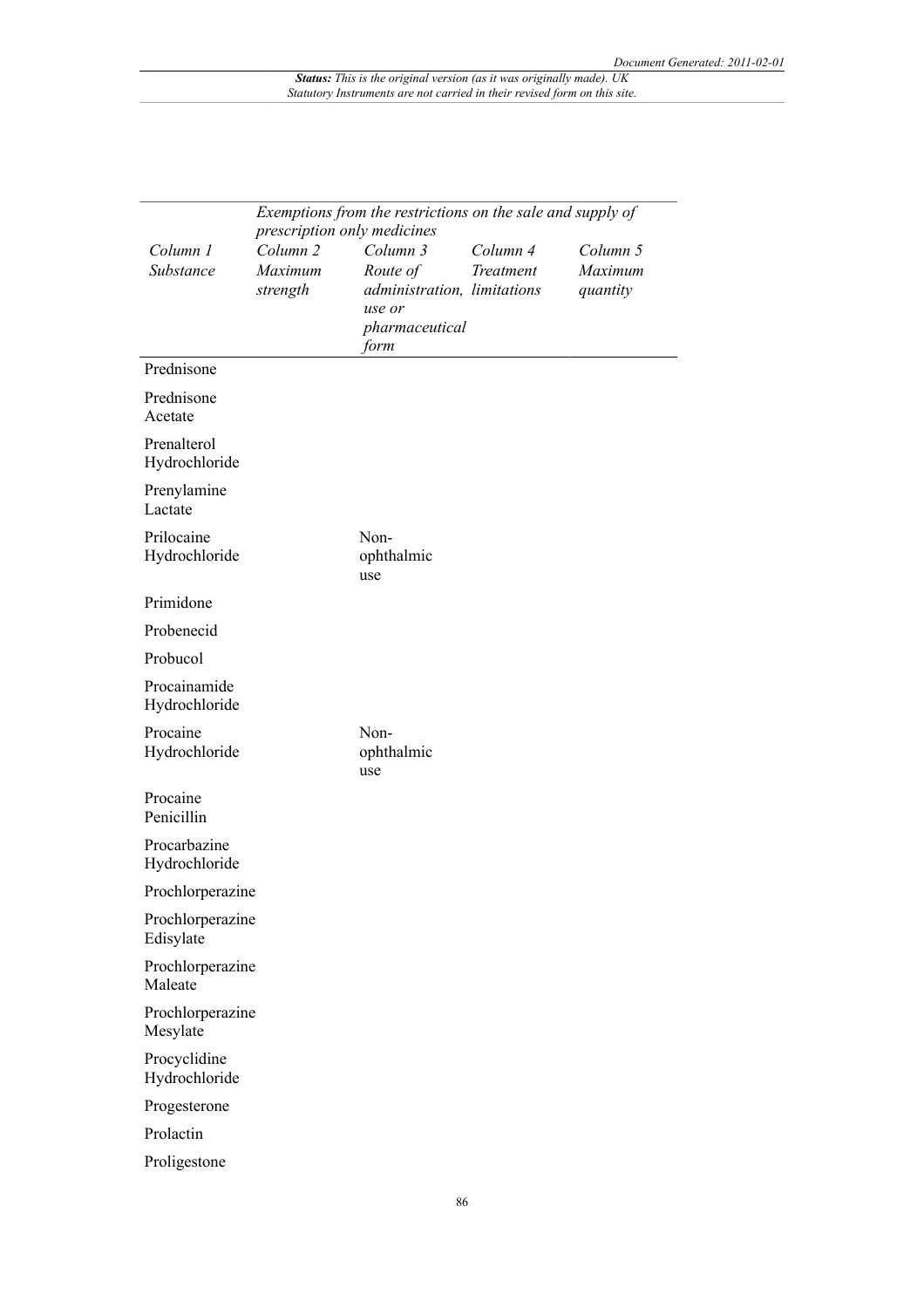|                               | Exemptions from the restrictions on the sale and supply of<br>prescription only medicines |                                                                                         |                       |                                 |  |
|-------------------------------|-------------------------------------------------------------------------------------------|-----------------------------------------------------------------------------------------|-----------------------|---------------------------------|--|
| Column 1<br>Substance         | Column <sub>2</sub><br>Maximum<br>strength                                                | Column 3<br>Route of<br>administration, limitations<br>use or<br>pharmaceutical<br>form | Column 4<br>Treatment | Column 5<br>Maximum<br>quantity |  |
| Prednisone                    |                                                                                           |                                                                                         |                       |                                 |  |
| Prednisone<br>Acetate         |                                                                                           |                                                                                         |                       |                                 |  |
| Prenalterol<br>Hydrochloride  |                                                                                           |                                                                                         |                       |                                 |  |
| Prenylamine<br>Lactate        |                                                                                           |                                                                                         |                       |                                 |  |
| Prilocaine<br>Hydrochloride   |                                                                                           | Non-<br>ophthalmic<br>use                                                               |                       |                                 |  |
| Primidone                     |                                                                                           |                                                                                         |                       |                                 |  |
| Probenecid                    |                                                                                           |                                                                                         |                       |                                 |  |
| Probucol                      |                                                                                           |                                                                                         |                       |                                 |  |
| Procainamide<br>Hydrochloride |                                                                                           |                                                                                         |                       |                                 |  |
| Procaine<br>Hydrochloride     |                                                                                           | Non-<br>ophthalmic<br>use                                                               |                       |                                 |  |
| Procaine<br>Penicillin        |                                                                                           |                                                                                         |                       |                                 |  |
| Procarbazine<br>Hydrochloride |                                                                                           |                                                                                         |                       |                                 |  |
| Prochlorperazine              |                                                                                           |                                                                                         |                       |                                 |  |
| Prochlorperazine<br>Edisylate |                                                                                           |                                                                                         |                       |                                 |  |
| Prochlorperazine<br>Maleate   |                                                                                           |                                                                                         |                       |                                 |  |
| Prochlorperazine<br>Mesylate  |                                                                                           |                                                                                         |                       |                                 |  |
| Procyclidine<br>Hydrochloride |                                                                                           |                                                                                         |                       |                                 |  |
| Progesterone                  |                                                                                           |                                                                                         |                       |                                 |  |
| Prolactin                     |                                                                                           |                                                                                         |                       |                                 |  |
| Proligestone                  |                                                                                           |                                                                                         |                       |                                 |  |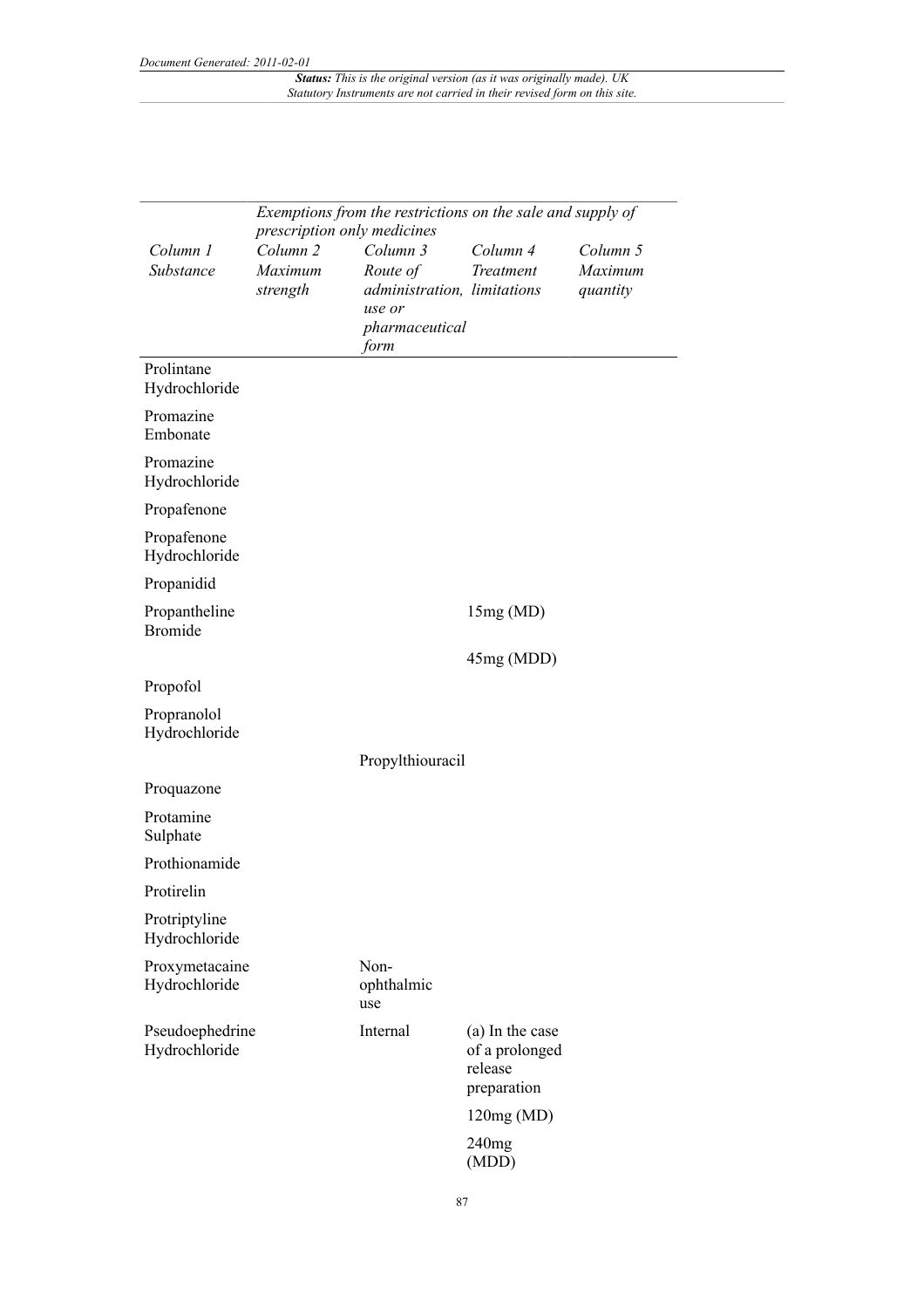|                                  | Exemptions from the restrictions on the sale and supply of<br>prescription only medicines |                                                                                         |                                                             |                                 |  |
|----------------------------------|-------------------------------------------------------------------------------------------|-----------------------------------------------------------------------------------------|-------------------------------------------------------------|---------------------------------|--|
| Column 1<br>Substance            | Column <sub>2</sub><br>Maximum<br>strength                                                | Column 3<br>Route of<br>administration, limitations<br>use or<br>pharmaceutical<br>form | Column 4<br>Treatment                                       | Column 5<br>Maximum<br>quantity |  |
| Prolintane<br>Hydrochloride      |                                                                                           |                                                                                         |                                                             |                                 |  |
| Promazine<br>Embonate            |                                                                                           |                                                                                         |                                                             |                                 |  |
| Promazine<br>Hydrochloride       |                                                                                           |                                                                                         |                                                             |                                 |  |
| Propafenone                      |                                                                                           |                                                                                         |                                                             |                                 |  |
| Propafenone<br>Hydrochloride     |                                                                                           |                                                                                         |                                                             |                                 |  |
| Propanidid                       |                                                                                           |                                                                                         |                                                             |                                 |  |
| Propantheline<br><b>Bromide</b>  |                                                                                           |                                                                                         | 15mg(MD)                                                    |                                 |  |
|                                  |                                                                                           |                                                                                         | 45mg (MDD)                                                  |                                 |  |
| Propofol                         |                                                                                           |                                                                                         |                                                             |                                 |  |
| Propranolol<br>Hydrochloride     |                                                                                           |                                                                                         |                                                             |                                 |  |
|                                  |                                                                                           | Propylthiouracil                                                                        |                                                             |                                 |  |
| Proquazone                       |                                                                                           |                                                                                         |                                                             |                                 |  |
| Protamine<br>Sulphate            |                                                                                           |                                                                                         |                                                             |                                 |  |
| Prothionamide                    |                                                                                           |                                                                                         |                                                             |                                 |  |
| Protirelin                       |                                                                                           |                                                                                         |                                                             |                                 |  |
| Protriptyline<br>Hydrochloride   |                                                                                           |                                                                                         |                                                             |                                 |  |
| Proxymetacaine<br>Hydrochloride  |                                                                                           | Non-<br>ophthalmic<br>use                                                               |                                                             |                                 |  |
| Pseudoephedrine<br>Hydrochloride |                                                                                           | Internal                                                                                | (a) In the case<br>of a prolonged<br>release<br>preparation |                                 |  |
|                                  |                                                                                           |                                                                                         | 120mg(MD)                                                   |                                 |  |
|                                  |                                                                                           |                                                                                         | 240mg<br>(MDD)                                              |                                 |  |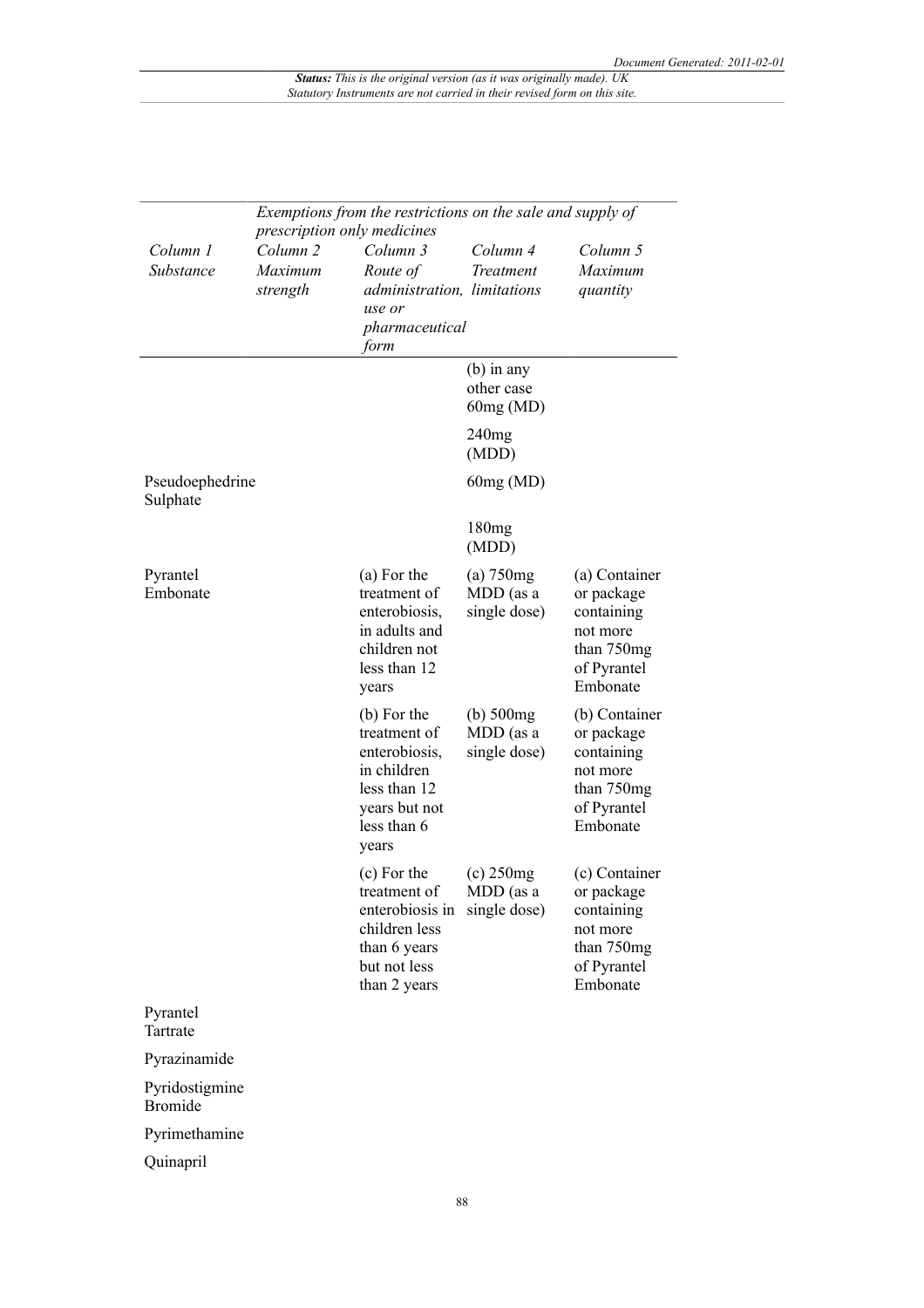|                                  | Exemptions from the restrictions on the sale and supply of<br>prescription only medicines |                                                                                                                              |                                             |                                                                                                |  |
|----------------------------------|-------------------------------------------------------------------------------------------|------------------------------------------------------------------------------------------------------------------------------|---------------------------------------------|------------------------------------------------------------------------------------------------|--|
| Column 1<br>Substance            | Column <sub>2</sub><br>Maximum<br>strength                                                | Column 3<br>Route of<br>administration, limitations<br>use or<br>pharmaceutical<br>form                                      | Column 4<br><b>Treatment</b>                | Column 5<br>Maximum<br>quantity                                                                |  |
|                                  |                                                                                           |                                                                                                                              | $(b)$ in any<br>other case<br>60mg(MD)      |                                                                                                |  |
|                                  |                                                                                           |                                                                                                                              | 240mg<br>(MDD)                              |                                                                                                |  |
| Pseudoephedrine<br>Sulphate      |                                                                                           |                                                                                                                              | 60mg (MD)                                   |                                                                                                |  |
|                                  |                                                                                           |                                                                                                                              | 180mg<br>(MDD)                              |                                                                                                |  |
| Pyrantel<br>Embonate             |                                                                                           | (a) For the<br>treatment of<br>enterobiosis,<br>in adults and<br>children not<br>less than 12<br>years                       | $(a)$ 750 $mg$<br>MDD (as a<br>single dose) | (a) Container<br>or package<br>containing<br>not more<br>than 750mg<br>of Pyrantel<br>Embonate |  |
|                                  |                                                                                           | (b) For the<br>treatment of<br>enterobiosis,<br>in children<br>less than 12<br>years but not<br>less than 6<br>years         | $(b)$ 500 $mg$<br>MDD (as a<br>single dose) | (b) Container<br>or package<br>containing<br>not more<br>than 750mg<br>of Pyrantel<br>Embonate |  |
|                                  |                                                                                           | (c) For the<br>treatment of<br>enterobiosis in single dose)<br>children less<br>than 6 years<br>but not less<br>than 2 years | $(c)$ 250 $mg$<br>MDD (as a                 | (c) Container<br>or package<br>containing<br>not more<br>than 750mg<br>of Pyrantel<br>Embonate |  |
| Pyrantel<br>Tartrate             |                                                                                           |                                                                                                                              |                                             |                                                                                                |  |
| Pyrazinamide                     |                                                                                           |                                                                                                                              |                                             |                                                                                                |  |
| Pyridostigmine<br><b>Bromide</b> |                                                                                           |                                                                                                                              |                                             |                                                                                                |  |
| Pyrimethamine                    |                                                                                           |                                                                                                                              |                                             |                                                                                                |  |
| Quinapril                        |                                                                                           |                                                                                                                              |                                             |                                                                                                |  |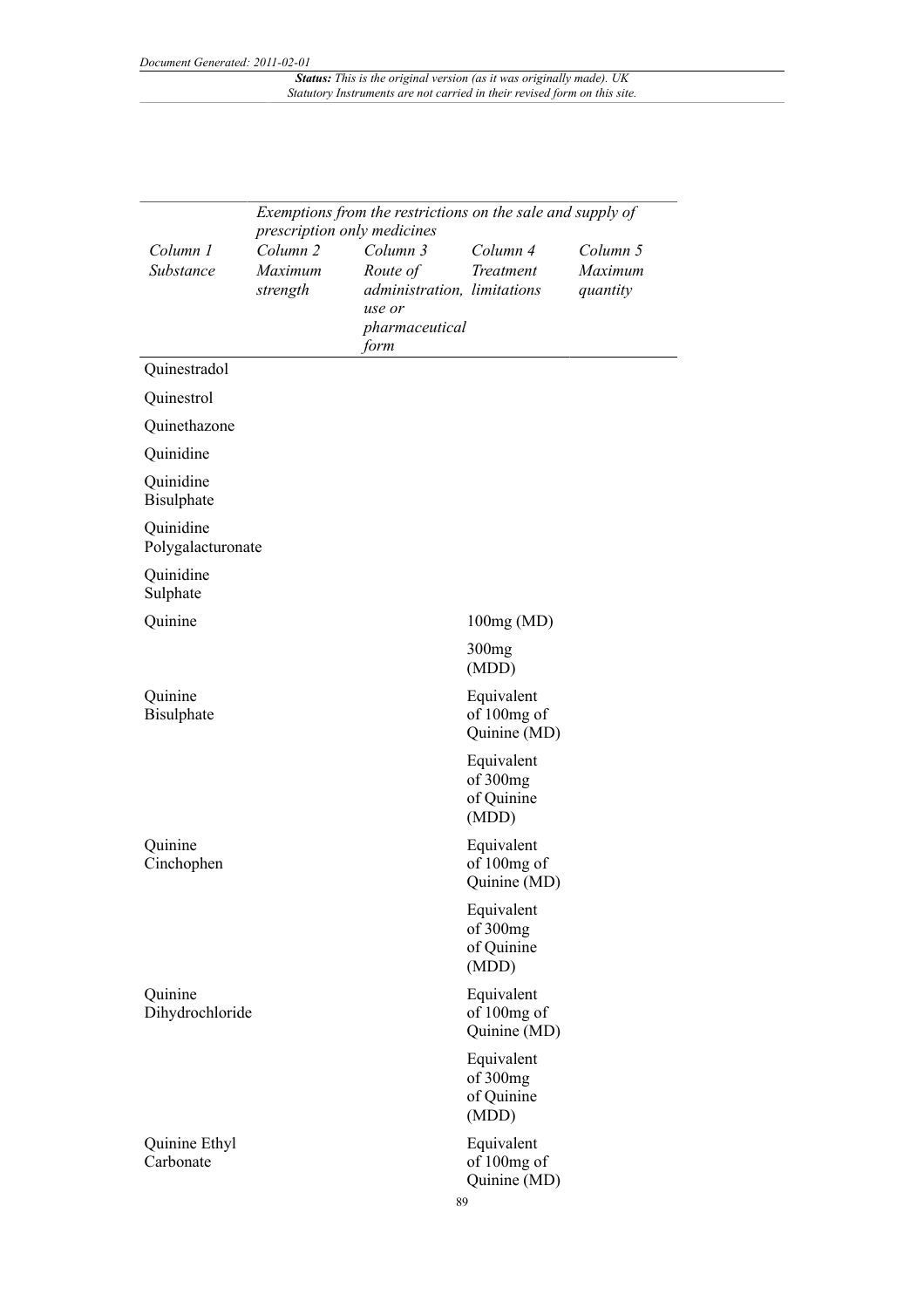|                                | Exemptions from the restrictions on the sale and supply of<br>prescription only medicines |                                                                                         |                                               |                                 |  |
|--------------------------------|-------------------------------------------------------------------------------------------|-----------------------------------------------------------------------------------------|-----------------------------------------------|---------------------------------|--|
| Column 1<br>Substance          | Column <sub>2</sub><br>Maximum<br>strength                                                | Column 3<br>Route of<br>administration, limitations<br>use or<br>pharmaceutical<br>form | Column 4<br>Treatment                         | Column 5<br>Maximum<br>quantity |  |
| Quinestradol                   |                                                                                           |                                                                                         |                                               |                                 |  |
| Quinestrol                     |                                                                                           |                                                                                         |                                               |                                 |  |
| Quinethazone                   |                                                                                           |                                                                                         |                                               |                                 |  |
| Quinidine                      |                                                                                           |                                                                                         |                                               |                                 |  |
| Quinidine<br><b>Bisulphate</b> |                                                                                           |                                                                                         |                                               |                                 |  |
| Quinidine<br>Polygalacturonate |                                                                                           |                                                                                         |                                               |                                 |  |
| Quinidine<br>Sulphate          |                                                                                           |                                                                                         |                                               |                                 |  |
| Quinine                        |                                                                                           |                                                                                         | 100mg(MD)                                     |                                 |  |
|                                |                                                                                           |                                                                                         | 300 <sub>mg</sub><br>(MDD)                    |                                 |  |
| Quinine<br><b>Bisulphate</b>   |                                                                                           |                                                                                         | Equivalent<br>of 100mg of<br>Quinine (MD)     |                                 |  |
|                                |                                                                                           |                                                                                         | Equivalent<br>of 300mg<br>of Quinine<br>(MDD) |                                 |  |
| Quinine<br>Cinchophen          |                                                                                           |                                                                                         | Equivalent<br>of 100mg of<br>Quinine (MD)     |                                 |  |
|                                |                                                                                           |                                                                                         | Equivalent<br>of 300mg<br>of Quinine<br>(MDD) |                                 |  |
| Quinine<br>Dihydrochloride     |                                                                                           |                                                                                         | Equivalent<br>of 100mg of<br>Quinine (MD)     |                                 |  |
|                                |                                                                                           |                                                                                         | Equivalent<br>of 300mg<br>of Quinine<br>(MDD) |                                 |  |
| Quinine Ethyl<br>Carbonate     |                                                                                           | 89                                                                                      | Equivalent<br>of 100mg of<br>Quinine (MD)     |                                 |  |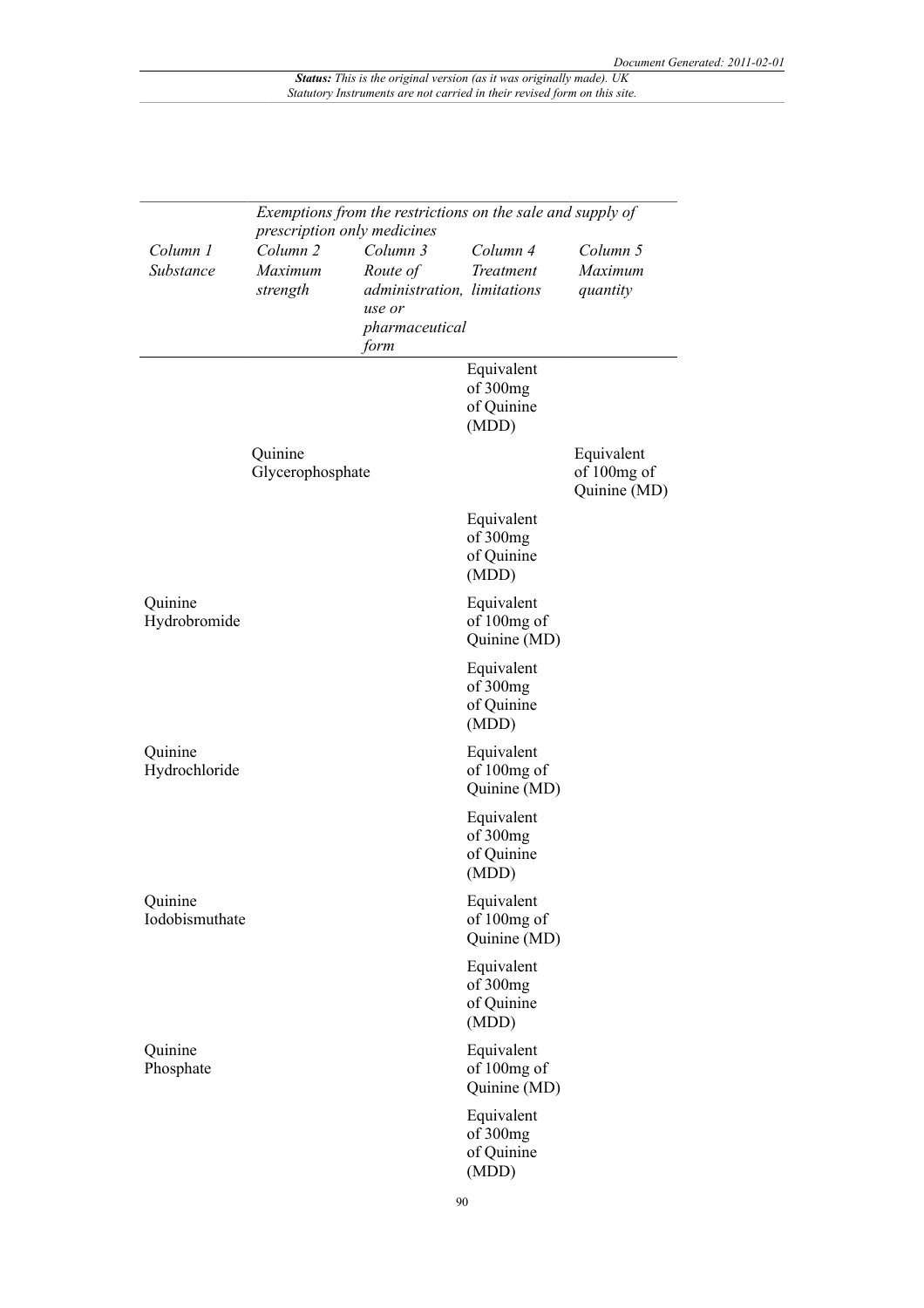|                           | Exemptions from the restrictions on the sale and supply of<br>prescription only medicines |                                                                                                |                                               |                                           |  |
|---------------------------|-------------------------------------------------------------------------------------------|------------------------------------------------------------------------------------------------|-----------------------------------------------|-------------------------------------------|--|
| Column 1<br>Substance     | Column <sub>2</sub><br>Maximum<br>strength                                                | Column 3<br>Route of<br><i>administration, limitations</i><br>use or<br>pharmaceutical<br>form | Column 4<br>Treatment                         | Column 5<br>Maximum<br>quantity           |  |
|                           |                                                                                           |                                                                                                | Equivalent<br>of 300mg<br>of Quinine<br>(MDD) |                                           |  |
|                           | Quinine<br>Glycerophosphate                                                               |                                                                                                |                                               | Equivalent<br>of 100mg of<br>Quinine (MD) |  |
|                           |                                                                                           |                                                                                                | Equivalent<br>of 300mg<br>of Quinine<br>(MDD) |                                           |  |
| Quinine<br>Hydrobromide   |                                                                                           |                                                                                                | Equivalent<br>of 100mg of<br>Quinine (MD)     |                                           |  |
|                           |                                                                                           |                                                                                                | Equivalent<br>of 300mg<br>of Quinine<br>(MDD) |                                           |  |
| Quinine<br>Hydrochloride  |                                                                                           |                                                                                                | Equivalent<br>of 100mg of<br>Quinine (MD)     |                                           |  |
|                           |                                                                                           |                                                                                                | Equivalent<br>of 300mg<br>of Quinine<br>(MDD) |                                           |  |
| Quinine<br>Iodobismuthate |                                                                                           |                                                                                                | Equivalent<br>of 100mg of<br>Quinine (MD)     |                                           |  |
|                           |                                                                                           |                                                                                                | Equivalent<br>of 300mg<br>of Quinine<br>(MDD) |                                           |  |
| Quinine<br>Phosphate      |                                                                                           |                                                                                                | Equivalent<br>of 100mg of<br>Quinine (MD)     |                                           |  |
|                           |                                                                                           |                                                                                                | Equivalent<br>of 300mg<br>of Quinine<br>(MDD) |                                           |  |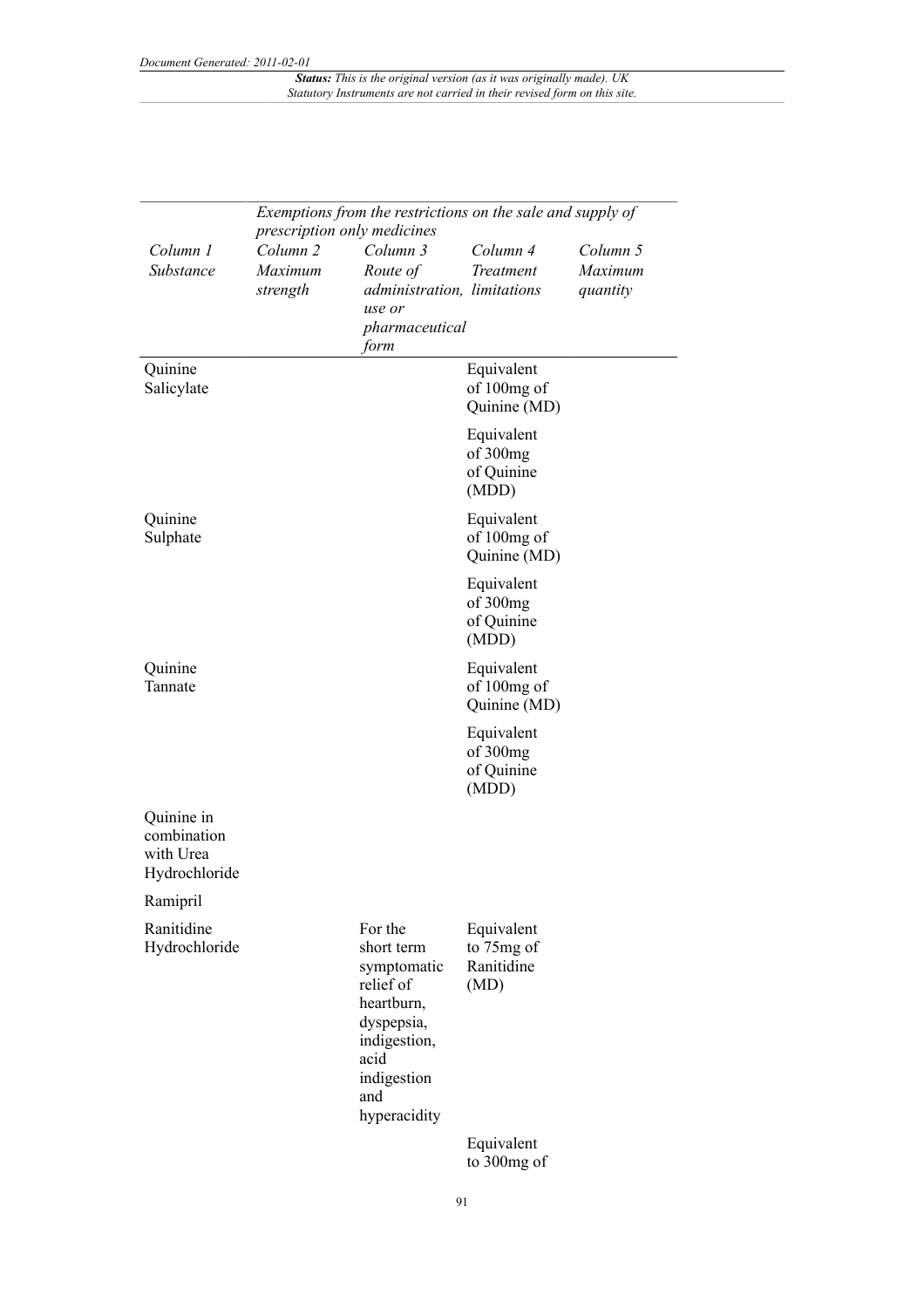|                                                         | Exemptions from the restrictions on the sale and supply of<br>prescription only medicines |                                                                                                                                             |                                                |                                 |  |  |
|---------------------------------------------------------|-------------------------------------------------------------------------------------------|---------------------------------------------------------------------------------------------------------------------------------------------|------------------------------------------------|---------------------------------|--|--|
| Column 1<br>Substance                                   | Column <sub>2</sub><br>Maximum<br>strength                                                | Column 3<br>Route of<br>administration, limitations<br>use or<br>pharmaceutical<br>form                                                     | Column 4<br>Treatment                          | Column 5<br>Maximum<br>quantity |  |  |
| Quinine<br>Salicylate                                   |                                                                                           |                                                                                                                                             | Equivalent<br>of 100mg of<br>Quinine (MD)      |                                 |  |  |
|                                                         |                                                                                           |                                                                                                                                             | Equivalent<br>of 300mg<br>of Quinine<br>(MDD)  |                                 |  |  |
| Quinine<br>Sulphate                                     |                                                                                           |                                                                                                                                             | Equivalent<br>of 100mg of<br>Quinine (MD)      |                                 |  |  |
|                                                         |                                                                                           |                                                                                                                                             | Equivalent<br>of 300mg<br>of Quinine<br>(MDD)  |                                 |  |  |
| Quinine<br>Tannate                                      |                                                                                           |                                                                                                                                             | Equivalent<br>of 100mg of<br>Quinine (MD)      |                                 |  |  |
|                                                         |                                                                                           |                                                                                                                                             | Equivalent<br>of 300mg<br>of Quinine<br>(MDD)  |                                 |  |  |
| Quinine in<br>combination<br>with Urea<br>Hydrochloride |                                                                                           |                                                                                                                                             |                                                |                                 |  |  |
| Ramipril                                                |                                                                                           |                                                                                                                                             |                                                |                                 |  |  |
| Ranitidine<br>Hydrochloride                             |                                                                                           | For the<br>short term<br>symptomatic<br>relief of<br>heartburn,<br>dyspepsia,<br>indigestion,<br>acid<br>indigestion<br>and<br>hyperacidity | Equivalent<br>to 75mg of<br>Ranitidine<br>(MD) |                                 |  |  |
|                                                         |                                                                                           |                                                                                                                                             | Equivalent<br>to 300mg of                      |                                 |  |  |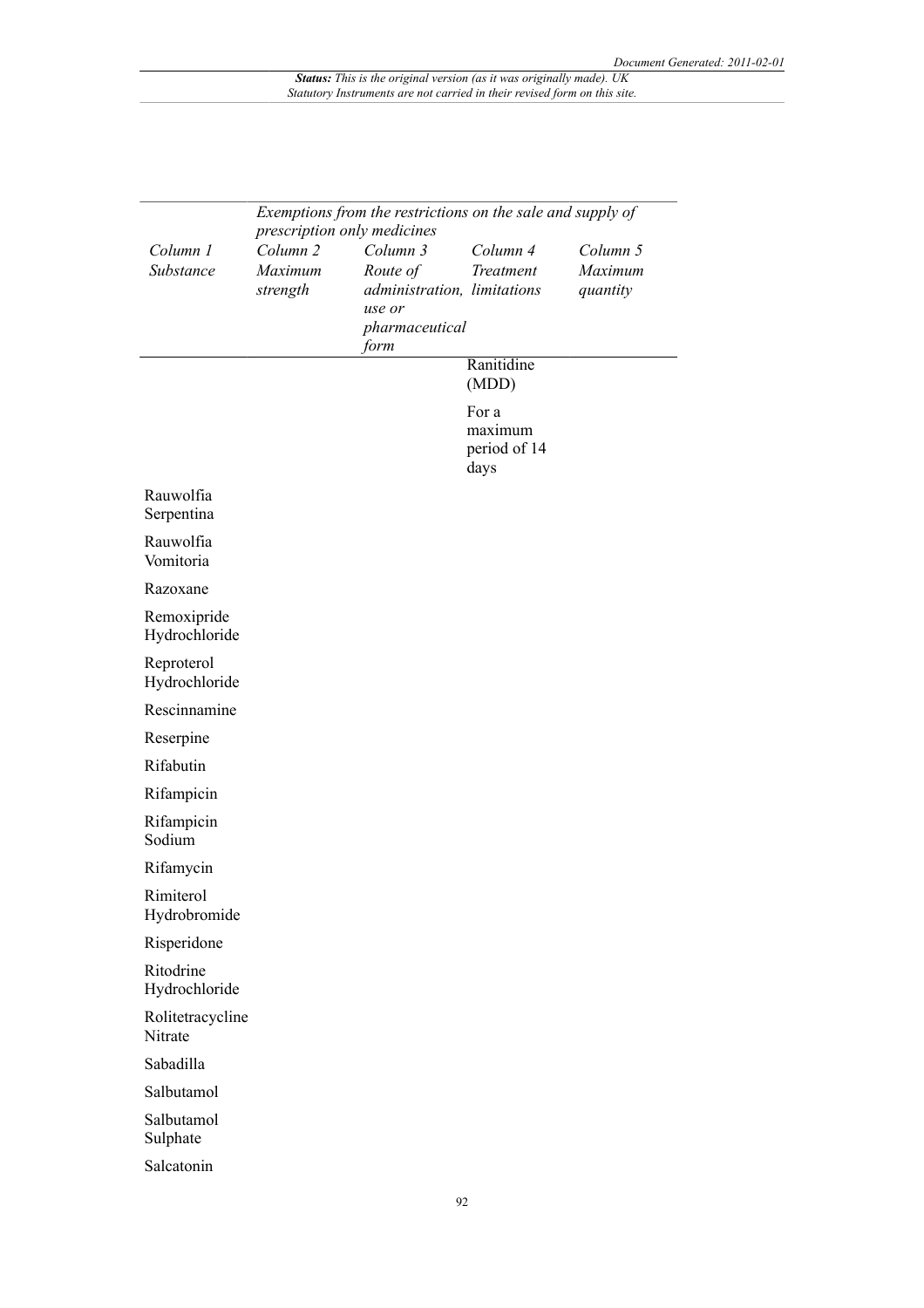|                              | Exemptions from the restrictions on the sale and supply of<br>prescription only medicines |                                                                                         |                                          |                                 |
|------------------------------|-------------------------------------------------------------------------------------------|-----------------------------------------------------------------------------------------|------------------------------------------|---------------------------------|
| Column 1<br>Substance        | Column <sub>2</sub><br>Maximum<br>strength                                                | Column 3<br>Route of<br>administration, limitations<br>use or<br>pharmaceutical<br>form | Column 4<br>Treatment                    | Column 5<br>Maximum<br>quantity |
|                              |                                                                                           |                                                                                         | Ranitidine<br>(MDD)                      |                                 |
|                              |                                                                                           |                                                                                         | For a<br>maximum<br>period of 14<br>days |                                 |
| Rauwolfia<br>Serpentina      |                                                                                           |                                                                                         |                                          |                                 |
| Rauwolfia<br>Vomitoria       |                                                                                           |                                                                                         |                                          |                                 |
| Razoxane                     |                                                                                           |                                                                                         |                                          |                                 |
| Remoxipride<br>Hydrochloride |                                                                                           |                                                                                         |                                          |                                 |
| Reproterol<br>Hydrochloride  |                                                                                           |                                                                                         |                                          |                                 |
| Rescinnamine                 |                                                                                           |                                                                                         |                                          |                                 |
| Reserpine                    |                                                                                           |                                                                                         |                                          |                                 |
| Rifabutin                    |                                                                                           |                                                                                         |                                          |                                 |
| Rifampicin                   |                                                                                           |                                                                                         |                                          |                                 |
| Rifampicin<br>Sodium         |                                                                                           |                                                                                         |                                          |                                 |
| Rifamycin                    |                                                                                           |                                                                                         |                                          |                                 |
| Rimiterol<br>Hydrobromide    |                                                                                           |                                                                                         |                                          |                                 |
| Risperidone                  |                                                                                           |                                                                                         |                                          |                                 |
| Ritodrine<br>Hydrochloride   |                                                                                           |                                                                                         |                                          |                                 |
| Rolitetracycline<br>Nitrate  |                                                                                           |                                                                                         |                                          |                                 |
| Sabadilla                    |                                                                                           |                                                                                         |                                          |                                 |
| Salbutamol                   |                                                                                           |                                                                                         |                                          |                                 |
| Salbutamol<br>Sulphate       |                                                                                           |                                                                                         |                                          |                                 |
| Salcatonin                   |                                                                                           |                                                                                         |                                          |                                 |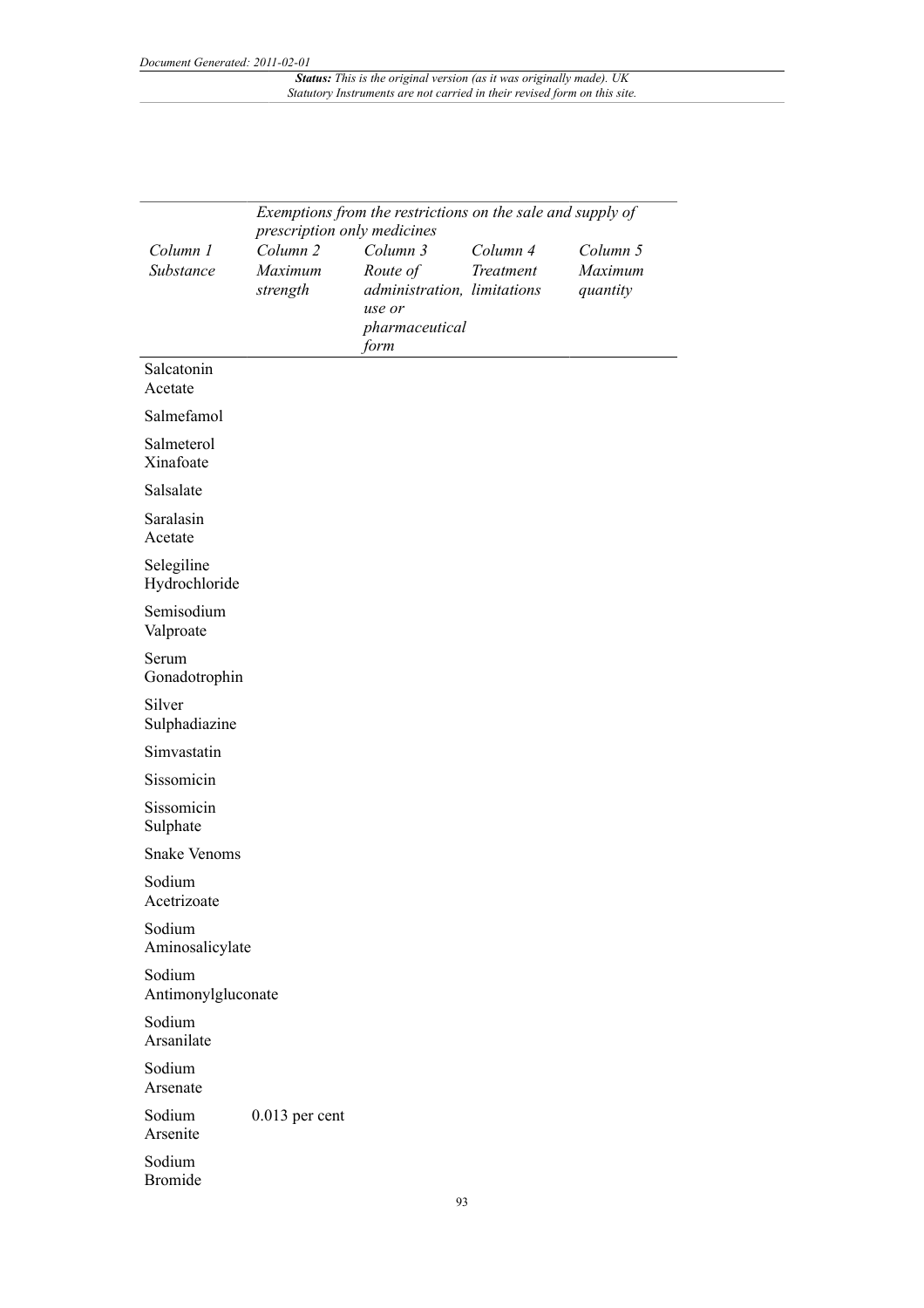|                              | Exemptions from the restrictions on the sale and supply of<br>prescription only medicines |                                       |           |          |  |
|------------------------------|-------------------------------------------------------------------------------------------|---------------------------------------|-----------|----------|--|
| Column 1                     | Column <sub>2</sub>                                                                       | Column 3                              | Column 4  | Column 5 |  |
| Substance                    | Maximum                                                                                   | Route of                              | Treatment | Maximum  |  |
|                              | strength                                                                                  | administration, limitations<br>use or |           | quantity |  |
|                              |                                                                                           | pharmaceutical<br>form                |           |          |  |
| Salcatonin<br>Acetate        |                                                                                           |                                       |           |          |  |
| Salmefamol                   |                                                                                           |                                       |           |          |  |
| Salmeterol<br>Xinafoate      |                                                                                           |                                       |           |          |  |
| Salsalate                    |                                                                                           |                                       |           |          |  |
| Saralasin<br>Acetate         |                                                                                           |                                       |           |          |  |
| Selegiline<br>Hydrochloride  |                                                                                           |                                       |           |          |  |
| Semisodium<br>Valproate      |                                                                                           |                                       |           |          |  |
| Serum<br>Gonadotrophin       |                                                                                           |                                       |           |          |  |
| Silver<br>Sulphadiazine      |                                                                                           |                                       |           |          |  |
| Simvastatin                  |                                                                                           |                                       |           |          |  |
| Sissomicin                   |                                                                                           |                                       |           |          |  |
| Sissomicin<br>Sulphate       |                                                                                           |                                       |           |          |  |
| <b>Snake Venoms</b>          |                                                                                           |                                       |           |          |  |
| Sodium<br>Acetrizoate        |                                                                                           |                                       |           |          |  |
| Sodium<br>Aminosalicylate    |                                                                                           |                                       |           |          |  |
| Sodium<br>Antimonylgluconate |                                                                                           |                                       |           |          |  |
| Sodium<br>Arsanilate         |                                                                                           |                                       |           |          |  |
| Sodium<br>Arsenate           |                                                                                           |                                       |           |          |  |
| Sodium<br>Arsenite           | $0.013$ per cent                                                                          |                                       |           |          |  |
| Sodium<br><b>Bromide</b>     |                                                                                           |                                       |           |          |  |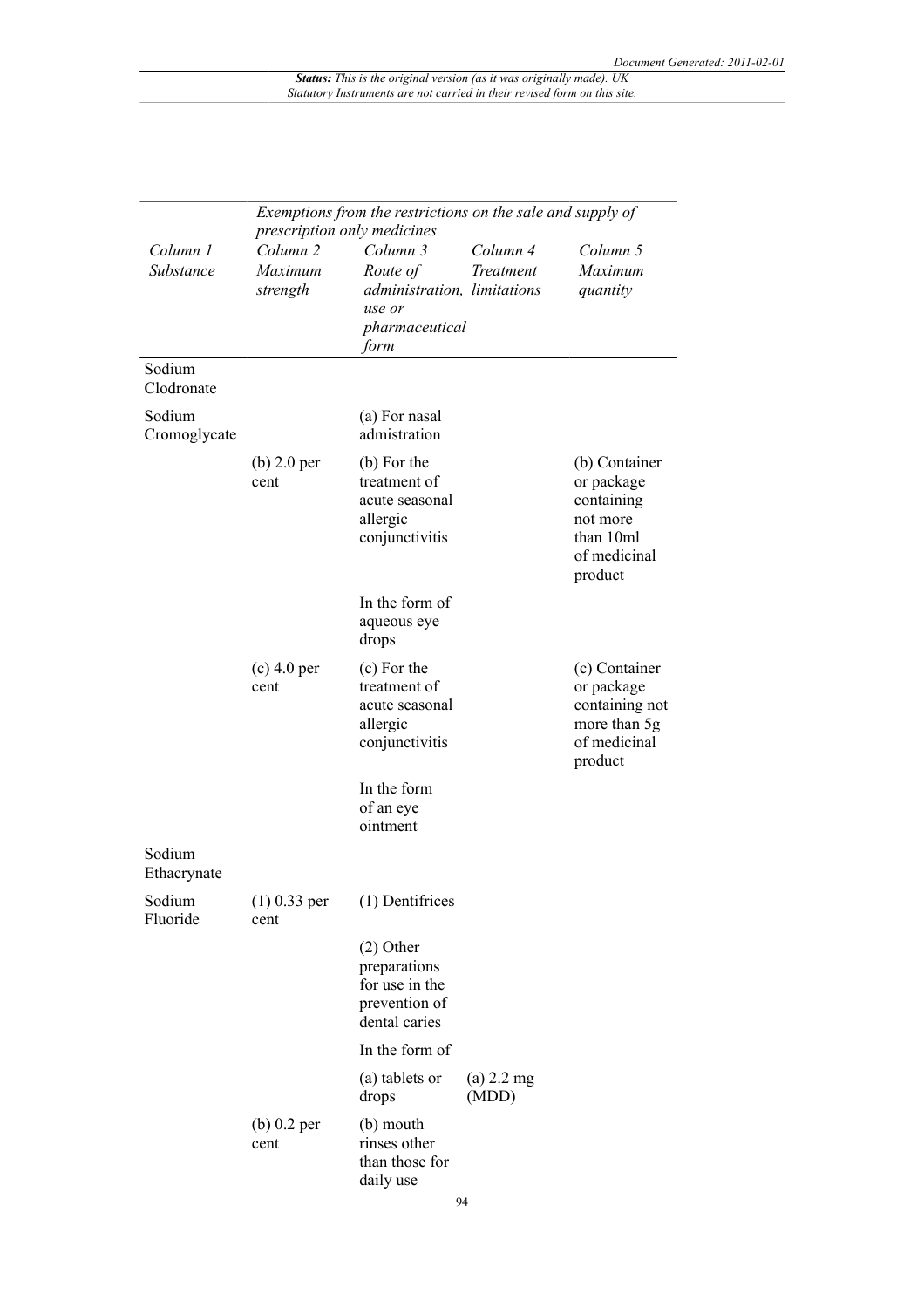|                        | Exemptions from the restrictions on the sale and supply of<br>prescription only medicines |                                                                                         |                       |                                                                                               |  |
|------------------------|-------------------------------------------------------------------------------------------|-----------------------------------------------------------------------------------------|-----------------------|-----------------------------------------------------------------------------------------------|--|
| Column 1<br>Substance  | Column <sub>2</sub><br>Maximum<br>strength                                                | Column 3<br>Route of<br>administration, limitations<br>use or<br>pharmaceutical<br>form | Column 4<br>Treatment | Column 5<br>Maximum<br>quantity                                                               |  |
| Sodium<br>Clodronate   |                                                                                           |                                                                                         |                       |                                                                                               |  |
| Sodium<br>Cromoglycate |                                                                                           | (a) For nasal<br>admistration                                                           |                       |                                                                                               |  |
|                        | $(b)$ 2.0 per<br>cent                                                                     | (b) For the<br>treatment of<br>acute seasonal<br>allergic<br>conjunctivitis             |                       | (b) Container<br>or package<br>containing<br>not more<br>than 10ml<br>of medicinal<br>product |  |
|                        |                                                                                           | In the form of<br>aqueous eye<br>drops                                                  |                       |                                                                                               |  |
|                        | $(c)$ 4.0 per<br>cent                                                                     | (c) For the<br>treatment of<br>acute seasonal<br>allergic<br>conjunctivitis             |                       | (c) Container<br>or package<br>containing not<br>more than 5g<br>of medicinal<br>product      |  |
|                        |                                                                                           | In the form<br>of an eye<br>ointment                                                    |                       |                                                                                               |  |
| Sodium<br>Ethacrynate  |                                                                                           |                                                                                         |                       |                                                                                               |  |
| Sodium<br>Fluoride     | $(1)$ 0.33 per<br>cent                                                                    | (1) Dentifrices                                                                         |                       |                                                                                               |  |
|                        |                                                                                           | $(2)$ Other<br>preparations<br>for use in the<br>prevention of<br>dental caries         |                       |                                                                                               |  |
|                        |                                                                                           | In the form of                                                                          |                       |                                                                                               |  |
|                        |                                                                                           | (a) tablets or<br>drops                                                                 | $(a)$ 2.2 mg<br>(MDD) |                                                                                               |  |
|                        | $(b)$ 0.2 per<br>cent                                                                     | (b) mouth<br>rinses other<br>than those for<br>daily use                                |                       |                                                                                               |  |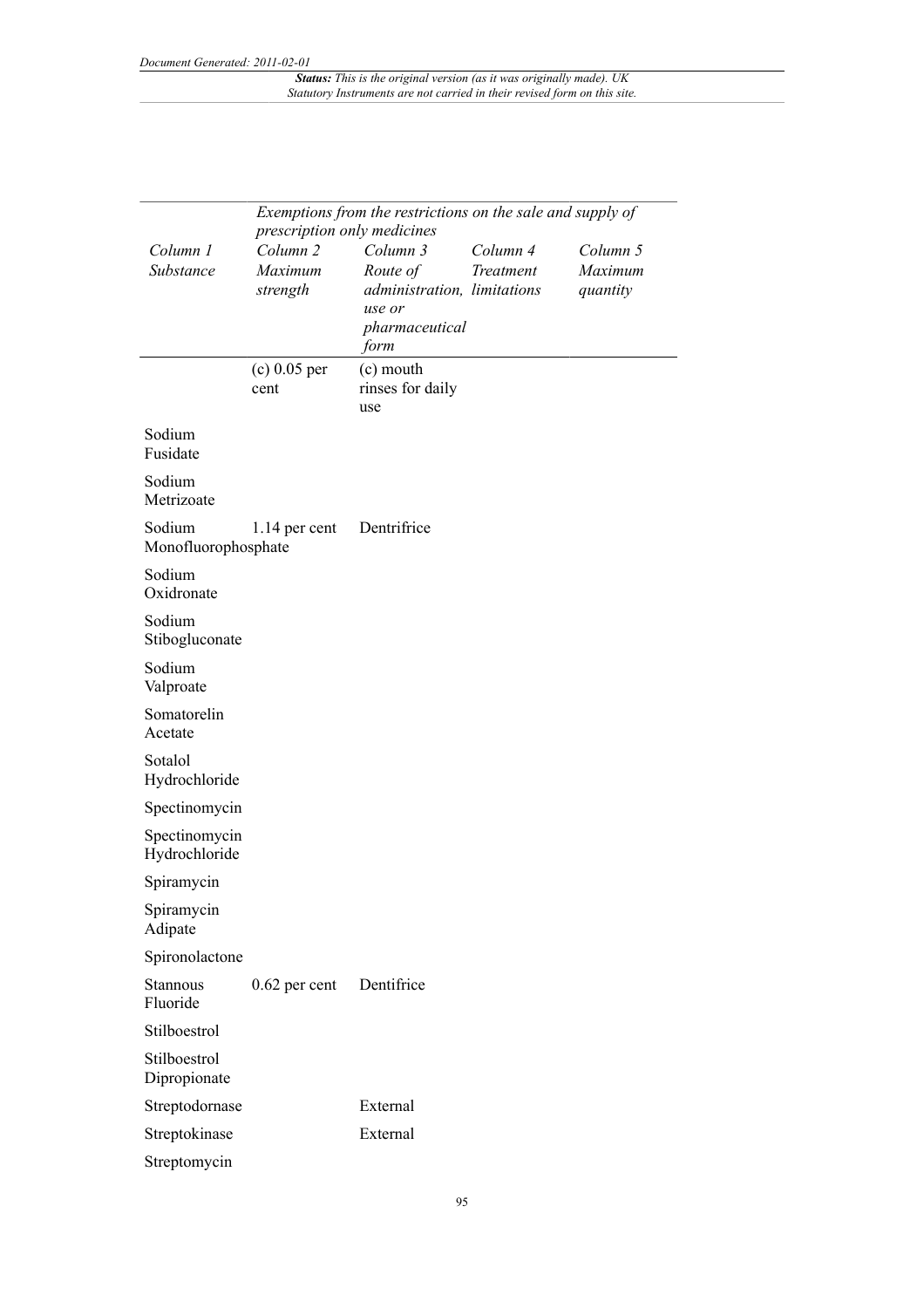|                                | prescription only medicines                | Exemptions from the restrictions on the sale and supply of                              |                       |                                 |
|--------------------------------|--------------------------------------------|-----------------------------------------------------------------------------------------|-----------------------|---------------------------------|
| Column 1<br>Substance          | Column <sub>2</sub><br>Maximum<br>strength | Column 3<br>Route of<br>administration, limitations<br>use or<br>pharmaceutical<br>form | Column 4<br>Treatment | Column 5<br>Maximum<br>quantity |
|                                | $(c) 0.05$ per<br>cent                     | (c) mouth<br>rinses for daily<br>use                                                    |                       |                                 |
| Sodium<br>Fusidate             |                                            |                                                                                         |                       |                                 |
| Sodium<br>Metrizoate           |                                            |                                                                                         |                       |                                 |
| Sodium<br>Monofluorophosphate  | $1.14$ per cent                            | Dentrifrice                                                                             |                       |                                 |
| Sodium<br>Oxidronate           |                                            |                                                                                         |                       |                                 |
| Sodium<br>Stibogluconate       |                                            |                                                                                         |                       |                                 |
| Sodium<br>Valproate            |                                            |                                                                                         |                       |                                 |
| Somatorelin<br>Acetate         |                                            |                                                                                         |                       |                                 |
| Sotalol<br>Hydrochloride       |                                            |                                                                                         |                       |                                 |
| Spectinomycin                  |                                            |                                                                                         |                       |                                 |
| Spectinomycin<br>Hydrochloride |                                            |                                                                                         |                       |                                 |
| Spiramycin                     |                                            |                                                                                         |                       |                                 |
| Spiramycin<br>Adipate          |                                            |                                                                                         |                       |                                 |
| Spironolactone                 |                                            |                                                                                         |                       |                                 |
| Stannous<br>Fluoride           | $0.62$ per cent                            | Dentifrice                                                                              |                       |                                 |
| Stilboestrol                   |                                            |                                                                                         |                       |                                 |
| Stilboestrol<br>Dipropionate   |                                            |                                                                                         |                       |                                 |
| Streptodornase                 |                                            | External                                                                                |                       |                                 |
| Streptokinase                  |                                            | External                                                                                |                       |                                 |
| Streptomycin                   |                                            |                                                                                         |                       |                                 |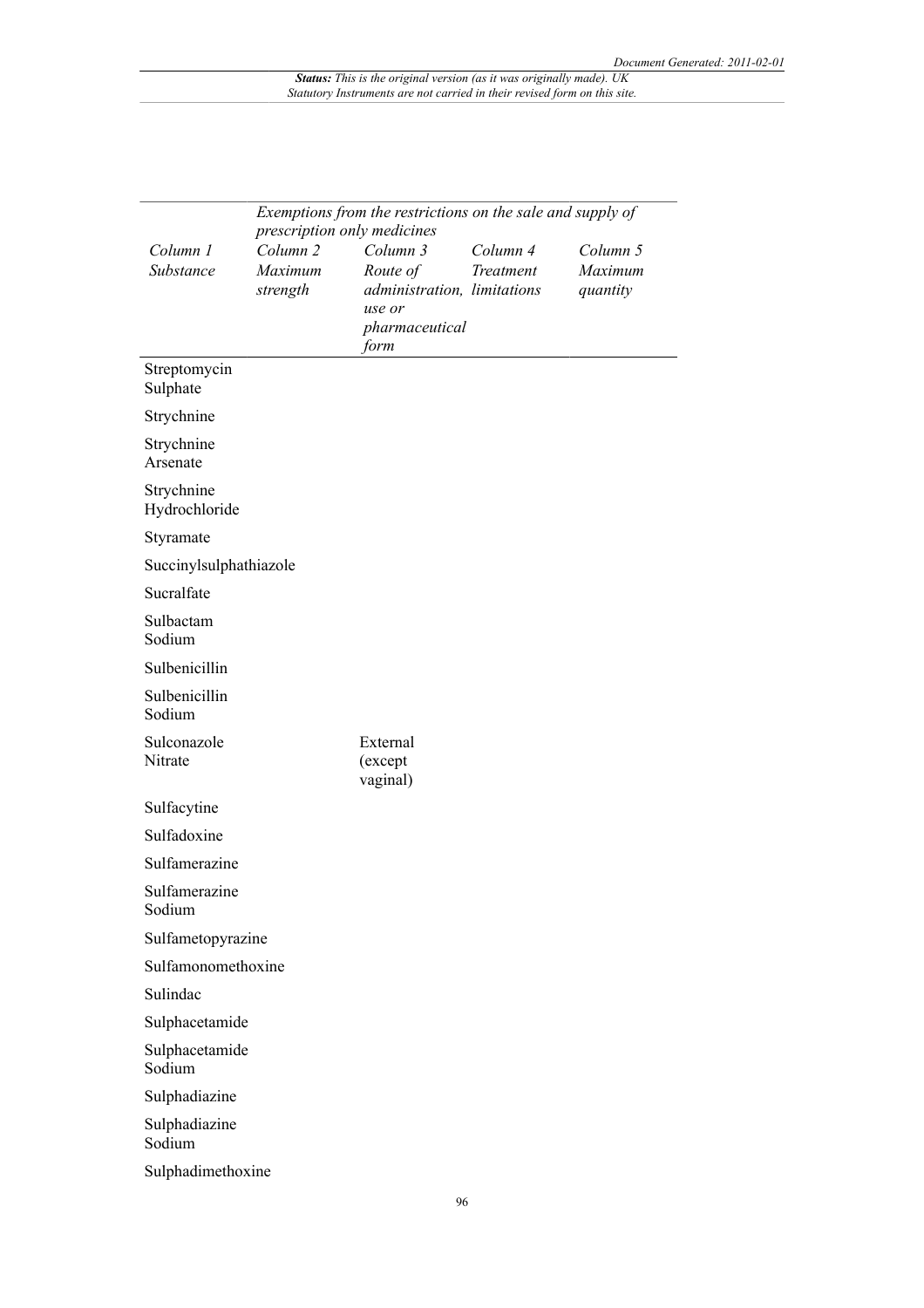|                             |                                            | Exemptions from the restrictions on the sale and supply of                                                             |                       |                                 |
|-----------------------------|--------------------------------------------|------------------------------------------------------------------------------------------------------------------------|-----------------------|---------------------------------|
| Column 1<br>Substance       | Column <sub>2</sub><br>Maximum<br>strength | prescription only medicines<br>Column 3<br>Route of<br>administration, limitations<br>use or<br>pharmaceutical<br>form | Column 4<br>Treatment | Column 5<br>Maximum<br>quantity |
| Streptomycin<br>Sulphate    |                                            |                                                                                                                        |                       |                                 |
| Strychnine                  |                                            |                                                                                                                        |                       |                                 |
| Strychnine<br>Arsenate      |                                            |                                                                                                                        |                       |                                 |
| Strychnine<br>Hydrochloride |                                            |                                                                                                                        |                       |                                 |
| Styramate                   |                                            |                                                                                                                        |                       |                                 |
| Succinylsulphathiazole      |                                            |                                                                                                                        |                       |                                 |
| Sucralfate                  |                                            |                                                                                                                        |                       |                                 |
| Sulbactam<br>Sodium         |                                            |                                                                                                                        |                       |                                 |
| Sulbenicillin               |                                            |                                                                                                                        |                       |                                 |
| Sulbenicillin<br>Sodium     |                                            |                                                                                                                        |                       |                                 |
| Sulconazole<br>Nitrate      |                                            | External<br>(except<br>vaginal)                                                                                        |                       |                                 |
| Sulfacytine                 |                                            |                                                                                                                        |                       |                                 |
| Sulfadoxine                 |                                            |                                                                                                                        |                       |                                 |
| Sulfamerazine               |                                            |                                                                                                                        |                       |                                 |
| Sulfamerazine<br>Sodium     |                                            |                                                                                                                        |                       |                                 |
| Sulfametopyrazine           |                                            |                                                                                                                        |                       |                                 |
| Sulfamonomethoxine          |                                            |                                                                                                                        |                       |                                 |
| Sulindac                    |                                            |                                                                                                                        |                       |                                 |
| Sulphacetamide              |                                            |                                                                                                                        |                       |                                 |
| Sulphacetamide<br>Sodium    |                                            |                                                                                                                        |                       |                                 |
| Sulphadiazine               |                                            |                                                                                                                        |                       |                                 |
| Sulphadiazine<br>Sodium     |                                            |                                                                                                                        |                       |                                 |
| Sulphadimethoxine           |                                            |                                                                                                                        |                       |                                 |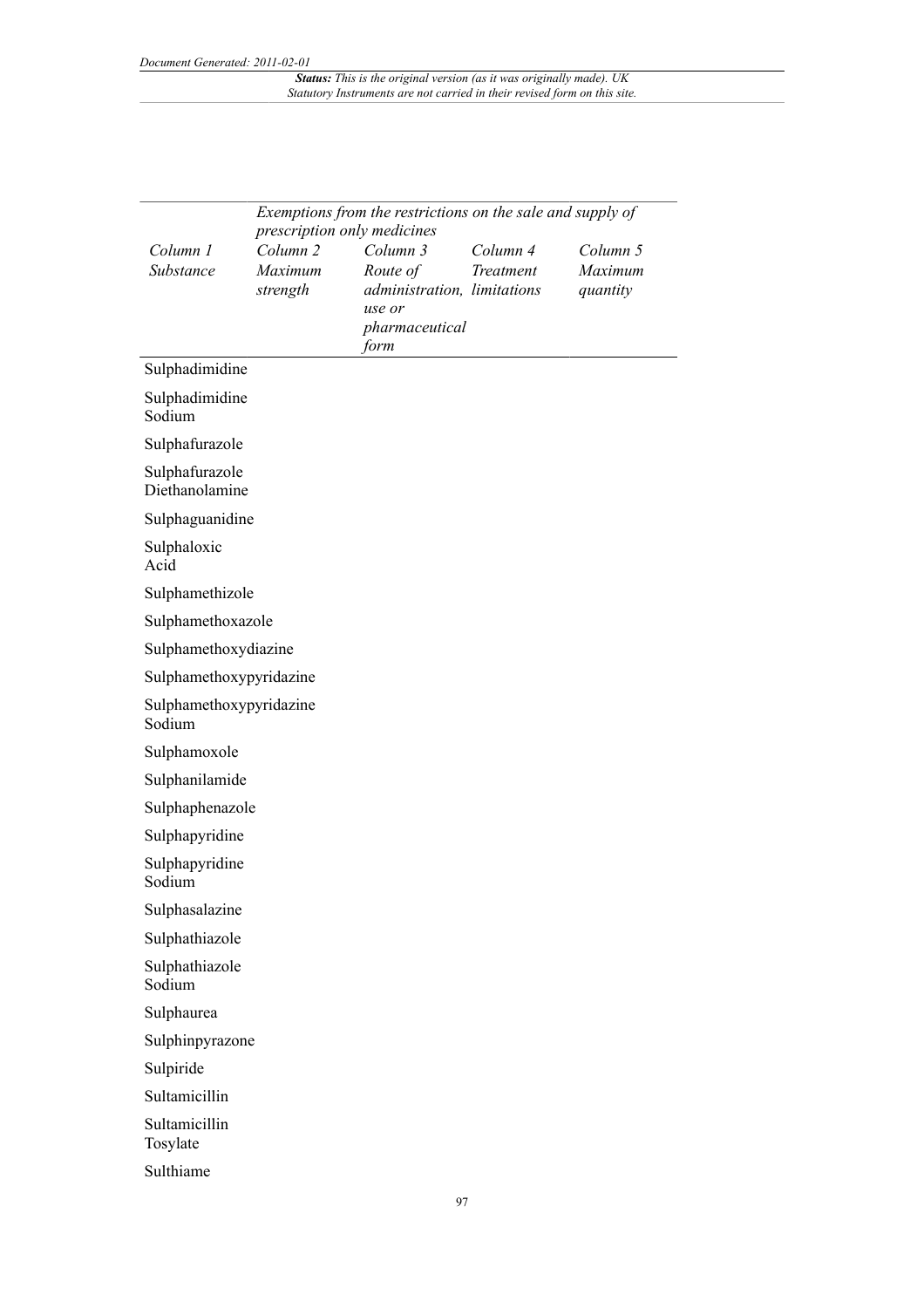|                                   |                             | Exemptions from the restrictions on the sale and supply of |           |                     |
|-----------------------------------|-----------------------------|------------------------------------------------------------|-----------|---------------------|
|                                   | prescription only medicines |                                                            |           |                     |
| Column 1                          | Column <sub>2</sub>         | Column 3                                                   | Column 4  | Column 5            |
| Substance                         | Maximum<br>strength         | Route of<br>administration, limitations                    | Treatment | Maximum<br>quantity |
|                                   |                             | use or                                                     |           |                     |
|                                   |                             | pharmaceutical                                             |           |                     |
|                                   |                             | form                                                       |           |                     |
| Sulphadimidine                    |                             |                                                            |           |                     |
| Sulphadimidine<br>Sodium          |                             |                                                            |           |                     |
| Sulphafurazole                    |                             |                                                            |           |                     |
| Sulphafurazole<br>Diethanolamine  |                             |                                                            |           |                     |
| Sulphaguanidine                   |                             |                                                            |           |                     |
| Sulphaloxic<br>Acid               |                             |                                                            |           |                     |
| Sulphamethizole                   |                             |                                                            |           |                     |
| Sulphamethoxazole                 |                             |                                                            |           |                     |
| Sulphamethoxydiazine              |                             |                                                            |           |                     |
| Sulphamethoxypyridazine           |                             |                                                            |           |                     |
| Sulphamethoxypyridazine<br>Sodium |                             |                                                            |           |                     |
| Sulphamoxole                      |                             |                                                            |           |                     |
| Sulphanilamide                    |                             |                                                            |           |                     |
| Sulphaphenazole                   |                             |                                                            |           |                     |
| Sulphapyridine                    |                             |                                                            |           |                     |
| Sulphapyridine<br>Sodium          |                             |                                                            |           |                     |
| Sulphasalazine                    |                             |                                                            |           |                     |
| Sulphathiazole                    |                             |                                                            |           |                     |
| Sulphathiazole<br>Sodium          |                             |                                                            |           |                     |
| Sulphaurea                        |                             |                                                            |           |                     |
| Sulphinpyrazone                   |                             |                                                            |           |                     |
| Sulpiride                         |                             |                                                            |           |                     |
| Sultamicillin                     |                             |                                                            |           |                     |
| Sultamicillin<br>Tosylate         |                             |                                                            |           |                     |
| Sulthiame                         |                             |                                                            |           |                     |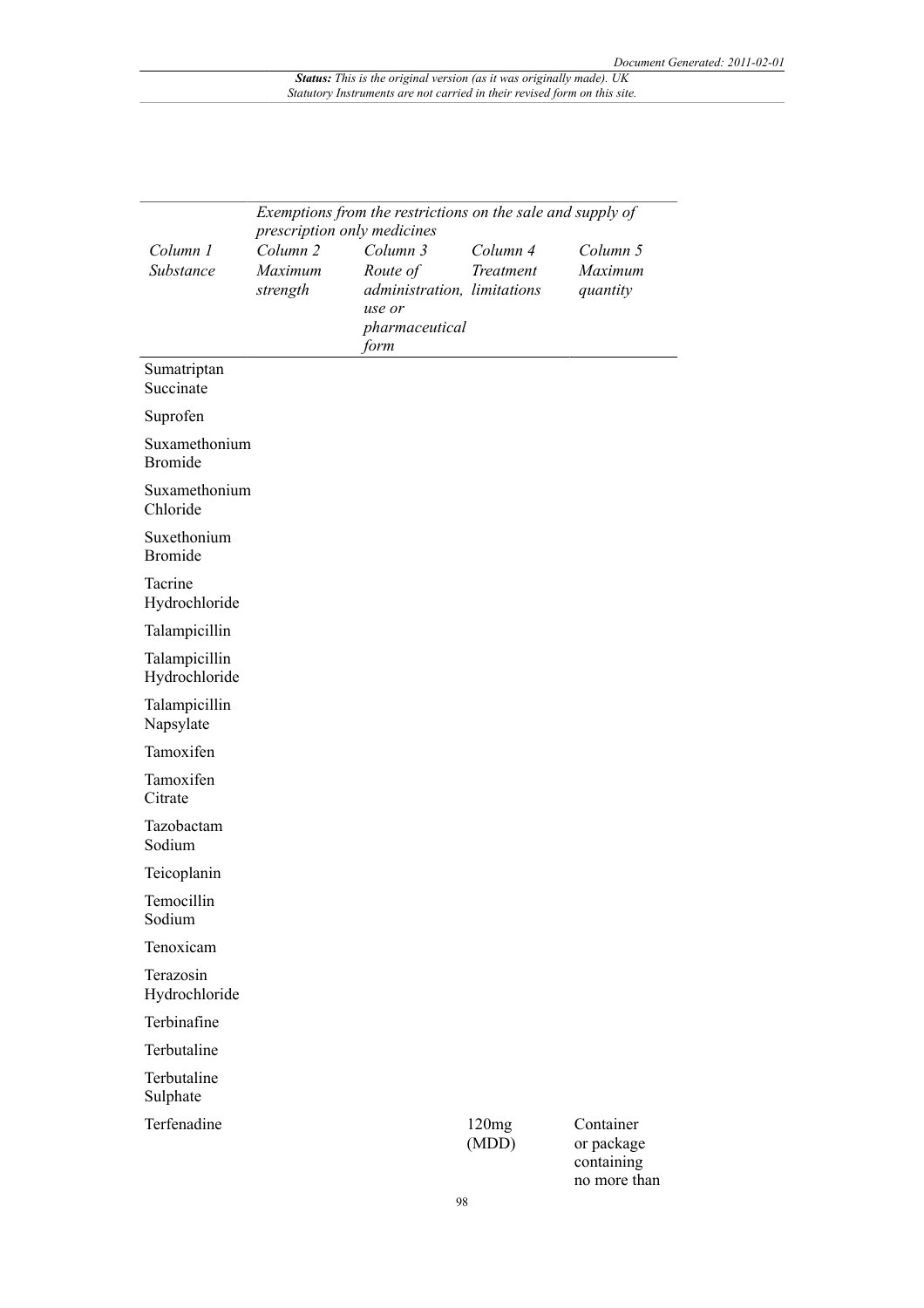|                                 |                                                    | Exemptions from the restrictions on the sale and supply of |                |                                       |
|---------------------------------|----------------------------------------------------|------------------------------------------------------------|----------------|---------------------------------------|
| Column 1                        | prescription only medicines<br>Column <sub>2</sub> | Column 3                                                   | Column 4       | Column 5                              |
| Substance                       | Maximum                                            | Route of                                                   | Treatment      | Maximum                               |
|                                 | strength                                           | administration, limitations                                |                | quantity                              |
|                                 |                                                    | use or                                                     |                |                                       |
|                                 |                                                    | pharmaceutical<br>form                                     |                |                                       |
| Sumatriptan<br>Succinate        |                                                    |                                                            |                |                                       |
| Suprofen                        |                                                    |                                                            |                |                                       |
| Suxamethonium<br><b>Bromide</b> |                                                    |                                                            |                |                                       |
| Suxamethonium<br>Chloride       |                                                    |                                                            |                |                                       |
| Suxethonium<br><b>Bromide</b>   |                                                    |                                                            |                |                                       |
| Tacrine<br>Hydrochloride        |                                                    |                                                            |                |                                       |
| Talampicillin                   |                                                    |                                                            |                |                                       |
| Talampicillin<br>Hydrochloride  |                                                    |                                                            |                |                                       |
| Talampicillin<br>Napsylate      |                                                    |                                                            |                |                                       |
| Tamoxifen                       |                                                    |                                                            |                |                                       |
| Tamoxifen<br>Citrate            |                                                    |                                                            |                |                                       |
| Tazobactam<br>Sodium            |                                                    |                                                            |                |                                       |
| Teicoplanin                     |                                                    |                                                            |                |                                       |
| Temocillin<br>Sodium            |                                                    |                                                            |                |                                       |
| Tenoxicam                       |                                                    |                                                            |                |                                       |
| Terazosin<br>Hydrochloride      |                                                    |                                                            |                |                                       |
| Terbinafine                     |                                                    |                                                            |                |                                       |
| Terbutaline                     |                                                    |                                                            |                |                                       |
| Terbutaline<br>Sulphate         |                                                    |                                                            |                |                                       |
| Terfenadine                     |                                                    |                                                            | 120mg<br>(MDD) | Container<br>or package<br>containing |

no more than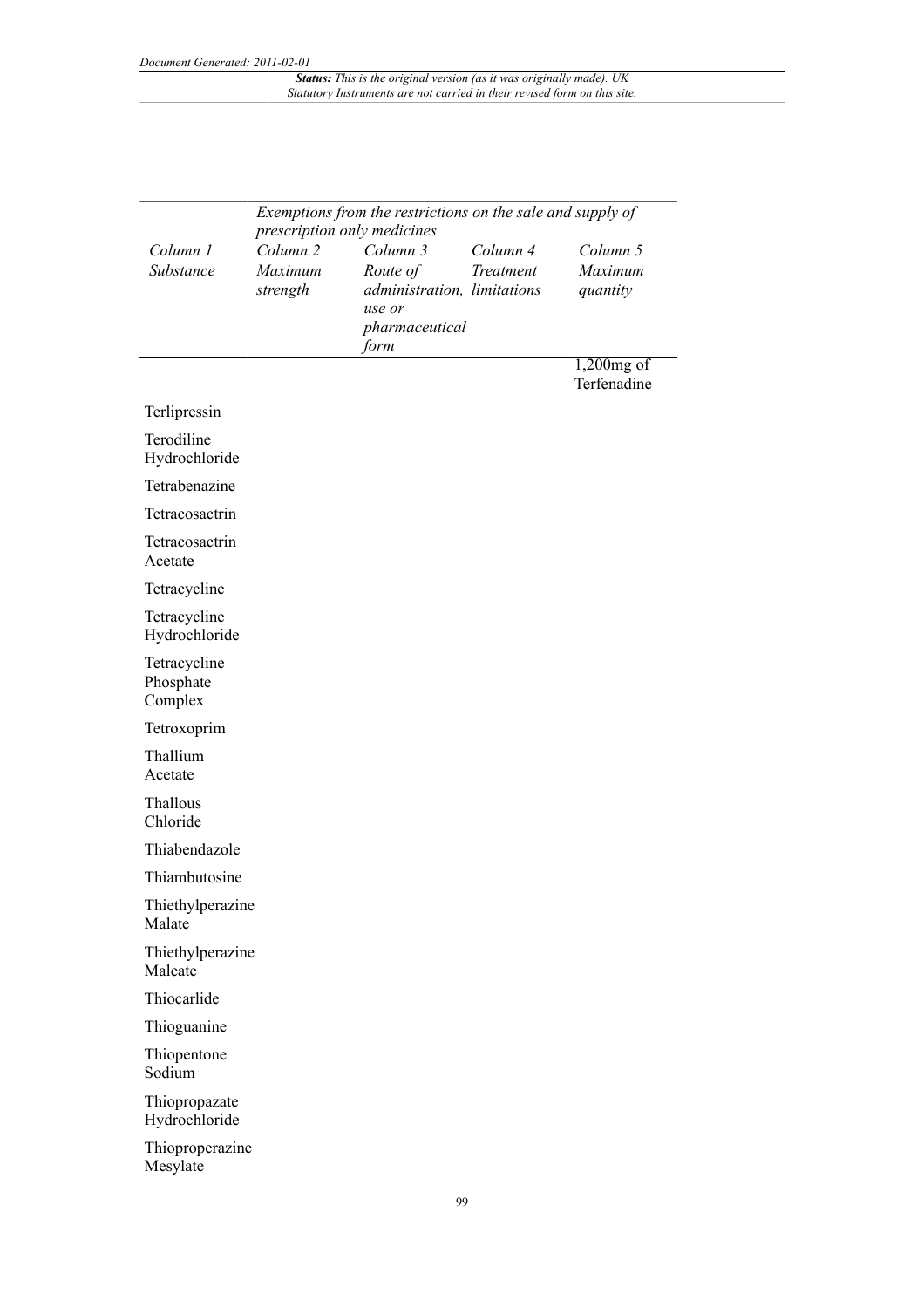|                                      | Exemptions from the restrictions on the sale and supply of<br>prescription only medicines |                                                                                         |                       |                                 |  |
|--------------------------------------|-------------------------------------------------------------------------------------------|-----------------------------------------------------------------------------------------|-----------------------|---------------------------------|--|
| Column 1<br>Substance                | Column <sub>2</sub><br>Maximum<br>strength                                                | Column 3<br>Route of<br>administration, limitations<br>use or<br>pharmaceutical<br>form | Column 4<br>Treatment | Column 5<br>Maximum<br>quantity |  |
|                                      |                                                                                           |                                                                                         |                       | 1,200mg of<br>Terfenadine       |  |
| Terlipressin                         |                                                                                           |                                                                                         |                       |                                 |  |
| Terodiline<br>Hydrochloride          |                                                                                           |                                                                                         |                       |                                 |  |
| Tetrabenazine                        |                                                                                           |                                                                                         |                       |                                 |  |
| Tetracosactrin                       |                                                                                           |                                                                                         |                       |                                 |  |
| Tetracosactrin<br>Acetate            |                                                                                           |                                                                                         |                       |                                 |  |
| Tetracycline                         |                                                                                           |                                                                                         |                       |                                 |  |
| Tetracycline<br>Hydrochloride        |                                                                                           |                                                                                         |                       |                                 |  |
| Tetracycline<br>Phosphate<br>Complex |                                                                                           |                                                                                         |                       |                                 |  |
| Tetroxoprim                          |                                                                                           |                                                                                         |                       |                                 |  |
| Thallium<br>Acetate                  |                                                                                           |                                                                                         |                       |                                 |  |
| Thallous<br>Chloride                 |                                                                                           |                                                                                         |                       |                                 |  |
| Thiabendazole                        |                                                                                           |                                                                                         |                       |                                 |  |
| Thiambutosine                        |                                                                                           |                                                                                         |                       |                                 |  |
| Thiethylperazine<br>Malate           |                                                                                           |                                                                                         |                       |                                 |  |
| Thiethylperazine<br>Maleate          |                                                                                           |                                                                                         |                       |                                 |  |
| Thiocarlide                          |                                                                                           |                                                                                         |                       |                                 |  |
| Thioguanine                          |                                                                                           |                                                                                         |                       |                                 |  |
| Thiopentone<br>Sodium                |                                                                                           |                                                                                         |                       |                                 |  |
| Thiopropazate<br>Hydrochloride       |                                                                                           |                                                                                         |                       |                                 |  |
| Thioproperazine<br>Mesylate          |                                                                                           |                                                                                         |                       |                                 |  |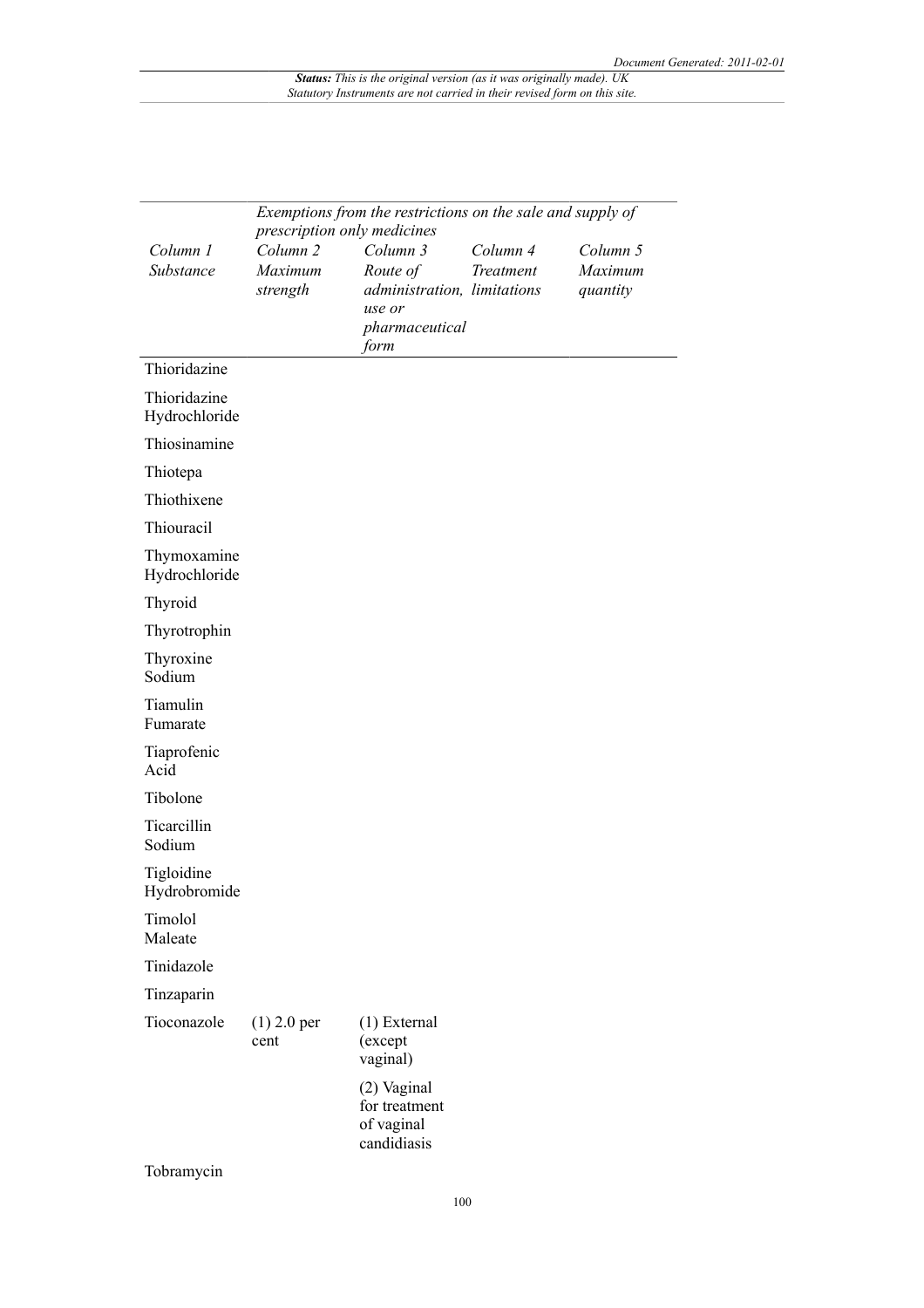|                               | Exemptions from the restrictions on the sale and supply of |                                                           |                       |                     |
|-------------------------------|------------------------------------------------------------|-----------------------------------------------------------|-----------------------|---------------------|
|                               | prescription only medicines                                |                                                           |                       |                     |
| Column 1<br>Substance         | Column <sub>2</sub><br>Maximum                             | Column 3<br>Route of                                      | Column 4<br>Treatment | Column 5<br>Maximum |
|                               | strength                                                   | administration, limitations<br>use or                     |                       | quantity            |
|                               |                                                            | pharmaceutical<br>form                                    |                       |                     |
| Thioridazine                  |                                                            |                                                           |                       |                     |
| Thioridazine<br>Hydrochloride |                                                            |                                                           |                       |                     |
| Thiosinamine                  |                                                            |                                                           |                       |                     |
| Thiotepa                      |                                                            |                                                           |                       |                     |
| Thiothixene                   |                                                            |                                                           |                       |                     |
| Thiouracil                    |                                                            |                                                           |                       |                     |
| Thymoxamine<br>Hydrochloride  |                                                            |                                                           |                       |                     |
| Thyroid                       |                                                            |                                                           |                       |                     |
| Thyrotrophin                  |                                                            |                                                           |                       |                     |
| Thyroxine<br>Sodium           |                                                            |                                                           |                       |                     |
| Tiamulin<br>Fumarate          |                                                            |                                                           |                       |                     |
| Tiaprofenic<br>Acid           |                                                            |                                                           |                       |                     |
| Tibolone                      |                                                            |                                                           |                       |                     |
| Ticarcillin<br>Sodium         |                                                            |                                                           |                       |                     |
| Tigloidine<br>Hydrobromide    |                                                            |                                                           |                       |                     |
| Timolol<br>Maleate            |                                                            |                                                           |                       |                     |
| Tinidazole                    |                                                            |                                                           |                       |                     |
| Tinzaparin                    |                                                            |                                                           |                       |                     |
| Tioconazole                   | $(1)$ 2.0 per<br>cent                                      | $(1)$ External<br>(except<br>vaginal)                     |                       |                     |
|                               |                                                            | (2) Vaginal<br>for treatment<br>of vaginal<br>candidiasis |                       |                     |
| Tobramycin                    |                                                            |                                                           |                       |                     |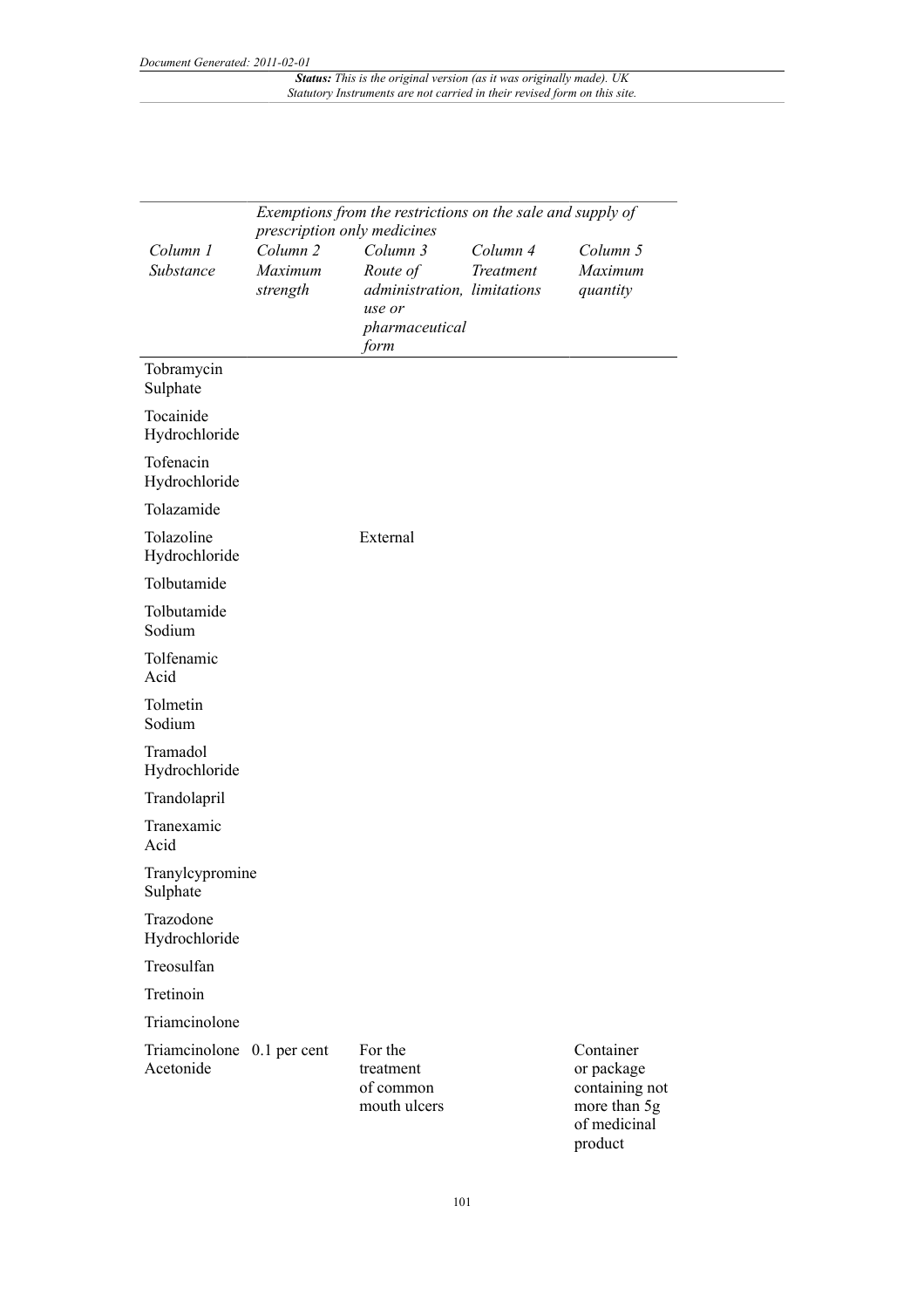|                                         | Exemptions from the restrictions on the sale and supply of<br>prescription only medicines |                                                                                         |                              |                                                                                      |  |  |
|-----------------------------------------|-------------------------------------------------------------------------------------------|-----------------------------------------------------------------------------------------|------------------------------|--------------------------------------------------------------------------------------|--|--|
| Column 1<br>Substance                   | Column <sub>2</sub><br>Maximum<br>strength                                                | Column 3<br>Route of<br>administration, limitations<br>use or<br>pharmaceutical<br>form | Column 4<br><b>Treatment</b> | Column 5<br>Maximum<br>quantity                                                      |  |  |
| Tobramycin<br>Sulphate                  |                                                                                           |                                                                                         |                              |                                                                                      |  |  |
| Tocainide<br>Hydrochloride              |                                                                                           |                                                                                         |                              |                                                                                      |  |  |
| Tofenacin<br>Hydrochloride              |                                                                                           |                                                                                         |                              |                                                                                      |  |  |
| Tolazamide                              |                                                                                           |                                                                                         |                              |                                                                                      |  |  |
| Tolazoline<br>Hydrochloride             |                                                                                           | External                                                                                |                              |                                                                                      |  |  |
| Tolbutamide                             |                                                                                           |                                                                                         |                              |                                                                                      |  |  |
| Tolbutamide<br>Sodium                   |                                                                                           |                                                                                         |                              |                                                                                      |  |  |
| Tolfenamic<br>Acid                      |                                                                                           |                                                                                         |                              |                                                                                      |  |  |
| Tolmetin<br>Sodium                      |                                                                                           |                                                                                         |                              |                                                                                      |  |  |
| Tramadol<br>Hydrochloride               |                                                                                           |                                                                                         |                              |                                                                                      |  |  |
| Trandolapril                            |                                                                                           |                                                                                         |                              |                                                                                      |  |  |
| Tranexamic<br>Acid                      |                                                                                           |                                                                                         |                              |                                                                                      |  |  |
| Tranylcypromine<br>Sulphate             |                                                                                           |                                                                                         |                              |                                                                                      |  |  |
| Trazodone<br>Hydrochloride              |                                                                                           |                                                                                         |                              |                                                                                      |  |  |
| Treosulfan                              |                                                                                           |                                                                                         |                              |                                                                                      |  |  |
| Tretinoin                               |                                                                                           |                                                                                         |                              |                                                                                      |  |  |
| Triamcinolone                           |                                                                                           |                                                                                         |                              |                                                                                      |  |  |
| Triamcinolone 0.1 per cent<br>Acetonide |                                                                                           | For the<br>treatment<br>of common<br>mouth ulcers                                       |                              | Container<br>or package<br>containing not<br>more than 5g<br>of medicinal<br>product |  |  |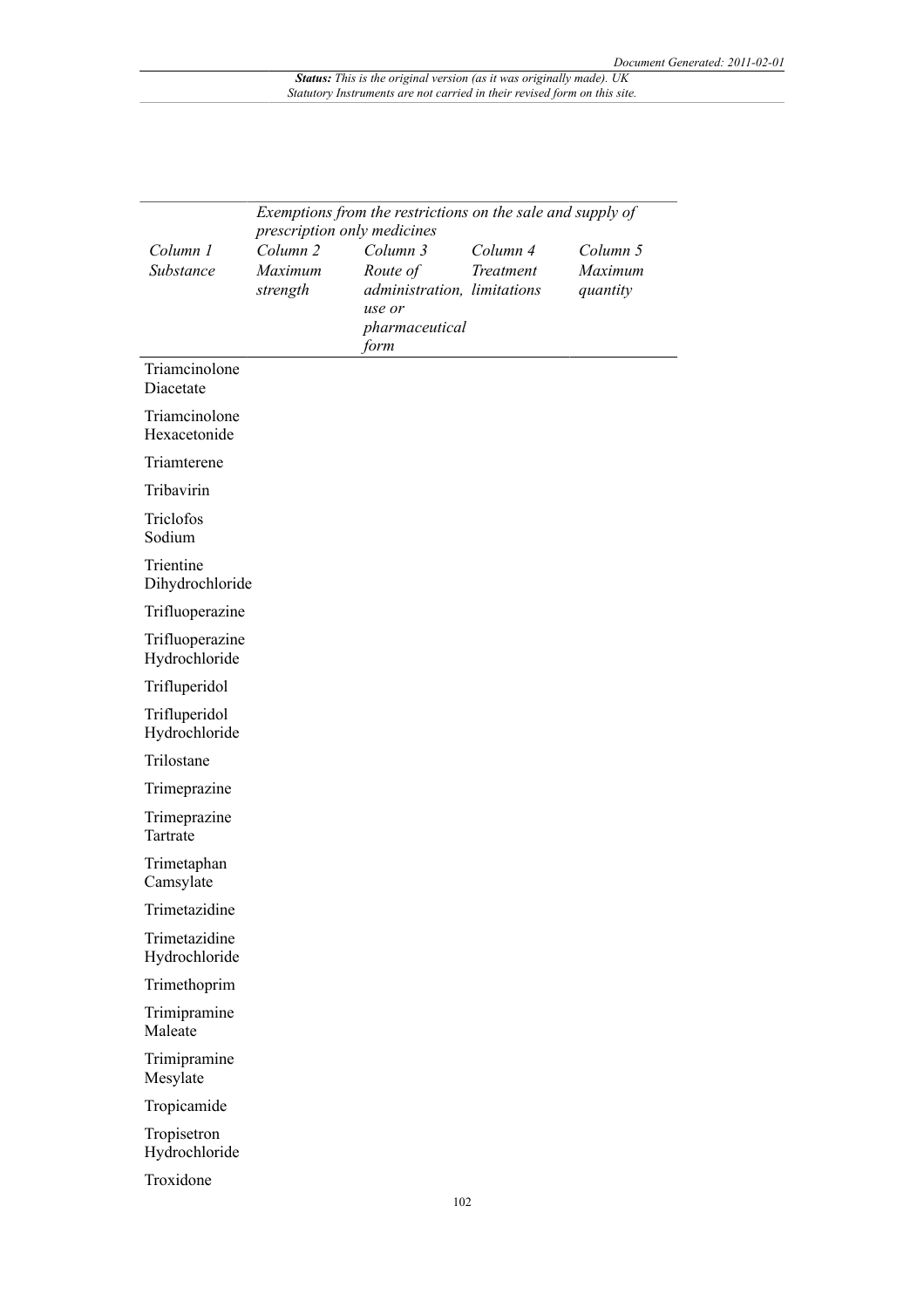|                                  | Exemptions from the restrictions on the sale and supply of<br>prescription only medicines |                                                                                         |                       |                                 |  |  |  |
|----------------------------------|-------------------------------------------------------------------------------------------|-----------------------------------------------------------------------------------------|-----------------------|---------------------------------|--|--|--|
| Column 1<br>Substance            | Column <sub>2</sub><br>Maximum<br>strength                                                | Column 3<br>Route of<br>administration, limitations<br>use or<br>pharmaceutical<br>form | Column 4<br>Treatment | Column 5<br>Maximum<br>quantity |  |  |  |
| Triamcinolone<br>Diacetate       |                                                                                           |                                                                                         |                       |                                 |  |  |  |
| Triamcinolone<br>Hexacetonide    |                                                                                           |                                                                                         |                       |                                 |  |  |  |
| Triamterene                      |                                                                                           |                                                                                         |                       |                                 |  |  |  |
| Tribavirin                       |                                                                                           |                                                                                         |                       |                                 |  |  |  |
| Triclofos<br>Sodium              |                                                                                           |                                                                                         |                       |                                 |  |  |  |
| Trientine<br>Dihydrochloride     |                                                                                           |                                                                                         |                       |                                 |  |  |  |
| Trifluoperazine                  |                                                                                           |                                                                                         |                       |                                 |  |  |  |
| Trifluoperazine<br>Hydrochloride |                                                                                           |                                                                                         |                       |                                 |  |  |  |
| Trifluperidol                    |                                                                                           |                                                                                         |                       |                                 |  |  |  |
| Trifluperidol<br>Hydrochloride   |                                                                                           |                                                                                         |                       |                                 |  |  |  |
| Trilostane                       |                                                                                           |                                                                                         |                       |                                 |  |  |  |
| Trimeprazine                     |                                                                                           |                                                                                         |                       |                                 |  |  |  |
| Trimeprazine<br>Tartrate         |                                                                                           |                                                                                         |                       |                                 |  |  |  |
| Trimetaphan<br>Camsylate         |                                                                                           |                                                                                         |                       |                                 |  |  |  |
| Trimetazidine                    |                                                                                           |                                                                                         |                       |                                 |  |  |  |
| Trimetazidine<br>Hydrochloride   |                                                                                           |                                                                                         |                       |                                 |  |  |  |
| Trimethoprim                     |                                                                                           |                                                                                         |                       |                                 |  |  |  |
| Trimipramine<br>Maleate          |                                                                                           |                                                                                         |                       |                                 |  |  |  |
| Trimipramine<br>Mesylate         |                                                                                           |                                                                                         |                       |                                 |  |  |  |
| Tropicamide                      |                                                                                           |                                                                                         |                       |                                 |  |  |  |
| Tropisetron<br>Hydrochloride     |                                                                                           |                                                                                         |                       |                                 |  |  |  |
| Troxidone                        |                                                                                           |                                                                                         |                       |                                 |  |  |  |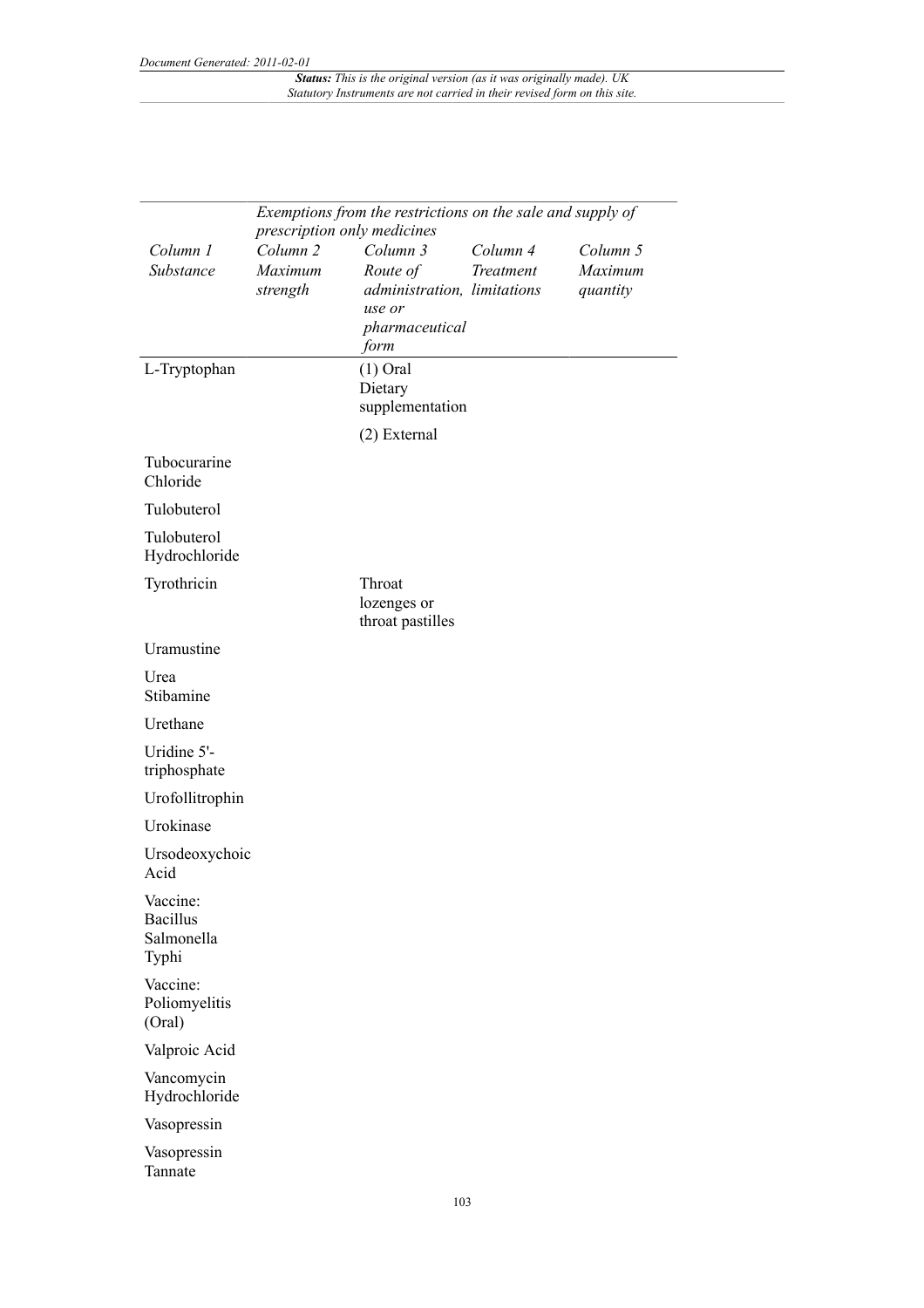|                                                    |                                                    | Exemptions from the restrictions on the sale and supply of                  |           |                     |
|----------------------------------------------------|----------------------------------------------------|-----------------------------------------------------------------------------|-----------|---------------------|
| Column 1                                           | prescription only medicines<br>Column <sub>2</sub> | Column 3                                                                    | Column 4  | Column 5            |
| Substance                                          | Maximum<br>strength                                | Route of<br>administration, limitations<br>use or<br>pharmaceutical<br>form | Treatment | Maximum<br>quantity |
| L-Tryptophan                                       |                                                    | $(1)$ Oral<br>Dietary<br>supplementation                                    |           |                     |
|                                                    |                                                    | (2) External                                                                |           |                     |
| Tubocurarine<br>Chloride                           |                                                    |                                                                             |           |                     |
| Tulobuterol                                        |                                                    |                                                                             |           |                     |
| Tulobuterol<br>Hydrochloride                       |                                                    |                                                                             |           |                     |
| Tyrothricin                                        |                                                    | Throat<br>lozenges or<br>throat pastilles                                   |           |                     |
| Uramustine                                         |                                                    |                                                                             |           |                     |
| Urea<br>Stibamine                                  |                                                    |                                                                             |           |                     |
| Urethane                                           |                                                    |                                                                             |           |                     |
| Uridine 5'-<br>triphosphate                        |                                                    |                                                                             |           |                     |
| Urofollitrophin                                    |                                                    |                                                                             |           |                     |
| Urokinase                                          |                                                    |                                                                             |           |                     |
| Ursodeoxychoic<br>Acid                             |                                                    |                                                                             |           |                     |
| Vaccine:<br><b>Bacillus</b><br>Salmonella<br>Typhi |                                                    |                                                                             |           |                     |
| Vaccine:<br>Poliomyelitis<br>(Oral)                |                                                    |                                                                             |           |                     |
| Valproic Acid                                      |                                                    |                                                                             |           |                     |
| Vancomycin<br>Hydrochloride                        |                                                    |                                                                             |           |                     |
| Vasopressin                                        |                                                    |                                                                             |           |                     |
| Vasopressin<br>Tannate                             |                                                    |                                                                             |           |                     |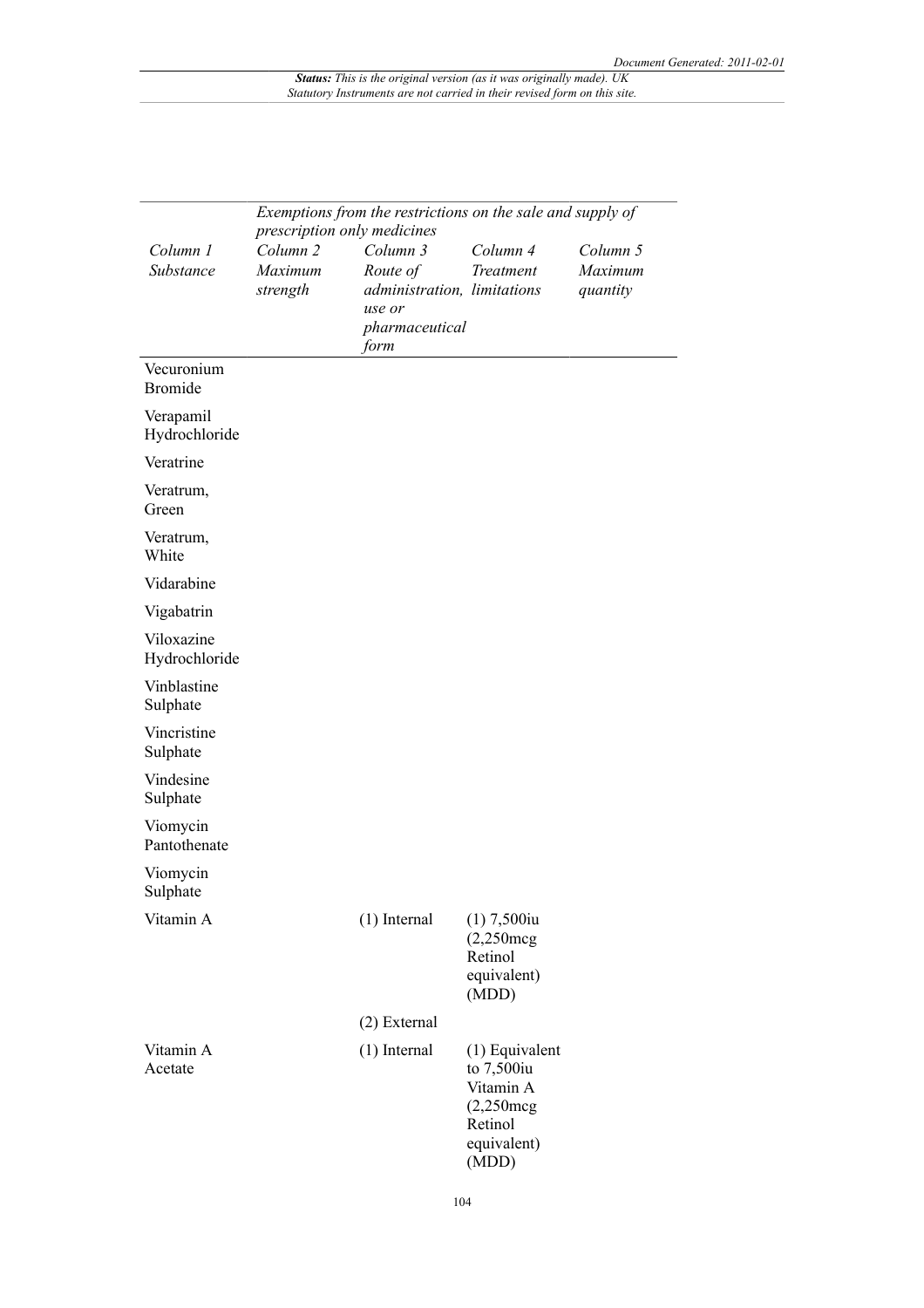|                              | prescription only medicines                | Exemptions from the restrictions on the sale and supply of                              |                                                                                                |                                 |
|------------------------------|--------------------------------------------|-----------------------------------------------------------------------------------------|------------------------------------------------------------------------------------------------|---------------------------------|
| Column 1<br>Substance        | Column <sub>2</sub><br>Maximum<br>strength | Column 3<br>Route of<br>administration, limitations<br>use or<br>pharmaceutical<br>form | Column 4<br>Treatment                                                                          | Column 5<br>Maximum<br>quantity |
| Vecuronium<br><b>Bromide</b> |                                            |                                                                                         |                                                                                                |                                 |
| Verapamil<br>Hydrochloride   |                                            |                                                                                         |                                                                                                |                                 |
| Veratrine                    |                                            |                                                                                         |                                                                                                |                                 |
| Veratrum,<br>Green           |                                            |                                                                                         |                                                                                                |                                 |
| Veratrum,<br>White           |                                            |                                                                                         |                                                                                                |                                 |
| Vidarabine                   |                                            |                                                                                         |                                                                                                |                                 |
| Vigabatrin                   |                                            |                                                                                         |                                                                                                |                                 |
| Viloxazine<br>Hydrochloride  |                                            |                                                                                         |                                                                                                |                                 |
| Vinblastine<br>Sulphate      |                                            |                                                                                         |                                                                                                |                                 |
| Vincristine<br>Sulphate      |                                            |                                                                                         |                                                                                                |                                 |
| Vindesine<br>Sulphate        |                                            |                                                                                         |                                                                                                |                                 |
| Viomycin<br>Pantothenate     |                                            |                                                                                         |                                                                                                |                                 |
| Viomycin<br>Sulphate         |                                            |                                                                                         |                                                                                                |                                 |
| Vitamin A                    |                                            | $(1)$ Internal                                                                          | $(1)$ 7,500 $iu$<br>$(2,250 \text{mg})$<br>Retinol<br>equivalent)<br>(MDD)                     |                                 |
|                              |                                            | (2) External                                                                            |                                                                                                |                                 |
| Vitamin A<br>Acetate         |                                            | $(1)$ Internal                                                                          | $(1)$ Equivalent<br>to 7,500iu<br>Vitamin A<br>$(2,250$ mcg<br>Retinol<br>equivalent)<br>(MDD) |                                 |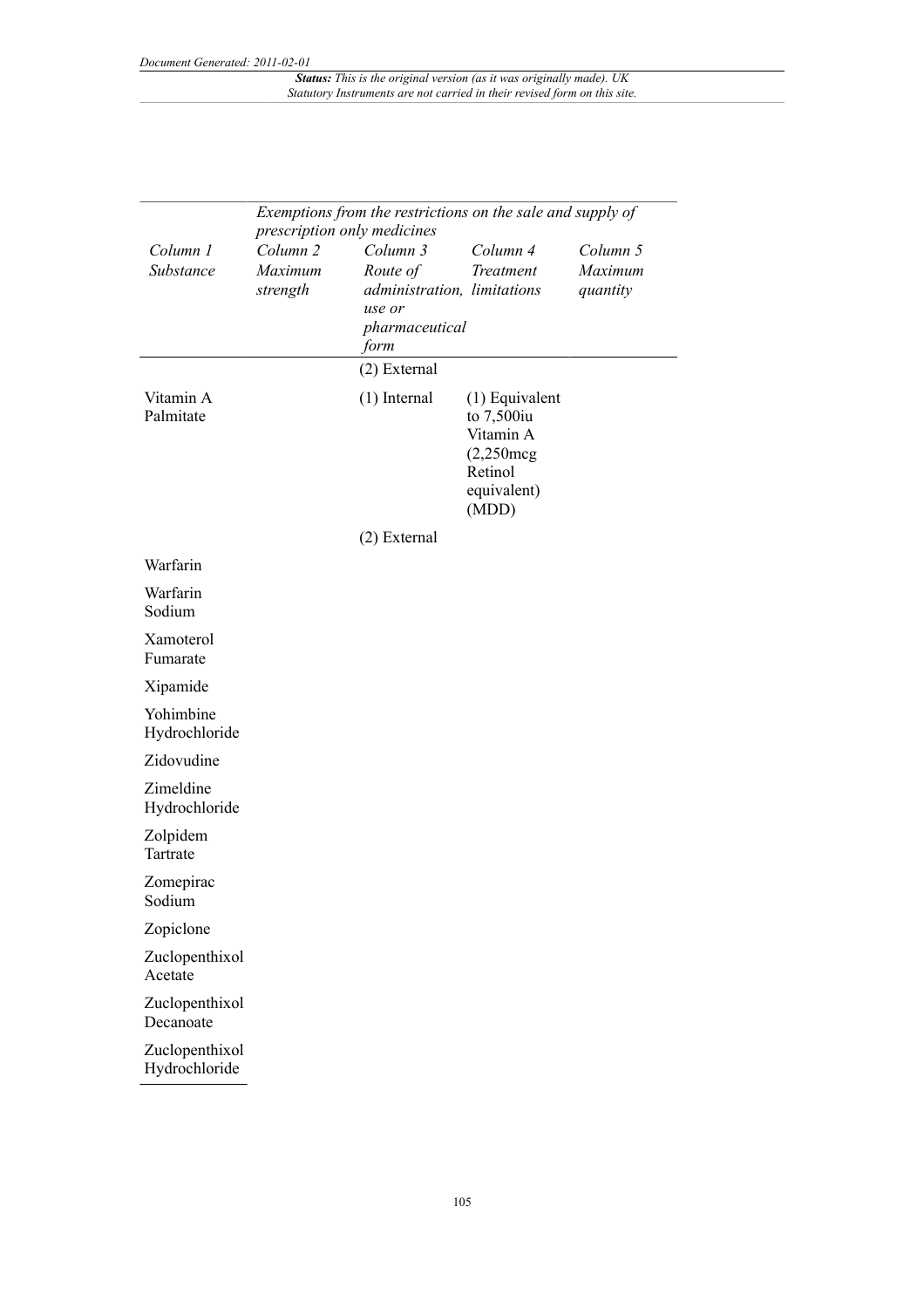|                                 | Exemptions from the restrictions on the sale and supply of<br>prescription only medicines |                                                                                         |                                                                                                   |                                 |  |  |  |
|---------------------------------|-------------------------------------------------------------------------------------------|-----------------------------------------------------------------------------------------|---------------------------------------------------------------------------------------------------|---------------------------------|--|--|--|
| Column 1<br>Substance           | Column <sub>2</sub><br>Maximum<br>strength                                                | Column 3<br>Route of<br>administration, limitations<br>use or<br>pharmaceutical<br>form | Column 4<br><b>Treatment</b>                                                                      | Column 5<br>Maximum<br>quantity |  |  |  |
|                                 |                                                                                           | (2) External                                                                            |                                                                                                   |                                 |  |  |  |
| Vitamin A<br>Palmitate          |                                                                                           | $(1)$ Internal                                                                          | $(1)$ Equivalent<br>to $7,500$ iu<br>Vitamin A<br>$(2,250$ mcg<br>Retinol<br>equivalent)<br>(MDD) |                                 |  |  |  |
|                                 |                                                                                           | (2) External                                                                            |                                                                                                   |                                 |  |  |  |
| Warfarin                        |                                                                                           |                                                                                         |                                                                                                   |                                 |  |  |  |
| Warfarin<br>Sodium              |                                                                                           |                                                                                         |                                                                                                   |                                 |  |  |  |
| Xamoterol<br>Fumarate           |                                                                                           |                                                                                         |                                                                                                   |                                 |  |  |  |
| Xipamide                        |                                                                                           |                                                                                         |                                                                                                   |                                 |  |  |  |
| Yohimbine<br>Hydrochloride      |                                                                                           |                                                                                         |                                                                                                   |                                 |  |  |  |
| Zidovudine                      |                                                                                           |                                                                                         |                                                                                                   |                                 |  |  |  |
| Zimeldine<br>Hydrochloride      |                                                                                           |                                                                                         |                                                                                                   |                                 |  |  |  |
| Zolpidem<br>Tartrate            |                                                                                           |                                                                                         |                                                                                                   |                                 |  |  |  |
| Zomepirac<br>Sodium             |                                                                                           |                                                                                         |                                                                                                   |                                 |  |  |  |
| Zopiclone                       |                                                                                           |                                                                                         |                                                                                                   |                                 |  |  |  |
| Zuclopenthixol<br>Acetate       |                                                                                           |                                                                                         |                                                                                                   |                                 |  |  |  |
| Zuclopenthixol<br>Decanoate     |                                                                                           |                                                                                         |                                                                                                   |                                 |  |  |  |
| Zuclopenthixol<br>Hydrochloride |                                                                                           |                                                                                         |                                                                                                   |                                 |  |  |  |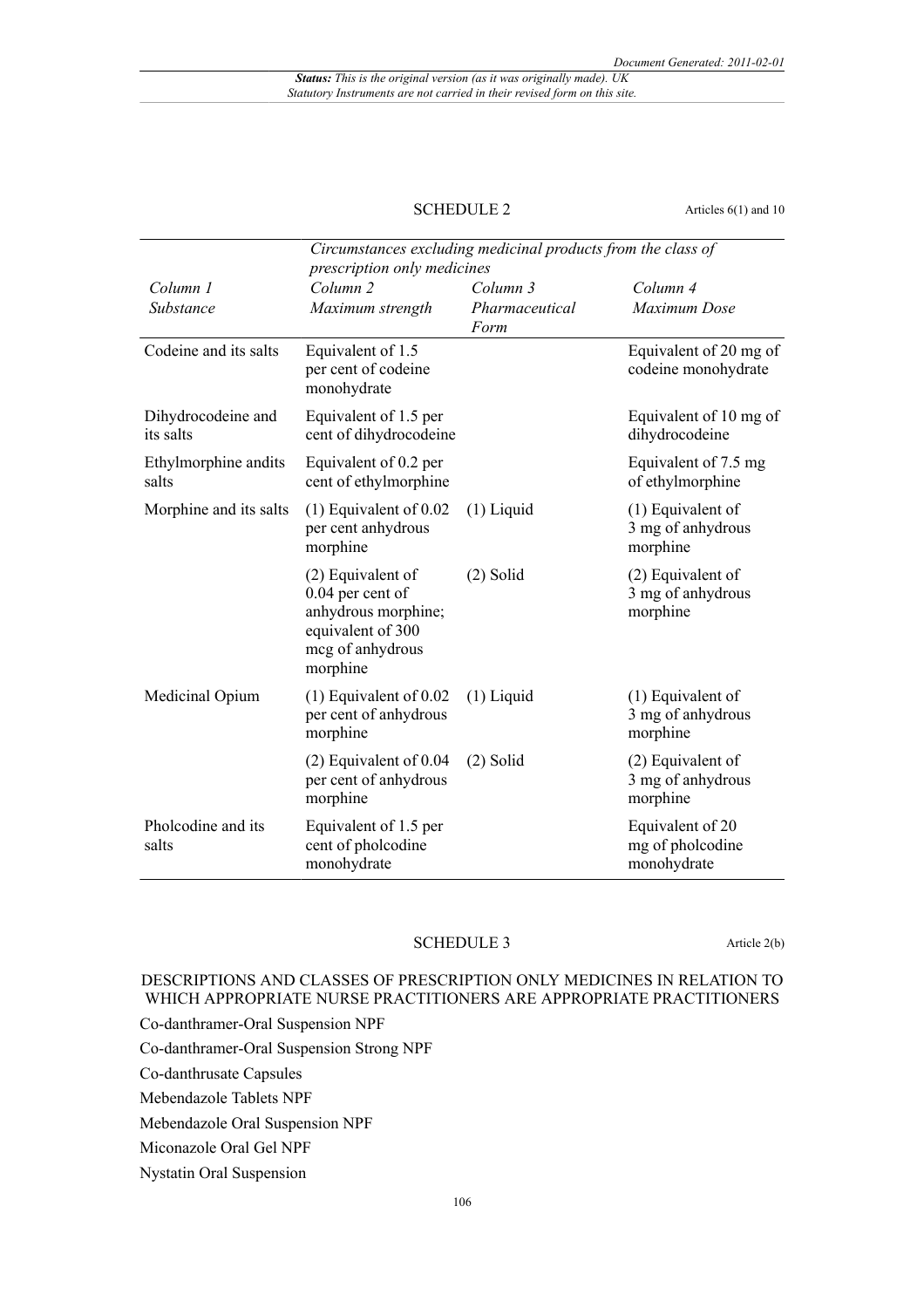## SCHEDULE 2 Articles 6(1) and 10

|                                 | Circumstances excluding medicinal products from the class of<br>prescription only medicines                       |                                    |                                                     |  |  |
|---------------------------------|-------------------------------------------------------------------------------------------------------------------|------------------------------------|-----------------------------------------------------|--|--|
| Column 1<br>Substance           | Column <sub>2</sub><br>Maximum strength                                                                           | Column 3<br>Pharmaceutical<br>Form | Column 4<br>Maximum Dose                            |  |  |
| Codeine and its salts           | Equivalent of 1.5<br>per cent of codeine<br>monohydrate                                                           |                                    | Equivalent of 20 mg of<br>codeine monohydrate       |  |  |
| Dihydrocodeine and<br>its salts | Equivalent of 1.5 per<br>cent of dihydrocodeine                                                                   |                                    | Equivalent of 10 mg of<br>dihydrocodeine            |  |  |
| Ethylmorphine andits<br>salts   | Equivalent of 0.2 per<br>cent of ethylmorphine                                                                    |                                    | Equivalent of 7.5 mg<br>of ethylmorphine            |  |  |
| Morphine and its salts          | $(1)$ Equivalent of 0.02<br>per cent anhydrous<br>morphine                                                        | $(1)$ Liquid                       | (1) Equivalent of<br>3 mg of anhydrous<br>morphine  |  |  |
|                                 | (2) Equivalent of<br>0.04 per cent of<br>anhydrous morphine;<br>equivalent of 300<br>meg of anhydrous<br>morphine | $(2)$ Solid                        | (2) Equivalent of<br>3 mg of anhydrous<br>morphine  |  |  |
| Medicinal Opium                 | $(1)$ Equivalent of 0.02<br>per cent of anhydrous<br>morphine                                                     | $(1)$ Liquid                       | (1) Equivalent of<br>3 mg of anhydrous<br>morphine  |  |  |
|                                 | $(2)$ Equivalent of 0.04<br>per cent of anhydrous<br>morphine                                                     | $(2)$ Solid                        | (2) Equivalent of<br>3 mg of anhydrous<br>morphine  |  |  |
| Pholcodine and its<br>salts     | Equivalent of 1.5 per<br>cent of pholcodine<br>monohydrate                                                        |                                    | Equivalent of 20<br>mg of pholcodine<br>monohydrate |  |  |

### SCHEDULE 3 Article 2(b)

## DESCRIPTIONS AND CLASSES OF PRESCRIPTION ONLY MEDICINES IN RELATION TO WHICH APPROPRIATE NURSE PRACTITIONERS ARE APPROPRIATE PRACTITIONERS

Co-danthramer-Oral Suspension NPF

Co-danthramer-Oral Suspension Strong NPF

Co-danthrusate Capsules

Mebendazole Tablets NPF

Mebendazole Oral Suspension NPF

Miconazole Oral Gel NPF

Nystatin Oral Suspension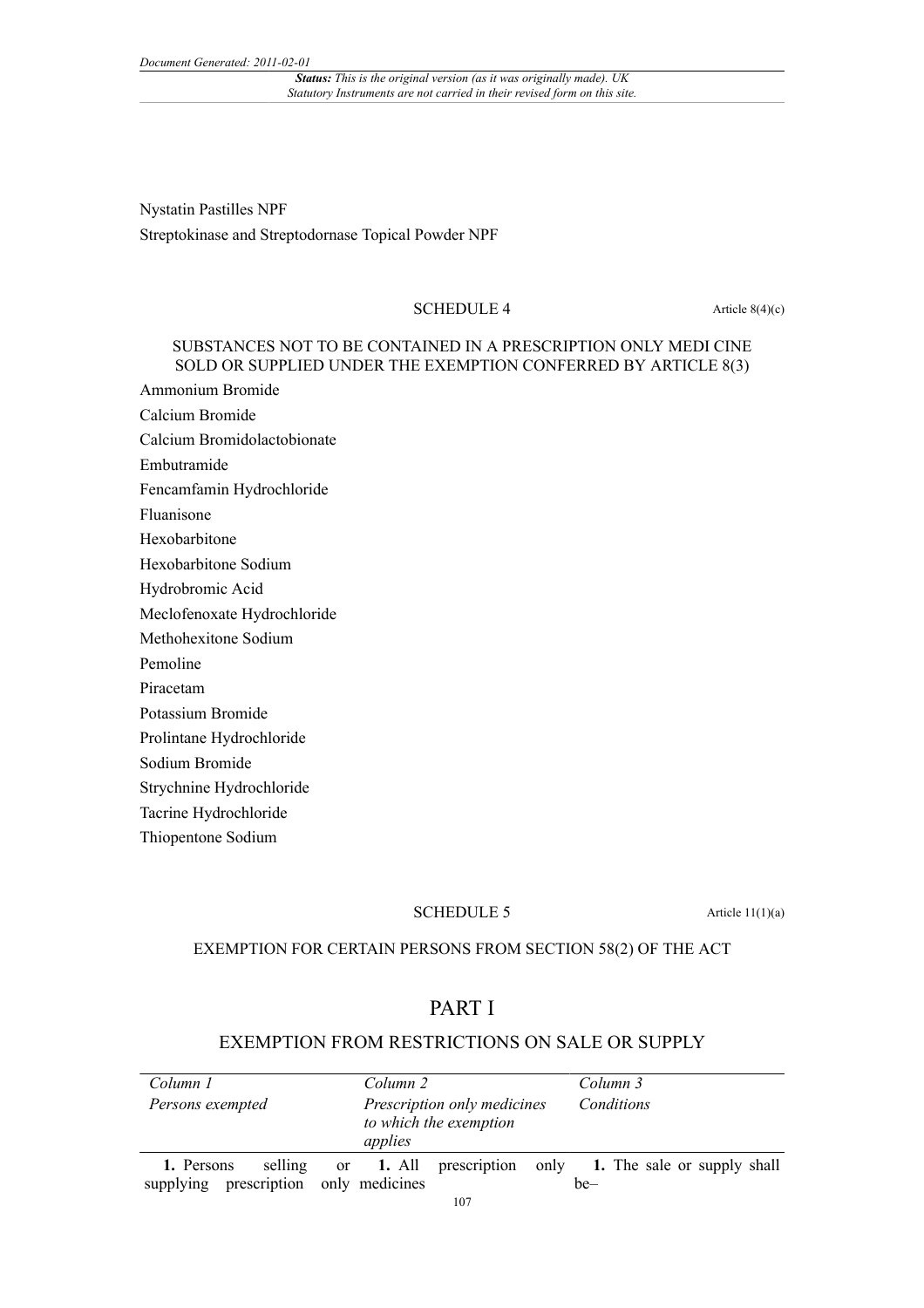*Status: This is the original version (as it was originally made). UK Statutory Instruments are not carried in their revised form on this site.*

Nystatin Pastilles NPF Streptokinase and Streptodornase Topical Powder NPF

#### SCHEDULE  $4$  Article 8(4)(c)

### SUBSTANCES NOT TO BE CONTAINED IN A PRESCRIPTION ONLY MEDI CINE SOLD OR SUPPLIED UNDER THE EXEMPTION CONFERRED BY ARTICLE 8(3)

Ammonium Bromide

Calcium Bromide

Calcium Bromidolactobionate

Embutramide

Fencamfamin Hydrochloride

Fluanisone

Hexobarbitone

Hexobarbitone Sodium

Hydrobromic Acid

Meclofenoxate Hydrochloride

Methohexitone Sodium

Pemoline

Piracetam

Potassium Bromide

Prolintane Hydrochloride

Sodium Bromide

Strychnine Hydrochloride

Tacrine Hydrochloride

Thiopentone Sodium

#### SCHEDULE 5 Article 11(1)(a)

### EXEMPTION FOR CERTAIN PERSONS FROM SECTION 58(2) OF THE ACT

# PART I

## EXEMPTION FROM RESTRICTIONS ON SALE OR SUPPLY

| Column 1                                           | Column 2                                                         | Column 3                                                       |
|----------------------------------------------------|------------------------------------------------------------------|----------------------------------------------------------------|
| Persons exempted                                   | Prescription only medicines<br>to which the exemption<br>applies | Conditions                                                     |
| selling<br>1. Persons<br>prescription<br>supplying | only medicines                                                   | or 1. All prescription only 1. The sale or supply shall<br>be- |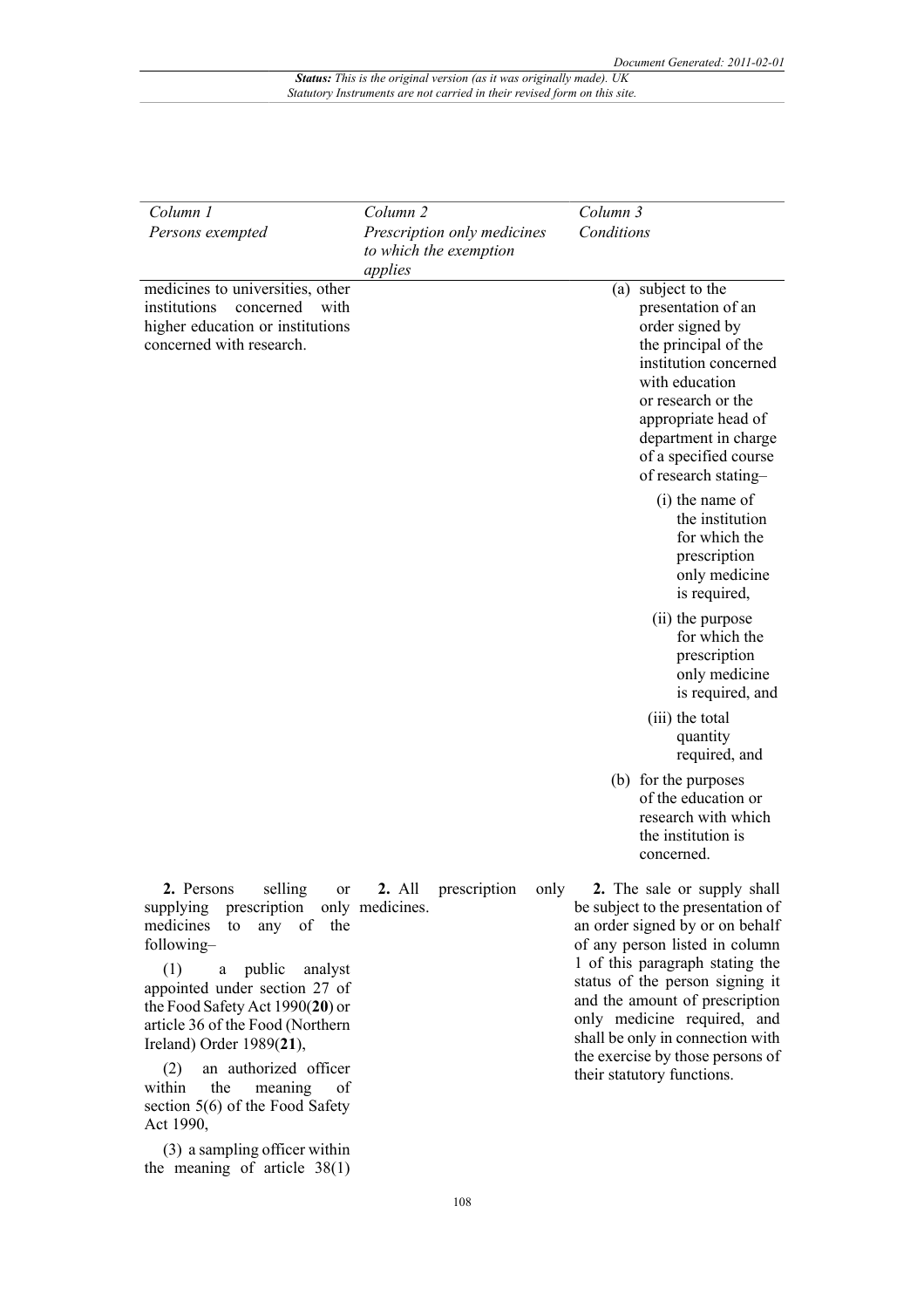| Column 1                                                                                                                                                                                                                                                                                          | Column <sub>2</sub> |                                                       | Column 3                                                                                                                                                                                                                                                                                                                                             |  |
|---------------------------------------------------------------------------------------------------------------------------------------------------------------------------------------------------------------------------------------------------------------------------------------------------|---------------------|-------------------------------------------------------|------------------------------------------------------------------------------------------------------------------------------------------------------------------------------------------------------------------------------------------------------------------------------------------------------------------------------------------------------|--|
| Persons exempted                                                                                                                                                                                                                                                                                  | applies             | Prescription only medicines<br>to which the exemption | Conditions                                                                                                                                                                                                                                                                                                                                           |  |
| medicines to universities, other<br>institutions<br>concerned<br>with<br>higher education or institutions<br>concerned with research.                                                                                                                                                             |                     |                                                       | subject to the<br>(a)<br>presentation of an<br>order signed by<br>the principal of the<br>institution concerned<br>with education<br>or research or the<br>appropriate head of<br>department in charge<br>of a specified course<br>of research stating-                                                                                              |  |
|                                                                                                                                                                                                                                                                                                   |                     |                                                       | (i) the name of<br>the institution<br>for which the<br>prescription<br>only medicine<br>is required,                                                                                                                                                                                                                                                 |  |
|                                                                                                                                                                                                                                                                                                   |                     |                                                       | (ii) the purpose<br>for which the<br>prescription<br>only medicine<br>is required, and                                                                                                                                                                                                                                                               |  |
|                                                                                                                                                                                                                                                                                                   |                     |                                                       | (iii) the total<br>quantity<br>required, and                                                                                                                                                                                                                                                                                                         |  |
|                                                                                                                                                                                                                                                                                                   |                     |                                                       | (b) for the purposes<br>of the education or<br>research with which<br>the institution is<br>concerned.                                                                                                                                                                                                                                               |  |
| selling<br>2. Persons<br>supplying<br>prescription only medicines.<br>any of the<br>medicines<br>to<br>following-<br>(1)<br>public<br>analyst<br>$\mathbf{a}$<br>appointed under section 27 of<br>the Food Safety Act 1990(20) or<br>article 36 of the Food (Northern<br>Ireland) Order 1989(21), |                     | or <b>2.</b> All prescription only                    | 2. The sale or supply shall<br>be subject to the presentation of<br>an order signed by or on behalf<br>of any person listed in column<br>1 of this paragraph stating the<br>status of the person signing it<br>and the amount of prescription<br>only medicine required, and<br>shall be only in connection with<br>the exercise by those persons of |  |

(2) an authorized officer meaning of section 5(6) of the Food Safety Act 1990,

(3) a sampling officer within the meaning of article  $38(1)$  their statutory functions.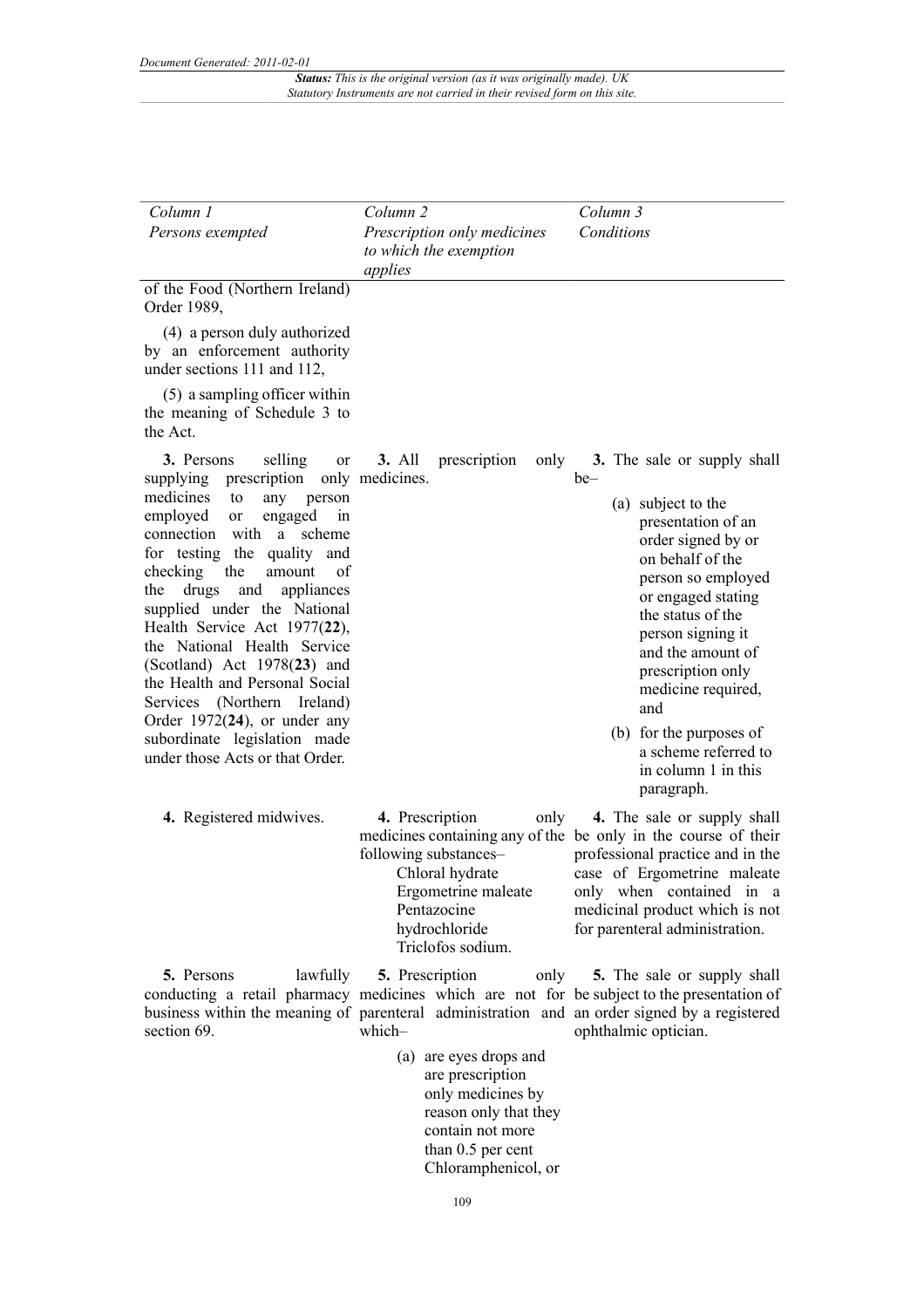| Column 1                                                                                                                                                                                                                                                                                                                                                                                                                                                                                                                                                                        | Column <sub>2</sub>                                                                                       | Column 3                                                                                                                                                                                                                                                                                                                                                                      |
|---------------------------------------------------------------------------------------------------------------------------------------------------------------------------------------------------------------------------------------------------------------------------------------------------------------------------------------------------------------------------------------------------------------------------------------------------------------------------------------------------------------------------------------------------------------------------------|-----------------------------------------------------------------------------------------------------------|-------------------------------------------------------------------------------------------------------------------------------------------------------------------------------------------------------------------------------------------------------------------------------------------------------------------------------------------------------------------------------|
| Persons exempted                                                                                                                                                                                                                                                                                                                                                                                                                                                                                                                                                                | Prescription only medicines<br>to which the exemption<br>applies                                          | Conditions                                                                                                                                                                                                                                                                                                                                                                    |
| of the Food (Northern Ireland)<br>Order 1989,                                                                                                                                                                                                                                                                                                                                                                                                                                                                                                                                   |                                                                                                           |                                                                                                                                                                                                                                                                                                                                                                               |
| (4) a person duly authorized<br>by an enforcement authority<br>under sections 111 and 112,                                                                                                                                                                                                                                                                                                                                                                                                                                                                                      |                                                                                                           |                                                                                                                                                                                                                                                                                                                                                                               |
| (5) a sampling officer within<br>the meaning of Schedule 3 to<br>the Act.                                                                                                                                                                                                                                                                                                                                                                                                                                                                                                       |                                                                                                           |                                                                                                                                                                                                                                                                                                                                                                               |
| 3. Persons<br>selling<br>or<br>prescription<br>supplying<br>medicines<br>to<br>any<br>person<br>employed<br>engaged<br>in<br>or<br>connection with<br>a<br>scheme<br>for testing the<br>quality and<br>checking<br>the<br>amount<br>οf<br>drugs<br>the<br>and<br>appliances<br>supplied under the National<br>Health Service Act 1977(22),<br>the National Health Service<br>(Scotland) Act 1978(23) and<br>the Health and Personal Social<br>Services (Northern Ireland)<br>Order $1972(24)$ , or under any<br>subordinate legislation made<br>under those Acts or that Order. | <b>3. All</b><br>prescription<br>only<br>only medicines.                                                  | 3. The sale or supply shall<br>be-<br>(a) subject to the<br>presentation of an<br>order signed by or<br>on behalf of the<br>person so employed<br>or engaged stating<br>the status of the<br>person signing it<br>and the amount of<br>prescription only<br>medicine required,<br>and<br>(b) for the purposes of<br>a scheme referred to<br>in column 1 in this<br>paragraph. |
| 4. Registered midwives.                                                                                                                                                                                                                                                                                                                                                                                                                                                                                                                                                         | 4. Prescription<br>only<br>following substances-<br>Chloral hydrate<br>Ergometrine maleate<br>Pentazocine | 4. The sale or supply shall<br>medicines containing any of the be only in the course of their<br>professional practice and in the<br>case of Ergometrine maleate<br>only when contained in<br>a a<br>medicinal product which is not                                                                                                                                           |

**5.** Persons lawfully section 69.

conducting a retail pharmacy medicines which are not for be subject to the presentation of business within the meaning of parenteral administration and an order signed by a registered **5.** Prescription only which–

hydrochloride Triclofos sodium.

(a) are eyes drops and are prescription only medicines by reason only that they contain not more than 0.5 per cent Chloramphenicol, or

**5.** The sale or supply shall ophthalmic optician.

for parenteral administration.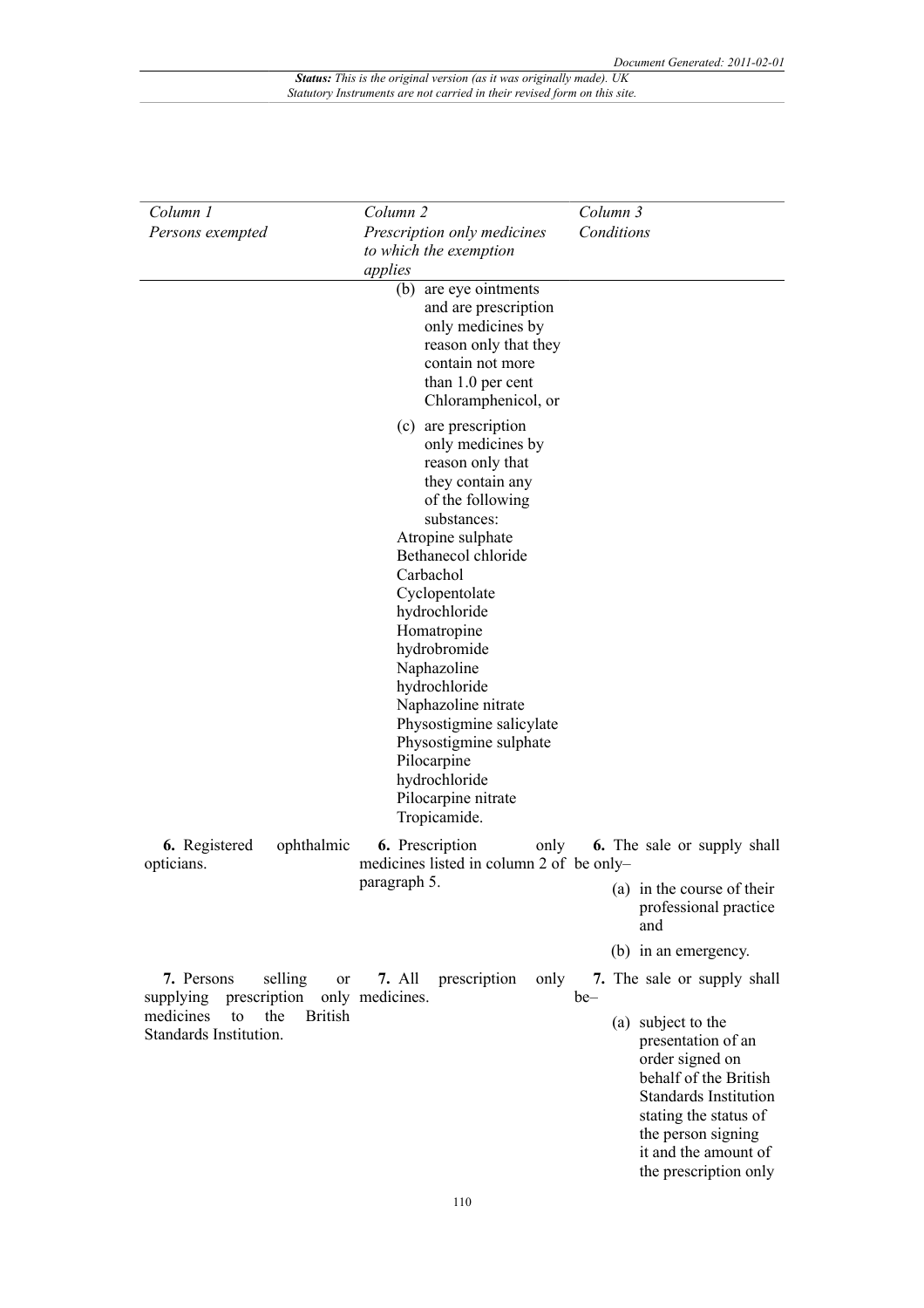| Column 1                                                           | Column <sub>2</sub>                                                                                                                                                                                                                                                                                                                                                                                                                 | Column 3                                                                                                                                                                                                                |
|--------------------------------------------------------------------|-------------------------------------------------------------------------------------------------------------------------------------------------------------------------------------------------------------------------------------------------------------------------------------------------------------------------------------------------------------------------------------------------------------------------------------|-------------------------------------------------------------------------------------------------------------------------------------------------------------------------------------------------------------------------|
| Persons exempted                                                   | Prescription only medicines<br>to which the exemption<br>applies                                                                                                                                                                                                                                                                                                                                                                    | Conditions                                                                                                                                                                                                              |
|                                                                    | (b) are eye ointments<br>and are prescription<br>only medicines by<br>reason only that they<br>contain not more<br>than 1.0 per cent<br>Chloramphenicol, or                                                                                                                                                                                                                                                                         |                                                                                                                                                                                                                         |
|                                                                    | (c) are prescription<br>only medicines by<br>reason only that<br>they contain any<br>of the following<br>substances:<br>Atropine sulphate<br>Bethanecol chloride<br>Carbachol<br>Cyclopentolate<br>hydrochloride<br>Homatropine<br>hydrobromide<br>Naphazoline<br>hydrochloride<br>Naphazoline nitrate<br>Physostigmine salicylate<br>Physostigmine sulphate<br>Pilocarpine<br>hydrochloride<br>Pilocarpine nitrate<br>Tropicamide. |                                                                                                                                                                                                                         |
| ophthalmic<br>6. Registered<br>opticians.                          | 6. Prescription<br>only<br>medicines listed in column 2 of be only-<br>paragraph 5.                                                                                                                                                                                                                                                                                                                                                 | <b>6.</b> The sale or supply shall<br>(a) in the course of their<br>professional practice<br>and                                                                                                                        |
|                                                                    |                                                                                                                                                                                                                                                                                                                                                                                                                                     | (b) in an emergency.                                                                                                                                                                                                    |
| selling<br>7. Persons<br>prescription<br>supplying                 | <b>7.</b> All<br>prescription<br>or<br>only medicines.                                                                                                                                                                                                                                                                                                                                                                              | only 7. The sale or supply shall<br>be-                                                                                                                                                                                 |
| medicines<br><b>British</b><br>the<br>to<br>Standards Institution. |                                                                                                                                                                                                                                                                                                                                                                                                                                     | subject to the<br>(a)<br>presentation of an<br>order signed on<br>behalf of the British<br><b>Standards Institution</b><br>stating the status of<br>the person signing<br>it and the amount of<br>the prescription only |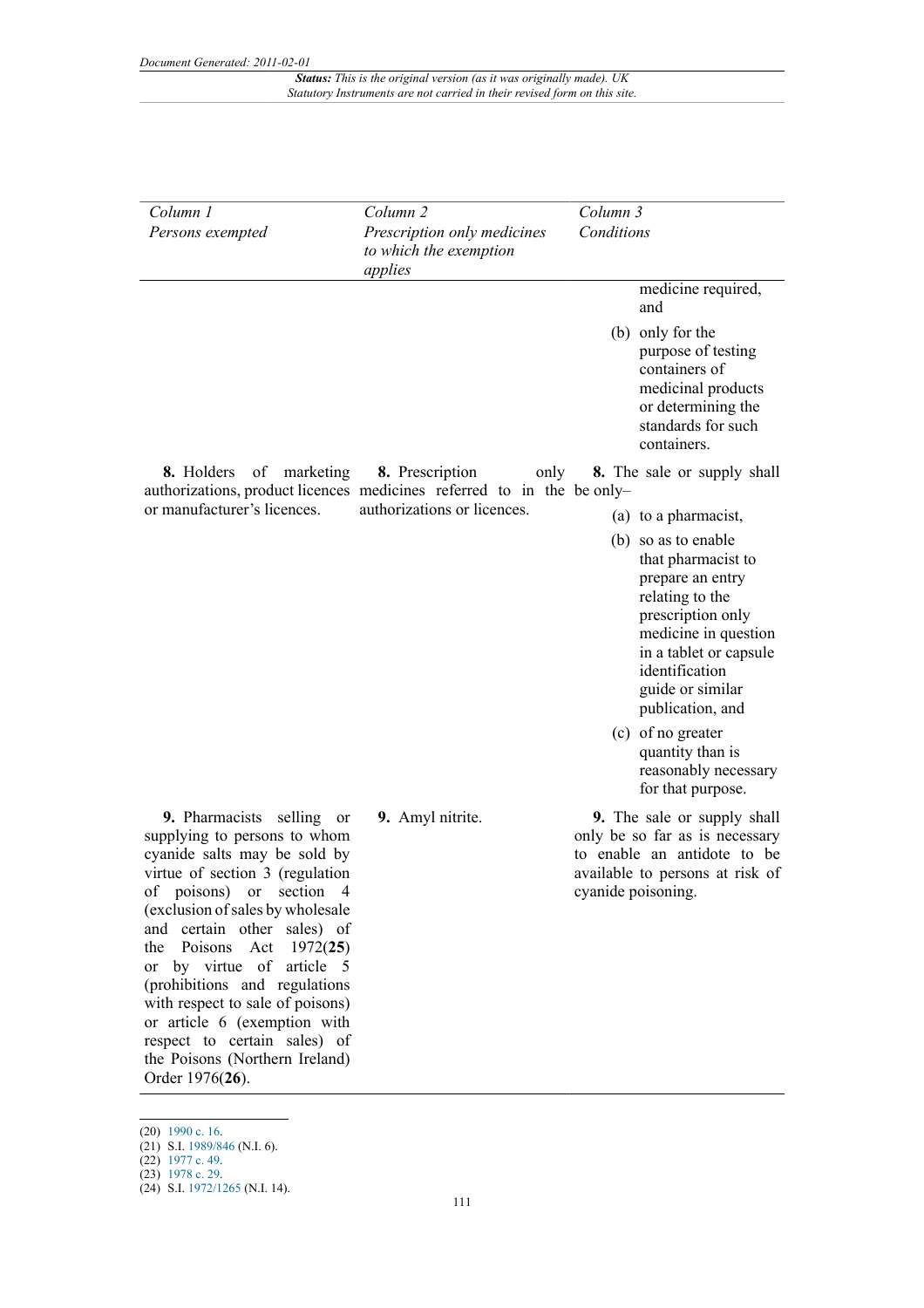| Column 1<br>Persons exempted                                                                                                                                                                                                                                                                                                                                                                                                                                                                          | Column <sub>2</sub><br>Prescription only medicines<br>to which the exemption<br>applies                                          | Column 3<br>Conditions                                                                                                                                                                                            |
|-------------------------------------------------------------------------------------------------------------------------------------------------------------------------------------------------------------------------------------------------------------------------------------------------------------------------------------------------------------------------------------------------------------------------------------------------------------------------------------------------------|----------------------------------------------------------------------------------------------------------------------------------|-------------------------------------------------------------------------------------------------------------------------------------------------------------------------------------------------------------------|
|                                                                                                                                                                                                                                                                                                                                                                                                                                                                                                       |                                                                                                                                  | medicine required,<br>and<br>(b) only for the<br>purpose of testing<br>containers of<br>medicinal products<br>or determining the<br>standards for such<br>containers.                                             |
| 8. Holders<br>of<br>marketing<br>or manufacturer's licences.                                                                                                                                                                                                                                                                                                                                                                                                                                          | 8. Prescription<br>only<br>authorizations, product licences medicines referred to in the be only-<br>authorizations or licences. | 8. The sale or supply shall<br>(a) to a pharmacist,                                                                                                                                                               |
|                                                                                                                                                                                                                                                                                                                                                                                                                                                                                                       |                                                                                                                                  | (b) so as to enable<br>that pharmacist to<br>prepare an entry<br>relating to the<br>prescription only<br>medicine in question<br>in a tablet or capsule<br>identification<br>guide or similar<br>publication, and |
|                                                                                                                                                                                                                                                                                                                                                                                                                                                                                                       |                                                                                                                                  | (c) of no greater<br>quantity than is<br>reasonably necessary<br>for that purpose.                                                                                                                                |
| 9. Pharmacists selling<br><sub>or</sub><br>supplying to persons to whom<br>cyanide salts may be sold by<br>virtue of section 3 (regulation<br>of poisons) or section 4<br>(exclusion of sales by wholesale<br>and certain other sales) of<br>Poisons<br>Act<br>1972(25)<br>the<br>or by virtue of article 5<br>(prohibitions and regulations<br>with respect to sale of poisons)<br>or article 6 (exemption with<br>respect to certain sales) of<br>the Poisons (Northern Ireland)<br>Order 1976(26). | 9. Amyl nitrite.                                                                                                                 | 9. The sale or supply shall<br>only be so far as is necessary<br>to enable an antidote to be<br>available to persons at risk of<br>cyanide poisoning.                                                             |

<sup>(20)</sup> [1990 c. 16.](http://www.legislation.gov.uk/id/ukpga/1990/16)

<sup>(21)</sup> S.I. [1989/846](http://www.legislation.gov.uk/id/uksi/1989/846) (N.I. 6).

<sup>(22)</sup> [1977 c. 49.](http://www.legislation.gov.uk/id/ukpga/1977/49) (23) [1978 c. 29.](http://www.legislation.gov.uk/id/ukpga/1978/29)

<sup>(24)</sup> S.I. [1972/1265](http://www.legislation.gov.uk/id/uksi/1972/1265) (N.I. 14).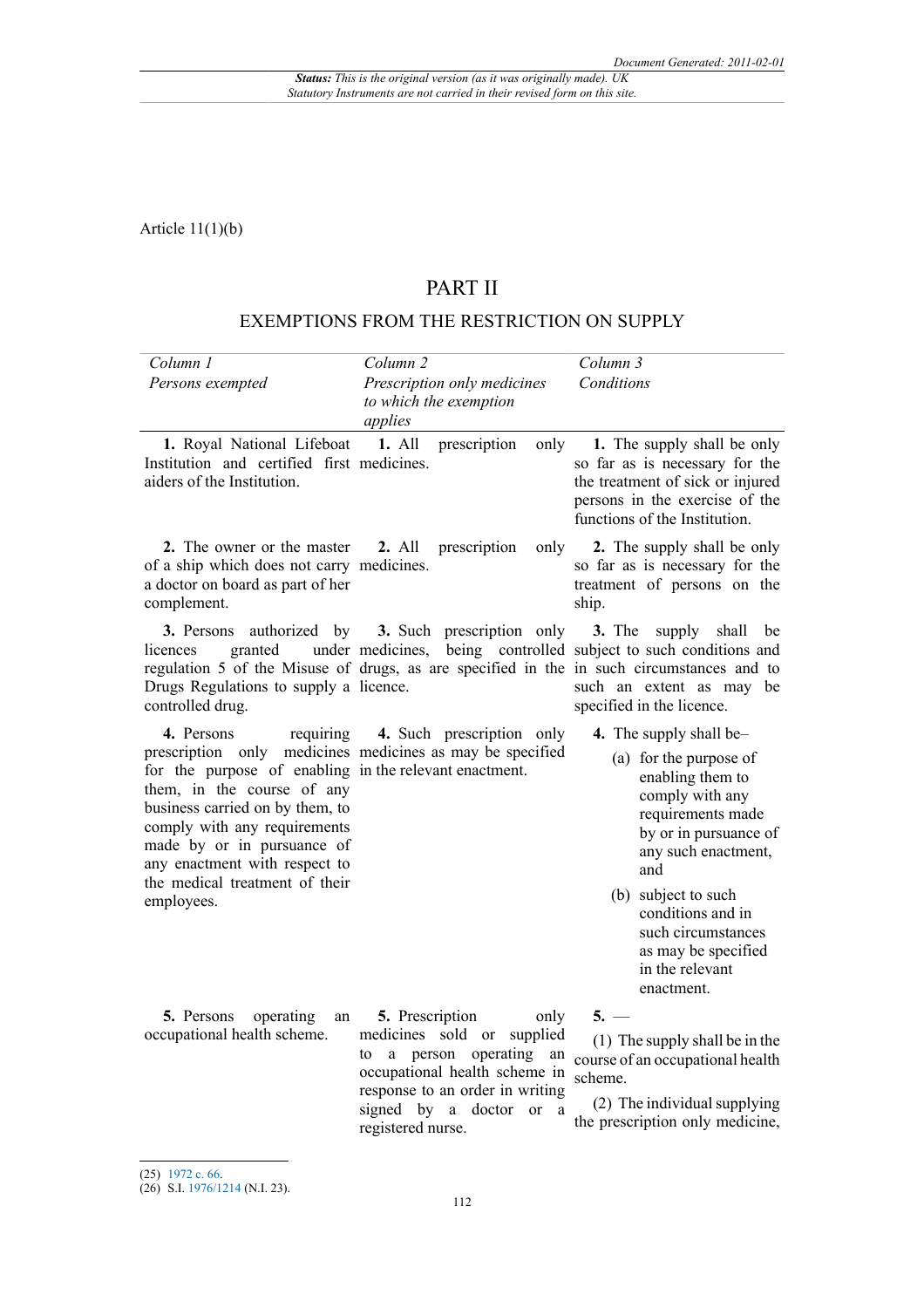Article 11(1)(b)

# PART II

## EXEMPTIONS FROM THE RESTRICTION ON SUPPLY

| Column 1<br>Persons exempted                                                                                                                                                                                                                                                                      | Column <sub>2</sub><br>Prescription only medicines<br>to which the exemption<br>applies                                                                                                                                                                      | Column 3<br>Conditions                                                                                                                                                                                                                                                                         |
|---------------------------------------------------------------------------------------------------------------------------------------------------------------------------------------------------------------------------------------------------------------------------------------------------|--------------------------------------------------------------------------------------------------------------------------------------------------------------------------------------------------------------------------------------------------------------|------------------------------------------------------------------------------------------------------------------------------------------------------------------------------------------------------------------------------------------------------------------------------------------------|
| 1. Royal National Lifeboat 1. All<br>Institution and certified first medicines.<br>aiders of the Institution.                                                                                                                                                                                     | prescription<br>only                                                                                                                                                                                                                                         | 1. The supply shall be only<br>so far as is necessary for the<br>the treatment of sick or injured<br>persons in the exercise of the<br>functions of the Institution.                                                                                                                           |
| 2. The owner or the master 2. All prescription<br>of a ship which does not carry medicines.<br>a doctor on board as part of her<br>complement.                                                                                                                                                    |                                                                                                                                                                                                                                                              | only 2. The supply shall be only<br>so far as is necessary for the<br>treatment of persons on the<br>ship.                                                                                                                                                                                     |
| granted<br>licences<br>Drugs Regulations to supply a licence.<br>controlled drug.                                                                                                                                                                                                                 | <b>3.</b> Persons authorized by <b>3.</b> Such prescription only <b>3.</b> The supply shall<br>under medicines, being controlled subject to such conditions and<br>regulation 5 of the Misuse of drugs, as are specified in the in such circumstances and to | be<br>such an extent as may be<br>specified in the licence.                                                                                                                                                                                                                                    |
| 4. Persons<br>requiring<br>for the purpose of enabling in the relevant enactment.<br>them, in the course of any<br>business carried on by them, to<br>comply with any requirements<br>made by or in pursuance of<br>any enactment with respect to<br>the medical treatment of their<br>employees. | 4. Such prescription only<br>prescription only medicines medicines as may be specified                                                                                                                                                                       | 4. The supply shall be-<br>(a) for the purpose of<br>enabling them to<br>comply with any<br>requirements made<br>by or in pursuance of<br>any such enactment,<br>and<br>(b) subject to such<br>conditions and in<br>such circumstances<br>as may be specified<br>in the relevant<br>enactment. |
| 5. Persons<br>operating<br>an<br>occupational health scheme.                                                                                                                                                                                                                                      | 5. Prescription<br>only<br>medicines sold or supplied<br>to a person operating<br>an<br>occupational health scheme in<br>response to an order in writing<br>signed by a doctor<br>or a<br>registered nurse.                                                  | $5. -$<br>(1) The supply shall be in the<br>course of an occupational health<br>scheme.<br>(2) The individual supplying<br>the prescription only medicine,                                                                                                                                     |

<sup>(25)</sup> [1972 c. 66.](http://www.legislation.gov.uk/id/ukpga/1972/66)

<sup>(26)</sup> S.I. [1976/1214](http://www.legislation.gov.uk/id/uksi/1976/1214) (N.I. 23).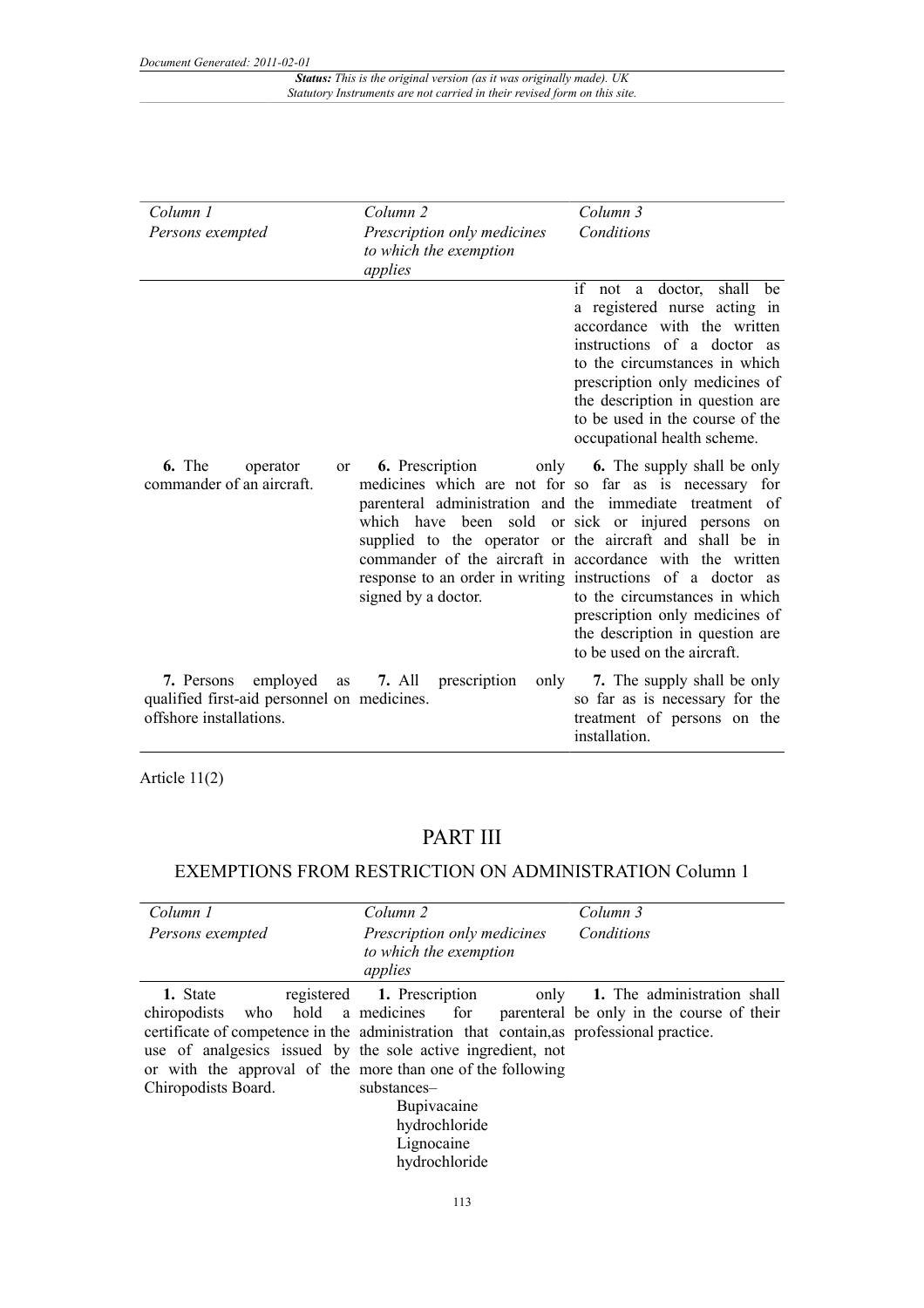| Column 1                                                                                               | Column 2                                                         | Column 3                                                                                                                                                                                                                                                                                                                                                                                                                                                                                                                                        |
|--------------------------------------------------------------------------------------------------------|------------------------------------------------------------------|-------------------------------------------------------------------------------------------------------------------------------------------------------------------------------------------------------------------------------------------------------------------------------------------------------------------------------------------------------------------------------------------------------------------------------------------------------------------------------------------------------------------------------------------------|
| Persons exempted                                                                                       | Prescription only medicines<br>to which the exemption<br>applies | Conditions                                                                                                                                                                                                                                                                                                                                                                                                                                                                                                                                      |
|                                                                                                        |                                                                  | if not<br>a doctor,<br>shall<br>be<br>a registered nurse acting in<br>accordance with the written<br>instructions of a doctor as<br>to the circumstances in which<br>prescription only medicines of<br>the description in question are<br>to be used in the course of the<br>occupational health scheme.                                                                                                                                                                                                                                        |
| 6. The<br>operator<br><sub>or</sub><br>commander of an aircraft.                                       | <b>6.</b> Prescription<br>signed by a doctor.                    | only <b>6.</b> The supply shall be only<br>medicines which are not for so far as is necessary for<br>parenteral administration and the immediate treatment of<br>which have been sold or sick or injured persons on<br>supplied to the operator or the aircraft and shall be in<br>commander of the aircraft in accordance with the written<br>response to an order in writing instructions of a doctor as<br>to the circumstances in which<br>prescription only medicines of<br>the description in question are<br>to be used on the aircraft. |
| employed<br>7. Persons<br>as<br>qualified first-aid personnel on medicines.<br>offshore installations. | 7. All prescription<br>only                                      | 7. The supply shall be only<br>so far as is necessary for the<br>treatment of persons on the<br>installation.                                                                                                                                                                                                                                                                                                                                                                                                                                   |

Article 11(2)

# PART III

## EXEMPTIONS FROM RESTRICTION ON ADMINISTRATION Column 1

| Column 1<br>Persons exempted                                                                                                                                 | Column 2<br>Prescription only medicines<br>to which the exemption<br>applies                                    | Column 3<br>Conditions                                                                                                                                                                                            |
|--------------------------------------------------------------------------------------------------------------------------------------------------------------|-----------------------------------------------------------------------------------------------------------------|-------------------------------------------------------------------------------------------------------------------------------------------------------------------------------------------------------------------|
| 1. State<br>use of analgesics issued by the sole active ingredient, not<br>or with the approval of the more than one of the following<br>Chiropodists Board. | registered 1. Prescription<br>substances-<br><b>Bupivacaine</b><br>hydrochloride<br>Lignocaine<br>hydrochloride | 1. The administration shall<br>only<br>chiropodists who hold a medicines for parenteral be only in the course of their<br>certificate of competence in the administration that contain, as professional practice. |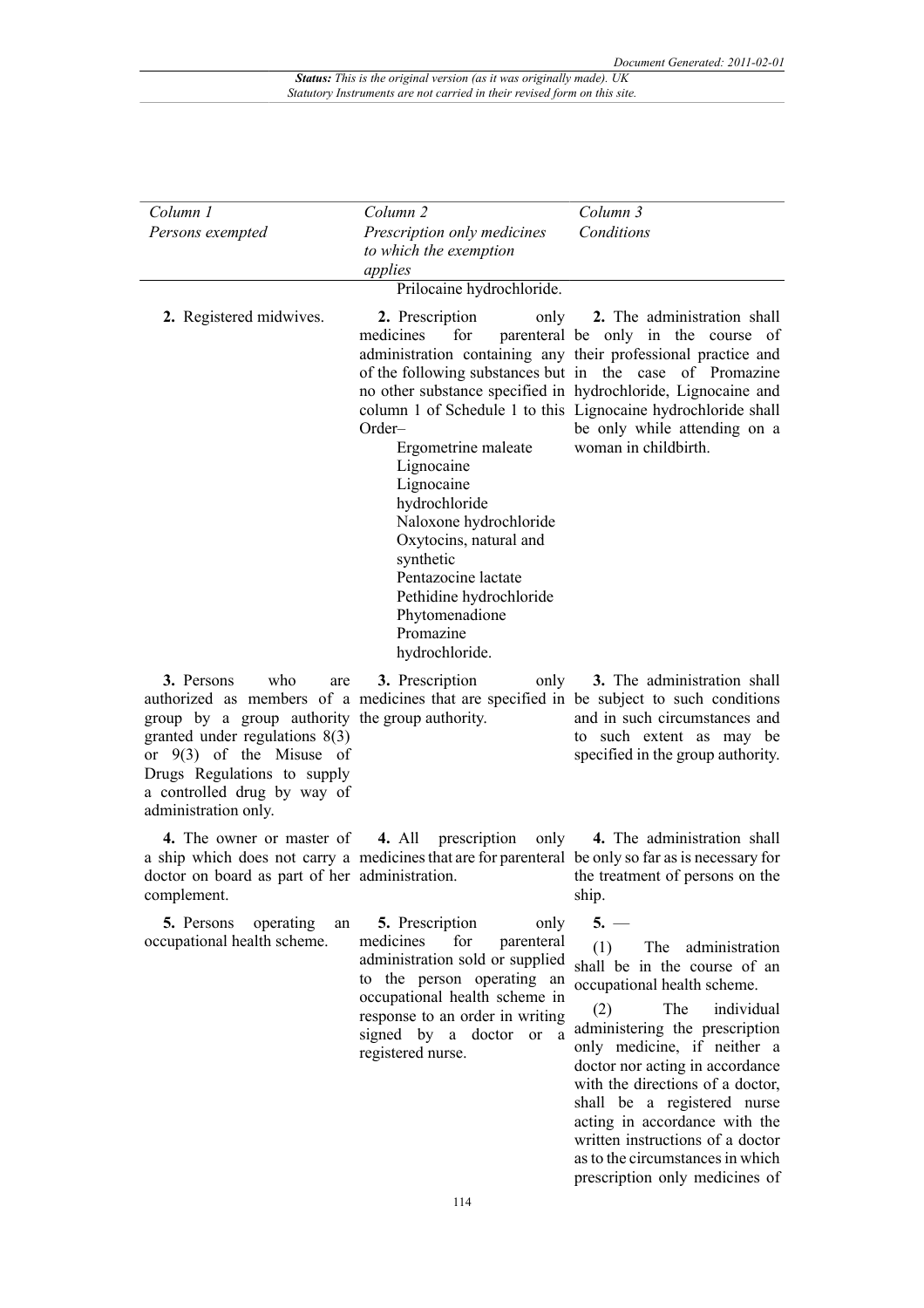| Column 1<br>Persons exempted                                                                                                                                                                                                        | Column <sub>2</sub><br>Prescription only medicines<br>to which the exemption<br>applies                                                                                                                                                                                                       | Column 3<br>Conditions                                                                                                                                                                                                                                                                                                                                                                                                                           |
|-------------------------------------------------------------------------------------------------------------------------------------------------------------------------------------------------------------------------------------|-----------------------------------------------------------------------------------------------------------------------------------------------------------------------------------------------------------------------------------------------------------------------------------------------|--------------------------------------------------------------------------------------------------------------------------------------------------------------------------------------------------------------------------------------------------------------------------------------------------------------------------------------------------------------------------------------------------------------------------------------------------|
|                                                                                                                                                                                                                                     | Prilocaine hydrochloride.                                                                                                                                                                                                                                                                     |                                                                                                                                                                                                                                                                                                                                                                                                                                                  |
| 2. Registered midwives.                                                                                                                                                                                                             | 2. Prescription<br>only<br>for<br>medicines<br>Order-<br>Ergometrine maleate<br>Lignocaine<br>Lignocaine<br>hydrochloride<br>Naloxone hydrochloride<br>Oxytocins, natural and<br>synthetic<br>Pentazocine lactate<br>Pethidine hydrochloride<br>Phytomenadione<br>Promazine<br>hydrochloride. | 2. The administration shall<br>parenteral be only in the course of<br>administration containing any their professional practice and<br>of the following substances but in the case of Promazine<br>no other substance specified in hydrochloride, Lignocaine and<br>column 1 of Schedule 1 to this Lignocaine hydrochloride shall<br>be only while attending on a<br>woman in childbirth.                                                        |
| who<br>3. Persons<br>are<br>group by a group authority the group authority.<br>granted under regulations $8(3)$<br>or $9(3)$ of the Misuse of<br>Drugs Regulations to supply<br>a controlled drug by way of<br>administration only. | 3. Prescription<br>only<br>authorized as members of a medicines that are specified in be subject to such conditions                                                                                                                                                                           | 3. The administration shall<br>and in such circumstances and<br>to such extent as may be<br>specified in the group authority.                                                                                                                                                                                                                                                                                                                    |
| 4. The owner or master of<br>doctor on board as part of her administration.<br>complement.                                                                                                                                          | <b>4.</b> All<br>prescription<br>only<br>a ship which does not carry a medicines that are for parenteral be only so far as is necessary for                                                                                                                                                   | 4. The administration shall<br>the treatment of persons on the<br>ship.                                                                                                                                                                                                                                                                                                                                                                          |
| 5. Persons<br>operating<br>an<br>occupational health scheme.                                                                                                                                                                        | 5. Prescription<br>only<br>for<br>medicines<br>parenteral<br>administration sold or supplied<br>to the person operating an<br>occupational health scheme in<br>response to an order in writing<br>signed by a doctor or<br>a<br>registered nurse.                                             | $5. -$<br>(1)<br>The administration<br>shall be in the course of an<br>occupational health scheme.<br>The<br>individual<br>(2)<br>administering the prescription<br>only medicine, if neither a<br>doctor nor acting in accordance<br>with the directions of a doctor,<br>shall be a registered nurse<br>acting in accordance with the<br>written instructions of a doctor<br>as to the circumstances in which<br>prescription only medicines of |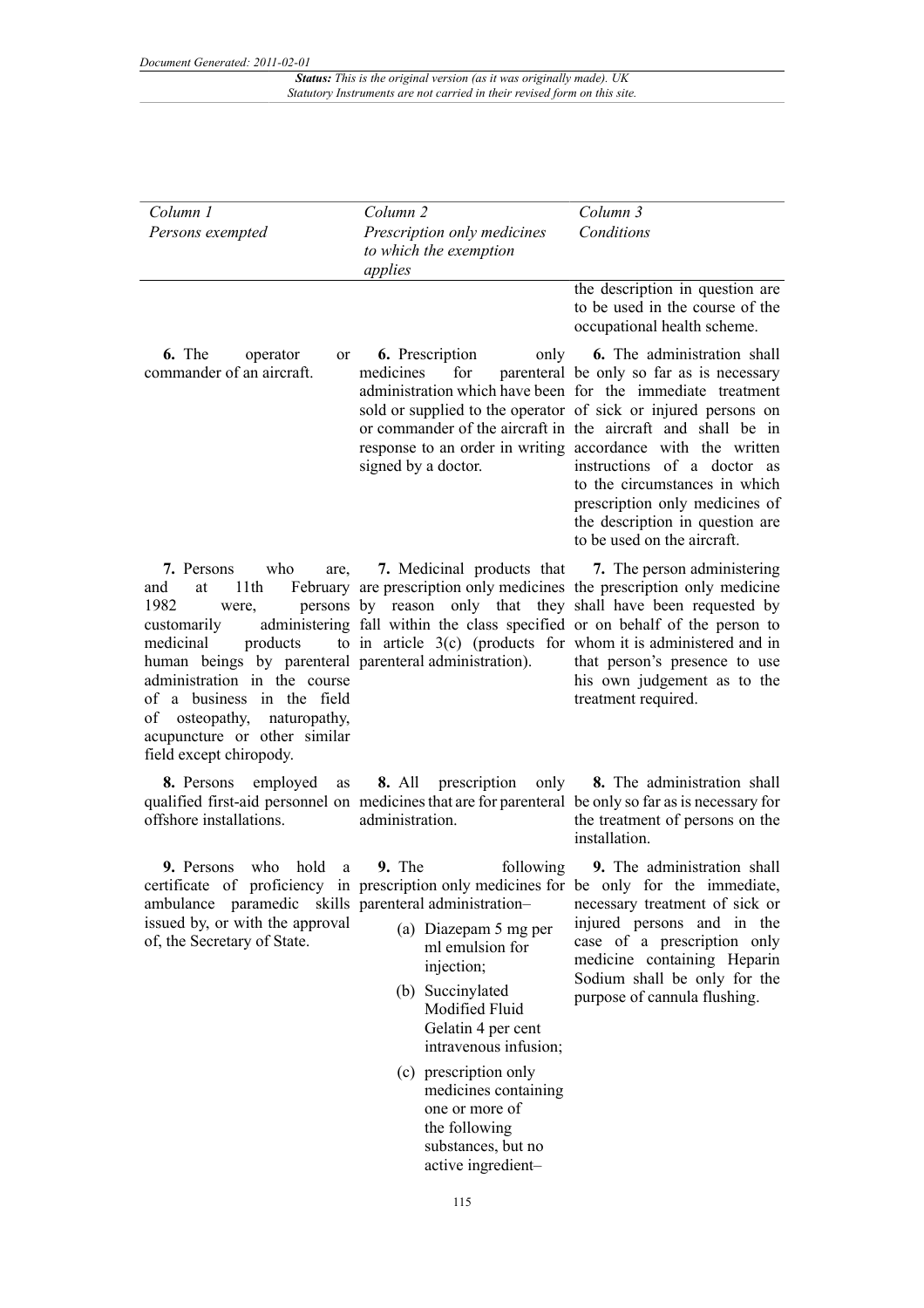*Document Generated: 2011-02-01*

*Status: This is the original version (as it was originally made). UK Statutory Instruments are not carried in their revised form on this site.*

| Column 1<br>Persons exempted                                                                                                                                                                                                                                                                                              | Column <sub>2</sub><br>Prescription only medicines<br>to which the exemption<br>applies                                                                                                                                                                                                                                                                                                        | Column 3<br>Conditions                                                                                                                                                                                                                                                                                                                                                                                                                                                                                           |
|---------------------------------------------------------------------------------------------------------------------------------------------------------------------------------------------------------------------------------------------------------------------------------------------------------------------------|------------------------------------------------------------------------------------------------------------------------------------------------------------------------------------------------------------------------------------------------------------------------------------------------------------------------------------------------------------------------------------------------|------------------------------------------------------------------------------------------------------------------------------------------------------------------------------------------------------------------------------------------------------------------------------------------------------------------------------------------------------------------------------------------------------------------------------------------------------------------------------------------------------------------|
|                                                                                                                                                                                                                                                                                                                           |                                                                                                                                                                                                                                                                                                                                                                                                | the description in question are<br>to be used in the course of the<br>occupational health scheme.                                                                                                                                                                                                                                                                                                                                                                                                                |
| 6. The<br>operator<br>or<br>commander of an aircraft.                                                                                                                                                                                                                                                                     | <b>6.</b> Prescription<br>for<br>medicines<br>signed by a doctor.                                                                                                                                                                                                                                                                                                                              | only 6. The administration shall<br>parenteral be only so far as is necessary<br>administration which have been for the immediate treatment<br>sold or supplied to the operator of sick or injured persons on<br>or commander of the aircraft in the aircraft and shall be in<br>response to an order in writing accordance with the written<br>instructions of a doctor as<br>to the circumstances in which<br>prescription only medicines of<br>the description in question are<br>to be used on the aircraft. |
| who<br>7. Persons<br>are,<br>11th<br>and<br>at<br>1982<br>were,<br>customarily<br>products<br>medicinal<br>human beings by parenteral parenteral administration).<br>administration in the course<br>of a business in the field<br>of osteopathy, naturopathy,<br>acupuncture or other similar<br>field except chiropody. | February are prescription only medicines the prescription only medicine<br>persons by reason only that they shall have been requested by<br>administering fall within the class specified or on behalf of the person to<br>to in article $3(c)$ (products for whom it is administered and in                                                                                                   | 7. Medicinal products that 7. The person administering<br>that person's presence to use<br>his own judgement as to the<br>treatment required.                                                                                                                                                                                                                                                                                                                                                                    |
| 8. Persons<br>employed<br>as<br>offshore installations.                                                                                                                                                                                                                                                                   | <b>8.</b> All prescription<br>qualified first-aid personnel on medicines that are for parenteral be only so far as is necessary for<br>administration.                                                                                                                                                                                                                                         | only 8. The administration shall<br>the treatment of persons on the<br>installation.                                                                                                                                                                                                                                                                                                                                                                                                                             |
| hold<br>who<br>9. Persons<br>a<br>ambulance paramedic skills parenteral administration-<br>issued by, or with the approval<br>of, the Secretary of State.                                                                                                                                                                 | 9. The<br>following<br>certificate of proficiency in prescription only medicines for be only for the immediate,<br>(a) Diazepam 5 mg per<br>ml emulsion for<br>injection;<br>(b) Succinylated<br>Modified Fluid<br>Gelatin 4 per cent<br>intravenous infusion;<br>(c) prescription only<br>medicines containing<br>one or more of<br>the following<br>substances, but no<br>active ingredient- | 9. The administration shall<br>necessary treatment of sick or<br>injured persons and in the<br>case of a prescription only<br>medicine containing Heparin<br>Sodium shall be only for the<br>purpose of cannula flushing.                                                                                                                                                                                                                                                                                        |

115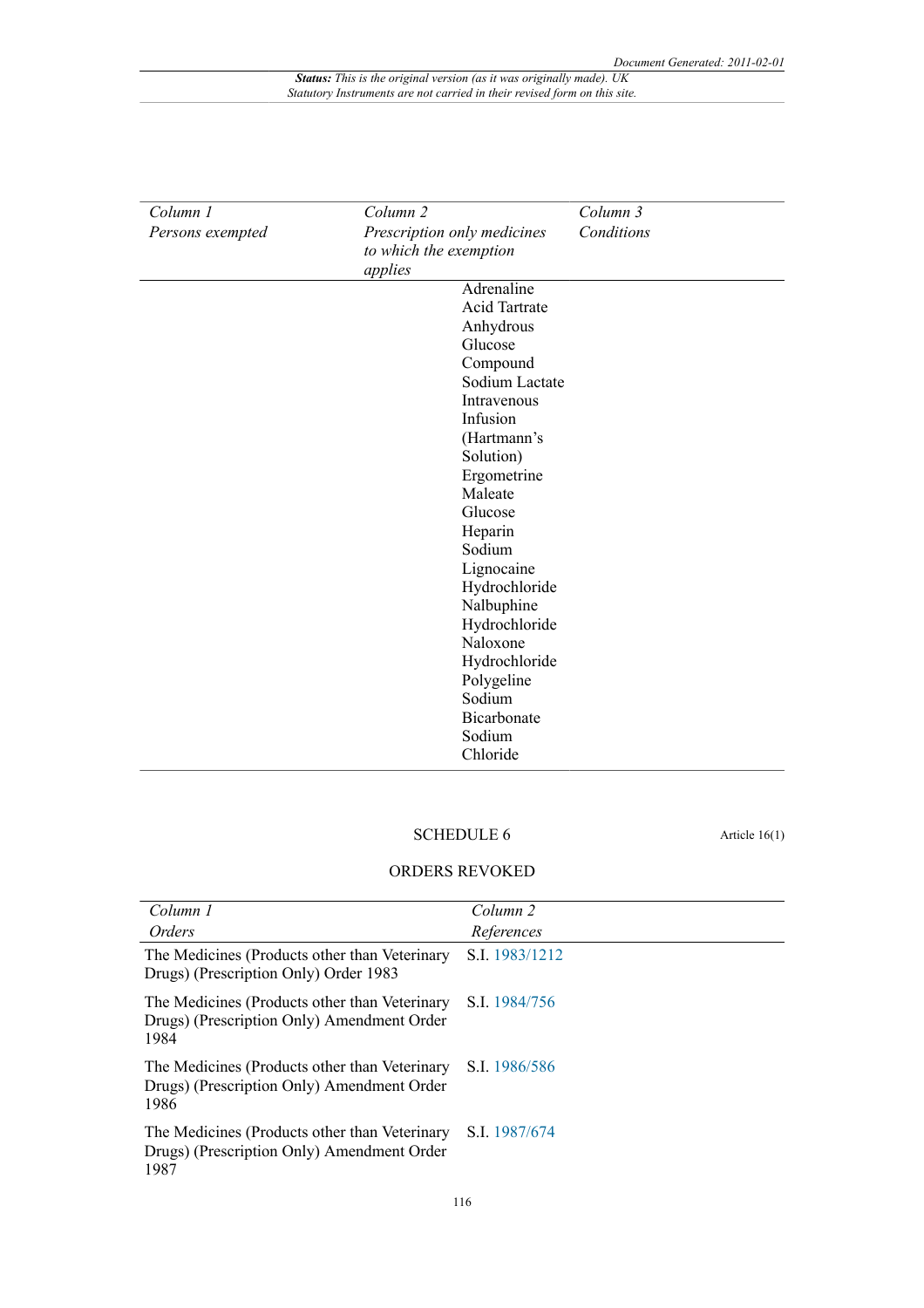| Column 1         | Column <sub>2</sub>         | Column 3   |
|------------------|-----------------------------|------------|
| Persons exempted | Prescription only medicines | Conditions |
|                  | to which the exemption      |            |
|                  | applies                     |            |
|                  | Adrenaline                  |            |
|                  | <b>Acid Tartrate</b>        |            |
|                  | Anhydrous                   |            |
|                  | Glucose                     |            |
|                  | Compound                    |            |
|                  | Sodium Lactate              |            |
|                  | Intravenous                 |            |
|                  | Infusion                    |            |
|                  | (Hartmann's                 |            |
|                  | Solution)                   |            |
|                  | Ergometrine                 |            |
|                  | Maleate                     |            |
|                  | Glucose                     |            |
|                  | Heparin                     |            |
|                  | Sodium                      |            |
|                  | Lignocaine                  |            |
|                  | Hydrochloride               |            |
|                  | Nalbuphine                  |            |
|                  | Hydrochloride               |            |
|                  | Naloxone                    |            |
|                  | Hydrochloride               |            |
|                  | Polygeline                  |            |
|                  | Sodium                      |            |
|                  | Bicarbonate                 |            |
|                  | Sodium                      |            |
|                  | Chloride                    |            |

### SCHEDULE 6 Article 16(1)

#### ORDERS REVOKED

| Column 1                                                                                            | Column 2       |
|-----------------------------------------------------------------------------------------------------|----------------|
| Orders                                                                                              | References     |
| The Medicines (Products other than Veterinary<br>Drugs) (Prescription Only) Order 1983              | S.I. 1983/1212 |
| The Medicines (Products other than Veterinary<br>Drugs) (Prescription Only) Amendment Order<br>1984 | S.I. 1984/756  |
| The Medicines (Products other than Veterinary<br>Drugs) (Prescription Only) Amendment Order<br>1986 | S.I. 1986/586  |
| The Medicines (Products other than Veterinary<br>Drugs) (Prescription Only) Amendment Order<br>1987 | S.I. 1987/674  |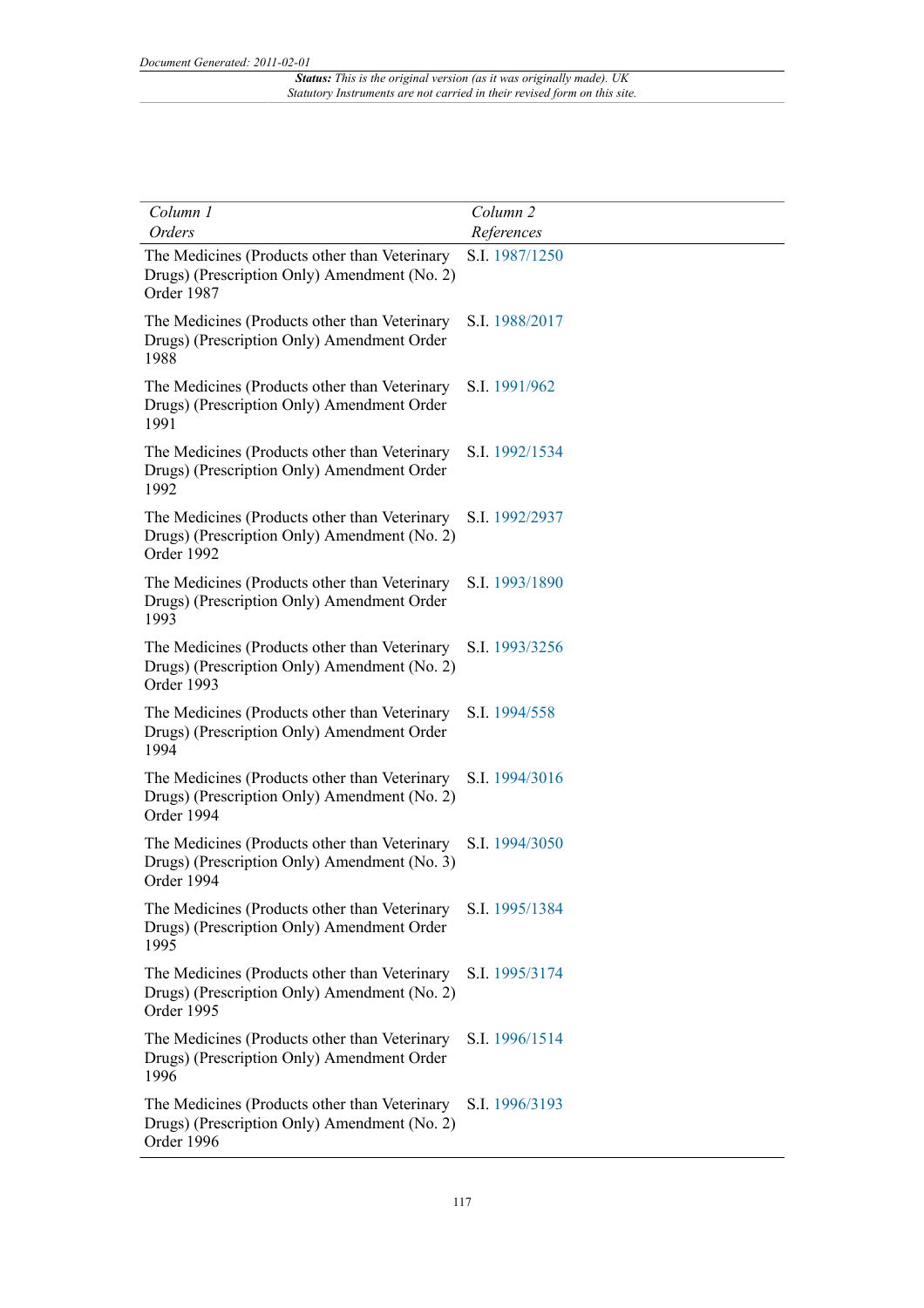| Column 1                                                                                                    | Column <sub>2</sub> |
|-------------------------------------------------------------------------------------------------------------|---------------------|
| <b>Orders</b>                                                                                               | References          |
| The Medicines (Products other than Veterinary<br>Drugs) (Prescription Only) Amendment (No. 2)<br>Order 1987 | S.I. 1987/1250      |
| The Medicines (Products other than Veterinary<br>Drugs) (Prescription Only) Amendment Order<br>1988         | S.I. 1988/2017      |
| The Medicines (Products other than Veterinary<br>Drugs) (Prescription Only) Amendment Order<br>1991         | S.I. 1991/962       |
| The Medicines (Products other than Veterinary<br>Drugs) (Prescription Only) Amendment Order<br>1992         | S.I. 1992/1534      |
| The Medicines (Products other than Veterinary<br>Drugs) (Prescription Only) Amendment (No. 2)<br>Order 1992 | S.I. 1992/2937      |
| The Medicines (Products other than Veterinary<br>Drugs) (Prescription Only) Amendment Order<br>1993         | S.I. 1993/1890      |
| The Medicines (Products other than Veterinary<br>Drugs) (Prescription Only) Amendment (No. 2)<br>Order 1993 | S.I. 1993/3256      |
| The Medicines (Products other than Veterinary<br>Drugs) (Prescription Only) Amendment Order<br>1994         | S.I. 1994/558       |
| The Medicines (Products other than Veterinary<br>Drugs) (Prescription Only) Amendment (No. 2)<br>Order 1994 | S.I. 1994/3016      |
| The Medicines (Products other than Veterinary<br>Drugs) (Prescription Only) Amendment (No. 3)<br>Order 1994 | S.I. 1994/3050      |
| The Medicines (Products other than Veterinary<br>Drugs) (Prescription Only) Amendment Order<br>1995         | S.I. 1995/1384      |
| The Medicines (Products other than Veterinary<br>Drugs) (Prescription Only) Amendment (No. 2)<br>Order 1995 | S.I. 1995/3174      |
| The Medicines (Products other than Veterinary<br>Drugs) (Prescription Only) Amendment Order<br>1996         | S.I. 1996/1514      |
| The Medicines (Products other than Veterinary<br>Drugs) (Prescription Only) Amendment (No. 2)<br>Order 1996 | S.I. 1996/3193      |